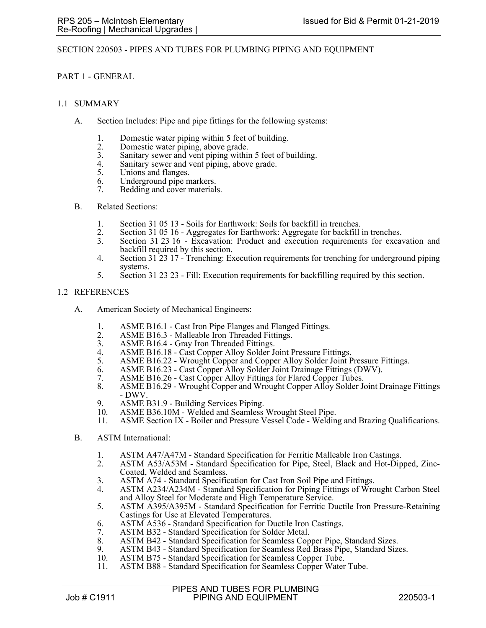### SECTION 220503 - PIPES AND TUBES FOR PLUMBING PIPING AND EQUIPMENT

### PART 1 - GENERAL

#### 1.1 SUMMARY

- A. Section Includes: Pipe and pipe fittings for the following systems:
	- 1. Domestic water piping within 5 feet of building.
	- 2. Domestic water piping, above grade.<br>3. Sanitary sewer and vent piping within
	- 3. Sanitary sewer and vent piping within 5 feet of building.
	- 4. Sanitary sewer and vent piping, above grade.<br>5. Unions and flanges.
	- Unions and flanges.
	- 6. Underground pipe markers.
	- 7. Bedding and cover materials.
- B. Related Sections:
	- 1. Section 31 05 13 Soils for Earthwork: Soils for backfill in trenches.
	- 2. Section 31 05 16 Aggregates for Earthwork: Aggregate for backfill in trenches.<br>3. Section 31 23 16 Excavation: Product and execution requirements for excava
	- Section 31 23 16 Excavation: Product and execution requirements for excavation and backfill required by this section.
	- 4. Section 31 23 17 Trenching: Execution requirements for trenching for underground piping systems.
	- 5. Section 31 23 23 Fill: Execution requirements for backfilling required by this section.

### 1.2 REFERENCES

- A. American Society of Mechanical Engineers:
	- 1. ASME B16.1 Cast Iron Pipe Flanges and Flanged Fittings.<br>2. ASME B16.3 Malleable Iron Threaded Fittings.
	- 2. ASME B16.3 Malleable Iron Threaded Fittings.<br>3. ASME B16.4 Gray Iron Threaded Fittings.
	- 3. ASME B16.4 Gray Iron Threaded Fittings.<br>4. ASME B16.18 Cast Copper Alloy Solder J
	- 4. ASME B16.18 Cast Copper Alloy Solder Joint Pressure Fittings.
	- 5. ASME B16.22 Wrought Copper and Copper Alloy Solder Joint Pressure Fittings.
	- 6. ASME B16.23 Cast Copper Alloy Solder Joint Drainage Fittings (DWV).
	- 7. ASME B16.26 Cast Copper Alloy Fittings for Flared Copper Tubes.
	- 8. ASME B16.29 Wrought Copper and Wrought Copper Alloy Solder Joint Drainage Fittings - DWV.
	- 9. ASME B31.9 Building Services Piping.<br>10. ASME B36.10M Welded and Seamless
	- ASME B36.10M Welded and Seamless Wrought Steel Pipe.
	- 11. ASME Section IX Boiler and Pressure Vessel Code Welding and Brazing Qualifications.
- B. ASTM International:
	- 1. ASTM A47/A47M Standard Specification for Ferritic Malleable Iron Castings.<br>2. ASTM A53/A53M Standard Specification for Pipe. Steel. Black and Hot-Din
	- 2. ASTM A53/A53M Standard Specification for Pipe, Steel, Black and Hot-Dipped, Zinc-Coated, Welded and Seamless.
	- 3. ASTM A74 Standard Specification for Cast Iron Soil Pipe and Fittings.
	- 4. ASTM A234/A234M Standard Specification for Piping Fittings of Wrought Carbon Steel and Alloy Steel for Moderate and High Temperature Service.
	- 5. ASTM A395/A395M Standard Specification for Ferritic Ductile Iron Pressure-Retaining Castings for Use at Elevated Temperatures.
	- 6. ASTM A536 Standard Specification for Ductile Iron Castings.
	- 7. ASTM B32 Standard Specification for Solder Metal.<br>8. ASTM B42 Standard Specification for Seamless Cop
	- 8. ASTM B42 Standard Specification for Seamless Copper Pipe, Standard Sizes.<br>9. ASTM B43 Standard Specification for Seamless Red Brass Pipe, Standard Size
	- 9. ASTM B43 Standard Specification for Seamless Red Brass Pipe, Standard Sizes.<br>10. ASTM B75 Standard Specification for Seamless Copper Tube.
	- ASTM B75 Standard Specification for Seamless Copper Tube.
	- 11. ASTM B88 Standard Specification for Seamless Copper Water Tube.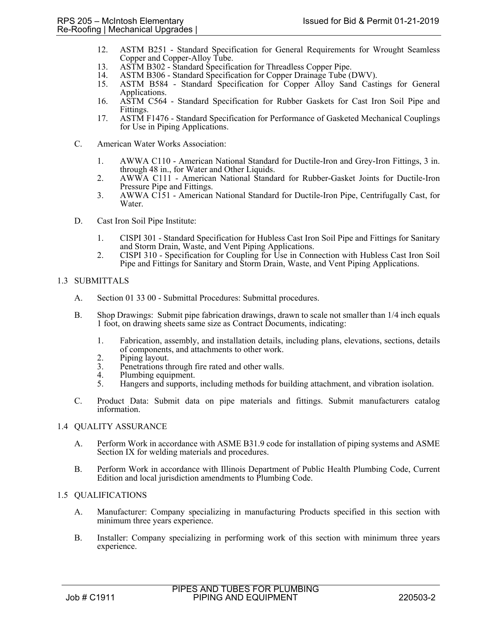- 12. ASTM B251 Standard Specification for General Requirements for Wrought Seamless Copper and Copper-Alloy Tube.
- 13. ASTM B302 Standard Specification for Threadless Copper Pipe.
- 14. ASTM B306 Standard Specification for Copper Drainage Tube (DWV).<br>15. ASTM B584 Standard Specification for Copper Alloy Sand Casti
- 15. ASTM B584 Standard Specification for Copper Alloy Sand Castings for General Applications.
- 16. ASTM C564 Standard Specification for Rubber Gaskets for Cast Iron Soil Pipe and Fittings.
- 17. ASTM F1476 Standard Specification for Performance of Gasketed Mechanical Couplings for Use in Piping Applications.
- C. American Water Works Association:
	- 1. AWWA C110 American National Standard for Ductile-Iron and Grey-Iron Fittings, 3 in. through 48 in., for Water and Other Liquids.
	- 2. AWWA C111 American National Standard for Rubber-Gasket Joints for Ductile-Iron Pressure Pipe and Fittings.
	- 3. AWWA C151 American National Standard for Ductile-Iron Pipe, Centrifugally Cast, for Water.
- D. Cast Iron Soil Pipe Institute:
	- 1. CISPI 301 Standard Specification for Hubless Cast Iron Soil Pipe and Fittings for Sanitary and Storm Drain, Waste, and Vent Piping Applications.
	- 2. CISPI 310 Specification for Coupling for Use in Connection with Hubless Cast Iron Soil Pipe and Fittings for Sanitary and Storm Drain, Waste, and Vent Piping Applications.

### 1.3 SUBMITTALS

- A. Section 01 33 00 Submittal Procedures: Submittal procedures.
- B. Shop Drawings: Submit pipe fabrication drawings, drawn to scale not smaller than 1/4 inch equals 1 foot, on drawing sheets same size as Contract Documents, indicating:
	- 1. Fabrication, assembly, and installation details, including plans, elevations, sections, details of components, and attachments to other work.
	- 2. Piping layout.<br>3. Penetrations the
	- Penetrations through fire rated and other walls.
	- 4. Plumbing equipment.<br>5. Hangers and supports.
	- 5. Hangers and supports, including methods for building attachment, and vibration isolation.
- C. Product Data: Submit data on pipe materials and fittings. Submit manufacturers catalog information.

## 1.4 QUALITY ASSURANCE

- A. Perform Work in accordance with ASME B31.9 code for installation of piping systems and ASME Section IX for welding materials and procedures.
- B. Perform Work in accordance with Illinois Department of Public Health Plumbing Code, Current Edition and local jurisdiction amendments to Plumbing Code.

## 1.5 QUALIFICATIONS

- A. Manufacturer: Company specializing in manufacturing Products specified in this section with minimum three years experience.
- B. Installer: Company specializing in performing work of this section with minimum three years experience.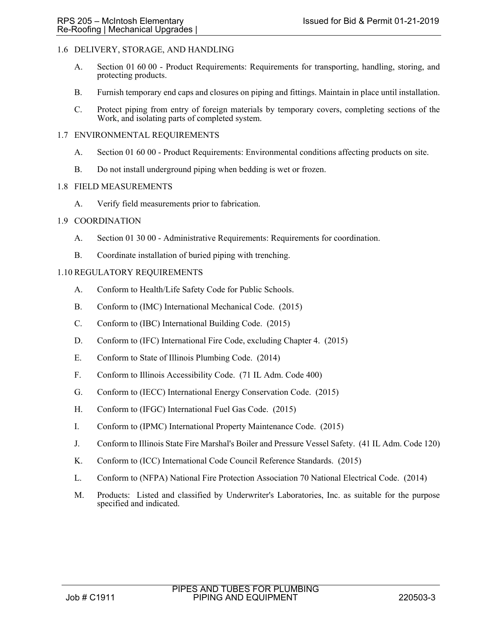## 1.6 DELIVERY, STORAGE, AND HANDLING

- A. Section 01 60 00 Product Requirements: Requirements for transporting, handling, storing, and protecting products.
- B. Furnish temporary end caps and closures on piping and fittings. Maintain in place until installation.
- C. Protect piping from entry of foreign materials by temporary covers, completing sections of the Work, and isolating parts of completed system.

### 1.7 ENVIRONMENTAL REQUIREMENTS

- A. Section 01 60 00 Product Requirements: Environmental conditions affecting products on site.
- B. Do not install underground piping when bedding is wet or frozen.

### 1.8 FIELD MEASUREMENTS

A. Verify field measurements prior to fabrication.

## 1.9 COORDINATION

- A. Section 01 30 00 Administrative Requirements: Requirements for coordination.
- B. Coordinate installation of buried piping with trenching.

## 1.10 REGULATORY REQUIREMENTS

- A. Conform to Health/Life Safety Code for Public Schools.
- B. Conform to (IMC) International Mechanical Code. (2015)
- C. Conform to (IBC) International Building Code. (2015)
- D. Conform to (IFC) International Fire Code, excluding Chapter 4. (2015)
- E. Conform to State of Illinois Plumbing Code. (2014)
- F. Conform to Illinois Accessibility Code. (71 IL Adm. Code 400)
- G. Conform to (IECC) International Energy Conservation Code. (2015)
- H. Conform to (IFGC) International Fuel Gas Code. (2015)
- I. Conform to (IPMC) International Property Maintenance Code. (2015)
- J. Conform to Illinois State Fire Marshal's Boiler and Pressure Vessel Safety. (41 IL Adm. Code 120)
- K. Conform to (ICC) International Code Council Reference Standards. (2015)
- L. Conform to (NFPA) National Fire Protection Association 70 National Electrical Code. (2014)
- M. Products: Listed and classified by Underwriter's Laboratories, Inc. as suitable for the purpose specified and indicated.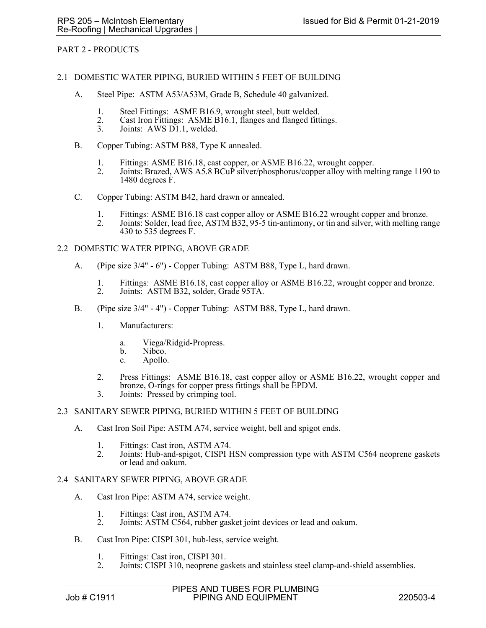## PART 2 - PRODUCTS

#### 2.1 DOMESTIC WATER PIPING, BURIED WITHIN 5 FEET OF BUILDING

- A. Steel Pipe: ASTM A53/A53M, Grade B, Schedule 40 galvanized.
	- 1. Steel Fittings: ASME B16.9, wrought steel, butt welded.<br>2. Cast Iron Fittings: ASME B16.1, flanges and flanged fitt
	- 2. Cast Iron Fittings: ASME B16.1, flanges and flanged fittings.<br>3. Joints: AWS D1.1, welded.
	- Joints: AWS D1.1, welded.
- B. Copper Tubing: ASTM B88, Type K annealed.
	- 1. Fittings: ASME B16.18, cast copper, or ASME B16.22, wrought copper.<br>2. Joints: Brazed, AWS A5.8 BCuP silver/phosphorus/copper alloy with mel
	- Joints: Brazed, AWS A5.8 BCuP silver/phosphorus/copper alloy with melting range 1190 to 1480 degrees F.
- C. Copper Tubing: ASTM B42, hard drawn or annealed.
	- 1. Fittings: ASME B16.18 cast copper alloy or ASME B16.22 wrought copper and bronze.
	- 2. Joints: Solder, lead free, ASTM B32, 95-5 tin-antimony, or tin and silver, with melting range 430 to 535 degrees F.

#### 2.2 DOMESTIC WATER PIPING, ABOVE GRADE

- A. (Pipe size 3/4" 6") Copper Tubing: ASTM B88, Type L, hard drawn.
	- 1. Fittings: ASME B16.18, cast copper alloy or ASME B16.22, wrought copper and bronze.<br>2. Joints: ASTM B32, solder, Grade 95TA.
	- Joints: ASTM B32, solder, Grade 95TA.
- B. (Pipe size 3/4" 4") Copper Tubing: ASTM B88, Type L, hard drawn.
	- 1. Manufacturers:
		- a. Viega/Ridgid-Propress.
		- b. Nibco.
		- c. Apollo.
	- 2. Press Fittings: ASME B16.18, cast copper alloy or ASME B16.22, wrought copper and bronze, O-rings for copper press fittings shall be EPDM.
	- 3. Joints: Pressed by crimping tool.

#### 2.3 SANITARY SEWER PIPING, BURIED WITHIN 5 FEET OF BUILDING

- A. Cast Iron Soil Pipe: ASTM A74, service weight, bell and spigot ends.
	- 1. Fittings: Cast iron, ASTM A74.
	- 2. Joints: Hub-and-spigot, CISPI HSN compression type with ASTM C564 neoprene gaskets or lead and oakum.

#### 2.4 SANITARY SEWER PIPING, ABOVE GRADE

- A. Cast Iron Pipe: ASTM A74, service weight.
	- 1. Fittings: Cast iron, ASTM A74.<br>2. Joints: ASTM C564, rubber gas
	- 2. Joints: ASTM C564, rubber gasket joint devices or lead and oakum.
- B. Cast Iron Pipe: CISPI 301, hub-less, service weight.
	- 1. Fittings: Cast iron, CISPI 301.
	- 2. Joints: CISPI 310, neoprene gaskets and stainless steel clamp-and-shield assemblies.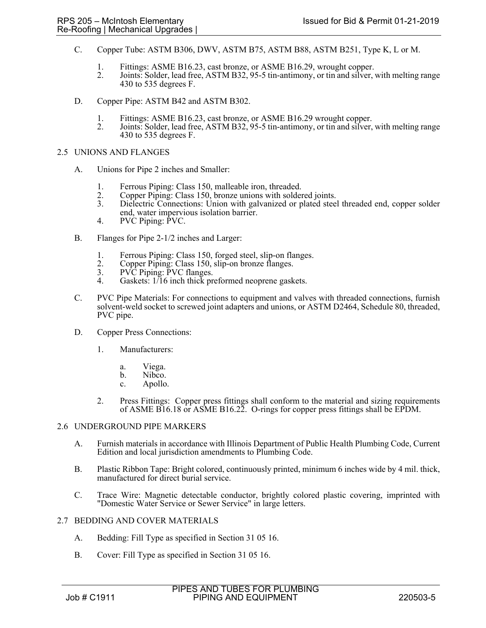- C. Copper Tube: ASTM B306, DWV, ASTM B75, ASTM B88, ASTM B251, Type K, L or M.
	- 1. Fittings: ASME B16.23, cast bronze, or ASME B16.29, wrought copper.
	- 2. Joints: Solder, lead free, ASTM B32, 95-5 tin-antimony, or tin and silver, with melting range 430 to 535 degrees F.
- D. Copper Pipe: ASTM B42 and ASTM B302.
	- 1. Fittings: ASME B16.23, cast bronze, or ASME B16.29 wrought copper.<br>2. Joints: Solder, lead free, ASTM B32, 95-5 tin-antimony, or tin and silver,
	- Joints: Solder, lead free, ASTM B32, 95-5 tin-antimony, or tin and silver, with melting range 430 to 535 degrees F.

### 2.5 UNIONS AND FLANGES

- A. Unions for Pipe 2 inches and Smaller:
	- 1. Ferrous Piping: Class 150, malleable iron, threaded.<br>2. Copper Piping: Class 150, bronze unions with solder
	- 2. Copper Piping: Class 150, bronze unions with soldered joints.
	- 3. Dielectric Connections: Union with galvanized or plated steel threaded end, copper solder end, water impervious isolation barrier.
	- 4. PVC Piping: PVC.
- B. Flanges for Pipe 2-1/2 inches and Larger:
	- 1. Ferrous Piping: Class 150, forged steel, slip-on flanges.<br>2. Copper Piping: Class 150, slip-on bronze flanges.
	- 2. Copper Piping: Class 150, slip-on bronze flanges.<br>3. PVC Piping: PVC flanges.
	- PVC Piping: PVC flanges.
	- 4. Gaskets: 1/16 inch thick preformed neoprene gaskets.
- C. PVC Pipe Materials: For connections to equipment and valves with threaded connections, furnish solvent-weld socket to screwed joint adapters and unions, or ASTM D2464, Schedule 80, threaded, PVC pipe.
- D. Copper Press Connections:
	- 1. Manufacturers:
		- a. Viega.
		- b. Nibco.
		- c. Apollo.
	- 2. Press Fittings: Copper press fittings shall conform to the material and sizing requirements of ASME B16.18 or ASME B16.22. O-rings for copper press fittings shall be EPDM.

#### 2.6 UNDERGROUND PIPE MARKERS

- A. Furnish materials in accordance with Illinois Department of Public Health Plumbing Code, Current Edition and local jurisdiction amendments to Plumbing Code.
- B. Plastic Ribbon Tape: Bright colored, continuously printed, minimum 6 inches wide by 4 mil. thick, manufactured for direct burial service.
- C. Trace Wire: Magnetic detectable conductor, brightly colored plastic covering, imprinted with "Domestic Water Service or Sewer Service" in large letters.

#### 2.7 BEDDING AND COVER MATERIALS

- A. Bedding: Fill Type as specified in Section 31 05 16.
- B. Cover: Fill Type as specified in Section 31 05 16.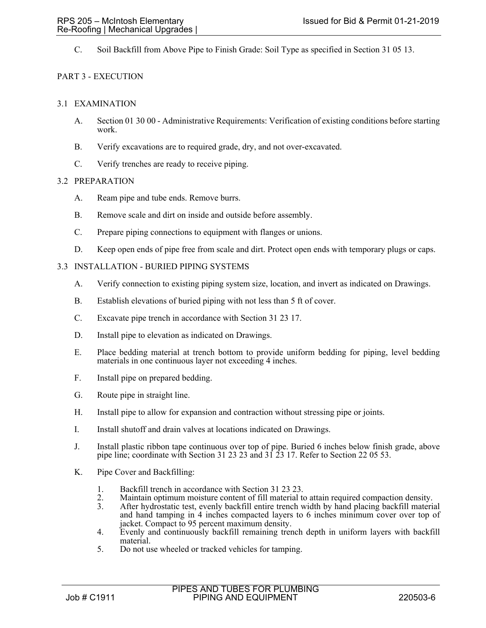C. Soil Backfill from Above Pipe to Finish Grade: Soil Type as specified in Section 31 05 13.

## PART 3 - EXECUTION

## 3.1 EXAMINATION

- A. Section 01 30 00 Administrative Requirements: Verification of existing conditions before starting work.
- B. Verify excavations are to required grade, dry, and not over-excavated.
- C. Verify trenches are ready to receive piping.

### 3.2 PREPARATION

- A. Ream pipe and tube ends. Remove burrs.
- B. Remove scale and dirt on inside and outside before assembly.
- C. Prepare piping connections to equipment with flanges or unions.
- D. Keep open ends of pipe free from scale and dirt. Protect open ends with temporary plugs or caps.

### 3.3 INSTALLATION - BURIED PIPING SYSTEMS

- A. Verify connection to existing piping system size, location, and invert as indicated on Drawings.
- B. Establish elevations of buried piping with not less than 5 ft of cover.
- C. Excavate pipe trench in accordance with Section 31 23 17.
- D. Install pipe to elevation as indicated on Drawings.
- E. Place bedding material at trench bottom to provide uniform bedding for piping, level bedding materials in one continuous layer not exceeding 4 inches.
- F. Install pipe on prepared bedding.
- G. Route pipe in straight line.
- H. Install pipe to allow for expansion and contraction without stressing pipe or joints.
- I. Install shutoff and drain valves at locations indicated on Drawings.
- J. Install plastic ribbon tape continuous over top of pipe. Buried 6 inches below finish grade, above pipe line; coordinate with Section 31 23 23 and 31 23 17. Refer to Section 22 05 53.
- K. Pipe Cover and Backfilling:
	- 1. Backfill trench in accordance with Section 31 23 23.
	- 2. Maintain optimum moisture content of fill material to attain required compaction density.<br>3. After hydrostatic test, evenly backfill entire trench width by hand placing backfill materia
	- After hydrostatic test, evenly backfill entire trench width by hand placing backfill material and hand tamping in 4 inches compacted layers to 6 inches minimum cover over top of jacket. Compact to 95 percent maximum density.
	- 4. Evenly and continuously backfill remaining trench depth in uniform layers with backfill material.
	- 5. Do not use wheeled or tracked vehicles for tamping.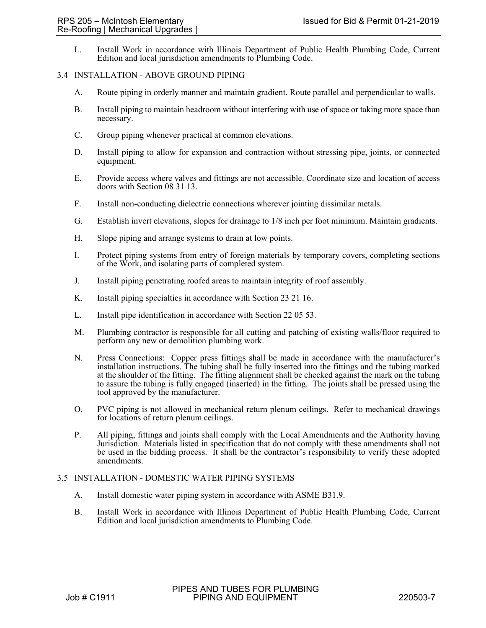L. Install Work in accordance with Illinois Department of Public Health Plumbing Code, Current Edition and local jurisdiction amendments to Plumbing Code.

#### 3.4 INSTALLATION - ABOVE GROUND PIPING

- A. Route piping in orderly manner and maintain gradient. Route parallel and perpendicular to walls.
- B. Install piping to maintain headroom without interfering with use of space or taking more space than necessary.
- C. Group piping whenever practical at common elevations.
- D. Install piping to allow for expansion and contraction without stressing pipe, joints, or connected equipment.
- E. Provide access where valves and fittings are not accessible. Coordinate size and location of access doors with Section 08 31 13.
- F. Install non-conducting dielectric connections wherever jointing dissimilar metals.
- G. Establish invert elevations, slopes for drainage to 1/8 inch per foot minimum. Maintain gradients.
- H. Slope piping and arrange systems to drain at low points.
- I. Protect piping systems from entry of foreign materials by temporary covers, completing sections of the Work, and isolating parts of completed system.
- J. Install piping penetrating roofed areas to maintain integrity of roof assembly.
- K. Install piping specialties in accordance with Section 23 21 16.
- L. Install pipe identification in accordance with Section 22 05 53.
- M. Plumbing contractor is responsible for all cutting and patching of existing walls/floor required to perform any new or demolition plumbing work.
- N. Press Connections: Copper press fittings shall be made in accordance with the manufacturer's installation instructions. The tubing shall be fully inserted into the fittings and the tubing marked at the shoulder of the fitting. The fitting alignment shall be checked against the mark on the tubing to assure the tubing is fully engaged (inserted) in the fitting. The joints shall be pressed using the tool approved by the manufacturer.
- O. PVC piping is not allowed in mechanical return plenum ceilings. Refer to mechanical drawings for locations of return plenum ceilings.
- P. All piping, fittings and joints shall comply with the Local Amendments and the Authority having Jurisdiction. Materials listed in specification that do not comply with these amendments shall not be used in the bidding process. It shall be the contractor's responsibility to verify these adopted amendments.

## 3.5 INSTALLATION - DOMESTIC WATER PIPING SYSTEMS

- A. Install domestic water piping system in accordance with ASME B31.9.
- B. Install Work in accordance with Illinois Department of Public Health Plumbing Code, Current Edition and local jurisdiction amendments to Plumbing Code.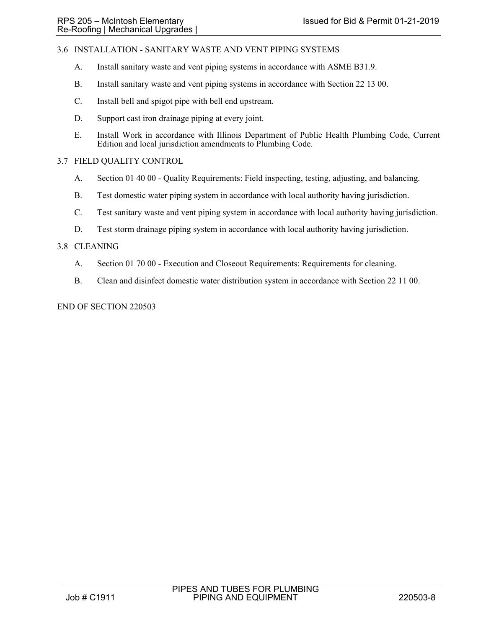# 3.6 INSTALLATION - SANITARY WASTE AND VENT PIPING SYSTEMS

- A. Install sanitary waste and vent piping systems in accordance with ASME B31.9.
- B. Install sanitary waste and vent piping systems in accordance with Section 22 13 00.
- C. Install bell and spigot pipe with bell end upstream.
- D. Support cast iron drainage piping at every joint.
- E. Install Work in accordance with Illinois Department of Public Health Plumbing Code, Current Edition and local jurisdiction amendments to Plumbing Code.

## 3.7 FIELD QUALITY CONTROL

- A. Section 01 40 00 Quality Requirements: Field inspecting, testing, adjusting, and balancing.
- B. Test domestic water piping system in accordance with local authority having jurisdiction.
- C. Test sanitary waste and vent piping system in accordance with local authority having jurisdiction.
- D. Test storm drainage piping system in accordance with local authority having jurisdiction.

### 3.8 CLEANING

- A. Section 01 70 00 Execution and Closeout Requirements: Requirements for cleaning.
- B. Clean and disinfect domestic water distribution system in accordance with Section 22 11 00.

END OF SECTION 220503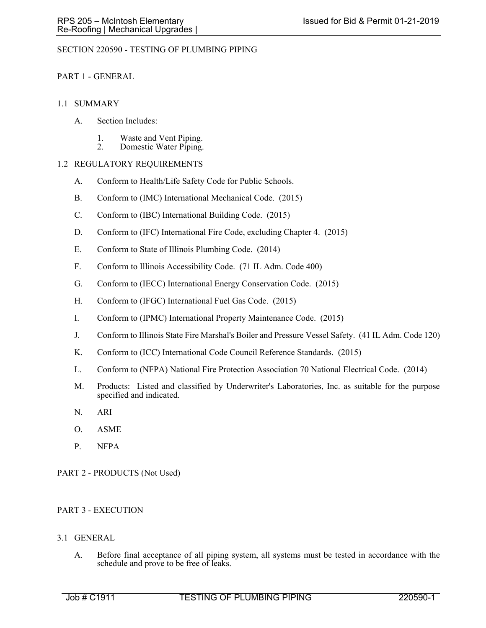## SECTION 220590 - TESTING OF PLUMBING PIPING

## PART 1 - GENERAL

### 1.1 SUMMARY

- A. Section Includes:
	- 1. Waste and Vent Piping.
	- 2. Domestic Water Piping.

## 1.2 REGULATORY REQUIREMENTS

- A. Conform to Health/Life Safety Code for Public Schools.
- B. Conform to (IMC) International Mechanical Code. (2015)
- C. Conform to (IBC) International Building Code. (2015)
- D. Conform to (IFC) International Fire Code, excluding Chapter 4. (2015)
- E. Conform to State of Illinois Plumbing Code. (2014)
- F. Conform to Illinois Accessibility Code. (71 IL Adm. Code 400)
- G. Conform to (IECC) International Energy Conservation Code. (2015)
- H. Conform to (IFGC) International Fuel Gas Code. (2015)
- I. Conform to (IPMC) International Property Maintenance Code. (2015)
- J. Conform to Illinois State Fire Marshal's Boiler and Pressure Vessel Safety. (41 IL Adm. Code 120)
- K. Conform to (ICC) International Code Council Reference Standards. (2015)
- L. Conform to (NFPA) National Fire Protection Association 70 National Electrical Code. (2014)
- M. Products: Listed and classified by Underwriter's Laboratories, Inc. as suitable for the purpose specified and indicated.
- N. ARI
- O. ASME
- P. NFPA

## PART 2 - PRODUCTS (Not Used)

# PART 3 - EXECUTION

## 3.1 GENERAL

A. Before final acceptance of all piping system, all systems must be tested in accordance with the schedule and prove to be free of leaks.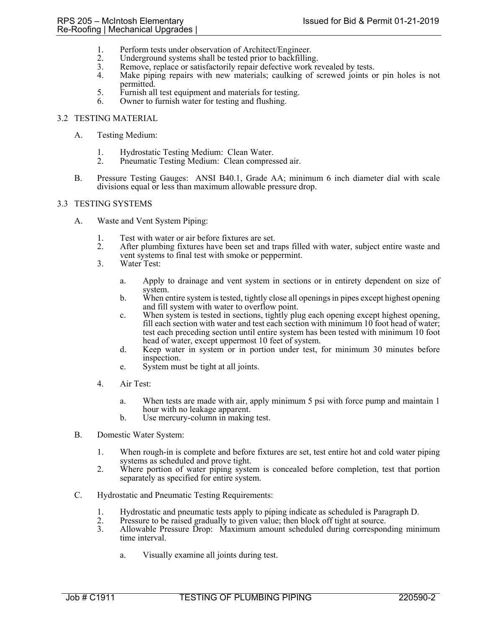- 1. Perform tests under observation of Architect/Engineer.<br>2. Underground systems shall be tested prior to backfilling
- 2. Underground systems shall be tested prior to backfilling.<br>3. Remove, replace or satisfactorily repair defective work re
- Remove, replace or satisfactorily repair defective work revealed by tests.
- 4. Make piping repairs with new materials; caulking of screwed joints or pin holes is not permitted.
- 5. Furnish all test equipment and materials for testing.<br>6. Owner to furnish water for testing and flushing.
- Owner to furnish water for testing and flushing.

## 3.2 TESTING MATERIAL

- A. Testing Medium:
	- 1. Hydrostatic Testing Medium: Clean Water.
	- 2. Pneumatic Testing Medium: Clean compressed air.
- B. Pressure Testing Gauges: ANSI B40.1, Grade AA; minimum 6 inch diameter dial with scale divisions equal or less than maximum allowable pressure drop.

### 3.3 TESTING SYSTEMS

- A. Waste and Vent System Piping:
	- 1. Test with water or air before fixtures are set.
	- 2. After plumbing fixtures have been set and traps filled with water, subject entire waste and vent systems to final test with smoke or peppermint.
	- 3. Water Test:
		- a. Apply to drainage and vent system in sections or in entirety dependent on size of system.
		- b. When entire system is tested, tightly close all openings in pipes except highest opening and fill system with water to overflow point.
		- c. When system is tested in sections, tightly plug each opening except highest opening, fill each section with water and test each section with minimum 10 foot head of water; test each preceding section until entire system has been tested with minimum 10 foot head of water, except uppermost 10 feet of system.
		- d. Keep water in system or in portion under test, for minimum 30 minutes before inspection.
		- e. System must be tight at all joints.
	- 4. Air Test:
		- a. When tests are made with air, apply minimum 5 psi with force pump and maintain 1 hour with no leakage apparent.
		- b. Use mercury-column in making test.
- B. Domestic Water System:
	- 1. When rough-in is complete and before fixtures are set, test entire hot and cold water piping systems as scheduled and prove tight.
	- 2. Where portion of water piping system is concealed before completion, test that portion separately as specified for entire system.
- C. Hydrostatic and Pneumatic Testing Requirements:
	- 1. Hydrostatic and pneumatic tests apply to piping indicate as scheduled is Paragraph D.
	- 2. Pressure to be raised gradually to given value; then block off tight at source.<br>3. Allowable Pressure Drop: Maximum amount scheduled during correspone
	- 3. Allowable Pressure Drop: Maximum amount scheduled during corresponding minimum time interval.
		- a. Visually examine all joints during test.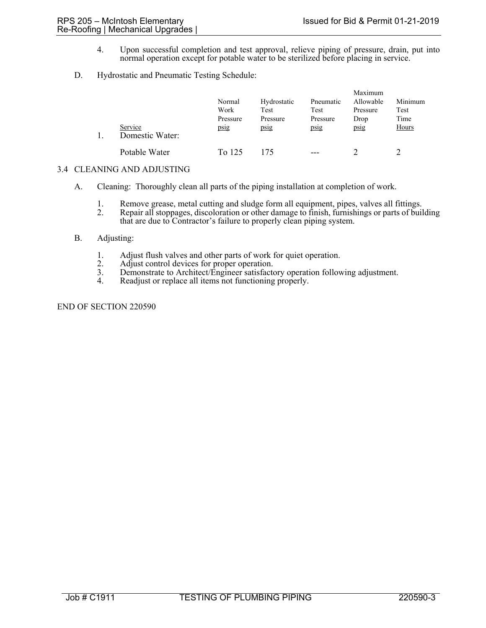- 4. Upon successful completion and test approval, relieve piping of pressure, drain, put into normal operation except for potable water to be sterilized before placing in service.
- D. Hydrostatic and Pneumatic Testing Schedule:

|  | Service<br>Domestic Water: | Normal<br>Work<br>Pressure<br>psig | Hydrostatic<br>Test<br>Pressure<br>psig | Pneumatic<br>Test<br>Pressure<br>psig | Maximum<br>Allowable<br>Pressure<br>Drop<br>psig | Minimum<br>Test<br>Time<br>Hours |
|--|----------------------------|------------------------------------|-----------------------------------------|---------------------------------------|--------------------------------------------------|----------------------------------|
|  | Potable Water              | To 125                             | 175                                     | $---$                                 |                                                  |                                  |

## 3.4 CLEANING AND ADJUSTING

- A. Cleaning: Thoroughly clean all parts of the piping installation at completion of work.
	- 1. Remove grease, metal cutting and sludge form all equipment, pipes, valves all fittings.<br>2. Repair all stoppages, discoloration or other damage to finish, furnishings or parts of buil 2. Repair all stoppages, discoloration or other damage to finish, furnishings or parts of building
		- that are due to Contractor's failure to properly clean piping system.

## B. Adjusting:

- 1. Adjust flush valves and other parts of work for quiet operation.<br>
2. Adjust control devices for proper operation.<br>
3. Demonstrate to Architect/Engineer satisfactory operation follow
- 
- 3. Demonstrate to Architect/Engineer satisfactory operation following adjustment.<br>4. Readiust or replace all items not functioning properly.
- Readjust or replace all items not functioning properly.

END OF SECTION 220590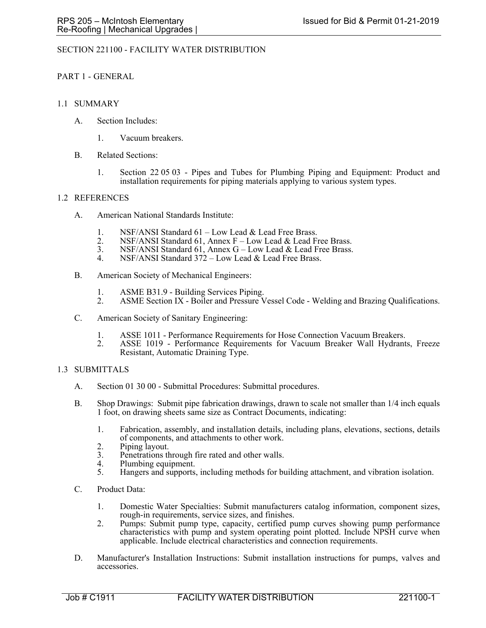## SECTION 221100 - FACILITY WATER DISTRIBUTION

### PART 1 - GENERAL

### 1.1 SUMMARY

- A. Section Includes:
	- 1. Vacuum breakers.
- B. Related Sections:
	- 1. Section 22 05 03 Pipes and Tubes for Plumbing Piping and Equipment: Product and installation requirements for piping materials applying to various system types.

### 1.2 REFERENCES

- A. American National Standards Institute:
	- 1. NSF/ANSI Standard 61 Low Lead & Lead Free Brass.<br>2. NSF/ANSI Standard 61. Annex F Low Lead & Lead Fi
	- 2. NSF/ANSI Standard 61, Annex  $F$  Low Lead & Lead Free Brass.<br>3. NSF/ANSI Standard 61, Annex  $G$  Low Lead & Lead Free Brass.
	- 3. NSF/ANSI Standard 61, Annex G Low Lead & Lead Free Brass.<br>4. NSF/ANSI Standard 372 Low Lead & Lead Free Brass.
	- NSF/ANSI Standard  $372 Low$  Lead & Lead Free Brass.
- B. American Society of Mechanical Engineers:
	- 1. ASME B31.9 Building Services Piping.
	- 2. ASME Section IX Boiler and Pressure Vessel Code Welding and Brazing Qualifications.
- C. American Society of Sanitary Engineering:
	- 1. ASSE 1011 Performance Requirements for Hose Connection Vacuum Breakers.<br>2. ASSE 1019 Performance Requirements for Vacuum Breaker Wall Hydrant
	- ASSE 1019 Performance Requirements for Vacuum Breaker Wall Hydrants, Freeze Resistant, Automatic Draining Type.

#### 1.3 SUBMITTALS

- A. Section 01 30 00 Submittal Procedures: Submittal procedures.
- B. Shop Drawings: Submit pipe fabrication drawings, drawn to scale not smaller than 1/4 inch equals 1 foot, on drawing sheets same size as Contract Documents, indicating:
	- 1. Fabrication, assembly, and installation details, including plans, elevations, sections, details of components, and attachments to other work.
	- 2. Piping layout.<br>3. Penetrations the
	- 3. Penetrations through fire rated and other walls.<br>4. Plumbing equipment.
	- 4. Plumbing equipment.<br>5. Hangers and supports.
	- 5. Hangers and supports, including methods for building attachment, and vibration isolation.
- C. Product Data:
	- 1. Domestic Water Specialties: Submit manufacturers catalog information, component sizes, rough-in requirements, service sizes, and finishes.
	- 2. Pumps: Submit pump type, capacity, certified pump curves showing pump performance characteristics with pump and system operating point plotted. Include NPSH curve when applicable. Include electrical characteristics and connection requirements.
- D. Manufacturer's Installation Instructions: Submit installation instructions for pumps, valves and accessories.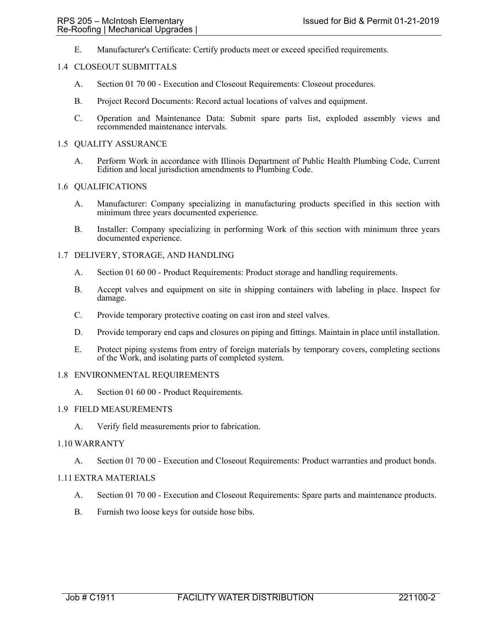E. Manufacturer's Certificate: Certify products meet or exceed specified requirements.

### 1.4 CLOSEOUT SUBMITTALS

- A. Section 01 70 00 Execution and Closeout Requirements: Closeout procedures.
- B. Project Record Documents: Record actual locations of valves and equipment.
- C. Operation and Maintenance Data: Submit spare parts list, exploded assembly views and recommended maintenance intervals.

#### 1.5 QUALITY ASSURANCE

A. Perform Work in accordance with Illinois Department of Public Health Plumbing Code, Current Edition and local jurisdiction amendments to Plumbing Code.

#### 1.6 QUALIFICATIONS

- A. Manufacturer: Company specializing in manufacturing products specified in this section with minimum three years documented experience.
- B. Installer: Company specializing in performing Work of this section with minimum three years documented experience.

### 1.7 DELIVERY, STORAGE, AND HANDLING

- A. Section 01 60 00 Product Requirements: Product storage and handling requirements.
- B. Accept valves and equipment on site in shipping containers with labeling in place. Inspect for damage.
- C. Provide temporary protective coating on cast iron and steel valves.
- D. Provide temporary end caps and closures on piping and fittings. Maintain in place until installation.
- E. Protect piping systems from entry of foreign materials by temporary covers, completing sections of the Work, and isolating parts of completed system.

#### 1.8 ENVIRONMENTAL REQUIREMENTS

A. Section 01 60 00 - Product Requirements.

## 1.9 FIELD MEASUREMENTS

A. Verify field measurements prior to fabrication.

#### 1.10 WARRANTY

A. Section 01 70 00 - Execution and Closeout Requirements: Product warranties and product bonds.

## 1.11 EXTRA MATERIALS

- A. Section 01 70 00 Execution and Closeout Requirements: Spare parts and maintenance products.
- B. Furnish two loose keys for outside hose bibs.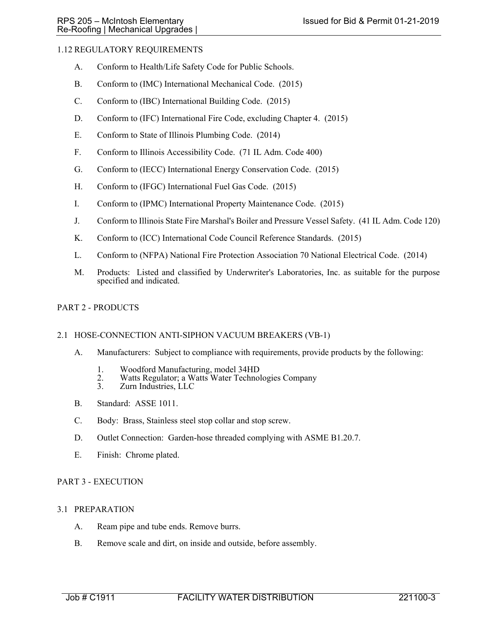## 1.12 REGULATORY REQUIREMENTS

- A. Conform to Health/Life Safety Code for Public Schools.
- B. Conform to (IMC) International Mechanical Code. (2015)
- C. Conform to (IBC) International Building Code. (2015)
- D. Conform to (IFC) International Fire Code, excluding Chapter 4. (2015)
- E. Conform to State of Illinois Plumbing Code. (2014)
- F. Conform to Illinois Accessibility Code. (71 IL Adm. Code 400)
- G. Conform to (IECC) International Energy Conservation Code. (2015)
- H. Conform to (IFGC) International Fuel Gas Code. (2015)
- I. Conform to (IPMC) International Property Maintenance Code. (2015)
- J. Conform to Illinois State Fire Marshal's Boiler and Pressure Vessel Safety. (41 IL Adm. Code 120)
- K. Conform to (ICC) International Code Council Reference Standards. (2015)
- L. Conform to (NFPA) National Fire Protection Association 70 National Electrical Code. (2014)
- M. Products: Listed and classified by Underwriter's Laboratories, Inc. as suitable for the purpose specified and indicated.

## PART 2 - PRODUCTS

## 2.1 HOSE-CONNECTION ANTI-SIPHON VACUUM BREAKERS (VB-1)

- A. Manufacturers: Subject to compliance with requirements, provide products by the following:
	- 1. Woodford Manufacturing, model 34HD
	- 2. Watts Regulator; a Watts Water Technologies Company<br>3. Zurn Industries, LLC
	- Zurn Industries, LLC
- B. Standard: ASSE 1011.
- C. Body: Brass, Stainless steel stop collar and stop screw.
- D. Outlet Connection: Garden-hose threaded complying with ASME B1.20.7.
- E. Finish: Chrome plated.

## PART 3 - EXECUTION

## 3.1 PREPARATION

- A. Ream pipe and tube ends. Remove burrs.
- B. Remove scale and dirt, on inside and outside, before assembly.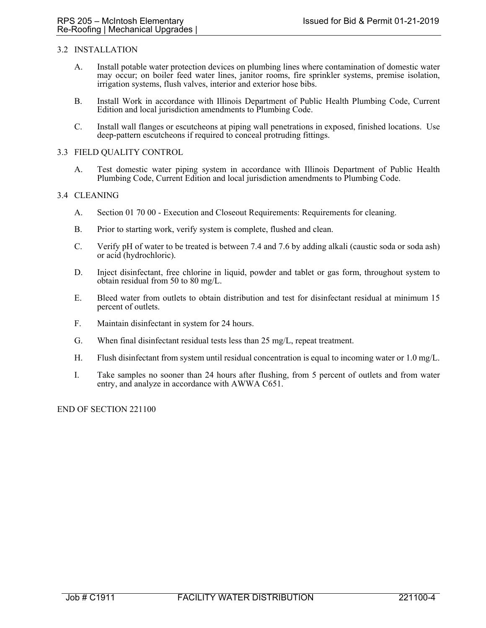### 3.2 INSTALLATION

- A. Install potable water protection devices on plumbing lines where contamination of domestic water may occur; on boiler feed water lines, janitor rooms, fire sprinkler systems, premise isolation, irrigation systems, flush valves, interior and exterior hose bibs.
- B. Install Work in accordance with Illinois Department of Public Health Plumbing Code, Current Edition and local jurisdiction amendments to Plumbing Code.
- C. Install wall flanges or escutcheons at piping wall penetrations in exposed, finished locations. Use deep-pattern escutcheons if required to conceal protruding fittings.

#### 3.3 FIELD QUALITY CONTROL

A. Test domestic water piping system in accordance with Illinois Department of Public Health Plumbing Code, Current Edition and local jurisdiction amendments to Plumbing Code.

#### 3.4 CLEANING

- A. Section 01 70 00 Execution and Closeout Requirements: Requirements for cleaning.
- B. Prior to starting work, verify system is complete, flushed and clean.
- C. Verify pH of water to be treated is between 7.4 and 7.6 by adding alkali (caustic soda or soda ash) or acid (hydrochloric).
- D. Inject disinfectant, free chlorine in liquid, powder and tablet or gas form, throughout system to obtain residual from 50 to 80 mg/L.
- E. Bleed water from outlets to obtain distribution and test for disinfectant residual at minimum 15 percent of outlets.
- F. Maintain disinfectant in system for 24 hours.
- G. When final disinfectant residual tests less than 25 mg/L, repeat treatment.
- H. Flush disinfectant from system until residual concentration is equal to incoming water or 1.0 mg/L.
- I. Take samples no sooner than 24 hours after flushing, from 5 percent of outlets and from water entry, and analyze in accordance with AWWA C651.

END OF SECTION 221100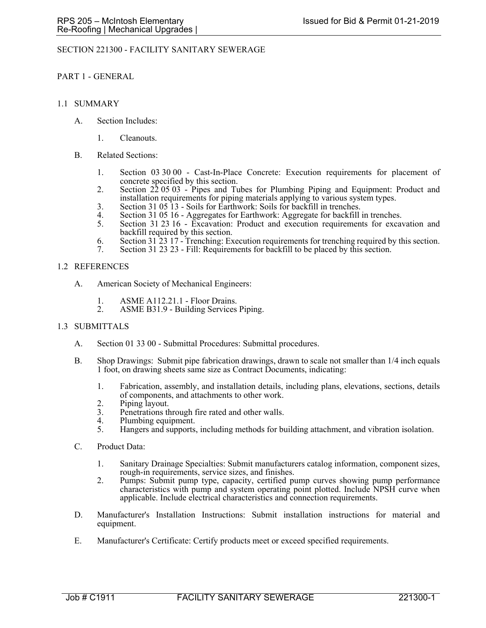## SECTION 221300 - FACILITY SANITARY SEWERAGE

### PART 1 - GENERAL

### 1.1 SUMMARY

- A. Section Includes:
	- 1. Cleanouts.
- B. Related Sections:
	- 1. Section 03 30 00 Cast-In-Place Concrete: Execution requirements for placement of concrete specified by this section.
	- 2. Section 22 05 03 Pipes and Tubes for Plumbing Piping and Equipment: Product and installation requirements for piping materials applying to various system types.
	- 3. Section 31 05 13 Soils for Earthwork: Soils for backfill in trenches.
	- 4. Section 31 05 16 Aggregates for Earthwork: Aggregate for backfill in trenches.<br>5. Section 31 23 16 Excavation: Product and execution requirements for excava-
	- 5. Section 31 23 16 Excavation: Product and execution requirements for excavation and backfill required by this section.
	- 6. Section 31 23 17 Trenching: Execution requirements for trenching required by this section.
	- Section 31 23 23 Fill: Requirements for backfill to be placed by this section.

#### 1.2 REFERENCES

- A. American Society of Mechanical Engineers:
	- 1. ASME A112.21.1 Floor Drains.<br>2. ASME B31.9 Building Services
	- ASME B31.9 Building Services Piping.

#### 1.3 SUBMITTALS

- A. Section 01 33 00 Submittal Procedures: Submittal procedures.
- B. Shop Drawings: Submit pipe fabrication drawings, drawn to scale not smaller than 1/4 inch equals 1 foot, on drawing sheets same size as Contract Documents, indicating:
	- 1. Fabrication, assembly, and installation details, including plans, elevations, sections, details of components, and attachments to other work.
	- 2. Piping layout.
	- 3. Penetrations through fire rated and other walls.
	- 4. Plumbing equipment.<br>5. Hangers and supports.
	- 5. Hangers and supports, including methods for building attachment, and vibration isolation.
- C. Product Data:
	- 1. Sanitary Drainage Specialties: Submit manufacturers catalog information, component sizes, rough-in requirements, service sizes, and finishes.
	- 2. Pumps: Submit pump type, capacity, certified pump curves showing pump performance characteristics with pump and system operating point plotted. Include NPSH curve when applicable. Include electrical characteristics and connection requirements.
- D. Manufacturer's Installation Instructions: Submit installation instructions for material and equipment.
- E. Manufacturer's Certificate: Certify products meet or exceed specified requirements.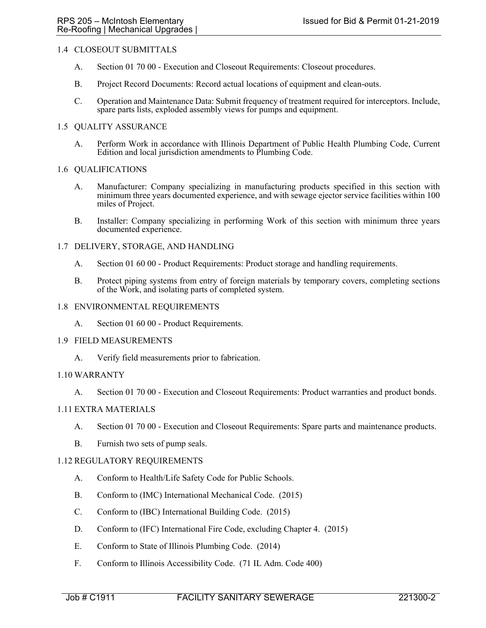## 1.4 CLOSEOUT SUBMITTALS

- A. Section 01 70 00 Execution and Closeout Requirements: Closeout procedures.
- B. Project Record Documents: Record actual locations of equipment and clean-outs.
- C. Operation and Maintenance Data: Submit frequency of treatment required for interceptors. Include, spare parts lists, exploded assembly views for pumps and equipment.

### 1.5 QUALITY ASSURANCE

A. Perform Work in accordance with Illinois Department of Public Health Plumbing Code, Current Edition and local jurisdiction amendments to Plumbing Code.

#### 1.6 QUALIFICATIONS

- A. Manufacturer: Company specializing in manufacturing products specified in this section with minimum three years documented experience, and with sewage ejector service facilities within 100 miles of Project.
- B. Installer: Company specializing in performing Work of this section with minimum three years documented experience.

### 1.7 DELIVERY, STORAGE, AND HANDLING

- A. Section 01 60 00 Product Requirements: Product storage and handling requirements.
- B. Protect piping systems from entry of foreign materials by temporary covers, completing sections of the Work, and isolating parts of completed system.

#### 1.8 ENVIRONMENTAL REQUIREMENTS

A. Section 01 60 00 - Product Requirements.

#### 1.9 FIELD MEASUREMENTS

A. Verify field measurements prior to fabrication.

#### 1.10 WARRANTY

A. Section 01 70 00 - Execution and Closeout Requirements: Product warranties and product bonds.

#### 1.11 EXTRA MATERIALS

- A. Section 01 70 00 Execution and Closeout Requirements: Spare parts and maintenance products.
- B. Furnish two sets of pump seals.

#### 1.12 REGULATORY REQUIREMENTS

- A. Conform to Health/Life Safety Code for Public Schools.
- B. Conform to (IMC) International Mechanical Code. (2015)
- C. Conform to (IBC) International Building Code. (2015)
- D. Conform to (IFC) International Fire Code, excluding Chapter 4. (2015)
- E. Conform to State of Illinois Plumbing Code. (2014)
- F. Conform to Illinois Accessibility Code. (71 IL Adm. Code 400)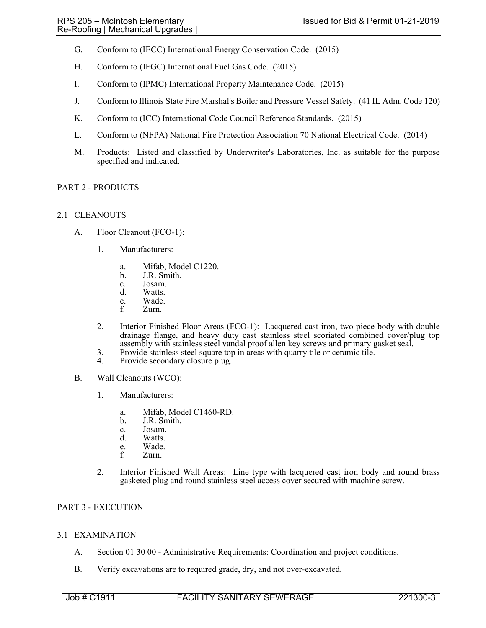- G. Conform to (IECC) International Energy Conservation Code. (2015)
- H. Conform to (IFGC) International Fuel Gas Code. (2015)
- I. Conform to (IPMC) International Property Maintenance Code. (2015)
- J. Conform to Illinois State Fire Marshal's Boiler and Pressure Vessel Safety. (41 IL Adm. Code 120)
- K. Conform to (ICC) International Code Council Reference Standards. (2015)
- L. Conform to (NFPA) National Fire Protection Association 70 National Electrical Code. (2014)
- M. Products: Listed and classified by Underwriter's Laboratories, Inc. as suitable for the purpose specified and indicated.

## PART 2 - PRODUCTS

## 2.1 CLEANOUTS

- A. Floor Cleanout (FCO-1):
	- 1. Manufacturers:
		- a. Mifab, Model C1220.
		- b. J.R. Smith.
		- c. Josam.
		- d. Watts.
		- e. Wade.<br>f. Zurn.
		- Zurn.
	- 2. Interior Finished Floor Areas (FCO-1): Lacquered cast iron, two piece body with double drainage flange, and heavy duty cast stainless steel scoriated combined cover/plug top assembly with stainless steel vandal proof allen key screws and primary gasket seal.
	- 3. Provide stainless steel square top in areas with quarry tile or ceramic tile.
	- 4. Provide secondary closure plug.
- B. Wall Cleanouts (WCO):
	- 1. Manufacturers:
		- a. Mifab, Model C1460-RD.
		- b. J.R. Smith.
		- c. Josam.
		- d. Watts.
		- e. Wade.<br>f. Zurn. Zurn.
		-
	- 2. Interior Finished Wall Areas: Line type with lacquered cast iron body and round brass gasketed plug and round stainless steel access cover secured with machine screw.

## PART 3 - EXECUTION

## 3.1 EXAMINATION

- A. Section 01 30 00 Administrative Requirements: Coordination and project conditions.
- B. Verify excavations are to required grade, dry, and not over-excavated.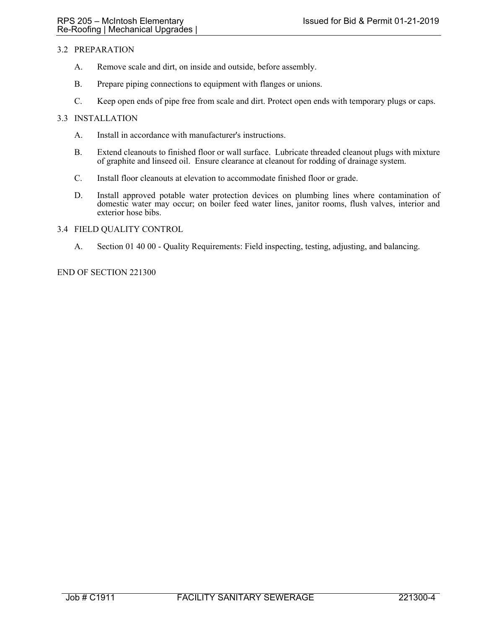## 3.2 PREPARATION

- A. Remove scale and dirt, on inside and outside, before assembly.
- B. Prepare piping connections to equipment with flanges or unions.
- C. Keep open ends of pipe free from scale and dirt. Protect open ends with temporary plugs or caps.

## 3.3 INSTALLATION

- A. Install in accordance with manufacturer's instructions.
- B. Extend cleanouts to finished floor or wall surface. Lubricate threaded cleanout plugs with mixture of graphite and linseed oil. Ensure clearance at cleanout for rodding of drainage system.
- C. Install floor cleanouts at elevation to accommodate finished floor or grade.
- D. Install approved potable water protection devices on plumbing lines where contamination of domestic water may occur; on boiler feed water lines, janitor rooms, flush valves, interior and exterior hose bibs.

### 3.4 FIELD QUALITY CONTROL

A. Section 01 40 00 - Quality Requirements: Field inspecting, testing, adjusting, and balancing.

### END OF SECTION 221300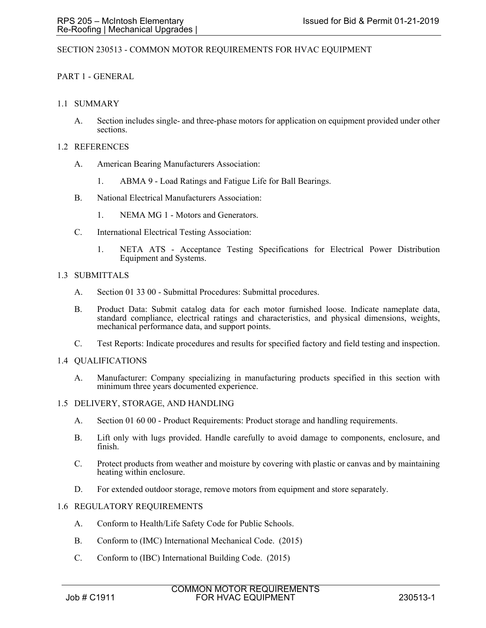## SECTION 230513 - COMMON MOTOR REQUIREMENTS FOR HVAC EQUIPMENT

## PART 1 - GENERAL

### 1.1 SUMMARY

A. Section includes single- and three-phase motors for application on equipment provided under other sections.

#### 1.2 REFERENCES

- A. American Bearing Manufacturers Association:
	- 1. ABMA 9 Load Ratings and Fatigue Life for Ball Bearings.
- B. National Electrical Manufacturers Association:
	- 1. NEMA MG 1 Motors and Generators.
- C. International Electrical Testing Association:
	- 1. NETA ATS Acceptance Testing Specifications for Electrical Power Distribution Equipment and Systems.

### 1.3 SUBMITTALS

- A. Section 01 33 00 Submittal Procedures: Submittal procedures.
- B. Product Data: Submit catalog data for each motor furnished loose. Indicate nameplate data, standard compliance, electrical ratings and characteristics, and physical dimensions, weights, mechanical performance data, and support points.
- C. Test Reports: Indicate procedures and results for specified factory and field testing and inspection.

#### 1.4 QUALIFICATIONS

A. Manufacturer: Company specializing in manufacturing products specified in this section with minimum three years documented experience.

#### 1.5 DELIVERY, STORAGE, AND HANDLING

- A. Section 01 60 00 Product Requirements: Product storage and handling requirements.
- B. Lift only with lugs provided. Handle carefully to avoid damage to components, enclosure, and finish.
- C. Protect products from weather and moisture by covering with plastic or canvas and by maintaining heating within enclosure.
- D. For extended outdoor storage, remove motors from equipment and store separately.

## 1.6 REGULATORY REQUIREMENTS

- A. Conform to Health/Life Safety Code for Public Schools.
- B. Conform to (IMC) International Mechanical Code. (2015)
- C. Conform to (IBC) International Building Code. (2015)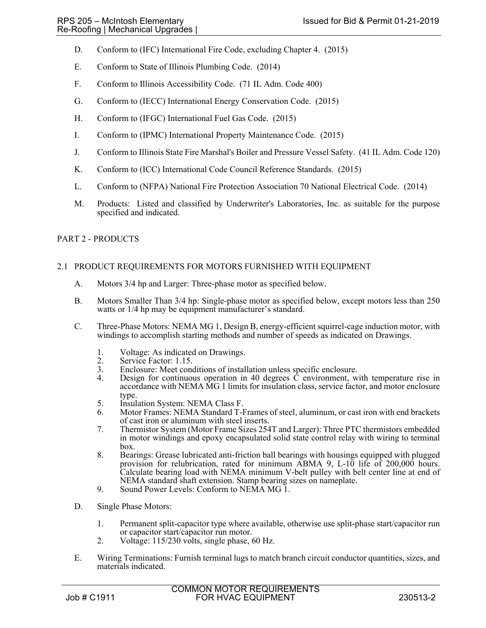- D. Conform to (IFC) International Fire Code, excluding Chapter 4. (2015)
- E. Conform to State of Illinois Plumbing Code. (2014)
- F. Conform to Illinois Accessibility Code. (71 IL Adm. Code 400)
- G. Conform to (IECC) International Energy Conservation Code. (2015)
- H. Conform to (IFGC) International Fuel Gas Code. (2015)
- I. Conform to (IPMC) International Property Maintenance Code. (2015)
- J. Conform to Illinois State Fire Marshal's Boiler and Pressure Vessel Safety. (41 IL Adm. Code 120)
- K. Conform to (ICC) International Code Council Reference Standards. (2015)
- L. Conform to (NFPA) National Fire Protection Association 70 National Electrical Code. (2014)
- M. Products: Listed and classified by Underwriter's Laboratories, Inc. as suitable for the purpose specified and indicated.

## PART 2 - PRODUCTS

## 2.1 PRODUCT REQUIREMENTS FOR MOTORS FURNISHED WITH EQUIPMENT

- A. Motors 3/4 hp and Larger: Three-phase motor as specified below.
- B. Motors Smaller Than 3/4 hp: Single-phase motor as specified below, except motors less than 250 watts or 1/4 hp may be equipment manufacturer's standard.
- C. Three-Phase Motors: NEMA MG 1, Design B, energy-efficient squirrel-cage induction motor, with windings to accomplish starting methods and number of speeds as indicated on Drawings.
	- 1. Voltage: As indicated on Drawings.
	- 2. Service Factor: 1.15.<br>3. Enclosure: Meet conc
	- 3. Enclosure: Meet conditions of installation unless specific enclosure.<br>4. Design for continuous operation in 40 degrees C environment, w
	- Design for continuous operation in 40 degrees  $\hat{C}$  environment, with temperature rise in accordance with NEMA MG 1 limits for insulation class, service factor, and motor enclosure type.
	- 5. Insulation System: NEMA Class F.
	- 6. Motor Frames: NEMA Standard T-Frames of steel, aluminum, or cast iron with end brackets of cast iron or aluminum with steel inserts.
	- 7. Thermistor System (Motor Frame Sizes 254T and Larger): Three PTC thermistors embedded in motor windings and epoxy encapsulated solid state control relay with wiring to terminal box.
	- 8. Bearings: Grease lubricated anti-friction ball bearings with housings equipped with plugged provision for relubrication, rated for minimum ABMA 9, L-10 life of 200,000 hours. Calculate bearing load with NEMA minimum V-belt pulley with belt center line at end of NEMA standard shaft extension. Stamp bearing sizes on nameplate. 9. Sound Power Levels: Conform to NEMA MG 1.
	-
- D. Single Phase Motors:
	- 1. Permanent split-capacitor type where available, otherwise use split-phase start/capacitor run or capacitor start/capacitor run motor.
	- 2. Voltage: 115/230 volts, single phase, 60 Hz.
- E. Wiring Terminations: Furnish terminal lugs to match branch circuit conductor quantities, sizes, and materials indicated.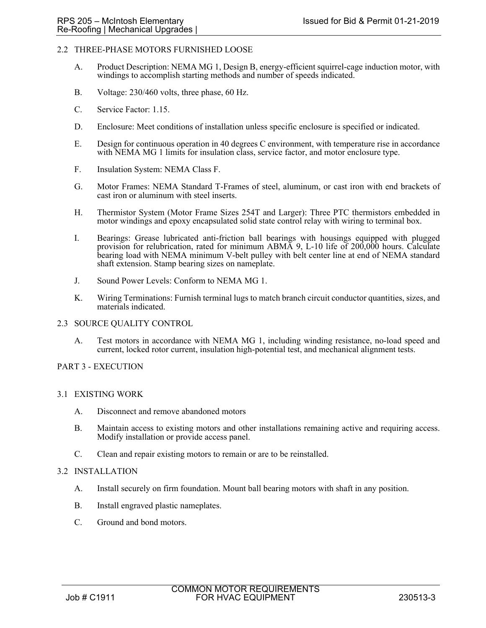### 2.2 THREE-PHASE MOTORS FURNISHED LOOSE

- A. Product Description: NEMA MG 1, Design B, energy-efficient squirrel-cage induction motor, with windings to accomplish starting methods and number of speeds indicated.
- B. Voltage: 230/460 volts, three phase, 60 Hz.
- C. Service Factor: 1.15.
- D. Enclosure: Meet conditions of installation unless specific enclosure is specified or indicated.
- E. Design for continuous operation in 40 degrees C environment, with temperature rise in accordance with NEMA MG 1 limits for insulation class, service factor, and motor enclosure type.
- F. Insulation System: NEMA Class F.
- G. Motor Frames: NEMA Standard T-Frames of steel, aluminum, or cast iron with end brackets of cast iron or aluminum with steel inserts.
- H. Thermistor System (Motor Frame Sizes 254T and Larger): Three PTC thermistors embedded in motor windings and epoxy encapsulated solid state control relay with wiring to terminal box.
- I. Bearings: Grease lubricated anti-friction ball bearings with housings equipped with plugged provision for relubrication, rated for minimum ABMA 9, L-10 life of 200,000 hours. Calculate bearing load with NEMA minimum V-belt pulley with belt center line at end of NEMA standard shaft extension. Stamp bearing sizes on nameplate.
- J. Sound Power Levels: Conform to NEMA MG 1.
- K. Wiring Terminations: Furnish terminal lugs to match branch circuit conductor quantities, sizes, and materials indicated.
- 2.3 SOURCE QUALITY CONTROL
	- A. Test motors in accordance with NEMA MG 1, including winding resistance, no-load speed and current, locked rotor current, insulation high-potential test, and mechanical alignment tests.

#### PART 3 - EXECUTION

#### 3.1 EXISTING WORK

- A. Disconnect and remove abandoned motors
- B. Maintain access to existing motors and other installations remaining active and requiring access. Modify installation or provide access panel.
- C. Clean and repair existing motors to remain or are to be reinstalled.

#### 3.2 INSTALLATION

- A. Install securely on firm foundation. Mount ball bearing motors with shaft in any position.
- B. Install engraved plastic nameplates.
- C. Ground and bond motors.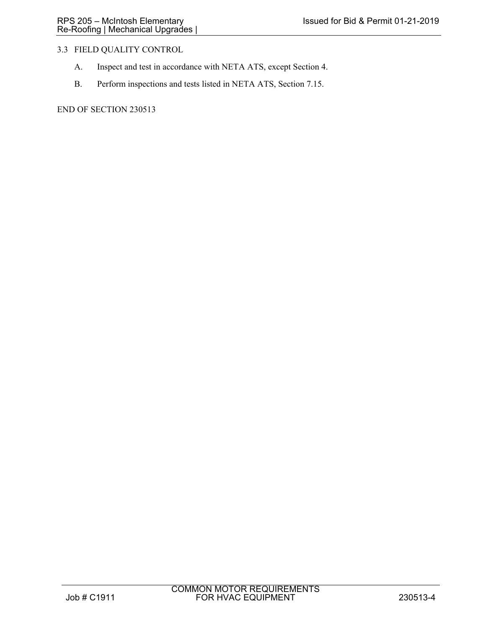# 3.3 FIELD QUALITY CONTROL

- A. Inspect and test in accordance with NETA ATS, except Section 4.
- B. Perform inspections and tests listed in NETA ATS, Section 7.15.

END OF SECTION 230513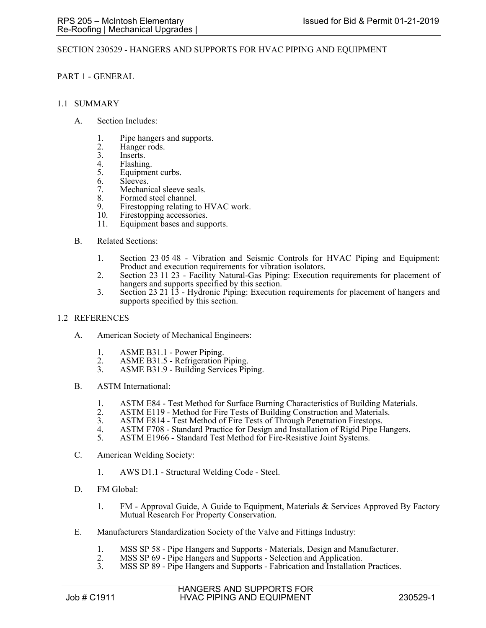### SECTION 230529 - HANGERS AND SUPPORTS FOR HVAC PIPING AND EQUIPMENT

### PART 1 - GENERAL

#### 1.1 SUMMARY

- A. Section Includes:
	- 1. Pipe hangers and supports.
	- 2. Hanger rods.<br>3. Inserts.
	- 3. Inserts.<br>4 Flashing
	- 4. Flashing.<br>5. Equipment
	- Equipment curbs.
	- 6. Sleeves.
	- 7. Mechanical sleeve seals.
	- 8. Formed steel channel.<br>9. Firestopping relating to
	- Firestopping relating to HVAC work.
	- 10. Firestopping accessories.
	- 11. Equipment bases and supports.
- B. Related Sections:
	- 1. Section 23 05 48 Vibration and Seismic Controls for HVAC Piping and Equipment: Product and execution requirements for vibration isolators.
	- 2. Section 23 11 23 Facility Natural-Gas Piping: Execution requirements for placement of hangers and supports specified by this section.
	- 3. Section 23 21 13 Hydronic Piping: Execution requirements for placement of hangers and supports specified by this section.

#### 1.2 REFERENCES

- A. American Society of Mechanical Engineers:
	- 1. ASME B31.1 Power Piping.
	- 2. ASME B31.5 Refrigeration Piping.<br>3. ASME B31.9 Building Services Pir
	- ASME B31.9 Building Services Piping.
- B. ASTM International:
	- 1. ASTM E84 Test Method for Surface Burning Characteristics of Building Materials.
	- 2. ASTM E119 Method for Fire Tests of Building Construction and Materials.<br>3. ASTM E814 Test Method of Fire Tests of Through Penetration Firestops.
	- ASTM E814 Test Method of Fire Tests of Through Penetration Firestops.
	- 4. ASTM F708 Standard Practice for Design and Installation of Rigid Pipe Hangers.
	- 5. ASTM E1966 Standard Test Method for Fire-Resistive Joint Systems.
- C. American Welding Society:
	- 1. AWS D1.1 Structural Welding Code Steel.
- D. FM Global:
	- 1. FM Approval Guide, A Guide to Equipment, Materials & Services Approved By Factory Mutual Research For Property Conservation.
- E. Manufacturers Standardization Society of the Valve and Fittings Industry:
	- 1. MSS SP 58 Pipe Hangers and Supports Materials, Design and Manufacturer.<br>2. MSS SP 69 Pipe Hangers and Supports Selection and Application.
	- 2. MSS SP 69 Pipe Hangers and Supports Selection and Application.<br>3. MSS SP 89 Pipe Hangers and Supports Fabrication and Installation
	- MSS SP 89 Pipe Hangers and Supports Fabrication and Installation Practices.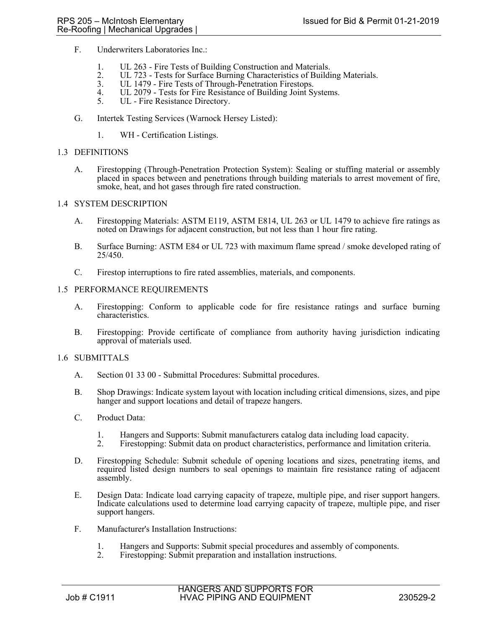- F. Underwriters Laboratories Inc.:
	- 1. UL 263 Fire Tests of Building Construction and Materials.
	- 2. UL 723 Tests for Surface Burning Characteristics of Building Materials.
	- 3. UL 1479 Fire Tests of Through-Penetration Firestops.
	- 4. UL 2079 Tests for Fire Resistance of Building Joint Systems.<br>5. UL Fire Resistance Directory.
	- UL Fire Resistance Directory.
- G. Intertek Testing Services (Warnock Hersey Listed):
	- 1. WH Certification Listings.

#### 1.3 DEFINITIONS

A. Firestopping (Through-Penetration Protection System): Sealing or stuffing material or assembly placed in spaces between and penetrations through building materials to arrest movement of fire, smoke, heat, and hot gases through fire rated construction.

### 1.4 SYSTEM DESCRIPTION

- A. Firestopping Materials: ASTM E119, ASTM E814, UL 263 or UL 1479 to achieve fire ratings as noted on Drawings for adjacent construction, but not less than 1 hour fire rating.
- B. Surface Burning: ASTM E84 or UL 723 with maximum flame spread / smoke developed rating of 25/450.
- C. Firestop interruptions to fire rated assemblies, materials, and components.

### 1.5 PERFORMANCE REQUIREMENTS

- A. Firestopping: Conform to applicable code for fire resistance ratings and surface burning characteristics.
- B. Firestopping: Provide certificate of compliance from authority having jurisdiction indicating approval of materials used.

#### 1.6 SUBMITTALS

- A. Section 01 33 00 Submittal Procedures: Submittal procedures.
- B. Shop Drawings: Indicate system layout with location including critical dimensions, sizes, and pipe hanger and support locations and detail of trapeze hangers.
- C. Product Data:
	- 1. Hangers and Supports: Submit manufacturers catalog data including load capacity.
	- 2. Firestopping: Submit data on product characteristics, performance and limitation criteria.
- D. Firestopping Schedule: Submit schedule of opening locations and sizes, penetrating items, and required listed design numbers to seal openings to maintain fire resistance rating of adjacent assembly.
- E. Design Data: Indicate load carrying capacity of trapeze, multiple pipe, and riser support hangers. Indicate calculations used to determine load carrying capacity of trapeze, multiple pipe, and riser support hangers.
- F. Manufacturer's Installation Instructions:
	- 1. Hangers and Supports: Submit special procedures and assembly of components.<br>2. Firestopping: Submit preparation and installation instructions.
	- Firestopping: Submit preparation and installation instructions.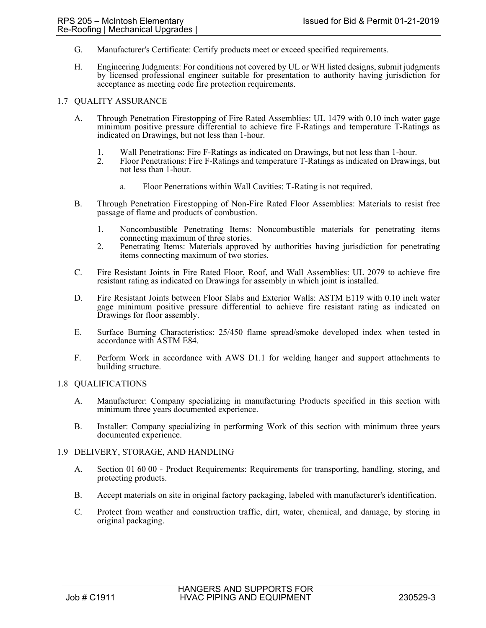- G. Manufacturer's Certificate: Certify products meet or exceed specified requirements.
- H. Engineering Judgments: For conditions not covered by UL or WH listed designs, submit judgments by licensed professional engineer suitable for presentation to authority having jurisdiction for acceptance as meeting code fire protection requirements.

#### 1.7 QUALITY ASSURANCE

- A. Through Penetration Firestopping of Fire Rated Assemblies: UL 1479 with 0.10 inch water gage minimum positive pressure differential to achieve fire F-Ratings and temperature T-Ratings as indicated on Drawings, but not less than 1-hour.
	- 1. Wall Penetrations: Fire F-Ratings as indicated on Drawings, but not less than 1-hour.
	- 2. Floor Penetrations: Fire F-Ratings and temperature T-Ratings as indicated on Drawings, but not less than 1-hour.
		- a. Floor Penetrations within Wall Cavities: T-Rating is not required.
- B. Through Penetration Firestopping of Non-Fire Rated Floor Assemblies: Materials to resist free passage of flame and products of combustion.
	- 1. Noncombustible Penetrating Items: Noncombustible materials for penetrating items connecting maximum of three stories.
	- 2. Penetrating Items: Materials approved by authorities having jurisdiction for penetrating items connecting maximum of two stories.
- C. Fire Resistant Joints in Fire Rated Floor, Roof, and Wall Assemblies: UL 2079 to achieve fire resistant rating as indicated on Drawings for assembly in which joint is installed.
- D. Fire Resistant Joints between Floor Slabs and Exterior Walls: ASTM E119 with 0.10 inch water gage minimum positive pressure differential to achieve fire resistant rating as indicated on Drawings for floor assembly.
- E. Surface Burning Characteristics: 25/450 flame spread/smoke developed index when tested in accordance with ASTM E84.
- F. Perform Work in accordance with AWS D1.1 for welding hanger and support attachments to building structure.

## 1.8 QUALIFICATIONS

- A. Manufacturer: Company specializing in manufacturing Products specified in this section with minimum three years documented experience.
- B. Installer: Company specializing in performing Work of this section with minimum three years documented experience.
- 1.9 DELIVERY, STORAGE, AND HANDLING
	- A. Section 01 60 00 Product Requirements: Requirements for transporting, handling, storing, and protecting products.
	- B. Accept materials on site in original factory packaging, labeled with manufacturer's identification.
	- C. Protect from weather and construction traffic, dirt, water, chemical, and damage, by storing in original packaging.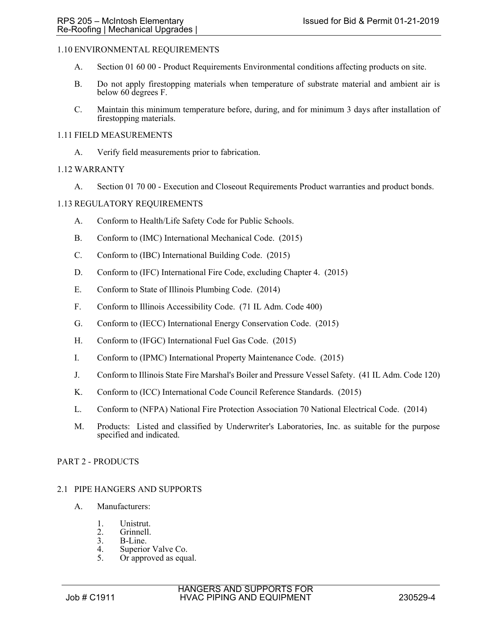## 1.10 ENVIRONMENTAL REQUIREMENTS

- A. Section 01 60 00 Product Requirements Environmental conditions affecting products on site.
- B. Do not apply firestopping materials when temperature of substrate material and ambient air is below 60 degrees F.
- C. Maintain this minimum temperature before, during, and for minimum 3 days after installation of firestopping materials.

### 1.11 FIELD MEASUREMENTS

A. Verify field measurements prior to fabrication.

### 1.12 WARRANTY

A. Section 01 70 00 - Execution and Closeout Requirements Product warranties and product bonds.

### 1.13 REGULATORY REQUIREMENTS

- A. Conform to Health/Life Safety Code for Public Schools.
- B. Conform to (IMC) International Mechanical Code. (2015)
- C. Conform to (IBC) International Building Code. (2015)
- D. Conform to (IFC) International Fire Code, excluding Chapter 4. (2015)
- E. Conform to State of Illinois Plumbing Code. (2014)
- F. Conform to Illinois Accessibility Code. (71 IL Adm. Code 400)
- G. Conform to (IECC) International Energy Conservation Code. (2015)
- H. Conform to (IFGC) International Fuel Gas Code. (2015)
- I. Conform to (IPMC) International Property Maintenance Code. (2015)
- J. Conform to Illinois State Fire Marshal's Boiler and Pressure Vessel Safety. (41 IL Adm. Code 120)
- K. Conform to (ICC) International Code Council Reference Standards. (2015)
- L. Conform to (NFPA) National Fire Protection Association 70 National Electrical Code. (2014)
- M. Products: Listed and classified by Underwriter's Laboratories, Inc. as suitable for the purpose specified and indicated.

#### PART 2 - PRODUCTS

#### 2.1 PIPE HANGERS AND SUPPORTS

- A. Manufacturers:
	- 1. Unistrut.
	- 2. Grinnell.<br>3. B-Line.
	- 3. B-Line.<br>4 Superior
	- 4. Superior Valve Co.<br>5. Or approved as equ
	- Or approved as equal.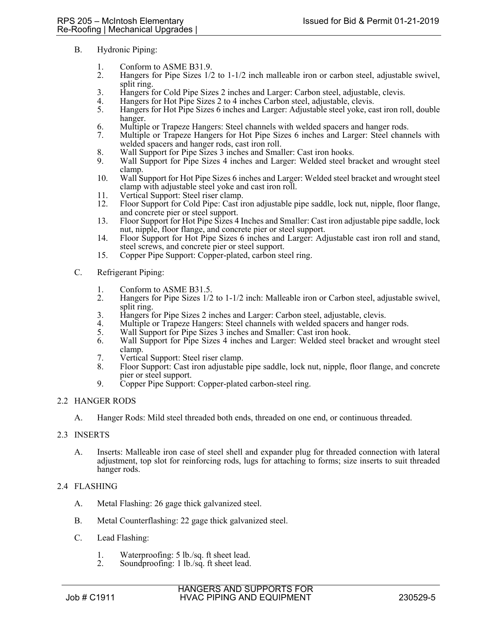- B. Hydronic Piping:
	- 1. Conform to ASME B31.9.
	- 2. Hangers for Pipe Sizes 1/2 to 1-1/2 inch malleable iron or carbon steel, adjustable swivel, split ring.
	- 3. Hangers for Cold Pipe Sizes 2 inches and Larger: Carbon steel, adjustable, clevis.
	- 4. Hangers for Hot Pipe Sizes 2 to 4 inches Carbon steel, adjustable, clevis.<br>5. Hangers for Hot Pipe Sizes 6 inches and Larger: Adjustable steel yoke, ca
	- 5. Hangers for Hot Pipe Sizes 6 inches and Larger: Adjustable steel yoke, cast iron roll, double hanger.
	- 6. Multiple or Trapeze Hangers: Steel channels with welded spacers and hanger rods.
	- 7. Multiple or Trapeze Hangers for Hot Pipe Sizes 6 inches and Larger: Steel channels with welded spacers and hanger rods, cast iron roll.
	- 8. Wall Support for Pipe Sizes 3 inches and Smaller: Cast iron hooks.
	- 9. Wall Support for Pipe Sizes 4 inches and Larger: Welded steel bracket and wrought steel clamp.
	- 10. Wall Support for Hot Pipe Sizes 6 inches and Larger: Welded steel bracket and wrought steel clamp with adjustable steel yoke and cast iron roll.
	- 11. Vertical Support: Steel riser clamp.
	- 12. Floor Support for Cold Pipe: Cast iron adjustable pipe saddle, lock nut, nipple, floor flange, and concrete pier or steel support.
	- 13. Floor Support for Hot Pipe Sizes 4 Inches and Smaller: Cast iron adjustable pipe saddle, lock nut, nipple, floor flange, and concrete pier or steel support.
	- 14. Floor Support for Hot Pipe Sizes 6 inches and Larger: Adjustable cast iron roll and stand, steel screws, and concrete pier or steel support.
	- 15. Copper Pipe Support: Copper-plated, carbon steel ring.
- C. Refrigerant Piping:
	- 1. Conform to ASME B31.5.<br>2. Hangers for Pipe Sizes 1/2
	- Hangers for Pipe Sizes  $1/2$  to  $1-1/2$  inch: Malleable iron or Carbon steel, adjustable swivel, split ring.
	- 3. Hangers for Pipe Sizes 2 inches and Larger: Carbon steel, adjustable, clevis.
	- Multiple or Trapeze Hangers: Steel channels with welded spacers and hanger rods.
	- 5. Wall Support for Pipe Sizes 3 inches and Smaller: Cast iron hook.
	- 6. Wall Support for Pipe Sizes 4 inches and Larger: Welded steel bracket and wrought steel clamp.
	- 7. Vertical Support: Steel riser clamp.
	- 8. Floor Support: Cast iron adjustable pipe saddle, lock nut, nipple, floor flange, and concrete pier or steel support.
	- 9. Copper Pipe Support: Copper-plated carbon-steel ring.

## 2.2 HANGER RODS

A. Hanger Rods: Mild steel threaded both ends, threaded on one end, or continuous threaded.

## 2.3 INSERTS

A. Inserts: Malleable iron case of steel shell and expander plug for threaded connection with lateral adjustment, top slot for reinforcing rods, lugs for attaching to forms; size inserts to suit threaded hanger rods.

## 2.4 FLASHING

- A. Metal Flashing: 26 gage thick galvanized steel.
- B. Metal Counterflashing: 22 gage thick galvanized steel.
- C. Lead Flashing:
	- 1. Waterproofing: 5 lb./sq. ft sheet lead.<br>2. Soundproofing: 1 lb./sq. ft sheet lead.
	- Soundproofing: 1 lb./sq. ft sheet lead.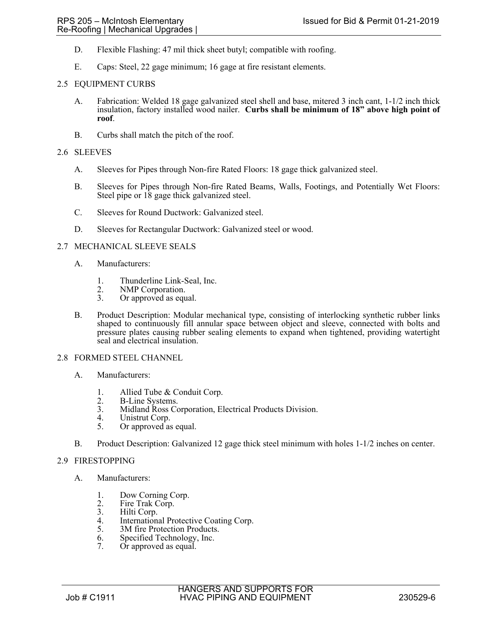- D. Flexible Flashing: 47 mil thick sheet butyl; compatible with roofing.
- E. Caps: Steel, 22 gage minimum; 16 gage at fire resistant elements.

### 2.5 EQUIPMENT CURBS

- A. Fabrication: Welded 18 gage galvanized steel shell and base, mitered 3 inch cant, 1-1/2 inch thick insulation, factory installed wood nailer. **Curbs shall be minimum of 18" above high point of roof**.
- B. Curbs shall match the pitch of the roof.

### 2.6 SLEEVES

- A. Sleeves for Pipes through Non-fire Rated Floors: 18 gage thick galvanized steel.
- B. Sleeves for Pipes through Non-fire Rated Beams, Walls, Footings, and Potentially Wet Floors: Steel pipe or 18 gage thick galvanized steel.
- C. Sleeves for Round Ductwork: Galvanized steel.
- D. Sleeves for Rectangular Ductwork: Galvanized steel or wood.

### 2.7 MECHANICAL SLEEVE SEALS

- A. Manufacturers:
	- 1. Thunderline Link-Seal, Inc.
	- 2. NMP Corporation.<br>3. Or approved as equ
	- Or approved as equal.
- B. Product Description: Modular mechanical type, consisting of interlocking synthetic rubber links shaped to continuously fill annular space between object and sleeve, connected with bolts and pressure plates causing rubber sealing elements to expand when tightened, providing watertight seal and electrical insulation.

#### 2.8 FORMED STEEL CHANNEL

- A. Manufacturers:
	- 1. Allied Tube & Conduit Corp.<br>2. B-Line Systems.
	- 2. B-Line Systems.<br>3. Midland Ross Co
	- Midland Ross Corporation, Electrical Products Division.
	- 4. Unistrut Corp.<br>5. Or approved as
	- Or approved as equal.
- B. Product Description: Galvanized 12 gage thick steel minimum with holes 1-1/2 inches on center.

#### 2.9 FIRESTOPPING

- A. Manufacturers:
	- 1. Dow Corning Corp.
	- 2. Fire Trak Corp.<br>3. Hilti Corp.
	- 3. Hilti Corp.<br>4. Internation.
	- 4. International Protective Coating Corp.<br>5. 3M fire Protection Products.
	- 3M fire Protection Products.
	- 6. Specified Technology, Inc.
	- 7. Or approved as equal.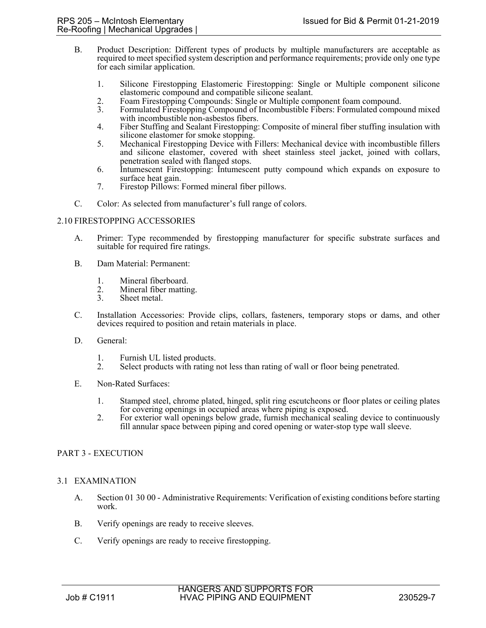- B. Product Description: Different types of products by multiple manufacturers are acceptable as required to meet specified system description and performance requirements; provide only one type for each similar application.
	- 1. Silicone Firestopping Elastomeric Firestopping: Single or Multiple component silicone elastomeric compound and compatible silicone sealant.
	- 2. Foam Firestopping Compounds: Single or Multiple component foam compound.<br>3. Formulated Firestopping Compound of Incombustible Fibers: Formulated compo
	- 3. Formulated Firestopping Compound of Incombustible Fibers: Formulated compound mixed with incombustible non-asbestos fibers.
	- 4. Fiber Stuffing and Sealant Firestopping: Composite of mineral fiber stuffing insulation with silicone elastomer for smoke stopping.
	- 5. Mechanical Firestopping Device with Fillers: Mechanical device with incombustible fillers and silicone elastomer, covered with sheet stainless steel jacket, joined with collars, penetration sealed with flanged stops.
	- 6. Intumescent Firestopping: Intumescent putty compound which expands on exposure to surface heat gain.
	- 7. Firestop Pillows: Formed mineral fiber pillows.
- C. Color: As selected from manufacturer's full range of colors.

### 2.10 FIRESTOPPING ACCESSORIES

- A. Primer: Type recommended by firestopping manufacturer for specific substrate surfaces and suitable for required fire ratings.
- B. Dam Material: Permanent:
	- 1. Mineral fiberboard.
	- 2. Mineral fiber matting.<br>3. Sheet metal.
	- Sheet metal.
- C. Installation Accessories: Provide clips, collars, fasteners, temporary stops or dams, and other devices required to position and retain materials in place.
- D. General:
	- 1. Furnish UL listed products.
	- 2. Select products with rating not less than rating of wall or floor being penetrated.
- E. Non-Rated Surfaces:
	- 1. Stamped steel, chrome plated, hinged, split ring escutcheons or floor plates or ceiling plates for covering openings in occupied areas where piping is exposed.
	- 2. For exterior wall openings below grade, furnish mechanical sealing device to continuously fill annular space between piping and cored opening or water-stop type wall sleeve.

## PART 3 - EXECUTION

#### 3.1 EXAMINATION

- A. Section 01 30 00 Administrative Requirements: Verification of existing conditions before starting work.
- B. Verify openings are ready to receive sleeves.
- C. Verify openings are ready to receive firestopping.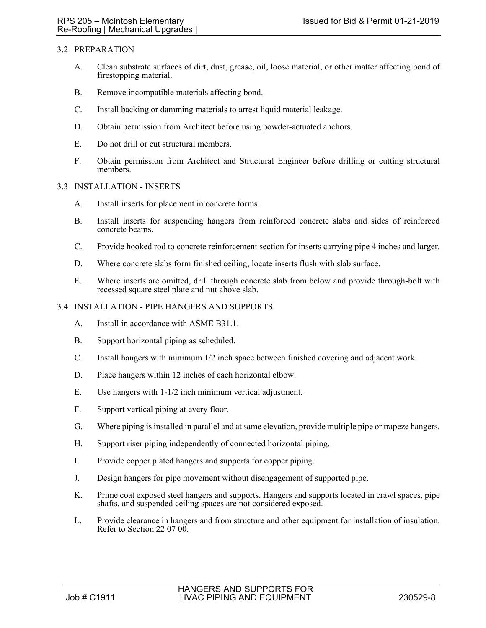## 3.2 PREPARATION

- A. Clean substrate surfaces of dirt, dust, grease, oil, loose material, or other matter affecting bond of firestopping material.
- B. Remove incompatible materials affecting bond.
- C. Install backing or damming materials to arrest liquid material leakage.
- D. Obtain permission from Architect before using powder-actuated anchors.
- E. Do not drill or cut structural members.
- F. Obtain permission from Architect and Structural Engineer before drilling or cutting structural members.

#### 3.3 INSTALLATION - INSERTS

- A. Install inserts for placement in concrete forms.
- B. Install inserts for suspending hangers from reinforced concrete slabs and sides of reinforced concrete beams.
- C. Provide hooked rod to concrete reinforcement section for inserts carrying pipe 4 inches and larger.
- D. Where concrete slabs form finished ceiling, locate inserts flush with slab surface.
- E. Where inserts are omitted, drill through concrete slab from below and provide through-bolt with recessed square steel plate and nut above slab.

### 3.4 INSTALLATION - PIPE HANGERS AND SUPPORTS

- A. Install in accordance with ASME B31.1.
- B. Support horizontal piping as scheduled.
- C. Install hangers with minimum 1/2 inch space between finished covering and adjacent work.
- D. Place hangers within 12 inches of each horizontal elbow.
- E. Use hangers with 1-1/2 inch minimum vertical adjustment.
- F. Support vertical piping at every floor.
- G. Where piping is installed in parallel and at same elevation, provide multiple pipe or trapeze hangers.
- H. Support riser piping independently of connected horizontal piping.
- I. Provide copper plated hangers and supports for copper piping.
- J. Design hangers for pipe movement without disengagement of supported pipe.
- K. Prime coat exposed steel hangers and supports. Hangers and supports located in crawl spaces, pipe shafts, and suspended ceiling spaces are not considered exposed.
- L. Provide clearance in hangers and from structure and other equipment for installation of insulation. Refer to Section 22 07 00.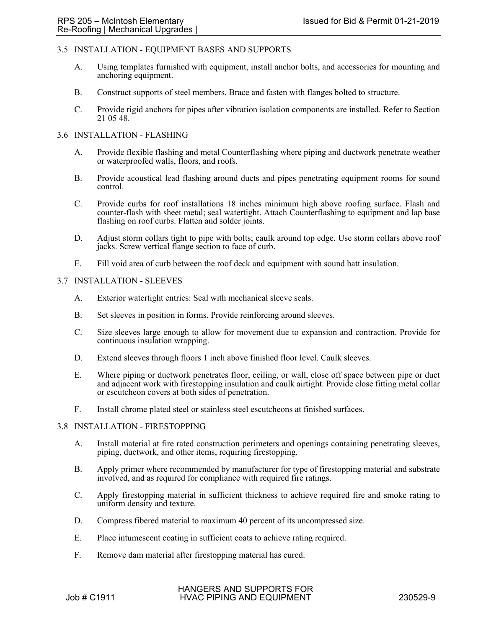## 3.5 INSTALLATION - EQUIPMENT BASES AND SUPPORTS

- A. Using templates furnished with equipment, install anchor bolts, and accessories for mounting and anchoring equipment.
- B. Construct supports of steel members. Brace and fasten with flanges bolted to structure.
- C. Provide rigid anchors for pipes after vibration isolation components are installed. Refer to Section 21 05 48.

#### 3.6 INSTALLATION - FLASHING

- A. Provide flexible flashing and metal Counterflashing where piping and ductwork penetrate weather or waterproofed walls, floors, and roofs.
- B. Provide acoustical lead flashing around ducts and pipes penetrating equipment rooms for sound control.
- C. Provide curbs for roof installations 18 inches minimum high above roofing surface. Flash and counter-flash with sheet metal; seal watertight. Attach Counterflashing to equipment and lap base flashing on roof curbs. Flatten and solder joints.
- D. Adjust storm collars tight to pipe with bolts; caulk around top edge. Use storm collars above roof jacks. Screw vertical flange section to face of curb.
- E. Fill void area of curb between the roof deck and equipment with sound batt insulation.

#### 3.7 INSTALLATION - SLEEVES

- A. Exterior watertight entries: Seal with mechanical sleeve seals.
- B. Set sleeves in position in forms. Provide reinforcing around sleeves.
- C. Size sleeves large enough to allow for movement due to expansion and contraction. Provide for continuous insulation wrapping.
- D. Extend sleeves through floors 1 inch above finished floor level. Caulk sleeves.
- E. Where piping or ductwork penetrates floor, ceiling, or wall, close off space between pipe or duct and adjacent work with firestopping insulation and caulk airtight. Provide close fitting metal collar or escutcheon covers at both sides of penetration.
- F. Install chrome plated steel or stainless steel escutcheons at finished surfaces.

#### 3.8 INSTALLATION - FIRESTOPPING

- A. Install material at fire rated construction perimeters and openings containing penetrating sleeves, piping, ductwork, and other items, requiring firestopping.
- B. Apply primer where recommended by manufacturer for type of firestopping material and substrate involved, and as required for compliance with required fire ratings.
- C. Apply firestopping material in sufficient thickness to achieve required fire and smoke rating to uniform density and texture.
- D. Compress fibered material to maximum 40 percent of its uncompressed size.
- E. Place intumescent coating in sufficient coats to achieve rating required.
- F. Remove dam material after firestopping material has cured.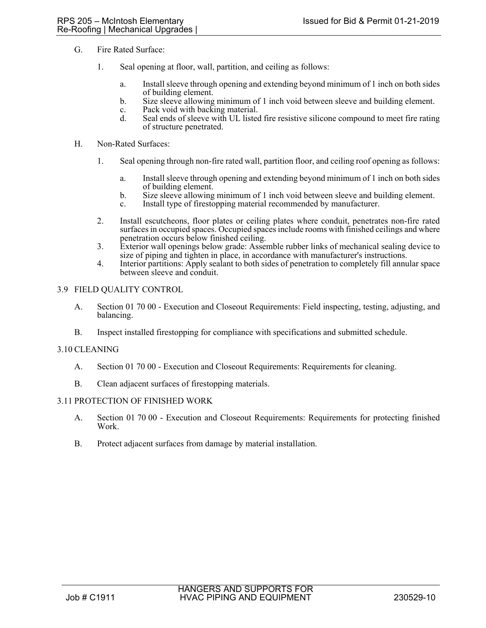- G. Fire Rated Surface:
	- 1. Seal opening at floor, wall, partition, and ceiling as follows:
		- a. Install sleeve through opening and extending beyond minimum of 1 inch on both sides of building element.
		- b. Size sleeve allowing minimum of 1 inch void between sleeve and building element.
		- c. Pack void with backing material.
		- d. Seal ends of sleeve with UL listed fire resistive silicone compound to meet fire rating of structure penetrated.
- H. Non-Rated Surfaces:
	- 1. Seal opening through non-fire rated wall, partition floor, and ceiling roof opening as follows:
		- a. Install sleeve through opening and extending beyond minimum of 1 inch on both sides of building element.
		- b. Size sleeve allowing minimum of 1 inch void between sleeve and building element.
		- c. Install type of firestopping material recommended by manufacturer.
	- 2. Install escutcheons, floor plates or ceiling plates where conduit, penetrates non-fire rated surfaces in occupied spaces. Occupied spaces include rooms with finished ceilings and where penetration occurs below finished ceiling.
	- 3. Exterior wall openings below grade: Assemble rubber links of mechanical sealing device to size of piping and tighten in place, in accordance with manufacturer's instructions.
	- 4. Interior partitions: Apply sealant to both sides of penetration to completely fill annular space between sleeve and conduit.

### 3.9 FIELD QUALITY CONTROL

- A. Section 01 70 00 Execution and Closeout Requirements: Field inspecting, testing, adjusting, and balancing.
- B. Inspect installed firestopping for compliance with specifications and submitted schedule.

## 3.10 CLEANING

- A. Section 01 70 00 Execution and Closeout Requirements: Requirements for cleaning.
- B. Clean adjacent surfaces of firestopping materials.

#### 3.11 PROTECTION OF FINISHED WORK

- A. Section 01 70 00 Execution and Closeout Requirements: Requirements for protecting finished Work.
- B. Protect adjacent surfaces from damage by material installation.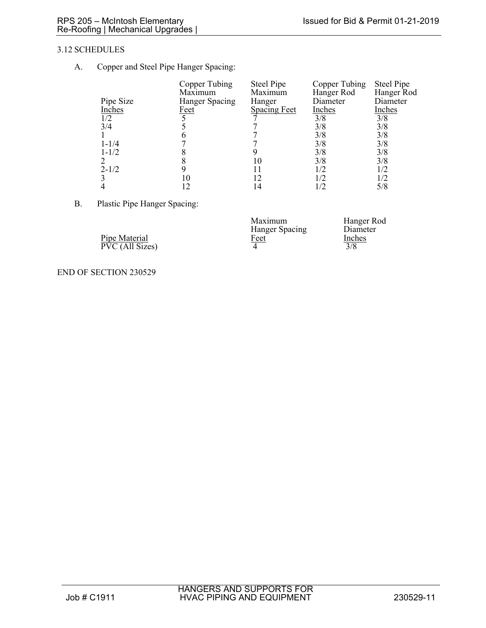## 3.12 SCHEDULES

A. Copper and Steel Pipe Hanger Spacing:

|           | Copper Tubing  | <b>Steel Pipe</b> | Copper Tubing | <b>Steel Pipe</b> |
|-----------|----------------|-------------------|---------------|-------------------|
|           | Maximum        | Maximum           | Hanger Rod    | Hanger Rod        |
| Pipe Size | Hanger Spacing | Hanger            | Diameter      | Diameter          |
| Inches    | <u>Feet</u>    | Spacing Feet      | <b>Inches</b> | Inches            |
| 1/2       |                |                   | 3/8           | 3/8               |
| 3/4       |                |                   | 3/8           | 3/8               |
|           |                |                   | 3/8           | 3/8               |
| $1 - 1/4$ |                |                   | 3/8           | 3/8               |
| $1 - 1/2$ |                |                   | 3/8           | 3/8               |
|           |                |                   | 3/8           | 3/8               |
| $2 - 1/2$ |                |                   | 1/2           |                   |
|           | 10             |                   | 1/2           |                   |
|           |                |                   | 1/2           | 5/8               |

B. Plastic Pipe Hanger Spacing:

|                                  | Maximum<br>Hanger Spacing | Hanger Rod<br>Diameter |
|----------------------------------|---------------------------|------------------------|
| Pipe Material<br>PVC (All Sizes) | <u>Feet</u>               | Inches<br>3/8          |

END OF SECTION 230529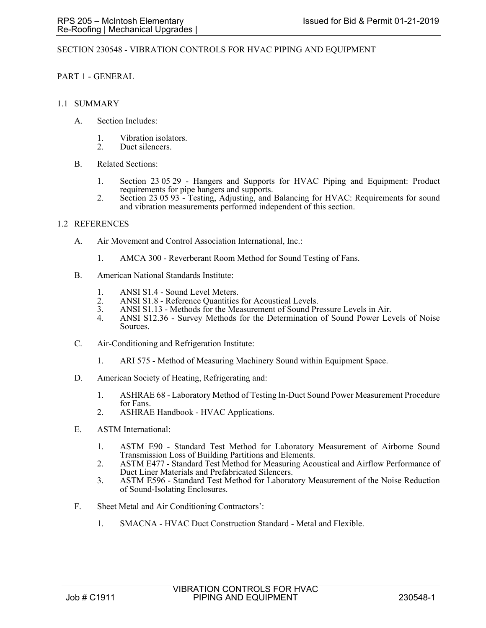### SECTION 230548 - VIBRATION CONTROLS FOR HVAC PIPING AND EQUIPMENT

PART 1 - GENERAL

- 1.1 SUMMARY
	- A. Section Includes:
		- 1. Vibration isolators.
		- 2. Duct silencers.
	- B. Related Sections:
		- 1. Section 23 05 29 Hangers and Supports for HVAC Piping and Equipment: Product requirements for pipe hangers and supports.
		- 2. Section 23 05 93 Testing, Adjusting, and Balancing for HVAC: Requirements for sound and vibration measurements performed independent of this section.

### 1.2 REFERENCES

- A. Air Movement and Control Association International, Inc.:
	- 1. AMCA 300 Reverberant Room Method for Sound Testing of Fans.
- B. American National Standards Institute:
	- 1. ANSI S1.4 Sound Level Meters.
	- 2. ANSI S1.8 Reference Quantities for Acoustical Levels.<br>3. ANSI S1.13 Methods for the Measurement of Sound Pr
	- ANSI S1.13 Methods for the Measurement of Sound Pressure Levels in Air.
	- 4. ANSI S12.36 Survey Methods for the Determination of Sound Power Levels of Noise Sources.
- C. Air-Conditioning and Refrigeration Institute:
	- 1. ARI 575 Method of Measuring Machinery Sound within Equipment Space.
- D. American Society of Heating, Refrigerating and:
	- 1. ASHRAE 68 Laboratory Method of Testing In-Duct Sound Power Measurement Procedure for Fans.
	- 2. ASHRAE Handbook HVAC Applications.
- E. ASTM International:
	- 1. ASTM E90 Standard Test Method for Laboratory Measurement of Airborne Sound Transmission Loss of Building Partitions and Elements.
	- 2. ASTM E477 Standard Test Method for Measuring Acoustical and Airflow Performance of Duct Liner Materials and Prefabricated Silencers.
	- 3. ASTM E596 Standard Test Method for Laboratory Measurement of the Noise Reduction of Sound-Isolating Enclosures.
- F. Sheet Metal and Air Conditioning Contractors':
	- 1. SMACNA HVAC Duct Construction Standard Metal and Flexible.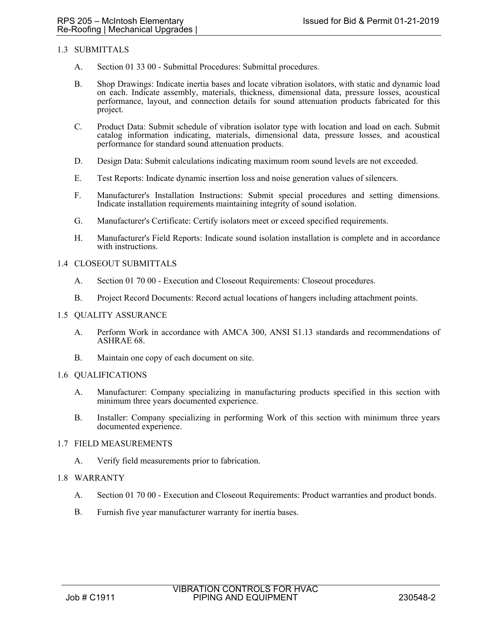## 1.3 SUBMITTALS

- A. Section 01 33 00 Submittal Procedures: Submittal procedures.
- B. Shop Drawings: Indicate inertia bases and locate vibration isolators, with static and dynamic load on each. Indicate assembly, materials, thickness, dimensional data, pressure losses, acoustical performance, layout, and connection details for sound attenuation products fabricated for this project.
- C. Product Data: Submit schedule of vibration isolator type with location and load on each. Submit catalog information indicating, materials, dimensional data, pressure losses, and acoustical performance for standard sound attenuation products.
- D. Design Data: Submit calculations indicating maximum room sound levels are not exceeded.
- E. Test Reports: Indicate dynamic insertion loss and noise generation values of silencers.
- F. Manufacturer's Installation Instructions: Submit special procedures and setting dimensions. Indicate installation requirements maintaining integrity of sound isolation.
- G. Manufacturer's Certificate: Certify isolators meet or exceed specified requirements.
- H. Manufacturer's Field Reports: Indicate sound isolation installation is complete and in accordance with instructions.

### 1.4 CLOSEOUT SUBMITTALS

- A. Section 01 70 00 Execution and Closeout Requirements: Closeout procedures.
- B. Project Record Documents: Record actual locations of hangers including attachment points.

#### 1.5 QUALITY ASSURANCE

- A. Perform Work in accordance with AMCA 300, ANSI S1.13 standards and recommendations of ASHRAE 68.
- B. Maintain one copy of each document on site.

#### 1.6 QUALIFICATIONS

- A. Manufacturer: Company specializing in manufacturing products specified in this section with minimum three years documented experience.
- B. Installer: Company specializing in performing Work of this section with minimum three years documented experience.

#### 1.7 FIELD MEASUREMENTS

A. Verify field measurements prior to fabrication.

## 1.8 WARRANTY

- A. Section 01 70 00 Execution and Closeout Requirements: Product warranties and product bonds.
- B. Furnish five year manufacturer warranty for inertia bases.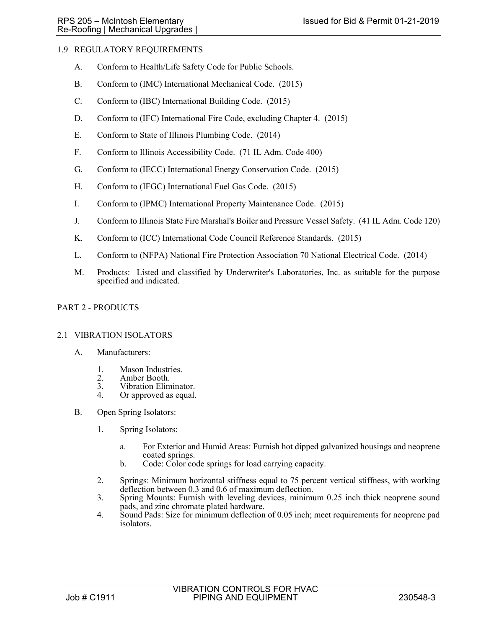# 1.9 REGULATORY REQUIREMENTS

- A. Conform to Health/Life Safety Code for Public Schools.
- B. Conform to (IMC) International Mechanical Code. (2015)
- C. Conform to (IBC) International Building Code. (2015)
- D. Conform to (IFC) International Fire Code, excluding Chapter 4. (2015)
- E. Conform to State of Illinois Plumbing Code. (2014)
- F. Conform to Illinois Accessibility Code. (71 IL Adm. Code 400)
- G. Conform to (IECC) International Energy Conservation Code. (2015)
- H. Conform to (IFGC) International Fuel Gas Code. (2015)
- I. Conform to (IPMC) International Property Maintenance Code. (2015)
- J. Conform to Illinois State Fire Marshal's Boiler and Pressure Vessel Safety. (41 IL Adm. Code 120)
- K. Conform to (ICC) International Code Council Reference Standards. (2015)
- L. Conform to (NFPA) National Fire Protection Association 70 National Electrical Code. (2014)
- M. Products: Listed and classified by Underwriter's Laboratories, Inc. as suitable for the purpose specified and indicated.

# PART 2 - PRODUCTS

## 2.1 VIBRATION ISOLATORS

- A. Manufacturers:
	- 1. Mason Industries.
	- 2. Amber Booth.
	- 3. Vibration Eliminator.<br>4. Or approved as equal.
	- Or approved as equal.
- B. Open Spring Isolators:
	- 1. Spring Isolators:
		- a. For Exterior and Humid Areas: Furnish hot dipped galvanized housings and neoprene coated springs.
		- b. Code: Color code springs for load carrying capacity.
	- 2. Springs: Minimum horizontal stiffness equal to 75 percent vertical stiffness, with working deflection between 0.3 and 0.6 of maximum deflection.
	- 3. Spring Mounts: Furnish with leveling devices, minimum 0.25 inch thick neoprene sound pads, and zinc chromate plated hardware.
	- 4. Sound Pads: Size for minimum deflection of 0.05 inch; meet requirements for neoprene pad isolators.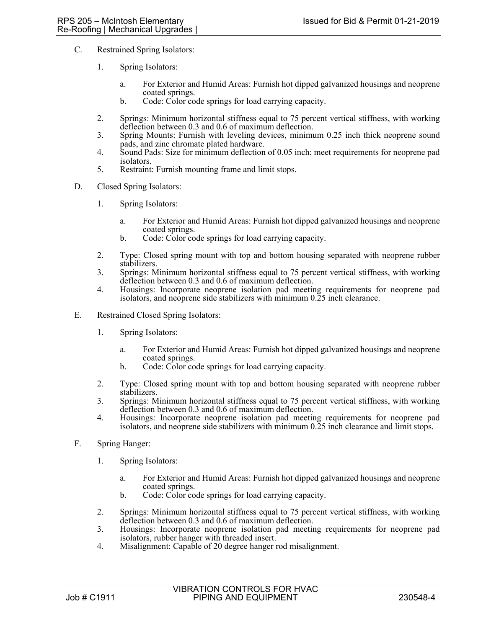- C. Restrained Spring Isolators:
	- 1. Spring Isolators:
		- a. For Exterior and Humid Areas: Furnish hot dipped galvanized housings and neoprene coated springs.
		- b. Code: Color code springs for load carrying capacity.
	- 2. Springs: Minimum horizontal stiffness equal to 75 percent vertical stiffness, with working deflection between 0.3 and 0.6 of maximum deflection.
	- 3. Spring Mounts: Furnish with leveling devices, minimum 0.25 inch thick neoprene sound pads, and zinc chromate plated hardware.
	- 4. Sound Pads: Size for minimum deflection of 0.05 inch; meet requirements for neoprene pad isolators.
	- 5. Restraint: Furnish mounting frame and limit stops.
- D. Closed Spring Isolators:
	- 1. Spring Isolators:
		- a. For Exterior and Humid Areas: Furnish hot dipped galvanized housings and neoprene coated springs.
		- b. Code: Color code springs for load carrying capacity.
	- 2. Type: Closed spring mount with top and bottom housing separated with neoprene rubber stabilizers.
	- 3. Springs: Minimum horizontal stiffness equal to 75 percent vertical stiffness, with working deflection between 0.3 and 0.6 of maximum deflection.
	- 4. Housings: Incorporate neoprene isolation pad meeting requirements for neoprene pad isolators, and neoprene side stabilizers with minimum 0.25 inch clearance.
- E. Restrained Closed Spring Isolators:
	- 1. Spring Isolators:
		- a. For Exterior and Humid Areas: Furnish hot dipped galvanized housings and neoprene coated springs.
		- b. Code: Color code springs for load carrying capacity.
	- 2. Type: Closed spring mount with top and bottom housing separated with neoprene rubber stabilizers.
	- 3. Springs: Minimum horizontal stiffness equal to 75 percent vertical stiffness, with working deflection between 0.3 and 0.6 of maximum deflection.
	- 4. Housings: Incorporate neoprene isolation pad meeting requirements for neoprene pad isolators, and neoprene side stabilizers with minimum 0.25 inch clearance and limit stops.
- F. Spring Hanger:
	- 1. Spring Isolators:
		- a. For Exterior and Humid Areas: Furnish hot dipped galvanized housings and neoprene coated springs.
		- b. Code: Color code springs for load carrying capacity.
	- 2. Springs: Minimum horizontal stiffness equal to 75 percent vertical stiffness, with working deflection between 0.3 and 0.6 of maximum deflection.
	- 3. Housings: Incorporate neoprene isolation pad meeting requirements for neoprene pad isolators, rubber hanger with threaded insert.
	- 4. Misalignment: Capable of 20 degree hanger rod misalignment.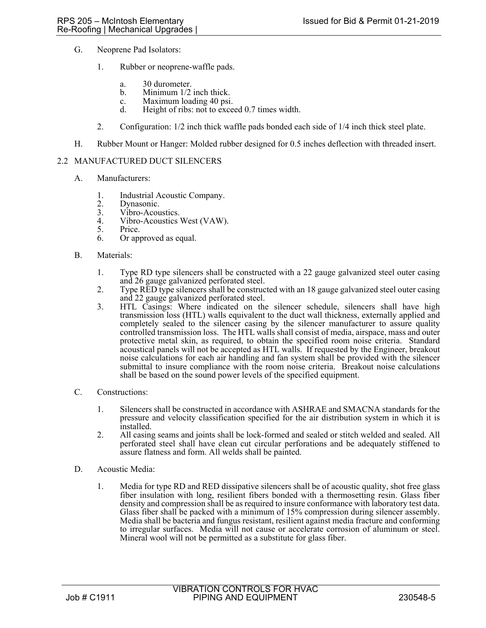- G. Neoprene Pad Isolators:
	- 1. Rubber or neoprene-waffle pads.
		- a. 30 durometer.
		- b. Minimum 1/2 inch thick.
		- c. Maximum loading 40 psi.<br>d. Height of ribs: not to exce
		- Height of ribs: not to exceed 0.7 times width.
	- 2. Configuration: 1/2 inch thick waffle pads bonded each side of 1/4 inch thick steel plate.
- H. Rubber Mount or Hanger: Molded rubber designed for 0.5 inches deflection with threaded insert.

### 2.2 MANUFACTURED DUCT SILENCERS

- A. Manufacturers:
	- 1. Industrial Acoustic Company.
	- 2. Dynasonic.<br>3. Vibro-Acou
	- 3. Vibro-Acoustics.<br>4. Vibro-Acoustics
	- 4. Vibro-Acoustics West (VAW).<br>5. Price.
	- Price.
	- 6. Or approved as equal.
- B. Materials:
	- 1. Type RD type silencers shall be constructed with a 22 gauge galvanized steel outer casing and 26 gauge galvanized perforated steel.
	- 2. Type RED type silencers shall be constructed with an 18 gauge galvanized steel outer casing and 22 gauge galvanized perforated steel.
	- 3. HTL Casings: Where indicated on the silencer schedule, silencers shall have high transmission loss (HTL) walls equivalent to the duct wall thickness, externally applied and completely sealed to the silencer casing by the silencer manufacturer to assure quality controlled transmission loss. The HTL walls shall consist of media, airspace, mass and outer protective metal skin, as required, to obtain the specified room noise criteria. Standard acoustical panels will not be accepted as HTL walls. If requested by the Engineer, breakout noise calculations for each air handling and fan system shall be provided with the silencer submittal to insure compliance with the room noise criteria. Breakout noise calculations shall be based on the sound power levels of the specified equipment.
- C. Constructions:
	- 1. Silencers shall be constructed in accordance with ASHRAE and SMACNA standards for the pressure and velocity classification specified for the air distribution system in which it is installed.
	- 2. All casing seams and joints shall be lock-formed and sealed or stitch welded and sealed. All perforated steel shall have clean cut circular perforations and be adequately stiffened to assure flatness and form. All welds shall be painted.
- D. Acoustic Media:
	- 1. Media for type RD and RED dissipative silencers shall be of acoustic quality, shot free glass fiber insulation with long, resilient fibers bonded with a thermosetting resin. Glass fiber density and compression shall be as required to insure conformance with laboratory test data. Glass fiber shall be packed with a minimum of 15% compression during silencer assembly. Media shall be bacteria and fungus resistant, resilient against media fracture and conforming to irregular surfaces. Media will not cause or accelerate corrosion of aluminum or steel. Mineral wool will not be permitted as a substitute for glass fiber.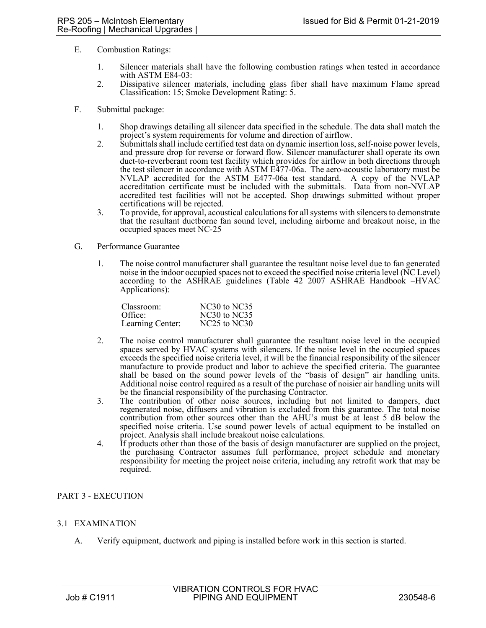- E. Combustion Ratings:
	- 1. Silencer materials shall have the following combustion ratings when tested in accordance with ASTM E84-03:
	- 2. Dissipative silencer materials, including glass fiber shall have maximum Flame spread Classification: 15; Smoke Development Rating: 5.
- F. Submittal package:
	- 1. Shop drawings detailing all silencer data specified in the schedule. The data shall match the project's system requirements for volume and direction of airflow.
	- 2. Submittals shall include certified test data on dynamic insertion loss, self-noise power levels, and pressure drop for reverse or forward flow. Silencer manufacturer shall operate its own duct-to-reverberant room test facility which provides for airflow in both directions through the test silencer in accordance with ASTM E477-06a. The aero-acoustic laboratory must be NVLAP accredited for the ASTM E477-06a test standard. A copy of the NVLAP accreditation certificate must be included with the submittals. Data from non-NVLAP accredited test facilities will not be accepted. Shop drawings submitted without proper certifications will be rejected.
	- 3. To provide, for approval, acoustical calculations for all systems with silencers to demonstrate that the resultant ductborne fan sound level, including airborne and breakout noise, in the occupied spaces meet NC-25
- G. Performance Guarantee
	- 1. The noise control manufacturer shall guarantee the resultant noise level due to fan generated noise in the indoor occupied spaces not to exceed the specified noise criteria level (NC Level) according to the ASHRAE guidelines (Table 42 2007 ASHRAE Handbook –HVAC Applications):

| Classroom:       | NC30 to NC35                         |
|------------------|--------------------------------------|
| Office:          | NC30 to NC35                         |
| Learning Center: | NC <sub>25</sub> to NC <sub>30</sub> |

- 2. The noise control manufacturer shall guarantee the resultant noise level in the occupied spaces served by HVAC systems with silencers. If the noise level in the occupied spaces exceeds the specified noise criteria level, it will be the financial responsibility of the silencer manufacture to provide product and labor to achieve the specified criteria. The guarantee shall be based on the sound power levels of the "basis of design" air handling units. Additional noise control required as a result of the purchase of noisier air handling units will be the financial responsibility of the purchasing Contractor.
- 3. The contribution of other noise sources, including but not limited to dampers, duct regenerated noise, diffusers and vibration is excluded from this guarantee. The total noise contribution from other sources other than the AHU's must be at least 5 dB below the specified noise criteria. Use sound power levels of actual equipment to be installed on project. Analysis shall include breakout noise calculations.
- 4. If products other than those of the basis of design manufacturer are supplied on the project, the purchasing Contractor assumes full performance, project schedule and monetary responsibility for meeting the project noise criteria, including any retrofit work that may be required.

## PART 3 - EXECUTION

## 3.1 EXAMINATION

A. Verify equipment, ductwork and piping is installed before work in this section is started.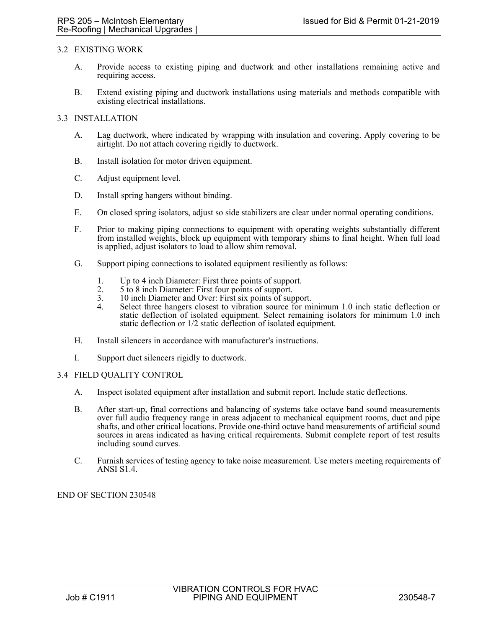### 3.2 EXISTING WORK

- A. Provide access to existing piping and ductwork and other installations remaining active and requiring access.
- B. Extend existing piping and ductwork installations using materials and methods compatible with existing electrical installations.

# 3.3 INSTALLATION

- A. Lag ductwork, where indicated by wrapping with insulation and covering. Apply covering to be airtight. Do not attach covering rigidly to ductwork.
- B. Install isolation for motor driven equipment.
- C. Adjust equipment level.
- D. Install spring hangers without binding.
- E. On closed spring isolators, adjust so side stabilizers are clear under normal operating conditions.
- F. Prior to making piping connections to equipment with operating weights substantially different from installed weights, block up equipment with temporary shims to final height. When full load is applied, adjust isolators to load to allow shim removal.
- G. Support piping connections to isolated equipment resiliently as follows:
	- 1. Up to 4 inch Diameter: First three points of support.
	- 2.  $5 \text{ to } 8$  inch Diameter: First four points of support.<br>3.  $10 \text{ inch Diameter and Over: First six points of sur }$
	- 3. 10 inch Diameter and Over: First six points of support.<br>4 Select three hangers closest to vibration source for mi
	- Select three hangers closest to vibration source for minimum 1.0 inch static deflection or static deflection of isolated equipment. Select remaining isolators for minimum 1.0 inch static deflection or 1/2 static deflection of isolated equipment.
- H. Install silencers in accordance with manufacturer's instructions.
- I. Support duct silencers rigidly to ductwork.

#### 3.4 FIELD QUALITY CONTROL

- A. Inspect isolated equipment after installation and submit report. Include static deflections.
- B. After start-up, final corrections and balancing of systems take octave band sound measurements over full audio frequency range in areas adjacent to mechanical equipment rooms, duct and pipe shafts, and other critical locations. Provide one-third octave band measurements of artificial sound sources in areas indicated as having critical requirements. Submit complete report of test results including sound curves.
- C. Furnish services of testing agency to take noise measurement. Use meters meeting requirements of ANSI S1.4.

END OF SECTION 230548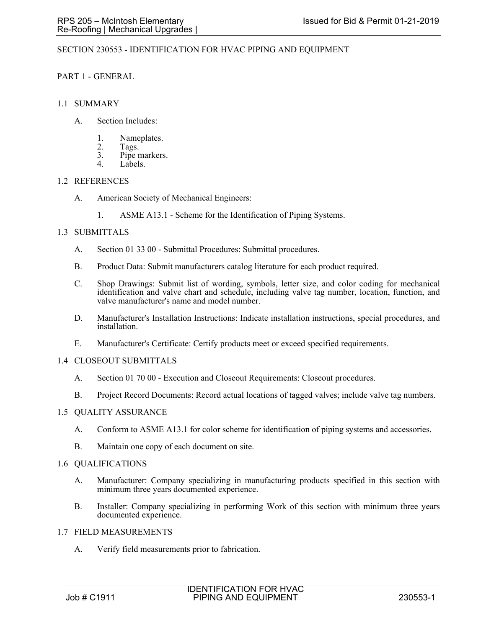## SECTION 230553 - IDENTIFICATION FOR HVAC PIPING AND EQUIPMENT

# PART 1 - GENERAL

### 1.1 SUMMARY

- A. Section Includes:
	- 1. Nameplates.
	- 2. Tags.<br>3. Pine r
	- 3. Pipe markers.<br> $\frac{4}{4}$  I abels
	- Labels.

### 1.2 REFERENCES

- A. American Society of Mechanical Engineers:
	- 1. ASME A13.1 Scheme for the Identification of Piping Systems.

### 1.3 SUBMITTALS

- A. Section 01 33 00 Submittal Procedures: Submittal procedures.
- B. Product Data: Submit manufacturers catalog literature for each product required.
- C. Shop Drawings: Submit list of wording, symbols, letter size, and color coding for mechanical identification and valve chart and schedule, including valve tag number, location, function, and valve manufacturer's name and model number.
- D. Manufacturer's Installation Instructions: Indicate installation instructions, special procedures, and installation.
- E. Manufacturer's Certificate: Certify products meet or exceed specified requirements.

#### 1.4 CLOSEOUT SUBMITTALS

- A. Section 01 70 00 Execution and Closeout Requirements: Closeout procedures.
- B. Project Record Documents: Record actual locations of tagged valves; include valve tag numbers.

## 1.5 QUALITY ASSURANCE

- A. Conform to ASME A13.1 for color scheme for identification of piping systems and accessories.
- B. Maintain one copy of each document on site.

#### 1.6 QUALIFICATIONS

- A. Manufacturer: Company specializing in manufacturing products specified in this section with minimum three years documented experience.
- B. Installer: Company specializing in performing Work of this section with minimum three years documented experience.

## 1.7 FIELD MEASUREMENTS

A. Verify field measurements prior to fabrication.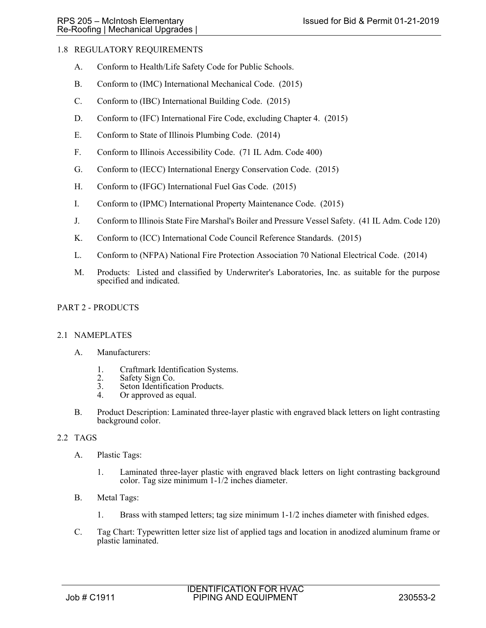# 1.8 REGULATORY REQUIREMENTS

- A. Conform to Health/Life Safety Code for Public Schools.
- B. Conform to (IMC) International Mechanical Code. (2015)
- C. Conform to (IBC) International Building Code. (2015)
- D. Conform to (IFC) International Fire Code, excluding Chapter 4. (2015)
- E. Conform to State of Illinois Plumbing Code. (2014)
- F. Conform to Illinois Accessibility Code. (71 IL Adm. Code 400)
- G. Conform to (IECC) International Energy Conservation Code. (2015)
- H. Conform to (IFGC) International Fuel Gas Code. (2015)
- I. Conform to (IPMC) International Property Maintenance Code. (2015)
- J. Conform to Illinois State Fire Marshal's Boiler and Pressure Vessel Safety. (41 IL Adm. Code 120)
- K. Conform to (ICC) International Code Council Reference Standards. (2015)
- L. Conform to (NFPA) National Fire Protection Association 70 National Electrical Code. (2014)
- M. Products: Listed and classified by Underwriter's Laboratories, Inc. as suitable for the purpose specified and indicated.

# PART 2 - PRODUCTS

## 2.1 NAMEPLATES

- A. Manufacturers:
	- 1. Craftmark Identification Systems.
	- 2. Safety Sign Co.
	- 3. Seton Identification Products.<br>4. Or approved as equal.
	- Or approved as equal.
- B. Product Description: Laminated three-layer plastic with engraved black letters on light contrasting background color.

## 2.2 TAGS

- A. Plastic Tags:
	- 1. Laminated three-layer plastic with engraved black letters on light contrasting background color. Tag size minimum 1-1/2 inches diameter.
- B. Metal Tags:
	- 1. Brass with stamped letters; tag size minimum 1-1/2 inches diameter with finished edges.
- C. Tag Chart: Typewritten letter size list of applied tags and location in anodized aluminum frame or plastic laminated.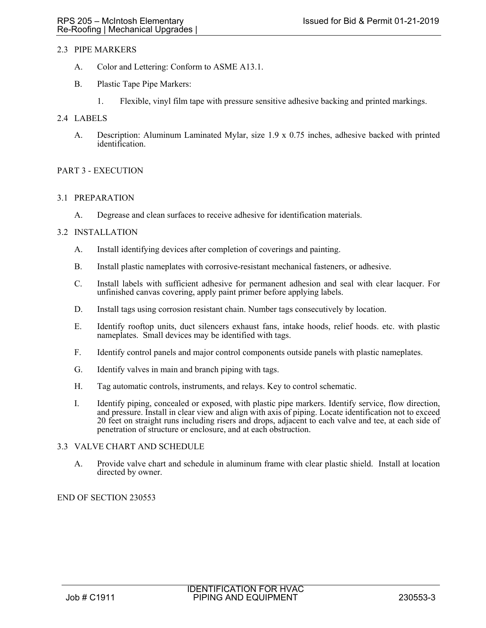# 2.3 PIPE MARKERS

- A. Color and Lettering: Conform to ASME A13.1.
- B. Plastic Tape Pipe Markers:
	- 1. Flexible, vinyl film tape with pressure sensitive adhesive backing and printed markings.

# 2.4 LABELS

A. Description: Aluminum Laminated Mylar, size 1.9 x 0.75 inches, adhesive backed with printed identification.

# PART 3 - EXECUTION

## 3.1 PREPARATION

A. Degrease and clean surfaces to receive adhesive for identification materials.

### 3.2 INSTALLATION

- A. Install identifying devices after completion of coverings and painting.
- B. Install plastic nameplates with corrosive-resistant mechanical fasteners, or adhesive.
- C. Install labels with sufficient adhesive for permanent adhesion and seal with clear lacquer. For unfinished canvas covering, apply paint primer before applying labels.
- D. Install tags using corrosion resistant chain. Number tags consecutively by location.
- E. Identify rooftop units, duct silencers exhaust fans, intake hoods, relief hoods. etc. with plastic nameplates. Small devices may be identified with tags.
- F. Identify control panels and major control components outside panels with plastic nameplates.
- G. Identify valves in main and branch piping with tags.
- H. Tag automatic controls, instruments, and relays. Key to control schematic.
- I. Identify piping, concealed or exposed, with plastic pipe markers. Identify service, flow direction, and pressure. Install in clear view and align with axis of piping. Locate identification not to exceed 20 feet on straight runs including risers and drops, adjacent to each valve and tee, at each side of penetration of structure or enclosure, and at each obstruction.

## 3.3 VALVE CHART AND SCHEDULE

A. Provide valve chart and schedule in aluminum frame with clear plastic shield. Install at location directed by owner.

# END OF SECTION 230553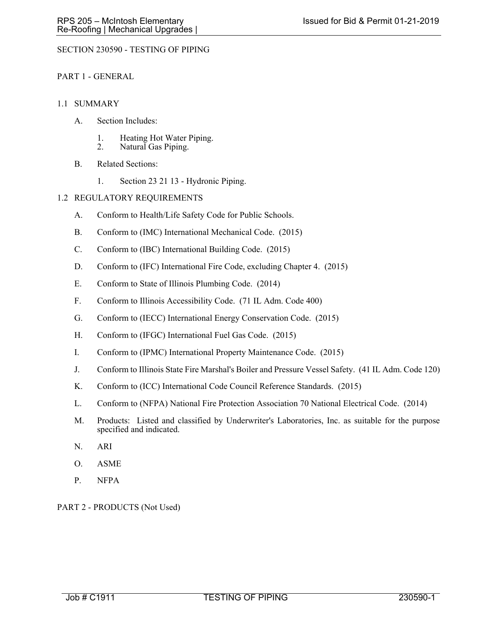# SECTION 230590 - TESTING OF PIPING

## PART 1 - GENERAL

## 1.1 SUMMARY

- A. Section Includes:
	- 1. Heating Hot Water Piping.
	- 2. Natural Gas Piping.
- B. Related Sections:
	- 1. Section 23 21 13 Hydronic Piping.

## 1.2 REGULATORY REQUIREMENTS

- A. Conform to Health/Life Safety Code for Public Schools.
- B. Conform to (IMC) International Mechanical Code. (2015)
- C. Conform to (IBC) International Building Code. (2015)
- D. Conform to (IFC) International Fire Code, excluding Chapter 4. (2015)
- E. Conform to State of Illinois Plumbing Code. (2014)
- F. Conform to Illinois Accessibility Code. (71 IL Adm. Code 400)
- G. Conform to (IECC) International Energy Conservation Code. (2015)
- H. Conform to (IFGC) International Fuel Gas Code. (2015)
- I. Conform to (IPMC) International Property Maintenance Code. (2015)
- J. Conform to Illinois State Fire Marshal's Boiler and Pressure Vessel Safety. (41 IL Adm. Code 120)
- K. Conform to (ICC) International Code Council Reference Standards. (2015)
- L. Conform to (NFPA) National Fire Protection Association 70 National Electrical Code. (2014)
- M. Products: Listed and classified by Underwriter's Laboratories, Inc. as suitable for the purpose specified and indicated.
- N. ARI
- O. ASME
- P. NFPA

PART 2 - PRODUCTS (Not Used)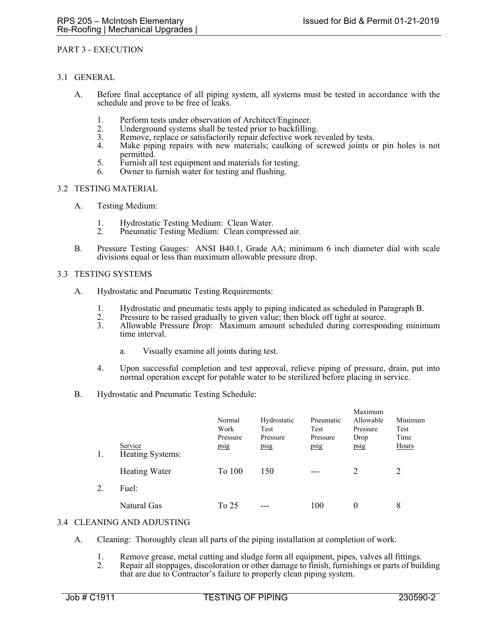#### PART 3 - EXECUTION

### 3.1 GENERAL

- A. Before final acceptance of all piping system, all systems must be tested in accordance with the schedule and prove to be free of leaks.
	- 1. Perform tests under observation of Architect/Engineer.<br>2. Underground systems shall be tested prior to backfilling
	- Underground systems shall be tested prior to backfilling.
	- 3. Remove, replace or satisfactorily repair defective work revealed by tests.<br>4. Make piping repairs with new materials: caulking of screwed joints of
	- Make piping repairs with new materials; caulking of screwed joints or pin holes is not permitted.
	- 5. Furnish all test equipment and materials for testing.
	- 6. Owner to furnish water for testing and flushing.

### 3.2 TESTING MATERIAL

- A. Testing Medium:
	- 1. Hydrostatic Testing Medium: Clean Water.<br>2. Pneumatic Testing Medium: Clean compres
	- Pneumatic Testing Medium: Clean compressed air.
- B. Pressure Testing Gauges: ANSI B40.1, Grade AA; minimum 6 inch diameter dial with scale divisions equal or less than maximum allowable pressure drop.

### 3.3 TESTING SYSTEMS

- A. Hydrostatic and Pneumatic Testing Requirements:
	- 1. Hydrostatic and pneumatic tests apply to piping indicated as scheduled in Paragraph B.
	- 2. Pressure to be raised gradually to given value; then block off tight at source.<br>3. Allowable Pressure Drop: Maximum amount scheduled during correspon
	- 3. Allowable Pressure Drop: Maximum amount scheduled during corresponding minimum time interval.
		- a. Visually examine all joints during test.
	- 4. Upon successful completion and test approval, relieve piping of pressure, drain, put into normal operation except for potable water to be sterilized before placing in service.
- B. Hydrostatic and Pneumatic Testing Schedule:

| 1. | Service<br>Heating Systems: | Normal<br>Work<br>Pressure<br>psig | Hydrostatic<br>Test<br>Pressure<br>psig | Pneumatic<br>Test<br>Pressure<br>psig | Maximum<br>Allowable<br>Pressure<br>Drop<br>psig | Minimum<br>Test<br>Time<br><b>Hours</b> |
|----|-----------------------------|------------------------------------|-----------------------------------------|---------------------------------------|--------------------------------------------------|-----------------------------------------|
|    | Heating Water               | To 100                             | 150                                     | $---$                                 | 2                                                | 2                                       |
| 2. | Fuel:                       |                                    |                                         |                                       |                                                  |                                         |
|    | Natural Gas                 | To 25                              | ---                                     | 100                                   | $\theta$                                         | 8                                       |

#### 3.4 CLEANING AND ADJUSTING

- A. Cleaning: Thoroughly clean all parts of the piping installation at completion of work.
	- 1. Remove grease, metal cutting and sludge form all equipment, pipes, valves all fittings.
	- 2. Repair all stoppages, discoloration or other damage to finish, furnishings or parts of building that are due to Contractor's failure to properly clean piping system.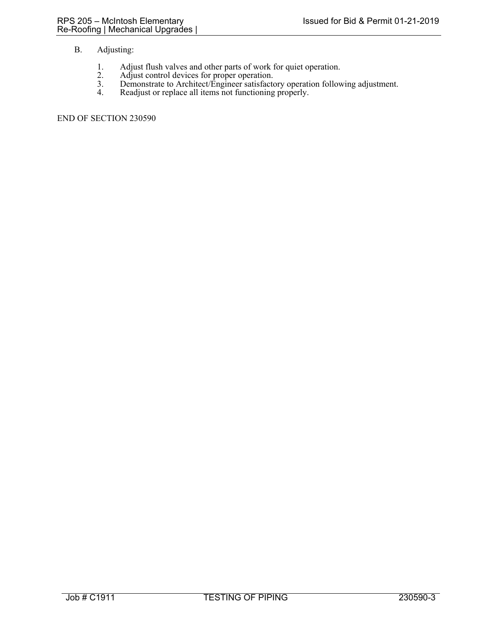# B. Adjusting:

- 1. Adjust flush valves and other parts of work for quiet operation. 2. Adjust control devices for proper operation.
- 
- 3. Demonstrate to Architect/Engineer satisfactory operation following adjustment.
- 4. Readjust or replace all items not functioning properly.

END OF SECTION 230590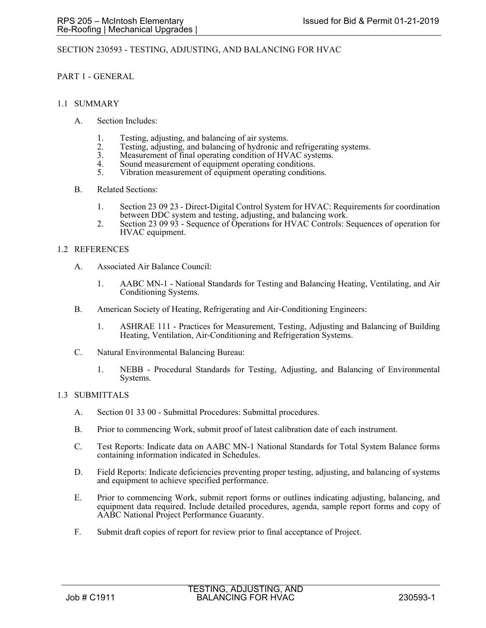## SECTION 230593 - TESTING, ADJUSTING, AND BALANCING FOR HVAC

### PART 1 - GENERAL

#### 1.1 SUMMARY

- A. Section Includes:
	- 1. Testing, adjusting, and balancing of air systems.
	- 2. Testing, adjusting, and balancing of hydronic and refrigerating systems.<br>3. Measurement of final operating condition of HVAC systems.
	- 3. Measurement of final operating condition of HVAC systems.<br>4. Sound measurement of equipment operating conditions
	- 4. Sound measurement of equipment operating conditions.<br>5. Vibration measurement of equipment operating condition
	- Vibration measurement of equipment operating conditions.
- B. Related Sections:
	- 1. Section 23 09 23 Direct-Digital Control System for HVAC: Requirements for coordination between DDC system and testing, adjusting, and balancing work.
	- 2. Section 23 09 93 Sequence of Operations for HVAC Controls: Sequences of operation for HVAC equipment.

### 1.2 REFERENCES

- A. Associated Air Balance Council:
	- 1. AABC MN-1 National Standards for Testing and Balancing Heating, Ventilating, and Air Conditioning Systems.
- B. American Society of Heating, Refrigerating and Air-Conditioning Engineers:
	- 1. ASHRAE 111 Practices for Measurement, Testing, Adjusting and Balancing of Building Heating, Ventilation, Air-Conditioning and Refrigeration Systems.
- C. Natural Environmental Balancing Bureau:
	- 1. NEBB Procedural Standards for Testing, Adjusting, and Balancing of Environmental Systems.

## 1.3 SUBMITTALS

- A. Section 01 33 00 Submittal Procedures: Submittal procedures.
- B. Prior to commencing Work, submit proof of latest calibration date of each instrument.
- C. Test Reports: Indicate data on AABC MN-1 National Standards for Total System Balance forms containing information indicated in Schedules.
- D. Field Reports: Indicate deficiencies preventing proper testing, adjusting, and balancing of systems and equipment to achieve specified performance.
- E. Prior to commencing Work, submit report forms or outlines indicating adjusting, balancing, and equipment data required. Include detailed procedures, agenda, sample report forms and copy of AABC National Project Performance Guaranty.
- F. Submit draft copies of report for review prior to final acceptance of Project.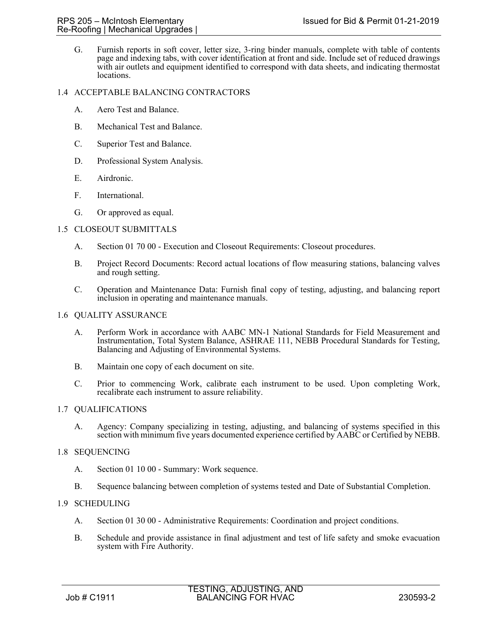G. Furnish reports in soft cover, letter size, 3-ring binder manuals, complete with table of contents page and indexing tabs, with cover identification at front and side. Include set of reduced drawings with air outlets and equipment identified to correspond with data sheets, and indicating thermostat locations.

# 1.4 ACCEPTABLE BALANCING CONTRACTORS

- A. Aero Test and Balance.
- B. Mechanical Test and Balance.
- C. Superior Test and Balance.
- D. Professional System Analysis.
- E. Airdronic.
- F. International.
- G. Or approved as equal.

# 1.5 CLOSEOUT SUBMITTALS

- A. Section 01 70 00 Execution and Closeout Requirements: Closeout procedures.
- B. Project Record Documents: Record actual locations of flow measuring stations, balancing valves and rough setting.
- C. Operation and Maintenance Data: Furnish final copy of testing, adjusting, and balancing report inclusion in operating and maintenance manuals.

#### 1.6 QUALITY ASSURANCE

- A. Perform Work in accordance with AABC MN-1 National Standards for Field Measurement and Instrumentation, Total System Balance, ASHRAE 111, NEBB Procedural Standards for Testing, Balancing and Adjusting of Environmental Systems.
- B. Maintain one copy of each document on site.
- C. Prior to commencing Work, calibrate each instrument to be used. Upon completing Work, recalibrate each instrument to assure reliability.

## 1.7 QUALIFICATIONS

A. Agency: Company specializing in testing, adjusting, and balancing of systems specified in this section with minimum five years documented experience certified by AABC or Certified by NEBB.

## 1.8 SEQUENCING

- A. Section 01 10 00 Summary: Work sequence.
- B. Sequence balancing between completion of systems tested and Date of Substantial Completion.

## 1.9 SCHEDULING

- A. Section 01 30 00 Administrative Requirements: Coordination and project conditions.
- B. Schedule and provide assistance in final adjustment and test of life safety and smoke evacuation system with Fire Authority.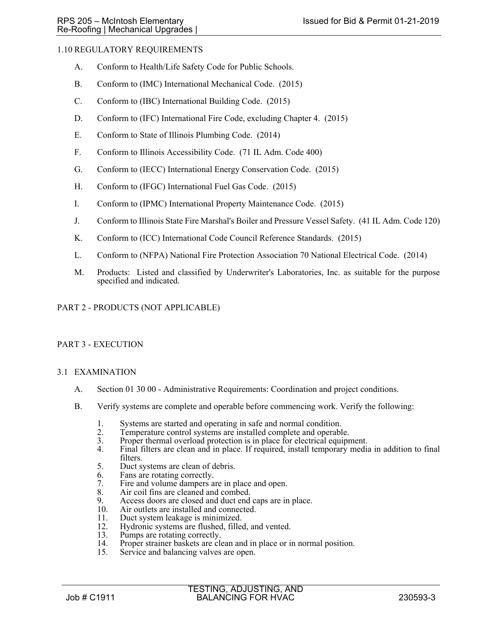# 1.10 REGULATORY REQUIREMENTS

- A. Conform to Health/Life Safety Code for Public Schools.
- B. Conform to (IMC) International Mechanical Code. (2015)
- C. Conform to (IBC) International Building Code. (2015)
- D. Conform to (IFC) International Fire Code, excluding Chapter 4. (2015)
- E. Conform to State of Illinois Plumbing Code. (2014)
- F. Conform to Illinois Accessibility Code. (71 IL Adm. Code 400)
- G. Conform to (IECC) International Energy Conservation Code. (2015)
- H. Conform to (IFGC) International Fuel Gas Code. (2015)
- I. Conform to (IPMC) International Property Maintenance Code. (2015)
- J. Conform to Illinois State Fire Marshal's Boiler and Pressure Vessel Safety. (41 IL Adm. Code 120)
- K. Conform to (ICC) International Code Council Reference Standards. (2015)
- L. Conform to (NFPA) National Fire Protection Association 70 National Electrical Code. (2014)
- M. Products: Listed and classified by Underwriter's Laboratories, Inc. as suitable for the purpose specified and indicated.

# PART 2 - PRODUCTS (NOT APPLICABLE)

## PART 3 - EXECUTION

## 3.1 EXAMINATION

- A. Section 01 30 00 Administrative Requirements: Coordination and project conditions.
- B. Verify systems are complete and operable before commencing work. Verify the following:
	- 1. Systems are started and operating in safe and normal condition.<br>2. Temperature control systems are installed complete and operable.
	-
	- 2. Temperature control systems are installed complete and operable.<br>3. Proper thermal overload protection is in place for electrical equipment.<br>4. Final filters are clean and in place. If required, install temporary media
	- Final filters are clean and in place. If required, install temporary media in addition to final filters.
	- 5. Duct systems are clean of debris.
	- 6. Fans are rotating correctly.<br>7. Fire and volume dampers a
	- 7. Fire and volume dampers are in place and open.<br>8. Air coil fins are cleaned and combed.
	- 8. Air coil fins are cleaned and combed.<br>9. Access doors are closed and duct end
	- 9. Access doors are closed and duct end caps are in place.<br>10. Air outlets are installed and connected.
	- Air outlets are installed and connected.
	- 11. Duct system leakage is minimized.<br>12. Hydronic systems are flushed, fille
	- 12. Hydronic systems are flushed, filled, and vented.<br>13. Pumps are rotating correctly.
	- Pumps are rotating correctly.
	- 14. Proper strainer baskets are clean and in place or in normal position.<br>15. Service and balancing valves are open.
	- Service and balancing valves are open.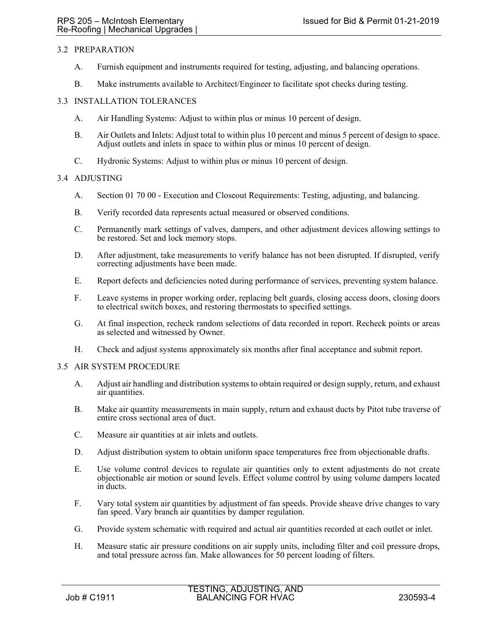## 3.2 PREPARATION

- A. Furnish equipment and instruments required for testing, adjusting, and balancing operations.
- B. Make instruments available to Architect/Engineer to facilitate spot checks during testing.

## 3.3 INSTALLATION TOLERANCES

- A. Air Handling Systems: Adjust to within plus or minus 10 percent of design.
- B. Air Outlets and Inlets: Adjust total to within plus 10 percent and minus 5 percent of design to space. Adjust outlets and inlets in space to within plus or minus 10 percent of design.
- C. Hydronic Systems: Adjust to within plus or minus 10 percent of design.

### 3.4 ADJUSTING

- A. Section 01 70 00 Execution and Closeout Requirements: Testing, adjusting, and balancing.
- B. Verify recorded data represents actual measured or observed conditions.
- C. Permanently mark settings of valves, dampers, and other adjustment devices allowing settings to be restored. Set and lock memory stops.
- D. After adjustment, take measurements to verify balance has not been disrupted. If disrupted, verify correcting adjustments have been made.
- E. Report defects and deficiencies noted during performance of services, preventing system balance.
- F. Leave systems in proper working order, replacing belt guards, closing access doors, closing doors to electrical switch boxes, and restoring thermostats to specified settings.
- G. At final inspection, recheck random selections of data recorded in report. Recheck points or areas as selected and witnessed by Owner.
- H. Check and adjust systems approximately six months after final acceptance and submit report.

## 3.5 AIR SYSTEM PROCEDURE

- A. Adjust air handling and distribution systems to obtain required or design supply, return, and exhaust air quantities.
- B. Make air quantity measurements in main supply, return and exhaust ducts by Pitot tube traverse of entire cross sectional area of duct.
- C. Measure air quantities at air inlets and outlets.
- D. Adjust distribution system to obtain uniform space temperatures free from objectionable drafts.
- E. Use volume control devices to regulate air quantities only to extent adjustments do not create objectionable air motion or sound levels. Effect volume control by using volume dampers located in ducts.
- F. Vary total system air quantities by adjustment of fan speeds. Provide sheave drive changes to vary fan speed. Vary branch air quantities by damper regulation.
- G. Provide system schematic with required and actual air quantities recorded at each outlet or inlet.
- H. Measure static air pressure conditions on air supply units, including filter and coil pressure drops, and total pressure across fan. Make allowances for 50 percent loading of filters.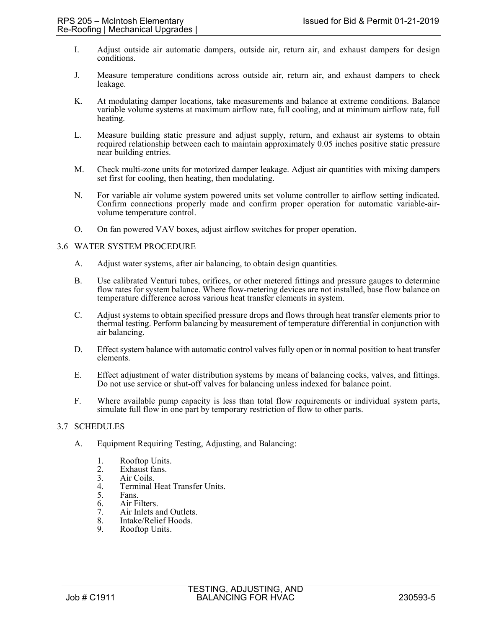- I. Adjust outside air automatic dampers, outside air, return air, and exhaust dampers for design conditions.
- J. Measure temperature conditions across outside air, return air, and exhaust dampers to check leakage.
- K. At modulating damper locations, take measurements and balance at extreme conditions. Balance variable volume systems at maximum airflow rate, full cooling, and at minimum airflow rate, full heating.
- L. Measure building static pressure and adjust supply, return, and exhaust air systems to obtain required relationship between each to maintain approximately 0.05 inches positive static pressure near building entries.
- M. Check multi-zone units for motorized damper leakage. Adjust air quantities with mixing dampers set first for cooling, then heating, then modulating.
- N. For variable air volume system powered units set volume controller to airflow setting indicated. Confirm connections properly made and confirm proper operation for automatic variable-airvolume temperature control.
- O. On fan powered VAV boxes, adjust airflow switches for proper operation.

### 3.6 WATER SYSTEM PROCEDURE

- A. Adjust water systems, after air balancing, to obtain design quantities.
- B. Use calibrated Venturi tubes, orifices, or other metered fittings and pressure gauges to determine flow rates for system balance. Where flow-metering devices are not installed, base flow balance on temperature difference across various heat transfer elements in system.
- C. Adjust systems to obtain specified pressure drops and flows through heat transfer elements prior to thermal testing. Perform balancing by measurement of temperature differential in conjunction with air balancing.
- D. Effect system balance with automatic control valves fully open or in normal position to heat transfer elements.
- E. Effect adjustment of water distribution systems by means of balancing cocks, valves, and fittings. Do not use service or shut-off valves for balancing unless indexed for balance point.
- F. Where available pump capacity is less than total flow requirements or individual system parts, simulate full flow in one part by temporary restriction of flow to other parts.

#### 3.7 SCHEDULES

- A. Equipment Requiring Testing, Adjusting, and Balancing:
	-
	- 1. Rooftop Units.<br>
	2. Exhaust fans.<br>
	3. Air Coils. Exhaust fans.
	- 3. Air Coils.<br>4. Terminal l
	- 4. Terminal Heat Transfer Units.<br>5. Fans.
	- Fans.
	- 6. Air Filters.
	- 7. Air Inlets and Outlets.<br>8. Intake/Relief Hoods.
	- 8. Intake/Relief Hoods.<br>9. Roofton Units. Rooftop Units.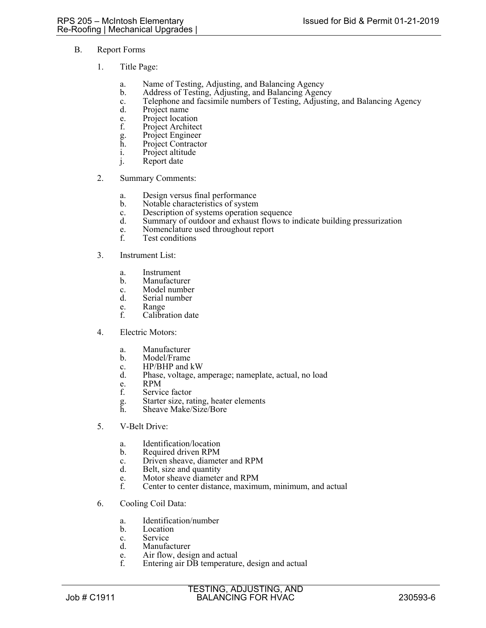- B. Report Forms
	- 1. Title Page:
		- a. Name of Testing, Adjusting, and Balancing Agency
		- b. Address of Testing, Adjusting, and Balancing Agency
		- c. Telephone and facsimile numbers of Testing, Adjusting, and Balancing Agency
		- Project name
		- e. Project location<br>f. Project Architec
		- Project Architect
		- g. Project Engineer
		- h. Project Contractor
		- i. Project altitude
		- j. Report date
	- 2. Summary Comments:
		- a. Design versus final performance
		- b. Notable characteristics of system
		- c. Description of systems operation sequence
		- d. Summary of outdoor and exhaust flows to indicate building pressurization
		- e. Nomenclature used throughout report<br>f. Test conditions
		- Test conditions
	- 3. Instrument List:
		- a. Instrument
		- b. Manufacturer
		- c. Model number<br>d. Serial number
		- Serial number
		- e. Range<br>f. Calibra
		- Calibration date
	- 4. Electric Motors:
		- a. Manufacturer
		- b. Model/Frame
		- c. HP/BHP and kW
		- d. Phase, voltage, amperage; nameplate, actual, no load
		- e. RPM<br>f. Servic
		- Service factor
		- g. Starter size, rating, heater elements
		- Sheave Make/Size/Bore
	- 5. V-Belt Drive:
		- a. Identification/location
		- b. Required driven RPM
		- c. Driven sheave, diameter and RPM
		- d. Belt, size and quantity
		- e. Motor sheave diameter and RPM<br>f. Center to center distance, maximum
		- Center to center distance, maximum, minimum, and actual
	- 6. Cooling Coil Data:
		- a. Identification/number
		- b. Location
		- c. Service
		- d. Manufacturer
		- e. Air flow, design and actual<br>f. Entering air DB temperature
		- Entering air DB temperature, design and actual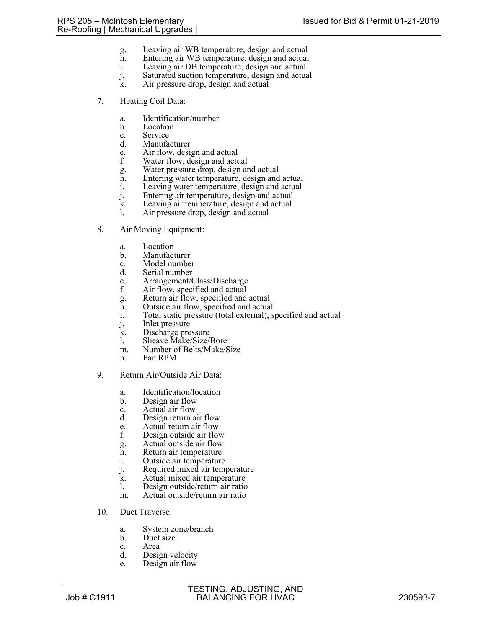- g. Leaving air WB temperature, design and actual
- h. Entering air WB temperature, design and actual
- i. Leaving air DB temperature, design and actual
- j. Saturated suction temperature, design and actual
- Air pressure drop, design and actual
- 7. Heating Coil Data:
	- a. Identification/number
	- b. Location
	- c. Service
	- d. Manufacturer
	- e. Air flow, design and actual
	- f. Water flow, design and actual
	- g. Water pressure drop, design and actual
	- h. Entering water temperature, design and actual<br>i. Leaving water temperature, design and actual
	- Leaving water temperature, design and actual
	- j. Entering air temperature, design and actual
	- k. Leaving air temperature, design and actual<br>1. Air pressure drop, design and actual
	- Air pressure drop, design and actual
- 8. Air Moving Equipment:
	- a. Location
	- b. Manufacturer
	- c. Model number
	- d. Serial number
	- e. Arrangement/Class/Discharge
	- f. Air flow, specified and actual
	- g. Return air flow, specified and actual
	- Outside air flow, specified and actual
	- i. Total static pressure (total external), specified and actual
	- j. Inlet pressure
	- k. Discharge pressure
	- l. Sheave Make/Size/Bore
	- m. Number of Belts/Make/Size
	- n. Fan RPM
- 9. Return Air/Outside Air Data:
	- a. Identification/location
	- b. Design air flow
	- c. Actual air flow
	- d. Design return air flow
	- e. Actual return air flow
	- f. Design outside air flow
	- g. Actual outside air flow<br>h. Return air temperature
	- Return air temperature
	- i. Outside air temperature
	-
	- j. Required mixed air temperature<br>k. Actual mixed air temperature
	- k. Actual mixed air temperature<br>1. Design outside/return air ratio Design outside/return air ratio
	- m. Actual outside/return air ratio
- 10. Duct Traverse:
	- a. System zone/branch
	- b. Duct size
	- c. Area
	- d. Design velocity
	- e. Design air flow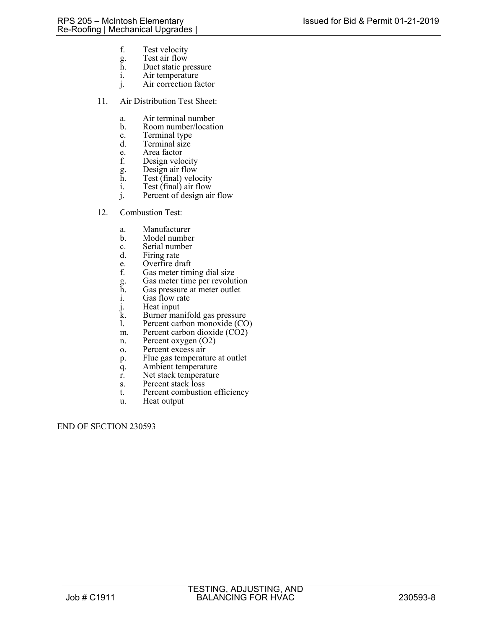- f. Test velocity
- g. Test air flow<br>h. Duct static pr Duct static pressure
- i. Air temperature
- j. Air correction factor
- 11. Air Distribution Test Sheet:
	- a. Air terminal number<br>b. Room number/location
	- b. Room number/location
	- c. Terminal type<br>d. Terminal size
	- Terminal size
	- e. Area factor
	- f. Design velocity<br>g. Design air flow<br>h. Test (final) velo
	- Design air flow
	- $\tilde{h}$ . Test (final) velocity<br>i. Test (final) air flow
	- Test  $(\text{final})$  air flow
	- j. Percent of design air flow
- 12. Combustion Test:
	- a. Manufacturer
	- b. Model number
	- c. Serial number
	- d. Firing rate
	- e. Overfire draft<br>f. Gas meter tim
	- Gas meter timing dial size
	- g. Gas meter time per revolution
	- h. Gas pressure at meter outlet
	- i. Gas flow rate
	- j. Heat input
	- k. Burner manifold gas pressure
	- l. Percent carbon monoxide (CO)
	- m. Percent carbon dioxide (CO2)
	- n. Percent oxygen (O2)
	- o. Percent excess air
	- p. Flue gas temperature at outlet
	- q. Ambient temperature
	- r. Net stack temperature
	- s. Percent stack loss
	- t. Percent combustion efficiency
	- u. Heat output

END OF SECTION 230593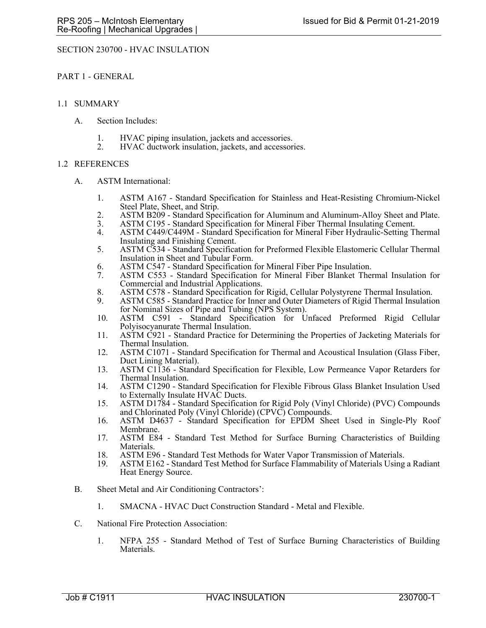### SECTION 230700 - HVAC INSULATION

PART 1 - GENERAL

#### 1.1 SUMMARY

- A. Section Includes:
	- 1. HVAC piping insulation, jackets and accessories.
	- 2. HVAC ductwork insulation, jackets, and accessories.

### 1.2 REFERENCES

- A. ASTM International:
	- 1. ASTM A167 Standard Specification for Stainless and Heat-Resisting Chromium-Nickel Steel Plate, Sheet, and Strip.
	- 2. ASTM B209 Standard Specification for Aluminum and Aluminum-Alloy Sheet and Plate.
	- 3. ASTM C195 Standard Specification for Mineral Fiber Thermal Insulating Cement.
	- 4. ASTM C449/C449M Standard Specification for Mineral Fiber Hydraulic-Setting Thermal Insulating and Finishing Cement.
	- 5. ASTM C534 Standard Specification for Preformed Flexible Elastomeric Cellular Thermal Insulation in Sheet and Tubular Form.
	- 6. ASTM C547 Standard Specification for Mineral Fiber Pipe Insulation.
	- 7. ASTM C553 Standard Specification for Mineral Fiber Blanket Thermal Insulation for Commercial and Industrial Applications.
	- 8. ASTM C578 Standard Specification for Rigid, Cellular Polystyrene Thermal Insulation.
	- 9. ASTM C585 Standard Practice for Inner and Outer Diameters of Rigid Thermal Insulation for Nominal Sizes of Pipe and Tubing (NPS System).
	- 10. ASTM C591 Standard Specification for Unfaced Preformed Rigid Cellular Polyisocyanurate Thermal Insulation.
	- 11. ASTM C921 Standard Practice for Determining the Properties of Jacketing Materials for Thermal Insulation.
	- 12. ASTM C1071 Standard Specification for Thermal and Acoustical Insulation (Glass Fiber, Duct Lining Material).
	- 13. ASTM C1136 Standard Specification for Flexible, Low Permeance Vapor Retarders for Thermal Insulation.
	- 14. ASTM C1290 Standard Specification for Flexible Fibrous Glass Blanket Insulation Used to Externally Insulate HVAC Ducts.
	- 15. ASTM D1784 Standard Specification for Rigid Poly (Vinyl Chloride) (PVC) Compounds and Chlorinated Poly (Vinyl Chloride) (CPVC) Compounds.
	- 16. ASTM D4637 Standard Specification for EPDM Sheet Used in Single-Ply Roof Membrane.
	- 17. ASTM E84 Standard Test Method for Surface Burning Characteristics of Building Materials.
	- 18. ASTM E96 Standard Test Methods for Water Vapor Transmission of Materials.<br>19. ASTM E162 Standard Test Method for Surface Flammability of Materials Using
	- ASTM E162 Standard Test Method for Surface Flammability of Materials Using a Radiant Heat Energy Source.
- B. Sheet Metal and Air Conditioning Contractors':
	- 1. SMACNA HVAC Duct Construction Standard Metal and Flexible.
- C. National Fire Protection Association:
	- 1. NFPA 255 Standard Method of Test of Surface Burning Characteristics of Building Materials.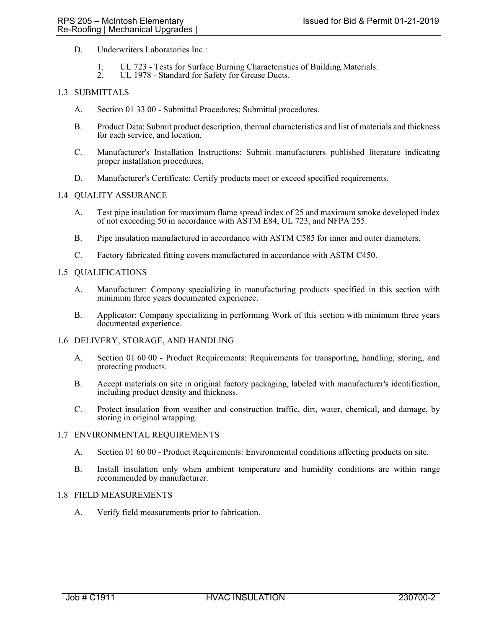- D. Underwriters Laboratories Inc.:
	- 1. UL 723 Tests for Surface Burning Characteristics of Building Materials.
	- 2. UL 1978 Standard for Safety for Grease Ducts.

# 1.3 SUBMITTALS

- A. Section 01 33 00 Submittal Procedures: Submittal procedures.
- B. Product Data: Submit product description, thermal characteristics and list of materials and thickness for each service, and location.
- C. Manufacturer's Installation Instructions: Submit manufacturers published literature indicating proper installation procedures.
- D. Manufacturer's Certificate: Certify products meet or exceed specified requirements.

### 1.4 QUALITY ASSURANCE

- A. Test pipe insulation for maximum flame spread index of 25 and maximum smoke developed index of not exceeding 50 in accordance with ASTM E84, UL 723, and NFPA 255.
- B. Pipe insulation manufactured in accordance with ASTM C585 for inner and outer diameters.
- C. Factory fabricated fitting covers manufactured in accordance with ASTM C450.

### 1.5 QUALIFICATIONS

- A. Manufacturer: Company specializing in manufacturing products specified in this section with minimum three years documented experience.
- B. Applicator: Company specializing in performing Work of this section with minimum three years documented experience.
- 1.6 DELIVERY, STORAGE, AND HANDLING
	- A. Section 01 60 00 Product Requirements: Requirements for transporting, handling, storing, and protecting products.
	- B. Accept materials on site in original factory packaging, labeled with manufacturer's identification, including product density and thickness.
	- C. Protect insulation from weather and construction traffic, dirt, water, chemical, and damage, by storing in original wrapping.

#### 1.7 ENVIRONMENTAL REQUIREMENTS

- A. Section 01 60 00 Product Requirements: Environmental conditions affecting products on site.
- B. Install insulation only when ambient temperature and humidity conditions are within range recommended by manufacturer.

#### 1.8 FIELD MEASUREMENTS

A. Verify field measurements prior to fabrication.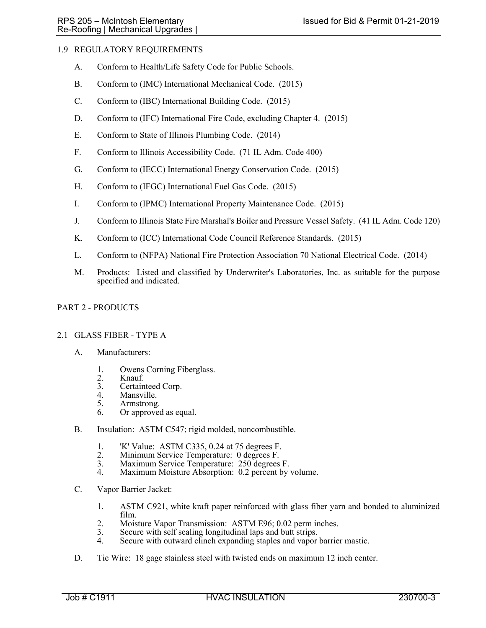# 1.9 REGULATORY REQUIREMENTS

- A. Conform to Health/Life Safety Code for Public Schools.
- B. Conform to (IMC) International Mechanical Code. (2015)
- C. Conform to (IBC) International Building Code. (2015)
- D. Conform to (IFC) International Fire Code, excluding Chapter 4. (2015)
- E. Conform to State of Illinois Plumbing Code. (2014)
- F. Conform to Illinois Accessibility Code. (71 IL Adm. Code 400)
- G. Conform to (IECC) International Energy Conservation Code. (2015)
- H. Conform to (IFGC) International Fuel Gas Code. (2015)
- I. Conform to (IPMC) International Property Maintenance Code. (2015)
- J. Conform to Illinois State Fire Marshal's Boiler and Pressure Vessel Safety. (41 IL Adm. Code 120)
- K. Conform to (ICC) International Code Council Reference Standards. (2015)
- L. Conform to (NFPA) National Fire Protection Association 70 National Electrical Code. (2014)
- M. Products: Listed and classified by Underwriter's Laboratories, Inc. as suitable for the purpose specified and indicated.

## PART 2 - PRODUCTS

#### 2.1 GLASS FIBER - TYPE A

- A. Manufacturers:
	- 1. Owens Corning Fiberglass.
	- 2. Knauf.<br>3. Certain
	- 3. Certainteed Corp.<br>4. Mansville.
	- Mansville.
	- 5. Armstrong.
	- 6. Or approved as equal.
- B. Insulation: ASTM C547; rigid molded, noncombustible.
	- 1. K' Value: ASTM C335, 0.24 at 75 degrees F.<br>2. Minimum Service Temperature: 0 degrees F.
	- 2. Minimum Service Temperature: 0 degrees F.<br>3. Maximum Service Temperature: 250 degrees
	- 3. Maximum Service Temperature: 250 degrees F.
	- Maximum Moisture Absorption: 0.2 percent by volume.
- C. Vapor Barrier Jacket:
	- 1. ASTM C921, white kraft paper reinforced with glass fiber yarn and bonded to aluminized film.
	- 2. Moisture Vapor Transmission: ASTM E96; 0.02 perm inches.
	- 3. Secure with self sealing longitudinal laps and butt strips.
	- Secure with outward clinch expanding staples and vapor barrier mastic.
- D. Tie Wire: 18 gage stainless steel with twisted ends on maximum 12 inch center.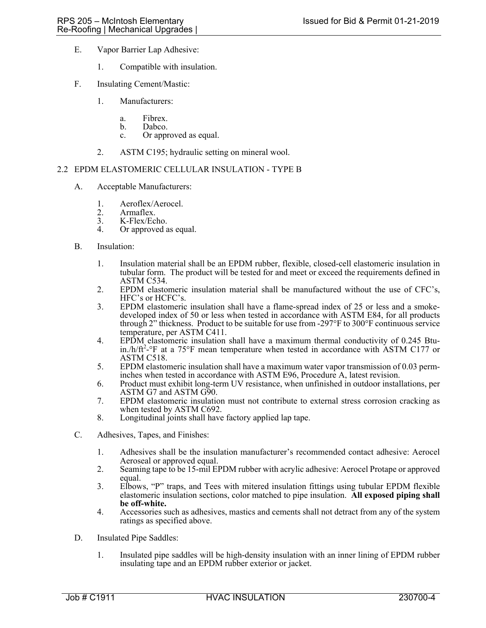- E. Vapor Barrier Lap Adhesive:
	- 1. Compatible with insulation.
- F. Insulating Cement/Mastic:
	- 1. Manufacturers:
		- a. Fibrex.<br>b. Dabco.
		- Dabco.
		- c. Or approved as equal.
	- 2. ASTM C195; hydraulic setting on mineral wool.

### 2.2 EPDM ELASTOMERIC CELLULAR INSULATION - TYPE B

- A. Acceptable Manufacturers:
	- 1. Aeroflex/Aerocel.<br>2. Armaflex.
	- 2. Armaflex.<br>3. K-Flex/Ecl
	- 3. K-Flex/Echo.<br>4. Or approved a
	- Or approved as equal.

### B. Insulation:

- 1. Insulation material shall be an EPDM rubber, flexible, closed-cell elastomeric insulation in tubular form. The product will be tested for and meet or exceed the requirements defined in ASTM C534.
- 2. EPDM elastomeric insulation material shall be manufactured without the use of CFC's, HFC's or HCFC's.
- 3. EPDM elastomeric insulation shall have a flame-spread index of 25 or less and a smokedeveloped index of 50 or less when tested in accordance with ASTM E84, for all products through 2" thickness. Product to be suitable for use from -297°F to 300°F continuous service temperature, per ASTM C411.
- 4. EPDM elastomeric insulation shall have a maximum thermal conductivity of 0.245 Btuin./h/ $ft^2$ - $°F$  at a 75 $°F$  mean temperature when tested in accordance with ASTM C177 or ASTM C518.
- 5. EPDM elastomeric insulation shall have a maximum water vapor transmission of 0.03 perminches when tested in accordance with ASTM E96, Procedure A, latest revision.
- 6. Product must exhibit long-term UV resistance, when unfinished in outdoor installations, per ASTM G7 and ASTM G90.
- 7. EPDM elastomeric insulation must not contribute to external stress corrosion cracking as when tested by ASTM C692.
- 8. Longitudinal joints shall have factory applied lap tape.
- C. Adhesives, Tapes, and Finishes:
	- 1. Adhesives shall be the insulation manufacturer's recommended contact adhesive: Aerocel Aeroseal or approved equal.
	- 2. Seaming tape to be 15-mil EPDM rubber with acrylic adhesive: Aerocel Protape or approved equal.
	- 3. Elbows, "P" traps, and Tees with mitered insulation fittings using tubular EPDM flexible elastomeric insulation sections, color matched to pipe insulation. **All exposed piping shall be off-white.**
	- 4. Accessories such as adhesives, mastics and cements shall not detract from any of the system ratings as specified above.
- D. Insulated Pipe Saddles:
	- 1. Insulated pipe saddles will be high-density insulation with an inner lining of EPDM rubber insulating tape and an EPDM rubber exterior or jacket.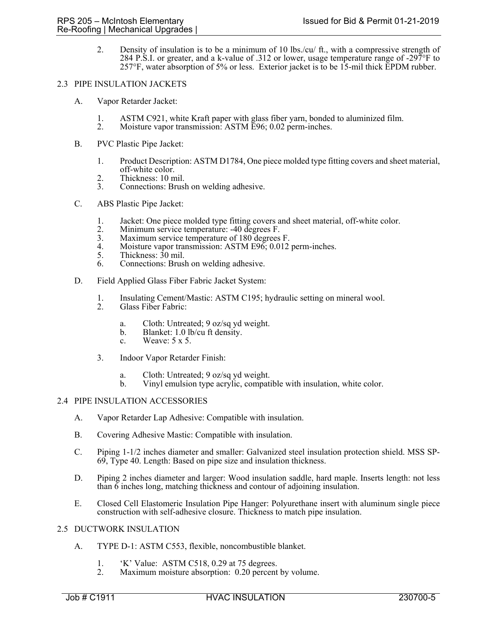2. Density of insulation is to be a minimum of 10 lbs./cu/ ft., with a compressive strength of 284 P.S.I. or greater, and a k-value of .312 or lower, usage temperature range of -297°F to 257°F, water absorption of 5% or less. Exterior jacket is to be 15-mil thick EPDM rubber.

#### 2.3 PIPE INSULATION JACKETS

- A. Vapor Retarder Jacket:
	- 1. ASTM C921, white Kraft paper with glass fiber yarn, bonded to aluminized film.<br>2. Moisture vapor transmission: ASTM E96; 0.02 perm-inches.
	- Moisture vapor transmission: ASTM E96; 0.02 perm-inches.
- B. PVC Plastic Pipe Jacket:
	- 1. Product Description: ASTM D1784, One piece molded type fitting covers and sheet material, off-white color.
	- 2. Thickness: 10 mil.<br>3. Connections: Brusl
	- Connections: Brush on welding adhesive.
- C. ABS Plastic Pipe Jacket:
	- 1. Jacket: One piece molded type fitting covers and sheet material, off-white color.<br>2. Minimum service temperature: -40 degrees F.
	- 2. Minimum service temperature: -40 degrees F.<br>3. Maximum service temperature of 180 degrees
	- Maximum service temperature of 180 degrees F.
	- 4. Moisture vapor transmission: ASTM E96; 0.012 perm-inches.<br>5. Thickness: 30 mil.
	- Thickness:  $30$  mil.
	- 6. Connections: Brush on welding adhesive.
- D. Field Applied Glass Fiber Fabric Jacket System:
	- 1. Insulating Cement/Mastic: ASTM C195; hydraulic setting on mineral wool.<br>2. Glass Fiber Fabric:
	- Glass Fiber Fabric:
		- a. Cloth: Untreated; 9 oz/sq yd weight.
		- b. Blanket: 1.0 lb/cu ft density.
		- c. Weave: 5 x 5.
	- 3. Indoor Vapor Retarder Finish:
		- a. Cloth: Untreated; 9 oz/sq yd weight.
		- b. Vinyl emulsion type acrylic, compatible with insulation, white color.

#### 2.4 PIPE INSULATION ACCESSORIES

- A. Vapor Retarder Lap Adhesive: Compatible with insulation.
- B. Covering Adhesive Mastic: Compatible with insulation.
- C. Piping 1-1/2 inches diameter and smaller: Galvanized steel insulation protection shield. MSS SP-69, Type 40. Length: Based on pipe size and insulation thickness.
- D. Piping 2 inches diameter and larger: Wood insulation saddle, hard maple. Inserts length: not less than 6 inches long, matching thickness and contour of adjoining insulation.
- E. Closed Cell Elastomeric Insulation Pipe Hanger: Polyurethane insert with aluminum single piece construction with self-adhesive closure. Thickness to match pipe insulation.
- 2.5 DUCTWORK INSULATION
	- A. TYPE D-1: ASTM C553, flexible, noncombustible blanket.
		- 1. 'K' Value: ASTM C518, 0.29 at 75 degrees.<br>2. Maximum moisture absorption: 0.20 percent
		- Maximum moisture absorption: 0.20 percent by volume.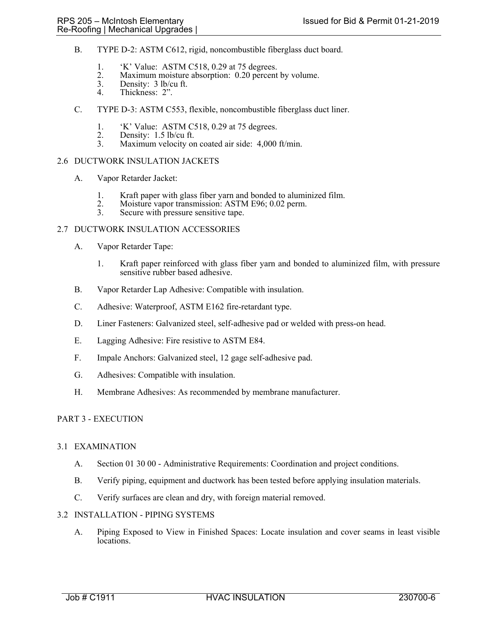- B. TYPE D-2: ASTM C612, rigid, noncombustible fiberglass duct board.
	- 1. 'K' Value: ASTM C518, 0.29 at 75 degrees.
	- 2. Maximum moisture absorption: 0.20 percent by volume.<br>3. Density: 3 lb/cu ft.
	- 3. Density:  $3 \text{ lb/cu ft.}$ <br>4. Thickness:  $2$ ".
	- Thickness: 2".
- C. TYPE D-3: ASTM C553, flexible, noncombustible fiberglass duct liner.
	- 1. 'K' Value: ASTM C518, 0.29 at 75 degrees.<br>2. Density: 1.5 lb/cu ft.
	- 2. Density: 1.5 lb/cu ft.<br>3. Maximum velocity or
	- Maximum velocity on coated air side: 4,000 ft/min.

## 2.6 DUCTWORK INSULATION JACKETS

- A. Vapor Retarder Jacket:
	- 1. Kraft paper with glass fiber yarn and bonded to aluminized film.<br>2. Moisture vapor transmission: ASTM E96; 0.02 perm.<br>3. Secure with pressure sensitive tape.
	-
	- Secure with pressure sensitive tape.

### 2.7 DUCTWORK INSULATION ACCESSORIES

- A. Vapor Retarder Tape:
	- 1. Kraft paper reinforced with glass fiber yarn and bonded to aluminized film, with pressure sensitive rubber based adhesive.
- B. Vapor Retarder Lap Adhesive: Compatible with insulation.
- C. Adhesive: Waterproof, ASTM E162 fire-retardant type.
- D. Liner Fasteners: Galvanized steel, self-adhesive pad or welded with press-on head.
- E. Lagging Adhesive: Fire resistive to ASTM E84.
- F. Impale Anchors: Galvanized steel, 12 gage self-adhesive pad.
- G. Adhesives: Compatible with insulation.
- H. Membrane Adhesives: As recommended by membrane manufacturer.

## PART 3 - EXECUTION

### 3.1 EXAMINATION

- A. Section 01 30 00 Administrative Requirements: Coordination and project conditions.
- B. Verify piping, equipment and ductwork has been tested before applying insulation materials.
- C. Verify surfaces are clean and dry, with foreign material removed.

# 3.2 INSTALLATION - PIPING SYSTEMS

A. Piping Exposed to View in Finished Spaces: Locate insulation and cover seams in least visible locations.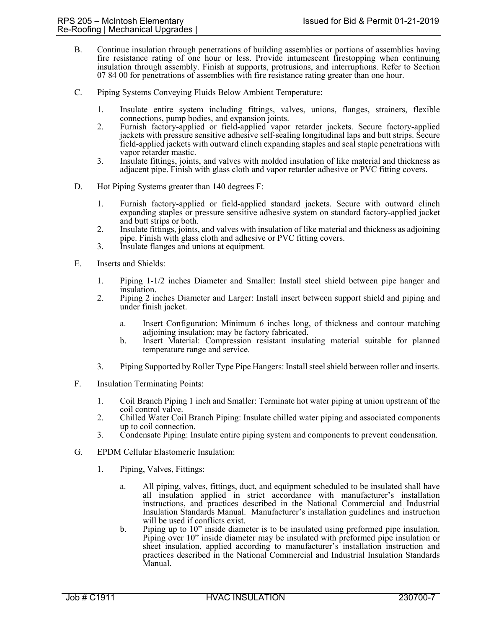- B. Continue insulation through penetrations of building assemblies or portions of assemblies having fire resistance rating of one hour or less. Provide intumescent firestopping when continuing insulation through assembly. Finish at supports, protrusions, and interruptions. Refer to Section 07 84 00 for penetrations of assemblies with fire resistance rating greater than one hour.
- C. Piping Systems Conveying Fluids Below Ambient Temperature:
	- 1. Insulate entire system including fittings, valves, unions, flanges, strainers, flexible connections, pump bodies, and expansion joints.
	- 2. Furnish factory-applied or field-applied vapor retarder jackets. Secure factory-applied jackets with pressure sensitive adhesive self-sealing longitudinal laps and butt strips. Secure field-applied jackets with outward clinch expanding staples and seal staple penetrations with vapor retarder mastic.
	- 3. Insulate fittings, joints, and valves with molded insulation of like material and thickness as adjacent pipe. Finish with glass cloth and vapor retarder adhesive or PVC fitting covers.
- D. Hot Piping Systems greater than 140 degrees F:
	- 1. Furnish factory-applied or field-applied standard jackets. Secure with outward clinch expanding staples or pressure sensitive adhesive system on standard factory-applied jacket and butt strips or both.
	- 2. Insulate fittings, joints, and valves with insulation of like material and thickness as adjoining pipe. Finish with glass cloth and adhesive or PVC fitting covers.
	- 3. Insulate flanges and unions at equipment.
- E. Inserts and Shields:
	- 1. Piping 1-1/2 inches Diameter and Smaller: Install steel shield between pipe hanger and insulation.
	- 2. Piping 2 inches Diameter and Larger: Install insert between support shield and piping and under finish jacket.
		- a. Insert Configuration: Minimum 6 inches long, of thickness and contour matching adjoining insulation; may be factory fabricated.
		- b. Insert Material: Compression resistant insulating material suitable for planned temperature range and service.
	- 3. Piping Supported by Roller Type Pipe Hangers: Install steel shield between roller and inserts.
- F. Insulation Terminating Points:
	- 1. Coil Branch Piping 1 inch and Smaller: Terminate hot water piping at union upstream of the coil control valve.
	- 2. Chilled Water Coil Branch Piping: Insulate chilled water piping and associated components up to coil connection.
	- 3. Condensate Piping: Insulate entire piping system and components to prevent condensation.
- G. EPDM Cellular Elastomeric Insulation:
	- 1. Piping, Valves, Fittings:
		- a. All piping, valves, fittings, duct, and equipment scheduled to be insulated shall have all insulation applied in strict accordance with manufacturer's installation instructions, and practices described in the National Commercial and Industrial Insulation Standards Manual. Manufacturer's installation guidelines and instruction will be used if conflicts exist.
		- b. Piping up to 10" inside diameter is to be insulated using preformed pipe insulation. Piping over 10" inside diameter may be insulated with preformed pipe insulation or sheet insulation, applied according to manufacturer's installation instruction and practices described in the National Commercial and Industrial Insulation Standards Manual.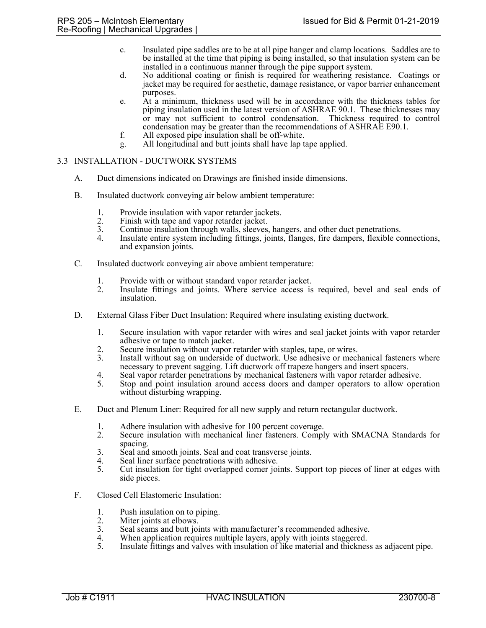- c. Insulated pipe saddles are to be at all pipe hanger and clamp locations. Saddles are to be installed at the time that piping is being installed, so that insulation system can be installed in a continuous manner through the pipe support system.
- d. No additional coating or finish is required for weathering resistance. Coatings or jacket may be required for aesthetic, damage resistance, or vapor barrier enhancement purposes.
- e. At a minimum, thickness used will be in accordance with the thickness tables for piping insulation used in the latest version of ASHRAE 90.1. These thicknesses may or may not sufficient to control condensation. Thickness required to control condensation may be greater than the recommendations of ASHRAE E90.1.
- f. All exposed pipe insulation shall be off-white.
- g. All longitudinal and butt joints shall have lap tape applied.

## 3.3 INSTALLATION - DUCTWORK SYSTEMS

- A. Duct dimensions indicated on Drawings are finished inside dimensions.
- B. Insulated ductwork conveying air below ambient temperature:
	- 1. Provide insulation with vapor retarder jackets.<br>2. Finish with tape and vapor retarder jacket.
	- 2. Finish with tape and vapor retarder jacket.<br>3. Continue insulation through walls, sleeves.
	- 3. Continue insulation through walls, sleeves, hangers, and other duct penetrations.
	- Insulate entire system including fittings, joints, flanges, fire dampers, flexible connections, and expansion joints.
- C. Insulated ductwork conveying air above ambient temperature:
	- 1. Provide with or without standard vapor retarder jacket.
	- 2. Insulate fittings and joints. Where service access is required, bevel and seal ends of insulation.
- D. External Glass Fiber Duct Insulation: Required where insulating existing ductwork.
	- 1. Secure insulation with vapor retarder with wires and seal jacket joints with vapor retarder adhesive or tape to match jacket.
	- 2. Secure insulation without vapor retarder with staples, tape, or wires.<br>3. Install without sag on underside of ductwork. Use adhesive or mech
	- Install without sag on underside of ductwork. Use adhesive or mechanical fasteners where necessary to prevent sagging. Lift ductwork off trapeze hangers and insert spacers.
	- 4. Seal vapor retarder penetrations by mechanical fasteners with vapor retarder adhesive.<br>5. Stop and point insulation around access doors and damper operators to allow operators
	- Stop and point insulation around access doors and damper operators to allow operation without disturbing wrapping.
- E. Duct and Plenum Liner: Required for all new supply and return rectangular ductwork.
	- 1. Adhere insulation with adhesive for 100 percent coverage.
	- 2. Secure insulation with mechanical liner fasteners. Comply with SMACNA Standards for spacing.
	- 3. Seal and smooth joints. Seal and coat transverse joints.
	- 4. Seal liner surface penetrations with adhesive.
	- 5. Cut insulation for tight overlapped corner joints. Support top pieces of liner at edges with side pieces.
- F. Closed Cell Elastomeric Insulation:
	- 1. Push insulation on to piping.
	- 2. Miter joints at elbows.<br>3. Seal seams and butt joint
	- 3. Seal seams and butt joints with manufacturer's recommended adhesive.<br>4. When application requires multiple layers, apply with joints staggered.
	- When application requires multiple layers, apply with joints staggered.
	- 5. Insulate fittings and valves with insulation of like material and thickness as adjacent pipe.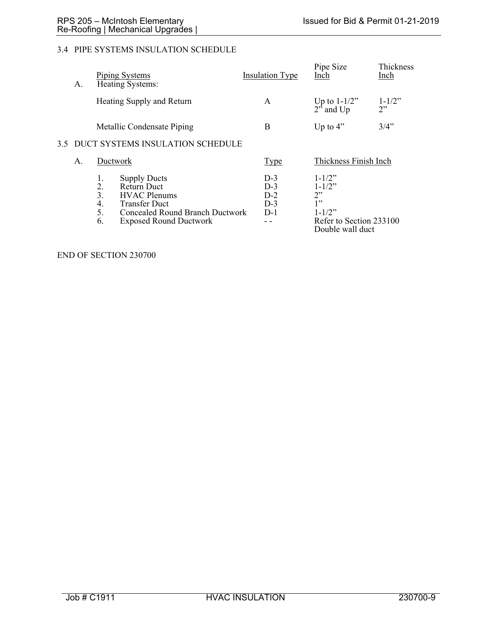# 3.4 PIPE SYSTEMS INSULATION SCHEDULE

| А. |    | <b>Piping Systems</b><br>Heating Systems: |                                                                                                                                                                     | <b>Insulation Type</b>                    | Pipe Size<br>Inch                                                                                    | Thickness<br>Inch |  |  |  |  |
|----|----|-------------------------------------------|---------------------------------------------------------------------------------------------------------------------------------------------------------------------|-------------------------------------------|------------------------------------------------------------------------------------------------------|-------------------|--|--|--|--|
|    |    | Heating Supply and Return                 |                                                                                                                                                                     | A                                         | Up to $1-1/2$ "<br>$2^{5}$ and Up                                                                    | $1 - 1/2$ "<br>2  |  |  |  |  |
|    |    |                                           | Metallic Condensate Piping                                                                                                                                          | B                                         | Up to $4$ "                                                                                          | 3/4"              |  |  |  |  |
|    |    | 3.5 DUCT SYSTEMS INSULATION SCHEDULE      |                                                                                                                                                                     |                                           |                                                                                                      |                   |  |  |  |  |
|    | Α. |                                           | Ductwork                                                                                                                                                            | Thickness Finish Inch<br><b>Type</b>      |                                                                                                      |                   |  |  |  |  |
|    |    | 1.<br>2.<br>3.<br>4.<br>5.<br>6.          | <b>Supply Ducts</b><br><b>Return Duct</b><br><b>HVAC Plenums</b><br><b>Transfer Duct</b><br><b>Concealed Round Branch Ductwork</b><br><b>Exposed Round Ductwork</b> | $D-3$<br>$D-3$<br>$D-2$<br>$D-3$<br>$D-1$ | $1 - 1/2$ "<br>$1 - 1/2$ "<br>2"<br>1"<br>$1 - 1/2$ "<br>Refer to Section 233100<br>Double wall duct |                   |  |  |  |  |

END OF SECTION 230700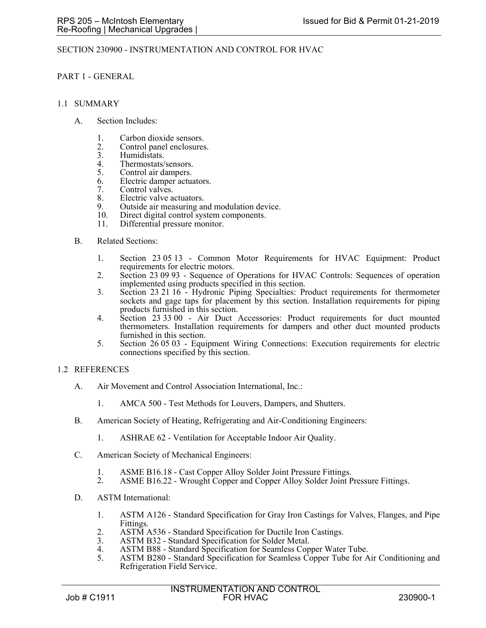### SECTION 230900 - INSTRUMENTATION AND CONTROL FOR HVAC

### PART 1 - GENERAL

#### 1.1 SUMMARY

- A. Section Includes:
	- 1. Carbon dioxide sensors.
	- 2. Control panel enclosures.<br>3. Humidistats.
	- 3. Humidistats.<br>4. Thermostats/
	- 4. Thermostats/sensors.<br>5. Control air dampers.
	- Control air dampers.
	- 6. Electric damper actuators.
	- 7. Control valves.
	- 8. Electric valve actuators.<br>9. Outside air measuring are
	- 9. Outside air measuring and modulation device.<br>10. Direct digital control system components.
	- Direct digital control system components.
	- 11. Differential pressure monitor.
- B. Related Sections:
	- 1. Section 23 05 13 Common Motor Requirements for HVAC Equipment: Product requirements for electric motors.
	- 2. Section 23 09 93 Sequence of Operations for HVAC Controls: Sequences of operation implemented using products specified in this section.
	- 3. Section 23 21 16 Hydronic Piping Specialties: Product requirements for thermometer sockets and gage taps for placement by this section. Installation requirements for piping products furnished in this section.
	- 4. Section 23 33 00 Air Duct Accessories: Product requirements for duct mounted thermometers. Installation requirements for dampers and other duct mounted products furnished in this section.
	- 5. Section 26 05 03 Equipment Wiring Connections: Execution requirements for electric connections specified by this section.

#### 1.2 REFERENCES

- A. Air Movement and Control Association International, Inc.:
	- 1. AMCA 500 Test Methods for Louvers, Dampers, and Shutters.
- B. American Society of Heating, Refrigerating and Air-Conditioning Engineers:
	- 1. ASHRAE 62 Ventilation for Acceptable Indoor Air Quality.
- C. American Society of Mechanical Engineers:
	- 1. ASME B16.18 Cast Copper Alloy Solder Joint Pressure Fittings.<br>2. ASME B16.22 Wrought Copper and Copper Alloy Solder Joint F
	- ASME B16.22 Wrought Copper and Copper Alloy Solder Joint Pressure Fittings.
- D. ASTM International:
	- 1. ASTM A126 Standard Specification for Gray Iron Castings for Valves, Flanges, and Pipe Fittings.
	- 2. ASTM A536 Standard Specification for Ductile Iron Castings.<br>3. ASTM B32 Standard Specification for Solder Metal.
	- 3. ASTM B32 Standard Specification for Solder Metal.
	- 4. ASTM B88 Standard Specification for Seamless Copper Water Tube.<br>5. ASTM B280 Standard Specification for Seamless Copper Tube for A
	- ASTM B280 Standard Specification for Seamless Copper Tube for Air Conditioning and Refrigeration Field Service.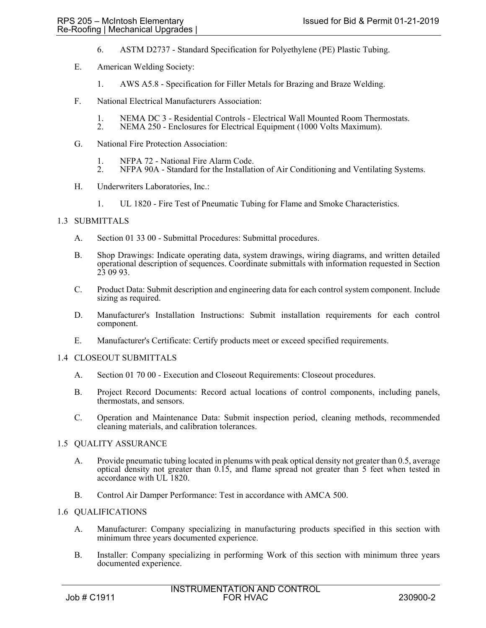- 6. ASTM D2737 Standard Specification for Polyethylene (PE) Plastic Tubing.
- E. American Welding Society:
	- 1. AWS A5.8 Specification for Filler Metals for Brazing and Braze Welding.
- F. National Electrical Manufacturers Association:
	- 1. NEMA DC 3 Residential Controls Electrical Wall Mounted Room Thermostats.<br>2. NEMA 250 Enclosures for Electrical Equipment (1000 Volts Maximum).
	- 2. NEMA 250 Enclosures for Electrical Equipment (1000 Volts Maximum).
- G. National Fire Protection Association:
	- 1. NFPA 72 National Fire Alarm Code.<br>2. NFPA 90A Standard for the Installati
	- 2. NFPA 90A Standard for the Installation of Air Conditioning and Ventilating Systems.
- H. Underwriters Laboratories, Inc.:
	- 1. UL 1820 Fire Test of Pneumatic Tubing for Flame and Smoke Characteristics.

## 1.3 SUBMITTALS

- A. Section 01 33 00 Submittal Procedures: Submittal procedures.
- B. Shop Drawings: Indicate operating data, system drawings, wiring diagrams, and written detailed operational description of sequences. Coordinate submittals with information requested in Section 23 09 93.
- C. Product Data: Submit description and engineering data for each control system component. Include sizing as required.
- D. Manufacturer's Installation Instructions: Submit installation requirements for each control component.
- E. Manufacturer's Certificate: Certify products meet or exceed specified requirements.

#### 1.4 CLOSEOUT SUBMITTALS

- A. Section 01 70 00 Execution and Closeout Requirements: Closeout procedures.
- B. Project Record Documents: Record actual locations of control components, including panels, thermostats, and sensors.
- C. Operation and Maintenance Data: Submit inspection period, cleaning methods, recommended cleaning materials, and calibration tolerances.

#### 1.5 QUALITY ASSURANCE

- A. Provide pneumatic tubing located in plenums with peak optical density not greater than 0.5, average optical density not greater than 0.15, and flame spread not greater than 5 feet when tested in accordance with UL 1820.
- B. Control Air Damper Performance: Test in accordance with AMCA 500.

### 1.6 QUALIFICATIONS

- A. Manufacturer: Company specializing in manufacturing products specified in this section with minimum three years documented experience.
- B. Installer: Company specializing in performing Work of this section with minimum three years documented experience.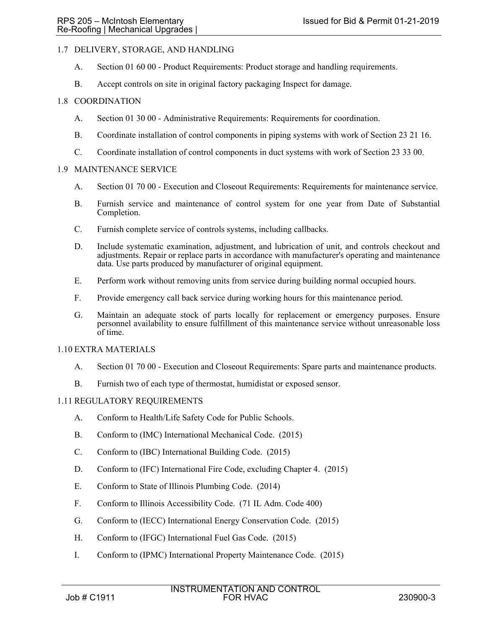# 1.7 DELIVERY, STORAGE, AND HANDLING

- A. Section 01 60 00 Product Requirements: Product storage and handling requirements.
- B. Accept controls on site in original factory packaging Inspect for damage.

# 1.8 COORDINATION

- A. Section 01 30 00 Administrative Requirements: Requirements for coordination.
- B. Coordinate installation of control components in piping systems with work of Section 23 21 16.
- C. Coordinate installation of control components in duct systems with work of Section 23 33 00.

### 1.9 MAINTENANCE SERVICE

- A. Section 01 70 00 Execution and Closeout Requirements: Requirements for maintenance service.
- B. Furnish service and maintenance of control system for one year from Date of Substantial Completion.
- C. Furnish complete service of controls systems, including callbacks.
- D. Include systematic examination, adjustment, and lubrication of unit, and controls checkout and adjustments. Repair or replace parts in accordance with manufacturer's operating and maintenance data. Use parts produced by manufacturer of original equipment.
- E. Perform work without removing units from service during building normal occupied hours.
- F. Provide emergency call back service during working hours for this maintenance period.
- G. Maintain an adequate stock of parts locally for replacement or emergency purposes. Ensure personnel availability to ensure fulfillment of this maintenance service without unreasonable loss of time.

### 1.10 EXTRA MATERIALS

- A. Section 01 70 00 Execution and Closeout Requirements: Spare parts and maintenance products.
- B. Furnish two of each type of thermostat, humidistat or exposed sensor.

### 1.11 REGULATORY REQUIREMENTS

- A. Conform to Health/Life Safety Code for Public Schools.
- B. Conform to (IMC) International Mechanical Code. (2015)
- C. Conform to (IBC) International Building Code. (2015)
- D. Conform to (IFC) International Fire Code, excluding Chapter 4. (2015)
- E. Conform to State of Illinois Plumbing Code. (2014)
- F. Conform to Illinois Accessibility Code. (71 IL Adm. Code 400)
- G. Conform to (IECC) International Energy Conservation Code. (2015)
- H. Conform to (IFGC) International Fuel Gas Code. (2015)
- I. Conform to (IPMC) International Property Maintenance Code. (2015)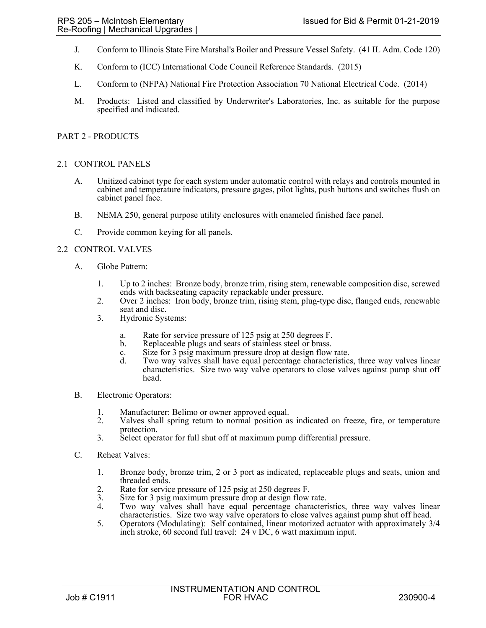- J. Conform to Illinois State Fire Marshal's Boiler and Pressure Vessel Safety. (41 IL Adm. Code 120)
- K. Conform to (ICC) International Code Council Reference Standards. (2015)
- L. Conform to (NFPA) National Fire Protection Association 70 National Electrical Code. (2014)
- M. Products: Listed and classified by Underwriter's Laboratories, Inc. as suitable for the purpose specified and indicated.

### PART 2 - PRODUCTS

### 2.1 CONTROL PANELS

- A. Unitized cabinet type for each system under automatic control with relays and controls mounted in cabinet and temperature indicators, pressure gages, pilot lights, push buttons and switches flush on cabinet panel face.
- B. NEMA 250, general purpose utility enclosures with enameled finished face panel.
- C. Provide common keying for all panels.

### 2.2 CONTROL VALVES

- A. Globe Pattern:
	- 1. Up to 2 inches: Bronze body, bronze trim, rising stem, renewable composition disc, screwed ends with backseating capacity repackable under pressure.
	- 2. Over 2 inches: Iron body, bronze trim, rising stem, plug-type disc, flanged ends, renewable seat and disc.
	- 3. Hydronic Systems:
		- a. Rate for service pressure of 125 psig at 250 degrees F.
		- Replaceable plugs and seats of stainless steel or brass.
		- c. Size for 3 psig maximum pressure drop at design flow rate.
		- d. Two way valves shall have equal percentage characteristics, three way valves linear characteristics. Size two way valve operators to close valves against pump shut off head.
- B. Electronic Operators:
	- 1. Manufacturer: Belimo or owner approved equal.
	- 2. Valves shall spring return to normal position as indicated on freeze, fire, or temperature protection.
	- 3. Select operator for full shut off at maximum pump differential pressure.
- C. Reheat Valves:
	- 1. Bronze body, bronze trim, 2 or 3 port as indicated, replaceable plugs and seats, union and threaded ends.
	- 2. Rate for service pressure of 125 psig at 250 degrees F.
	- 3. Size for 3 psig maximum pressure drop at design flow rate.
	- 4. Two way valves shall have equal percentage characteristics, three way valves linear characteristics. Size two way valve operators to close valves against pump shut off head.
	- 5. Operators (Modulating): Self contained, linear motorized actuator with approximately 3/4 inch stroke, 60 second full travel: 24 v DC, 6 watt maximum input.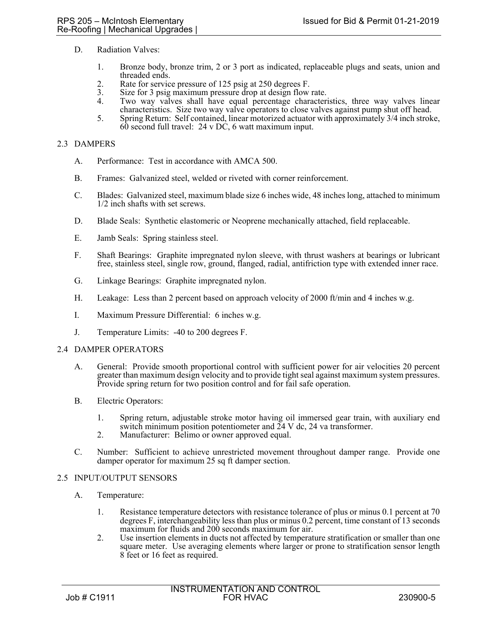- D. Radiation Valves:
	- 1. Bronze body, bronze trim, 2 or 3 port as indicated, replaceable plugs and seats, union and threaded ends.
	- 2. Rate for service pressure of 125 psig at 250 degrees F.<br>3. Size for 3 psig maximum pressure drop at design flow
	- 3. Size for 3 psig maximum pressure drop at design flow rate.
	- Two way valves shall have equal percentage characteristics, three way valves linear characteristics. Size two way valve operators to close valves against pump shut off head.
	- 5. Spring Return: Self contained, linear motorized actuator with approximately 3/4 inch stroke,  $60$  second full travel: 24 v DC, 6 watt maximum input.

### 2.3 DAMPERS

- A. Performance: Test in accordance with AMCA 500.
- B. Frames: Galvanized steel, welded or riveted with corner reinforcement.
- C. Blades: Galvanized steel, maximum blade size 6 inches wide, 48 inches long, attached to minimum 1/2 inch shafts with set screws.
- D. Blade Seals: Synthetic elastomeric or Neoprene mechanically attached, field replaceable.
- E. Jamb Seals: Spring stainless steel.
- F. Shaft Bearings: Graphite impregnated nylon sleeve, with thrust washers at bearings or lubricant free, stainless steel, single row, ground, flanged, radial, antifriction type with extended inner race.
- G. Linkage Bearings: Graphite impregnated nylon.
- H. Leakage: Less than 2 percent based on approach velocity of 2000 ft/min and 4 inches w.g.
- I. Maximum Pressure Differential: 6 inches w.g.
- J. Temperature Limits: -40 to 200 degrees F.

#### 2.4 DAMPER OPERATORS

- A. General: Provide smooth proportional control with sufficient power for air velocities 20 percent greater than maximum design velocity and to provide tight seal against maximum system pressures. Provide spring return for two position control and for fail safe operation.
- B. Electric Operators:
	- 1. Spring return, adjustable stroke motor having oil immersed gear train, with auxiliary end switch minimum position potentiometer and  $\tilde{24}$  V dc, 24 va transformer.
	- 2. Manufacturer: Belimo or owner approved equal.
- C. Number: Sufficient to achieve unrestricted movement throughout damper range. Provide one damper operator for maximum 25 sq ft damper section.

#### 2.5 INPUT/OUTPUT SENSORS

- A. Temperature:
	- 1. Resistance temperature detectors with resistance tolerance of plus or minus 0.1 percent at 70 degrees F, interchangeability less than plus or minus 0.2 percent, time constant of 13 seconds maximum for fluids and 200 seconds maximum for air.
	- 2. Use insertion elements in ducts not affected by temperature stratification or smaller than one square meter. Use averaging elements where larger or prone to stratification sensor length 8 feet or 16 feet as required.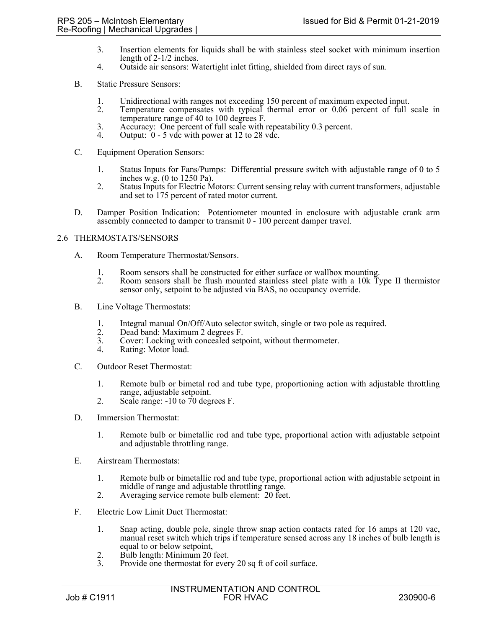- 3. Insertion elements for liquids shall be with stainless steel socket with minimum insertion length of 2-1/2 inches.
- 4. Outside air sensors: Watertight inlet fitting, shielded from direct rays of sun.
- B. Static Pressure Sensors:
	- 1. Unidirectional with ranges not exceeding 150 percent of maximum expected input.<br>2. Temperature compensates with typical thermal error or 0.06 percent of full
	- Temperature compensates with typical thermal error or 0.06 percent of full scale in temperature range of 40 to 100 degrees F.
	- 3. Accuracy: One percent of full scale with repeatability 0.3 percent.<br>4. Output: 0 5 yde with power at 12 to 28 yde.
	- Output:  $0 5$  vdc with power at 12 to 28 vdc.
- C. Equipment Operation Sensors:
	- 1. Status Inputs for Fans/Pumps: Differential pressure switch with adjustable range of 0 to 5 inches w.g. (0 to 1250 Pa).
	- 2. Status Inputs for Electric Motors: Current sensing relay with current transformers, adjustable and set to 175 percent of rated motor current.
- D. Damper Position Indication: Potentiometer mounted in enclosure with adjustable crank arm assembly connected to damper to transmit 0 - 100 percent damper travel.

### 2.6 THERMOSTATS/SENSORS

- A. Room Temperature Thermostat/Sensors.
	- 1. Room sensors shall be constructed for either surface or wallbox mounting.<br>2. Room sensors shall be flush mounted stainless steel plate with a 10k Ty
	- 2. Room sensors shall be flush mounted stainless steel plate with a 10k Type II thermistor sensor only, setpoint to be adjusted via BAS, no occupancy override.
- B. Line Voltage Thermostats:
	- 1. Integral manual On/Off/Auto selector switch, single or two pole as required.
	- 2. Dead band: Maximum 2 degrees F.<br>3. Cover: Locking with concealed setp
	- 3. Cover: Locking with concealed setpoint, without thermometer.
	- 4. Rating: Motor load.
- C. Outdoor Reset Thermostat:
	- 1. Remote bulb or bimetal rod and tube type, proportioning action with adjustable throttling range, adjustable setpoint.
	- 2. Scale range: -10 to 70 degrees F.
- D. Immersion Thermostat:
	- 1. Remote bulb or bimetallic rod and tube type, proportional action with adjustable setpoint and adjustable throttling range.
- E. Airstream Thermostats:
	- 1. Remote bulb or bimetallic rod and tube type, proportional action with adjustable setpoint in middle of range and adjustable throttling range.
	- 2. Averaging service remote bulb element: 20 feet.
- F. Electric Low Limit Duct Thermostat:
	- 1. Snap acting, double pole, single throw snap action contacts rated for 16 amps at 120 vac, manual reset switch which trips if temperature sensed across any 18 inches of bulb length is equal to or below setpoint,
	- 2. Bulb length: Minimum 20 feet.<br>3. Provide one thermostat for ever
	- Provide one thermostat for every 20 sq ft of coil surface.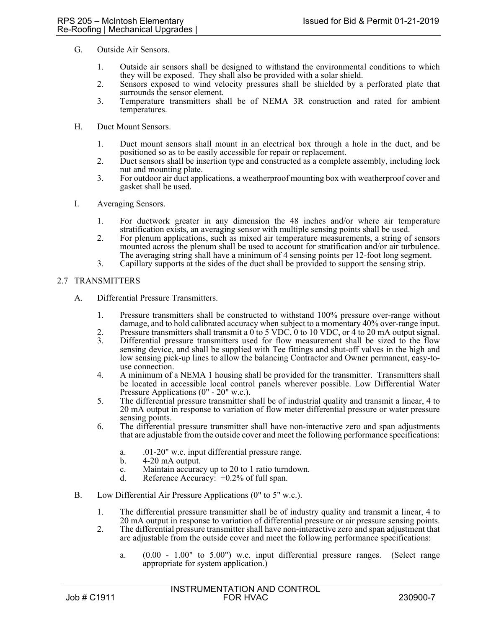- G. Outside Air Sensors.
	- 1. Outside air sensors shall be designed to withstand the environmental conditions to which they will be exposed. They shall also be provided with a solar shield.
	- 2. Sensors exposed to wind velocity pressures shall be shielded by a perforated plate that surrounds the sensor element.
	- 3. Temperature transmitters shall be of NEMA 3R construction and rated for ambient temperatures.
- H. Duct Mount Sensors.
	- 1. Duct mount sensors shall mount in an electrical box through a hole in the duct, and be positioned so as to be easily accessible for repair or replacement.
	- 2. Duct sensors shall be insertion type and constructed as a complete assembly, including lock nut and mounting plate.
	- 3. For outdoor air duct applications, a weatherproof mounting box with weatherproof cover and gasket shall be used.
- I. Averaging Sensors.
	- 1. For ductwork greater in any dimension the 48 inches and/or where air temperature stratification exists, an averaging sensor with multiple sensing points shall be used.
	- 2. For plenum applications, such as mixed air temperature measurements, a string of sensors mounted across the plenum shall be used to account for stratification and/or air turbulence. The averaging string shall have a minimum of 4 sensing points per 12-foot long segment.
	- 3. Capillary supports at the sides of the duct shall be provided to support the sensing strip.

### 2.7 TRANSMITTERS

- A. Differential Pressure Transmitters.
	- 1. Pressure transmitters shall be constructed to withstand 100% pressure over-range without damage, and to hold calibrated accuracy when subject to a momentary 40% over-range input.
	- 2. Pressure transmitters shall transmit a  $0$  to 5 VDC,  $0$  to 10 VDC, or 4 to 20 mA output signal. 3. Differential pressure transmitters used for flow measurement shall be sized to the flow
	- sensing device, and shall be supplied with Tee fittings and shut-off valves in the high and low sensing pick-up lines to allow the balancing Contractor and Owner permanent, easy-touse connection.
	- 4. A minimum of a NEMA 1 housing shall be provided for the transmitter. Transmitters shall be located in accessible local control panels wherever possible. Low Differential Water Pressure Applications (0" - 20" w.c.).
	- 5. The differential pressure transmitter shall be of industrial quality and transmit a linear, 4 to 20 mA output in response to variation of flow meter differential pressure or water pressure sensing points.
	- 6. The differential pressure transmitter shall have non-interactive zero and span adjustments that are adjustable from the outside cover and meet the following performance specifications:
		- a. .01-20" w.c. input differential pressure range.
		- b. 4-20 mA output.
		- c. Maintain accuracy up to 20 to 1 ratio turndown.
		- d. Reference Accuracy:  $+0.2\%$  of full span.
- B. Low Differential Air Pressure Applications (0" to 5" w.c.).
	- 1. The differential pressure transmitter shall be of industry quality and transmit a linear, 4 to 20 mA output in response to variation of differential pressure or air pressure sensing points.
	- 2. The differential pressure transmitter shall have non-interactive zero and span adjustment that are adjustable from the outside cover and meet the following performance specifications:
		- a. (0.00 1.00" to 5.00") w.c. input differential pressure ranges. (Select range appropriate for system application.)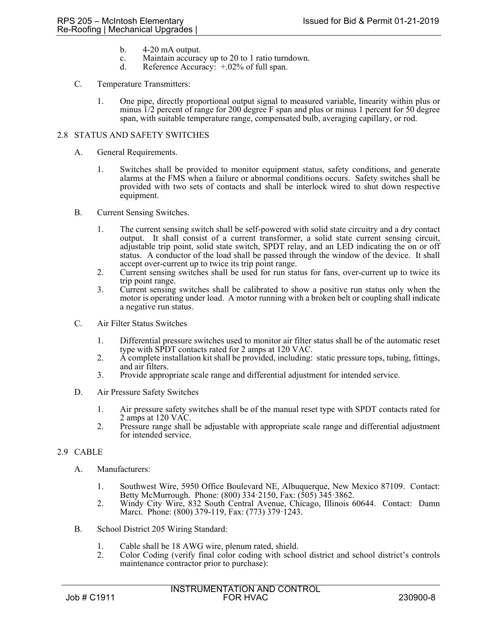- b. 4-20 mA output.
- c. Maintain accuracy up to 20 to 1 ratio turndown.
- d. Reference Accuracy:  $+0.02\%$  of full span.

### C. Temperature Transmitters:

1. One pipe, directly proportional output signal to measured variable, linearity within plus or minus 1/2 percent of range for 200 degree F span and plus or minus 1 percent for 50 degree span, with suitable temperature range, compensated bulb, averaging capillary, or rod.

## 2.8 STATUS AND SAFETY SWITCHES

- A. General Requirements.
	- 1. Switches shall be provided to monitor equipment status, safety conditions, and generate alarms at the FMS when a failure or abnormal conditions occurs. Safety switches shall be provided with two sets of contacts and shall be interlock wired to shut down respective equipment.
- B. Current Sensing Switches.
	- 1. The current sensing switch shall be self-powered with solid state circuitry and a dry contact output. It shall consist of a current transformer, a solid state current sensing circuit, adjustable trip point, solid state switch, SPDT relay, and an LED indicating the on or off status. A conductor of the load shall be passed through the window of the device. It shall accept over-current up to twice its trip point range.
	- 2. Current sensing switches shall be used for run status for fans, over-current up to twice its trip point range.
	- 3. Current sensing switches shall be calibrated to show a positive run status only when the motor is operating under load. A motor running with a broken belt or coupling shall indicate a negative run status.
- C. Air Filter Status Switches
	- 1. Differential pressure switches used to monitor air filter status shall be of the automatic reset type with SPDT contacts rated for 2 amps at 120 VAC.
	- 2. A complete installation kit shall be provided, including: static pressure tops, tubing, fittings, and air filters.
	- 3. Provide appropriate scale range and differential adjustment for intended service.
- D. Air Pressure Safety Switches
	- 1. Air pressure safety switches shall be of the manual reset type with SPDT contacts rated for 2 amps at 120 VAC.
	- 2. Pressure range shall be adjustable with appropriate scale range and differential adjustment for intended service.

## 2.9 CABLE

- A. Manufacturers:
	- 1. Southwest Wire, 5950 Office Boulevard NE, Albuquerque, New Mexico 87109. Contact: Betty McMurrough. Phone: (800) 334 $\cdot$ 2150, Fax: (505) 345 $\cdot$ 3862.
	- 2. Windy City Wire, 832 South Central Avenue, Chicago, Illinois 60644. Contact: Damn Marci. Phone: (800) 379-119, Fax: (773) 379 $\cdot$ 1243.
- B. School District 205 Wiring Standard:
	- 1. Cable shall be 18 AWG wire, plenum rated, shield.<br>2. Color Coding (verify final color coding with scho
	- 2. Color Coding (verify final color coding with school district and school district's controls maintenance contractor prior to purchase):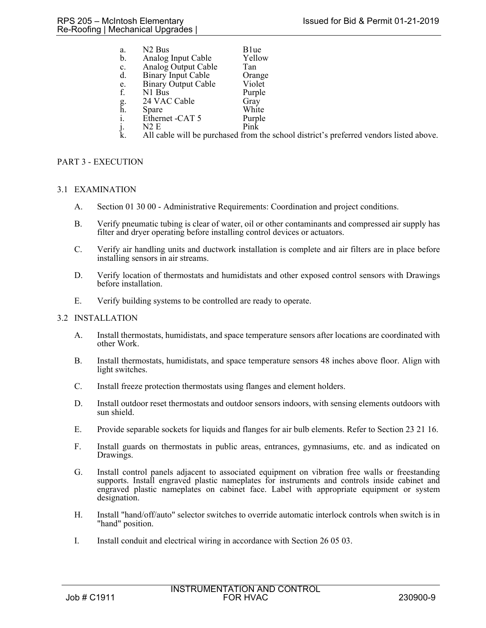| a.       | N <sub>2</sub> Bus         | B <sub>1ue</sub> |  |
|----------|----------------------------|------------------|--|
| b.       | Analog Input Cable         | Yellow           |  |
| c.       | Analog Output Cable        | Tan              |  |
| d.       | <b>Binary Input Cable</b>  | Orange           |  |
| e.       | <b>Binary Output Cable</b> | Violet           |  |
| f.       | N1 Bus                     | Purple           |  |
|          | 24 VAC Cable               | Gray             |  |
| g.<br>h. | Spare                      | White            |  |
| i.       | Ethernet -CAT 5            | Purple           |  |
| j.       | N2E                        | Pink             |  |
|          |                            |                  |  |

k. All cable will be purchased from the school district's preferred vendors listed above.

# PART 3 - EXECUTION

## 3.1 EXAMINATION

- A. Section 01 30 00 Administrative Requirements: Coordination and project conditions.
- B. Verify pneumatic tubing is clear of water, oil or other contaminants and compressed air supply has filter and dryer operating before installing control devices or actuators.
- C. Verify air handling units and ductwork installation is complete and air filters are in place before installing sensors in air streams.
- D. Verify location of thermostats and humidistats and other exposed control sensors with Drawings before installation.
- E. Verify building systems to be controlled are ready to operate.

## 3.2 INSTALLATION

- A. Install thermostats, humidistats, and space temperature sensors after locations are coordinated with other Work.
- B. Install thermostats, humidistats, and space temperature sensors 48 inches above floor. Align with light switches.
- C. Install freeze protection thermostats using flanges and element holders.
- D. Install outdoor reset thermostats and outdoor sensors indoors, with sensing elements outdoors with sun shield.
- E. Provide separable sockets for liquids and flanges for air bulb elements. Refer to Section 23 21 16.
- F. Install guards on thermostats in public areas, entrances, gymnasiums, etc. and as indicated on Drawings.
- G. Install control panels adjacent to associated equipment on vibration free walls or freestanding supports. Install engraved plastic nameplates for instruments and controls inside cabinet and engraved plastic nameplates on cabinet face. Label with appropriate equipment or system designation.
- H. Install "hand/off/auto" selector switches to override automatic interlock controls when switch is in "hand" position.
- I. Install conduit and electrical wiring in accordance with Section 26 05 03.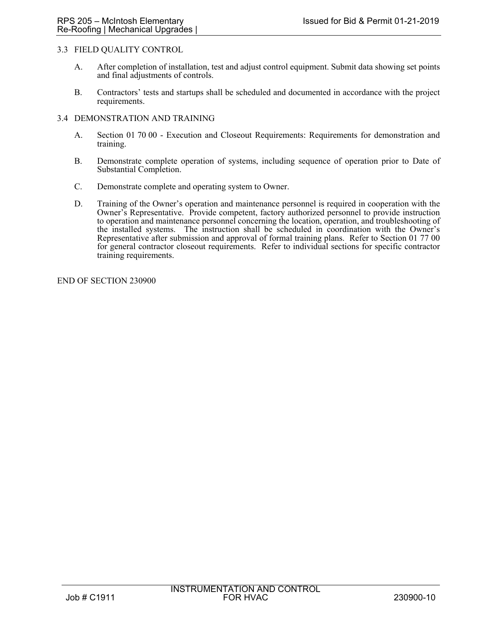## 3.3 FIELD QUALITY CONTROL

- A. After completion of installation, test and adjust control equipment. Submit data showing set points and final adjustments of controls.
- B. Contractors' tests and startups shall be scheduled and documented in accordance with the project requirements.

## 3.4 DEMONSTRATION AND TRAINING

- A. Section 01 70 00 Execution and Closeout Requirements: Requirements for demonstration and training.
- B. Demonstrate complete operation of systems, including sequence of operation prior to Date of Substantial Completion.
- C. Demonstrate complete and operating system to Owner.
- D. Training of the Owner's operation and maintenance personnel is required in cooperation with the Owner's Representative. Provide competent, factory authorized personnel to provide instruction to operation and maintenance personnel concerning the location, operation, and troubleshooting of the installed systems. The instruction shall be scheduled in coordination with the Owner's Representative after submission and approval of formal training plans. Refer to Section 01 77 00 for general contractor closeout requirements. Refer to individual sections for specific contractor training requirements.

END OF SECTION 230900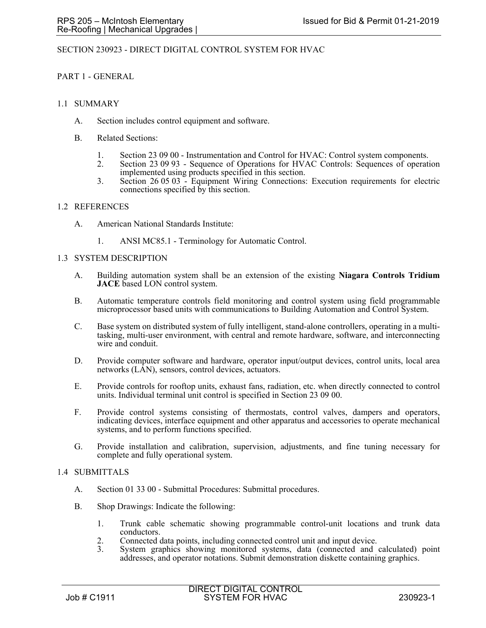## SECTION 230923 - DIRECT DIGITAL CONTROL SYSTEM FOR HVAC

### PART 1 - GENERAL

#### 1.1 SUMMARY

- A. Section includes control equipment and software.
- B. Related Sections:
	- 1. Section 23 09 00 Instrumentation and Control for HVAC: Control system components.<br>2. Section 23 09 93 Sequence of Operations for HVAC Controls: Sequences of operation
	- 2. Section 23 09 93 Sequence of Operations for HVAC Controls: Sequences of operation implemented using products specified in this section.
	- 3. Section 26 05 03 Equipment Wiring Connections: Execution requirements for electric connections specified by this section.

#### 1.2 REFERENCES

- A. American National Standards Institute:
	- 1. ANSI MC85.1 Terminology for Automatic Control.

#### 1.3 SYSTEM DESCRIPTION

- A. Building automation system shall be an extension of the existing **Niagara Controls Tridium JACE** based LON control system.
- B. Automatic temperature controls field monitoring and control system using field programmable microprocessor based units with communications to Building Automation and Control System.
- C. Base system on distributed system of fully intelligent, stand-alone controllers, operating in a multitasking, multi-user environment, with central and remote hardware, software, and interconnecting wire and conduit.
- D. Provide computer software and hardware, operator input/output devices, control units, local area networks (LAN), sensors, control devices, actuators.
- E. Provide controls for rooftop units, exhaust fans, radiation, etc. when directly connected to control units. Individual terminal unit control is specified in Section 23 09 00.
- F. Provide control systems consisting of thermostats, control valves, dampers and operators, indicating devices, interface equipment and other apparatus and accessories to operate mechanical systems, and to perform functions specified.
- G. Provide installation and calibration, supervision, adjustments, and fine tuning necessary for complete and fully operational system.

#### 1.4 SUBMITTALS

- A. Section 01 33 00 Submittal Procedures: Submittal procedures.
- B. Shop Drawings: Indicate the following:
	- 1. Trunk cable schematic showing programmable control-unit locations and trunk data conductors.
	- 2. Connected data points, including connected control unit and input device.<br>3. System graphics showing monitored systems, data (connected and d
	- System graphics showing monitored systems, data (connected and calculated) point addresses, and operator notations. Submit demonstration diskette containing graphics.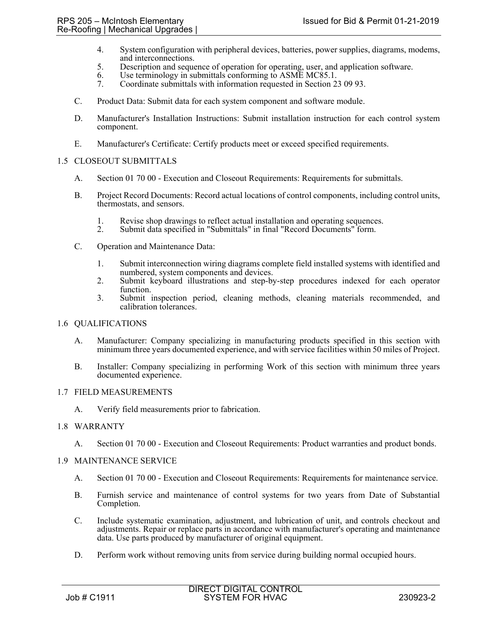- 4. System configuration with peripheral devices, batteries, power supplies, diagrams, modems, and interconnections.
- 5. Description and sequence of operation for operating, user, and application software.
- 6. Use terminology in submittals conforming to ASME MC85.1.
- 7. Coordinate submittals with information requested in Section 23 09 93.
- C. Product Data: Submit data for each system component and software module.
- D. Manufacturer's Installation Instructions: Submit installation instruction for each control system component.
- E. Manufacturer's Certificate: Certify products meet or exceed specified requirements.

## 1.5 CLOSEOUT SUBMITTALS

- A. Section 01 70 00 Execution and Closeout Requirements: Requirements for submittals.
- B. Project Record Documents: Record actual locations of control components, including control units, thermostats, and sensors.
	- 1. Revise shop drawings to reflect actual installation and operating sequences.<br>2. Submit data specified in "Submittals" in final "Record Documents" form.
	- Submit data specified in "Submittals" in final "Record Documents" form.
- C. Operation and Maintenance Data:
	- 1. Submit interconnection wiring diagrams complete field installed systems with identified and numbered, system components and devices.
	- 2. Submit keyboard illustrations and step-by-step procedures indexed for each operator function.
	- 3. Submit inspection period, cleaning methods, cleaning materials recommended, and calibration tolerances.

## 1.6 QUALIFICATIONS

- A. Manufacturer: Company specializing in manufacturing products specified in this section with minimum three years documented experience, and with service facilities within 50 miles of Project.
- B. Installer: Company specializing in performing Work of this section with minimum three years documented experience.

## 1.7 FIELD MEASUREMENTS

A. Verify field measurements prior to fabrication.

#### 1.8 WARRANTY

A. Section 01 70 00 - Execution and Closeout Requirements: Product warranties and product bonds.

#### 1.9 MAINTENANCE SERVICE

- A. Section 01 70 00 Execution and Closeout Requirements: Requirements for maintenance service.
- B. Furnish service and maintenance of control systems for two years from Date of Substantial Completion.
- C. Include systematic examination, adjustment, and lubrication of unit, and controls checkout and adjustments. Repair or replace parts in accordance with manufacturer's operating and maintenance data. Use parts produced by manufacturer of original equipment.
- D. Perform work without removing units from service during building normal occupied hours.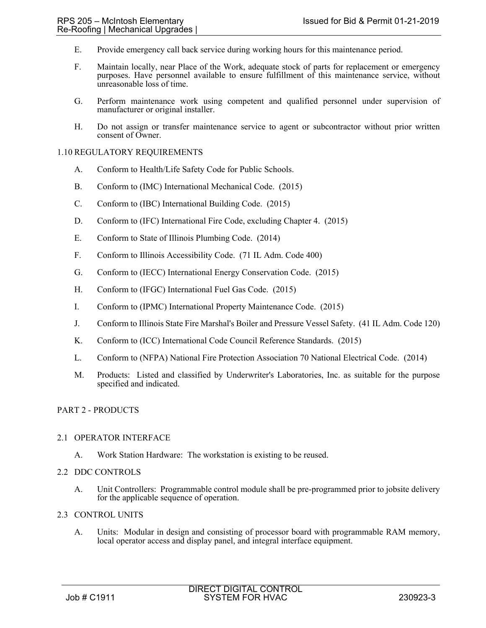- E. Provide emergency call back service during working hours for this maintenance period.
- F. Maintain locally, near Place of the Work, adequate stock of parts for replacement or emergency purposes. Have personnel available to ensure fulfillment of this maintenance service, without unreasonable loss of time.
- G. Perform maintenance work using competent and qualified personnel under supervision of manufacturer or original installer.
- H. Do not assign or transfer maintenance service to agent or subcontractor without prior written consent of Owner.

## 1.10 REGULATORY REQUIREMENTS

- A. Conform to Health/Life Safety Code for Public Schools.
- B. Conform to (IMC) International Mechanical Code. (2015)
- C. Conform to (IBC) International Building Code. (2015)
- D. Conform to (IFC) International Fire Code, excluding Chapter 4. (2015)
- E. Conform to State of Illinois Plumbing Code. (2014)
- F. Conform to Illinois Accessibility Code. (71 IL Adm. Code 400)
- G. Conform to (IECC) International Energy Conservation Code. (2015)
- H. Conform to (IFGC) International Fuel Gas Code. (2015)
- I. Conform to (IPMC) International Property Maintenance Code. (2015)
- J. Conform to Illinois State Fire Marshal's Boiler and Pressure Vessel Safety. (41 IL Adm. Code 120)
- K. Conform to (ICC) International Code Council Reference Standards. (2015)
- L. Conform to (NFPA) National Fire Protection Association 70 National Electrical Code. (2014)
- M. Products: Listed and classified by Underwriter's Laboratories, Inc. as suitable for the purpose specified and indicated.

## PART 2 - PRODUCTS

#### 2.1 OPERATOR INTERFACE

A. Work Station Hardware: The workstation is existing to be reused.

## 2.2 DDC CONTROLS

A. Unit Controllers: Programmable control module shall be pre-programmed prior to jobsite delivery for the applicable sequence of operation.

### 2.3 CONTROL UNITS

A. Units: Modular in design and consisting of processor board with programmable RAM memory, local operator access and display panel, and integral interface equipment.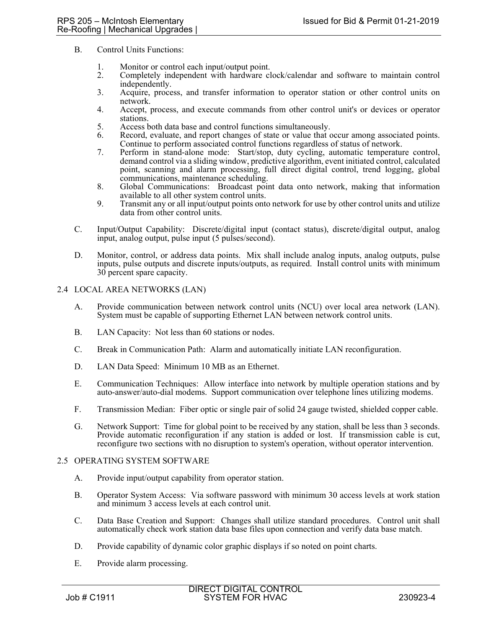- B. Control Units Functions:
	- 1. Monitor or control each input/output point.
	- 2. Completely independent with hardware clock/calendar and software to maintain control independently.
	- 3. Acquire, process, and transfer information to operator station or other control units on network.
	- 4. Accept, process, and execute commands from other control unit's or devices or operator stations.
	- 5. Access both data base and control functions simultaneously.
	- 6. Record, evaluate, and report changes of state or value that occur among associated points. Continue to perform associated control functions regardless of status of network.
	- 7. Perform in stand-alone mode: Start/stop, duty cycling, automatic temperature control, demand control via a sliding window, predictive algorithm, event initiated control, calculated point, scanning and alarm processing, full direct digital control, trend logging, global communications, maintenance scheduling.
	- 8. Global Communications: Broadcast point data onto network, making that information available to all other system control units.
	- 9. Transmit any or all input/output points onto network for use by other control units and utilize data from other control units.
- C. Input/Output Capability: Discrete/digital input (contact status), discrete/digital output, analog input, analog output, pulse input (5 pulses/second).
- D. Monitor, control, or address data points. Mix shall include analog inputs, analog outputs, pulse inputs, pulse outputs and discrete inputs/outputs, as required. Install control units with minimum 30 percent spare capacity.

### 2.4 LOCAL AREA NETWORKS (LAN)

- A. Provide communication between network control units (NCU) over local area network (LAN). System must be capable of supporting Ethernet LAN between network control units.
- B. LAN Capacity: Not less than 60 stations or nodes.
- C. Break in Communication Path: Alarm and automatically initiate LAN reconfiguration.
- D. LAN Data Speed: Minimum 10 MB as an Ethernet.
- E. Communication Techniques: Allow interface into network by multiple operation stations and by auto-answer/auto-dial modems. Support communication over telephone lines utilizing modems.
- F. Transmission Median: Fiber optic or single pair of solid 24 gauge twisted, shielded copper cable.
- G. Network Support: Time for global point to be received by any station, shall be less than 3 seconds. Provide automatic reconfiguration if any station is added or lost. If transmission cable is cut, reconfigure two sections with no disruption to system's operation, without operator intervention.

#### 2.5 OPERATING SYSTEM SOFTWARE

- A. Provide input/output capability from operator station.
- B. Operator System Access: Via software password with minimum 30 access levels at work station and minimum 3 access levels at each control unit.
- C. Data Base Creation and Support: Changes shall utilize standard procedures. Control unit shall automatically check work station data base files upon connection and verify data base match.
- D. Provide capability of dynamic color graphic displays if so noted on point charts.
- E. Provide alarm processing.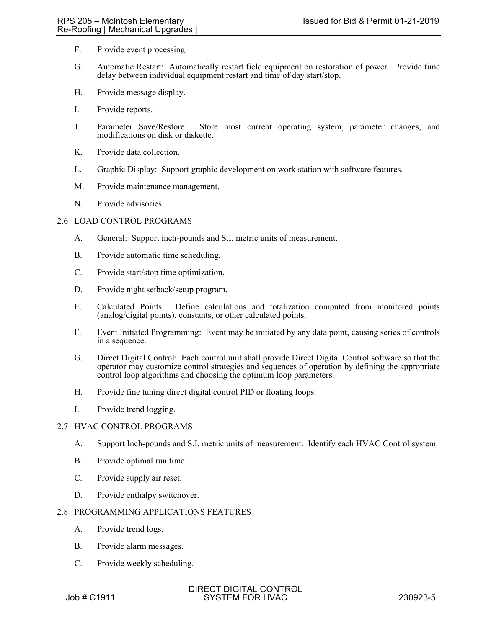- F. Provide event processing.
- G. Automatic Restart: Automatically restart field equipment on restoration of power. Provide time delay between individual equipment restart and time of day start/stop.
- H. Provide message display.
- I. Provide reports.
- J. Parameter Save/Restore: Store most current operating system, parameter changes, and modifications on disk or diskette.
- K. Provide data collection.
- L. Graphic Display: Support graphic development on work station with software features.
- M. Provide maintenance management.
- N. Provide advisories.

### 2.6 LOAD CONTROL PROGRAMS

- A. General: Support inch-pounds and S.I. metric units of measurement.
- B. Provide automatic time scheduling.
- C. Provide start/stop time optimization.
- D. Provide night setback/setup program.
- E. Calculated Points: Define calculations and totalization computed from monitored points (analog/digital points), constants, or other calculated points.
- F. Event Initiated Programming: Event may be initiated by any data point, causing series of controls in a sequence.
- G. Direct Digital Control: Each control unit shall provide Direct Digital Control software so that the operator may customize control strategies and sequences of operation by defining the appropriate control loop algorithms and choosing the optimum loop parameters.
- H. Provide fine tuning direct digital control PID or floating loops.
- I. Provide trend logging.

#### 2.7 HVAC CONTROL PROGRAMS

- A. Support Inch-pounds and S.I. metric units of measurement. Identify each HVAC Control system.
- B. Provide optimal run time.
- C. Provide supply air reset.
- D. Provide enthalpy switchover.

## 2.8 PROGRAMMING APPLICATIONS FEATURES

- A. Provide trend logs.
- B. Provide alarm messages.
- C. Provide weekly scheduling.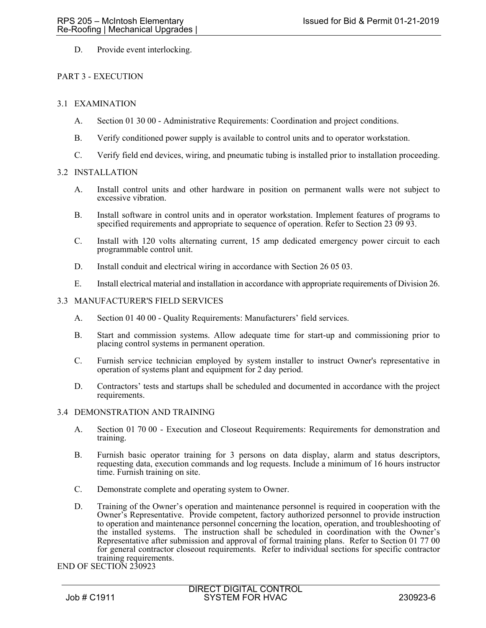D. Provide event interlocking.

# PART 3 - EXECUTION

# 3.1 EXAMINATION

- A. Section 01 30 00 Administrative Requirements: Coordination and project conditions.
- B. Verify conditioned power supply is available to control units and to operator workstation.
- C. Verify field end devices, wiring, and pneumatic tubing is installed prior to installation proceeding.

# 3.2 INSTALLATION

- A. Install control units and other hardware in position on permanent walls were not subject to excessive vibration.
- B. Install software in control units and in operator workstation. Implement features of programs to specified requirements and appropriate to sequence of operation. Refer to Section 23 09 93.
- C. Install with 120 volts alternating current, 15 amp dedicated emergency power circuit to each programmable control unit.
- D. Install conduit and electrical wiring in accordance with Section 26 05 03.
- E. Install electrical material and installation in accordance with appropriate requirements of Division 26.

## 3.3 MANUFACTURER'S FIELD SERVICES

- A. Section 01 40 00 Quality Requirements: Manufacturers' field services.
- B. Start and commission systems. Allow adequate time for start-up and commissioning prior to placing control systems in permanent operation.
- C. Furnish service technician employed by system installer to instruct Owner's representative in operation of systems plant and equipment for 2 day period.
- D. Contractors' tests and startups shall be scheduled and documented in accordance with the project requirements.

## 3.4 DEMONSTRATION AND TRAINING

- A. Section 01 70 00 Execution and Closeout Requirements: Requirements for demonstration and training.
- B. Furnish basic operator training for 3 persons on data display, alarm and status descriptors, requesting data, execution commands and log requests. Include a minimum of 16 hours instructor time. Furnish training on site.
- C. Demonstrate complete and operating system to Owner.
- D. Training of the Owner's operation and maintenance personnel is required in cooperation with the Owner's Representative. Provide competent, factory authorized personnel to provide instruction to operation and maintenance personnel concerning the location, operation, and troubleshooting of the installed systems. The instruction shall be scheduled in coordination with the Owner's Representative after submission and approval of formal training plans. Refer to Section 01 77 00 for general contractor closeout requirements. Refer to individual sections for specific contractor training requirements.

END OF SECTION 230923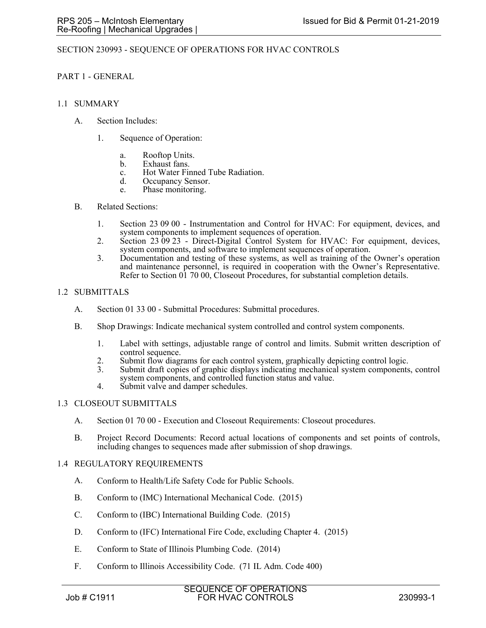## SECTION 230993 - SEQUENCE OF OPERATIONS FOR HVAC CONTROLS

### PART 1 - GENERAL

#### 1.1 SUMMARY

- A. Section Includes:
	- 1. Sequence of Operation:
		- a. Rooftop Units.
		- b. Exhaust fans.
		- c. Hot Water Finned Tube Radiation.
		- d. Occupancy Sensor.
		- e. Phase monitoring.

#### B. Related Sections:

- 1. Section 23 09 00 Instrumentation and Control for HVAC: For equipment, devices, and system components to implement sequences of operation.
- 2. Section 23 09 23 Direct-Digital Control System for HVAC: For equipment, devices, system components, and software to implement sequences of operation.
- 3. Documentation and testing of these systems, as well as training of the Owner's operation and maintenance personnel, is required in cooperation with the Owner's Representative. Refer to Section 01 70 00, Closeout Procedures, for substantial completion details.

## 1.2 SUBMITTALS

- A. Section 01 33 00 Submittal Procedures: Submittal procedures.
- B. Shop Drawings: Indicate mechanical system controlled and control system components.
	- 1. Label with settings, adjustable range of control and limits. Submit written description of control sequence.
	- 2. Submit flow diagrams for each control system, graphically depicting control logic.
	- 3. Submit draft copies of graphic displays indicating mechanical system components, control system components, and controlled function status and value.
	- 4. Submit valve and damper schedules.

#### 1.3 CLOSEOUT SUBMITTALS

- A. Section 01 70 00 Execution and Closeout Requirements: Closeout procedures.
- B. Project Record Documents: Record actual locations of components and set points of controls, including changes to sequences made after submission of shop drawings.

#### 1.4 REGULATORY REQUIREMENTS

- A. Conform to Health/Life Safety Code for Public Schools.
- B. Conform to (IMC) International Mechanical Code. (2015)
- C. Conform to (IBC) International Building Code. (2015)
- D. Conform to (IFC) International Fire Code, excluding Chapter 4. (2015)
- E. Conform to State of Illinois Plumbing Code. (2014)
- F. Conform to Illinois Accessibility Code. (71 IL Adm. Code 400)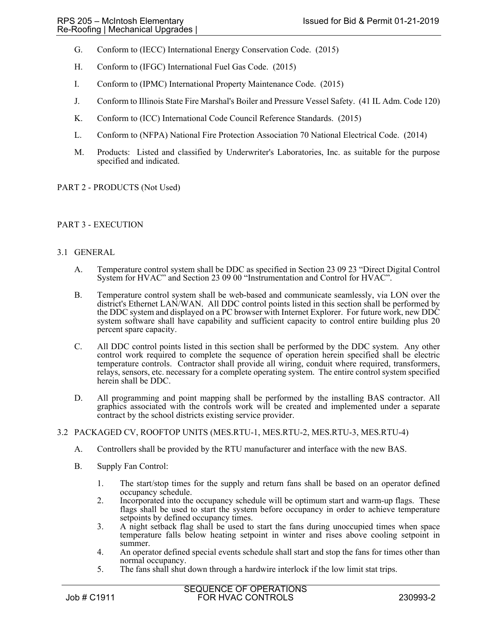- G. Conform to (IECC) International Energy Conservation Code. (2015)
- H. Conform to (IFGC) International Fuel Gas Code. (2015)
- I. Conform to (IPMC) International Property Maintenance Code. (2015)
- J. Conform to Illinois State Fire Marshal's Boiler and Pressure Vessel Safety. (41 IL Adm. Code 120)
- K. Conform to (ICC) International Code Council Reference Standards. (2015)
- L. Conform to (NFPA) National Fire Protection Association 70 National Electrical Code. (2014)
- M. Products: Listed and classified by Underwriter's Laboratories, Inc. as suitable for the purpose specified and indicated.

## PART 2 - PRODUCTS (Not Used)

## PART 3 - EXECUTION

### 3.1 GENERAL

- A. Temperature control system shall be DDC as specified in Section 23 09 23 "Direct Digital Control System for HVAC" and Section 23 09 00 "Instrumentation and Control for HVAC".
- B. Temperature control system shall be web-based and communicate seamlessly, via LON over the district's Ethernet LAN/WAN. All DDC control points listed in this section shall be performed by the DDC system and displayed on a PC browser with Internet Explorer. For future work, new DDC system software shall have capability and sufficient capacity to control entire building plus 20 percent spare capacity.
- C. All DDC control points listed in this section shall be performed by the DDC system. Any other control work required to complete the sequence of operation herein specified shall be electric temperature controls. Contractor shall provide all wiring, conduit where required, transformers, relays, sensors, etc. necessary for a complete operating system. The entire control system specified herein shall be DDC.
- D. All programming and point mapping shall be performed by the installing BAS contractor. All graphics associated with the controls work will be created and implemented under a separate contract by the school districts existing service provider.

#### 3.2 PACKAGED CV, ROOFTOP UNITS (MES.RTU-1, MES.RTU-2, MES.RTU-3, MES.RTU-4)

- A. Controllers shall be provided by the RTU manufacturer and interface with the new BAS.
- B. Supply Fan Control:
	- 1. The start/stop times for the supply and return fans shall be based on an operator defined occupancy schedule.
	- 2. Incorporated into the occupancy schedule will be optimum start and warm-up flags. These flags shall be used to start the system before occupancy in order to achieve temperature setpoints by defined occupancy times.
	- 3. A night setback flag shall be used to start the fans during unoccupied times when space temperature falls below heating setpoint in winter and rises above cooling setpoint in summer.
	- 4. An operator defined special events schedule shall start and stop the fans for times other than normal occupancy.
	- 5. The fans shall shut down through a hardwire interlock if the low limit stat trips.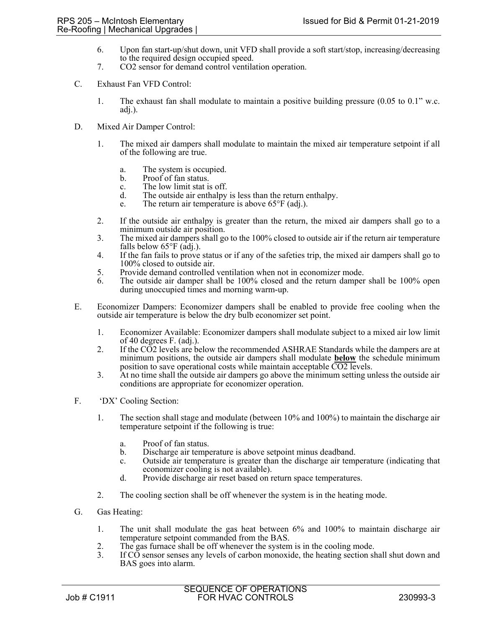- 6. Upon fan start-up/shut down, unit VFD shall provide a soft start/stop, increasing/decreasing to the required design occupied speed.
- 7. CO2 sensor for demand control ventilation operation.
- C. Exhaust Fan VFD Control:
	- 1. The exhaust fan shall modulate to maintain a positive building pressure (0.05 to 0.1" w.c. adj.).
- D. Mixed Air Damper Control:
	- 1. The mixed air dampers shall modulate to maintain the mixed air temperature setpoint if all of the following are true.
		- a. The system is occupied.<br>b. Proof of fan status.
		- Proof of fan status.
		- c. The low limit stat is off.<br>d. The outside air enthalny
		- The outside air enthalpy is less than the return enthalpy.
		- e. The return air temperature is above  $65^{\circ}F$  (adj.).
	- 2. If the outside air enthalpy is greater than the return, the mixed air dampers shall go to a minimum outside air position.
	- 3. The mixed air dampers shall go to the 100% closed to outside air if the return air temperature falls below  $65^{\circ}F$  (adj.).
	- 4. If the fan fails to prove status or if any of the safeties trip, the mixed air dampers shall go to 100% closed to outside air.
	- 5. Provide demand controlled ventilation when not in economizer mode.
	- 6. The outside air damper shall be 100% closed and the return damper shall be 100% open during unoccupied times and morning warm-up.
- E. Economizer Dampers: Economizer dampers shall be enabled to provide free cooling when the outside air temperature is below the dry bulb economizer set point.
	- 1. Economizer Available: Economizer dampers shall modulate subject to a mixed air low limit of 40 degrees F. (adj.).
	- 2. If the CO2 levels are below the recommended ASHRAE Standards while the dampers are at minimum positions, the outside air dampers shall modulate **below** the schedule minimum position to save operational costs while maintain acceptable CO2 levels.
	- 3. At no time shall the outside air dampers go above the minimum setting unless the outside air conditions are appropriate for economizer operation.
- F. 'DX' Cooling Section:
	- 1. The section shall stage and modulate (between 10% and 100%) to maintain the discharge air temperature setpoint if the following is true:
		- a. Proof of fan status.
		- b. Discharge air temperature is above setpoint minus deadband.
		- c. Outside air temperature is greater than the discharge air temperature (indicating that economizer cooling is not available).
		- d. Provide discharge air reset based on return space temperatures.
	- 2. The cooling section shall be off whenever the system is in the heating mode.
- G. Gas Heating:
	- 1. The unit shall modulate the gas heat between 6% and 100% to maintain discharge air temperature setpoint commanded from the BAS.
	- 2. The gas furnace shall be off whenever the system is in the cooling mode.<br>3. If CO sensor senses any levels of carbon monoxide, the heating section sh
	- If CO sensor senses any levels of carbon monoxide, the heating section shall shut down and BAS goes into alarm.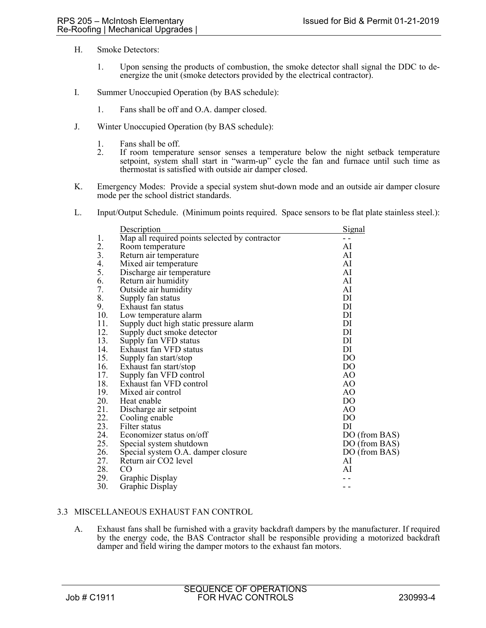- H. Smoke Detectors:
	- 1. Upon sensing the products of combustion, the smoke detector shall signal the DDC to deenergize the unit (smoke detectors provided by the electrical contractor).
- I. Summer Unoccupied Operation (by BAS schedule):
	- 1. Fans shall be off and O.A. damper closed.
- J. Winter Unoccupied Operation (by BAS schedule):
	- 1. Fans shall be off.
	- 2. If room temperature sensor senses a temperature below the night setback temperature setpoint, system shall start in "warm-up" cycle the fan and furnace until such time as thermostat is satisfied with outside air damper closed.
- K. Emergency Modes: Provide a special system shut-down mode and an outside air damper closure mode per the school district standards.
- L. Input/Output Schedule. (Minimum points required. Space sensors to be flat plate stainless steel.):

|     | Description                                    | Signal         |
|-----|------------------------------------------------|----------------|
| 1.  | Map all required points selected by contractor | - -            |
| 2.  | Room temperature                               | AI             |
| 3.  | Return air temperature                         | AI             |
| 4.  | Mixed air temperature                          | AI             |
| 5.  | Discharge air temperature                      | AI             |
| 6.  | Return air humidity                            | AI             |
| 7.  | Outside air humidity                           | AI             |
| 8.  | Supply fan status                              | DI             |
| 9.  | Exhaust fan status                             | DI             |
| 10. | Low temperature alarm                          | DI             |
| 11. | Supply duct high static pressure alarm         | DI             |
| 12. | Supply duct smoke detector                     | DI             |
| 13. | Supply fan VFD status                          | DI             |
| 14. | Exhaust fan VFD status                         | DI             |
| 15. | Supply fan start/stop                          | D <sub>O</sub> |
| 16. | Exhaust fan start/stop                         | D <sub>O</sub> |
| 17. | Supply fan VFD control                         | AO             |
| 18. | Exhaust fan VFD control                        | AO             |
| 19. | Mixed air control                              | AO             |
| 20. | Heat enable                                    | D <sub>O</sub> |
| 21. | Discharge air setpoint                         | AO             |
| 22. | Cooling enable                                 | D <sub>O</sub> |
| 23. | Filter status                                  | DI             |
| 24. | Economizer status on/off                       | DO (from BAS)  |
| 25. | Special system shutdown                        | DO (from BAS)  |
| 26. | Special system O.A. damper closure             | DO (from BAS)  |
| 27. | Return air CO2 level                           | AI             |
| 28. | CO.                                            | AI             |
| 29. | Graphic Display                                |                |
| 30. | Graphic Display                                |                |

# 3.3 MISCELLANEOUS EXHAUST FAN CONTROL

A. Exhaust fans shall be furnished with a gravity backdraft dampers by the manufacturer. If required by the energy code, the BAS Contractor shall be responsible providing a motorized backdraft damper and field wiring the damper motors to the exhaust fan motors.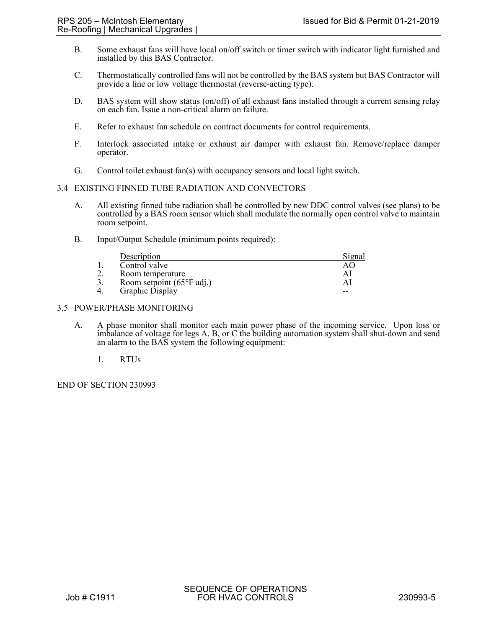- B. Some exhaust fans will have local on/off switch or timer switch with indicator light furnished and installed by this BAS Contractor.
- C. Thermostatically controlled fans will not be controlled by the BAS system but BAS Contractor will provide a line or low voltage thermostat (reverse-acting type).
- D. BAS system will show status (on/off) of all exhaust fans installed through a current sensing relay on each fan. Issue a non-critical alarm on failure.
- E. Refer to exhaust fan schedule on contract documents for control requirements.
- F. Interlock associated intake or exhaust air damper with exhaust fan. Remove/replace damper operator.
- G. Control toilet exhaust fan(s) with occupancy sensors and local light switch.

### 3.4 EXISTING FINNED TUBE RADIATION AND CONVECTORS

- A. All existing finned tube radiation shall be controlled by new DDC control valves (see plans) to be controlled by a BAS room sensor which shall modulate the normally open control valve to maintain room setpoint.
- B. Input/Output Schedule (minimum points required):

| Description                                | Sıgnal |
|--------------------------------------------|--------|
| Control valve                              |        |
| Room temperature                           | A      |
| Room setpoint $(65^{\circ}F \text{ adj.})$ | A      |
| Graphic Display                            | --     |

### 3.5 POWER/PHASE MONITORING

- A. A phase monitor shall monitor each main power phase of the incoming service. Upon loss or imbalance of voltage for legs A, B, or C the building automation system shall shut-down and send an alarm to the BAS system the following equipment:
	- 1. RTUs

END OF SECTION 230993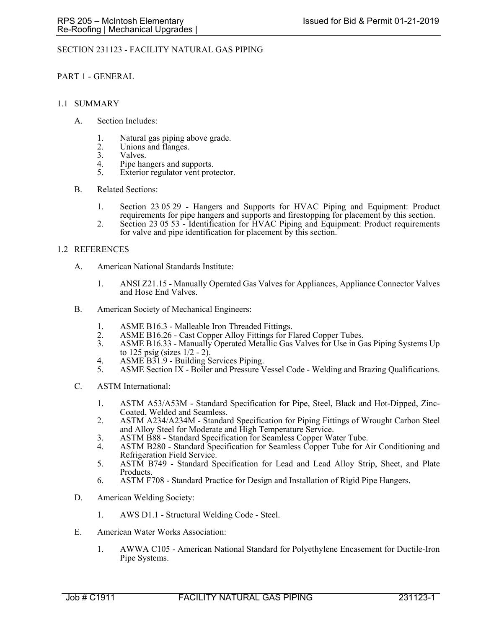## SECTION 231123 - FACILITY NATURAL GAS PIPING

#### PART 1 - GENERAL

#### 1.1 SUMMARY

- A. Section Includes:
	- 1. Natural gas piping above grade.
	- 2. Unions and flanges.<br>3. Valves.
	- Valves.
	- 4. Pipe hangers and supports.<br>5. Exterior regulator vent prot
	- Exterior regulator vent protector.
- B. Related Sections:
	- 1. Section 23 05 29 Hangers and Supports for HVAC Piping and Equipment: Product requirements for pipe hangers and supports and firestopping for placement by this section.
	- 2. Section 23 05 53 Identification for HVAC Piping and Equipment: Product requirements for valve and pipe identification for placement by this section.

### 1.2 REFERENCES

- A. American National Standards Institute:
	- 1. ANSI Z21.15 Manually Operated Gas Valves for Appliances, Appliance Connector Valves and Hose End Valves.
- B. American Society of Mechanical Engineers:
	- 1. ASME B16.3 Malleable Iron Threaded Fittings.
	- 2. ASME B16.26 Cast Copper Alloy Fittings for Flared Copper Tubes.<br>3. ASME B16.33 Manually Operated Metallic Gas Valves for Use in Gas
	- ASME B16.33 Manually Operated Metallic Gas Valves for Use in Gas Piping Systems Up to 125 psig (sizes 1/2 - 2).
	- 4. ASME B31.9 Building Services Piping.
	- 5. ASME Section IX Boiler and Pressure Vessel Code Welding and Brazing Qualifications.
- C. ASTM International:
	- 1. ASTM A53/A53M Standard Specification for Pipe, Steel, Black and Hot-Dipped, Zinc-Coated, Welded and Seamless.
	- 2. ASTM A234/A234M Standard Specification for Piping Fittings of Wrought Carbon Steel and Alloy Steel for Moderate and High Temperature Service.
	- 3. ASTM B88 Standard Specification for Seamless Copper Water Tube.
	- 4. ASTM B280 Standard Specification for Seamless Copper Tube for Air Conditioning and Refrigeration Field Service.
	- 5. ASTM B749 Standard Specification for Lead and Lead Alloy Strip, Sheet, and Plate Products.
	- 6. ASTM F708 Standard Practice for Design and Installation of Rigid Pipe Hangers.
- D. American Welding Society:
	- 1. AWS D1.1 Structural Welding Code Steel.
- E. American Water Works Association:
	- 1. AWWA C105 American National Standard for Polyethylene Encasement for Ductile-Iron Pipe Systems.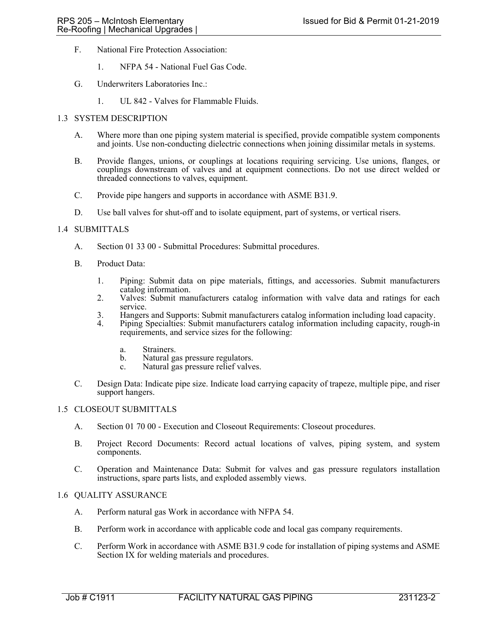- F. National Fire Protection Association:
	- 1. NFPA 54 National Fuel Gas Code.
- G. Underwriters Laboratories Inc.:
	- 1. UL 842 Valves for Flammable Fluids.

### 1.3 SYSTEM DESCRIPTION

- A. Where more than one piping system material is specified, provide compatible system components and joints. Use non-conducting dielectric connections when joining dissimilar metals in systems.
- B. Provide flanges, unions, or couplings at locations requiring servicing. Use unions, flanges, or couplings downstream of valves and at equipment connections. Do not use direct welded or threaded connections to valves, equipment.
- C. Provide pipe hangers and supports in accordance with ASME B31.9.
- D. Use ball valves for shut-off and to isolate equipment, part of systems, or vertical risers.

### 1.4 SUBMITTALS

- A. Section 01 33 00 Submittal Procedures: Submittal procedures.
- B. Product Data:
	- 1. Piping: Submit data on pipe materials, fittings, and accessories. Submit manufacturers catalog information.
	- 2. Valves: Submit manufacturers catalog information with valve data and ratings for each service.
	- 3. Hangers and Supports: Submit manufacturers catalog information including load capacity.
	- 4. Piping Specialties: Submit manufacturers catalog information including capacity, rough-in requirements, and service sizes for the following:
		- a. Strainers.
		- b. Natural gas pressure regulators.
		- c. Natural gas pressure relief valves.
- C. Design Data: Indicate pipe size. Indicate load carrying capacity of trapeze, multiple pipe, and riser support hangers.

#### 1.5 CLOSEOUT SUBMITTALS

- A. Section 01 70 00 Execution and Closeout Requirements: Closeout procedures.
- B. Project Record Documents: Record actual locations of valves, piping system, and system components.
- C. Operation and Maintenance Data: Submit for valves and gas pressure regulators installation instructions, spare parts lists, and exploded assembly views.

## 1.6 QUALITY ASSURANCE

- A. Perform natural gas Work in accordance with NFPA 54.
- B. Perform work in accordance with applicable code and local gas company requirements.
- C. Perform Work in accordance with ASME B31.9 code for installation of piping systems and ASME Section IX for welding materials and procedures.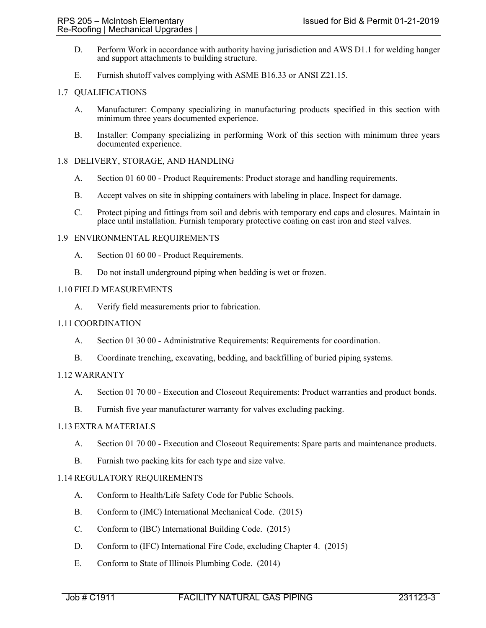- D. Perform Work in accordance with authority having jurisdiction and AWS D1.1 for welding hanger and support attachments to building structure.
- E. Furnish shutoff valves complying with ASME B16.33 or ANSI Z21.15.

## 1.7 QUALIFICATIONS

- A. Manufacturer: Company specializing in manufacturing products specified in this section with minimum three years documented experience.
- B. Installer: Company specializing in performing Work of this section with minimum three years documented experience.

### 1.8 DELIVERY, STORAGE, AND HANDLING

- A. Section 01 60 00 Product Requirements: Product storage and handling requirements.
- B. Accept valves on site in shipping containers with labeling in place. Inspect for damage.
- C. Protect piping and fittings from soil and debris with temporary end caps and closures. Maintain in place until installation. Furnish temporary protective coating on cast iron and steel valves.

### 1.9 ENVIRONMENTAL REQUIREMENTS

- A. Section 01 60 00 Product Requirements.
- B. Do not install underground piping when bedding is wet or frozen.

## 1.10 FIELD MEASUREMENTS

A. Verify field measurements prior to fabrication.

## 1.11 COORDINATION

- A. Section 01 30 00 Administrative Requirements: Requirements for coordination.
- B. Coordinate trenching, excavating, bedding, and backfilling of buried piping systems.

## 1.12 WARRANTY

- A. Section 01 70 00 Execution and Closeout Requirements: Product warranties and product bonds.
- B. Furnish five year manufacturer warranty for valves excluding packing.

### 1.13 EXTRA MATERIALS

- A. Section 01 70 00 Execution and Closeout Requirements: Spare parts and maintenance products.
- B. Furnish two packing kits for each type and size valve.

## 1.14 REGULATORY REQUIREMENTS

- A. Conform to Health/Life Safety Code for Public Schools.
- B. Conform to (IMC) International Mechanical Code. (2015)
- C. Conform to (IBC) International Building Code. (2015)
- D. Conform to (IFC) International Fire Code, excluding Chapter 4. (2015)
- E. Conform to State of Illinois Plumbing Code. (2014)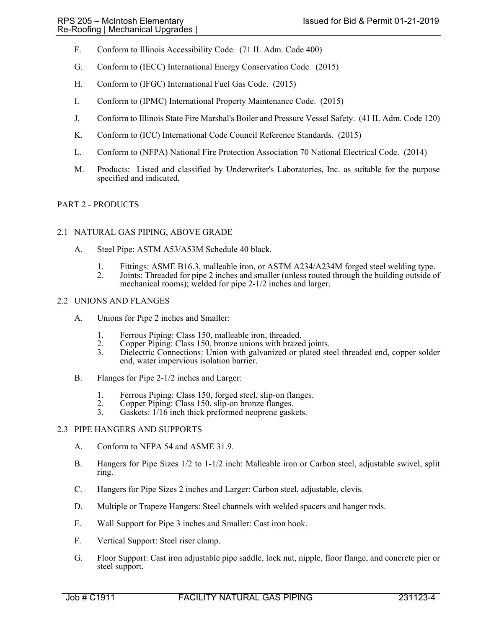- F. Conform to Illinois Accessibility Code. (71 IL Adm. Code 400)
- G. Conform to (IECC) International Energy Conservation Code. (2015)
- H. Conform to (IFGC) International Fuel Gas Code. (2015)
- I. Conform to (IPMC) International Property Maintenance Code. (2015)
- J. Conform to Illinois State Fire Marshal's Boiler and Pressure Vessel Safety. (41 IL Adm. Code 120)
- K. Conform to (ICC) International Code Council Reference Standards. (2015)
- L. Conform to (NFPA) National Fire Protection Association 70 National Electrical Code. (2014)
- M. Products: Listed and classified by Underwriter's Laboratories, Inc. as suitable for the purpose specified and indicated.

## PART 2 - PRODUCTS

#### 2.1 NATURAL GAS PIPING, ABOVE GRADE

- A. Steel Pipe: ASTM A53/A53M Schedule 40 black.
	- 1. Fittings: ASME B16.3, malleable iron, or ASTM A234/A234M forged steel welding type.
	- 2. Joints: Threaded for pipe 2 inches and smaller (unless routed through the building outside of mechanical rooms); welded for pipe 2-1/2 inches and larger.

#### 2.2 UNIONS AND FLANGES

- A. Unions for Pipe 2 inches and Smaller:
	-
	- 1. Ferrous Piping: Class 150, malleable iron, threaded.<br>2. Copper Piping: Class 150, bronze unions with brazed 2. Copper Piping: Class 150, bronze unions with brazed joints.<br>3. Dielectric Connections: Union with galvanized or plated ste
	- Dielectric Connections: Union with galvanized or plated steel threaded end, copper solder end, water impervious isolation barrier.
- B. Flanges for Pipe 2-1/2 inches and Larger:
	- 1. Ferrous Piping: Class 150, forged steel, slip-on flanges.
	- 2. Copper Piping: Class 150, slip-on bronze flanges.<br>3. Gaskets: 1/16 inch thick preformed neoprene gask
	- Gaskets:  $1/16$  inch thick preformed neoprene gaskets.

#### 2.3 PIPE HANGERS AND SUPPORTS

- A. Conform to NFPA 54 and ASME 31.9.
- B. Hangers for Pipe Sizes 1/2 to 1-1/2 inch: Malleable iron or Carbon steel, adjustable swivel, split ring.
- C. Hangers for Pipe Sizes 2 inches and Larger: Carbon steel, adjustable, clevis.
- D. Multiple or Trapeze Hangers: Steel channels with welded spacers and hanger rods.
- E. Wall Support for Pipe 3 inches and Smaller: Cast iron hook.
- F. Vertical Support: Steel riser clamp.
- G. Floor Support: Cast iron adjustable pipe saddle, lock nut, nipple, floor flange, and concrete pier or steel support.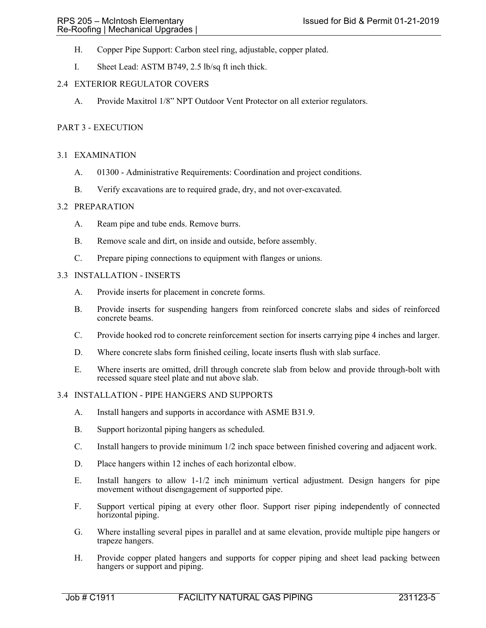- H. Copper Pipe Support: Carbon steel ring, adjustable, copper plated.
- I. Sheet Lead: ASTM B749, 2.5 lb/sq ft inch thick.

# 2.4 EXTERIOR REGULATOR COVERS

A. Provide Maxitrol 1/8" NPT Outdoor Vent Protector on all exterior regulators.

## PART 3 - EXECUTION

### 3.1 EXAMINATION

- A. 01300 Administrative Requirements: Coordination and project conditions.
- B. Verify excavations are to required grade, dry, and not over-excavated.

#### 3.2 PREPARATION

- A. Ream pipe and tube ends. Remove burrs.
- B. Remove scale and dirt, on inside and outside, before assembly.
- C. Prepare piping connections to equipment with flanges or unions.

## 3.3 INSTALLATION - INSERTS

- A. Provide inserts for placement in concrete forms.
- B. Provide inserts for suspending hangers from reinforced concrete slabs and sides of reinforced concrete beams.
- C. Provide hooked rod to concrete reinforcement section for inserts carrying pipe 4 inches and larger.
- D. Where concrete slabs form finished ceiling, locate inserts flush with slab surface.
- E. Where inserts are omitted, drill through concrete slab from below and provide through-bolt with recessed square steel plate and nut above slab.

## 3.4 INSTALLATION - PIPE HANGERS AND SUPPORTS

- A. Install hangers and supports in accordance with ASME B31.9.
- B. Support horizontal piping hangers as scheduled.
- C. Install hangers to provide minimum 1/2 inch space between finished covering and adjacent work.
- D. Place hangers within 12 inches of each horizontal elbow.
- E. Install hangers to allow 1-1/2 inch minimum vertical adjustment. Design hangers for pipe movement without disengagement of supported pipe.
- F. Support vertical piping at every other floor. Support riser piping independently of connected horizontal piping.
- G. Where installing several pipes in parallel and at same elevation, provide multiple pipe hangers or trapeze hangers.
- H. Provide copper plated hangers and supports for copper piping and sheet lead packing between hangers or support and piping.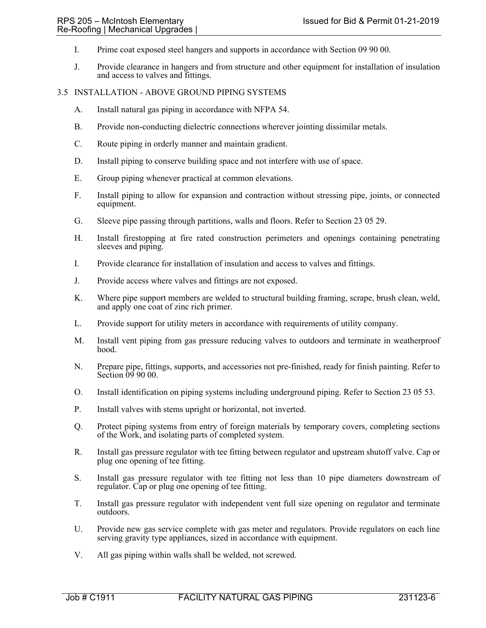- I. Prime coat exposed steel hangers and supports in accordance with Section 09 90 00.
- J. Provide clearance in hangers and from structure and other equipment for installation of insulation and access to valves and fittings.

#### 3.5 INSTALLATION - ABOVE GROUND PIPING SYSTEMS

- A. Install natural gas piping in accordance with NFPA 54.
- B. Provide non-conducting dielectric connections wherever jointing dissimilar metals.
- C. Route piping in orderly manner and maintain gradient.
- D. Install piping to conserve building space and not interfere with use of space.
- E. Group piping whenever practical at common elevations.
- F. Install piping to allow for expansion and contraction without stressing pipe, joints, or connected equipment.
- G. Sleeve pipe passing through partitions, walls and floors. Refer to Section 23 05 29.
- H. Install firestopping at fire rated construction perimeters and openings containing penetrating sleeves and piping.
- I. Provide clearance for installation of insulation and access to valves and fittings.
- J. Provide access where valves and fittings are not exposed.
- K. Where pipe support members are welded to structural building framing, scrape, brush clean, weld, and apply one coat of zinc rich primer.
- L. Provide support for utility meters in accordance with requirements of utility company.
- M. Install vent piping from gas pressure reducing valves to outdoors and terminate in weatherproof hood.
- N. Prepare pipe, fittings, supports, and accessories not pre-finished, ready for finish painting. Refer to Section  $\dot{0}9900$ .
- O. Install identification on piping systems including underground piping. Refer to Section 23 05 53.
- P. Install valves with stems upright or horizontal, not inverted.
- Q. Protect piping systems from entry of foreign materials by temporary covers, completing sections of the Work, and isolating parts of completed system.
- R. Install gas pressure regulator with tee fitting between regulator and upstream shutoff valve. Cap or plug one opening of tee fitting.
- S. Install gas pressure regulator with tee fitting not less than 10 pipe diameters downstream of regulator. Cap or plug one opening of tee fitting.
- T. Install gas pressure regulator with independent vent full size opening on regulator and terminate outdoors.
- U. Provide new gas service complete with gas meter and regulators. Provide regulators on each line serving gravity type appliances, sized in accordance with equipment.
- V. All gas piping within walls shall be welded, not screwed.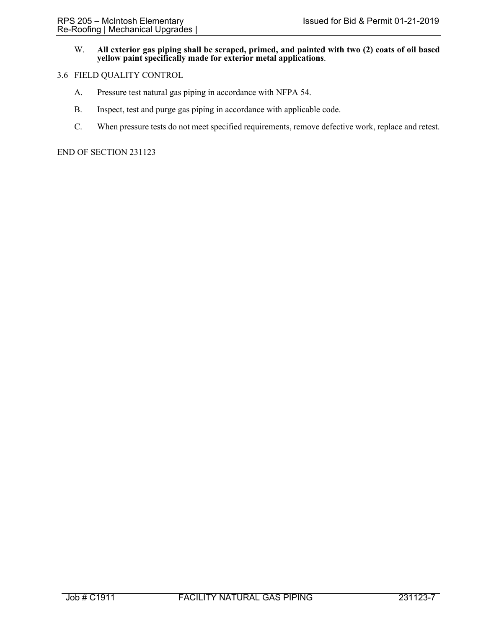## W. **All exterior gas piping shall be scraped, primed, and painted with two (2) coats of oil based yellow paint specifically made for exterior metal applications**.

### 3.6 FIELD QUALITY CONTROL

- A. Pressure test natural gas piping in accordance with NFPA 54.
- B. Inspect, test and purge gas piping in accordance with applicable code.
- C. When pressure tests do not meet specified requirements, remove defective work, replace and retest.

END OF SECTION 231123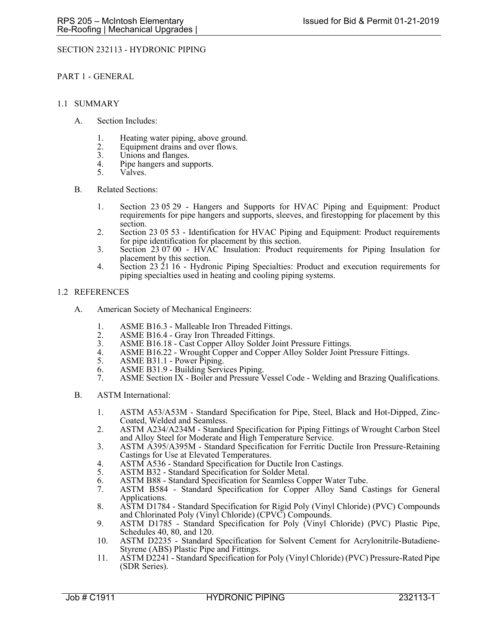# SECTION 232113 - HYDRONIC PIPING

PART 1 - GENERAL

#### 1.1 SUMMARY

- A. Section Includes:
	- 1. Heating water piping, above ground.
	- 2. Equipment drains and over flows.<br>3. Unions and flanges.
	- 3. Unions and flanges.<br>4. Pine hangers and suit
	- 4. Pipe hangers and supports.<br>5. Valves.
	- Valves.
- B. Related Sections:
	- 1. Section 23 05 29 Hangers and Supports for HVAC Piping and Equipment: Product requirements for pipe hangers and supports, sleeves, and firestopping for placement by this section.
	- 2. Section 23 05 53 Identification for HVAC Piping and Equipment: Product requirements for pipe identification for placement by this section.
	- 3. Section 23 07 00 HVAC Insulation: Product requirements for Piping Insulation for placement by this section.
	- 4. Section 23 21 16 Hydronic Piping Specialties: Product and execution requirements for piping specialties used in heating and cooling piping systems.

### 1.2 REFERENCES

- A. American Society of Mechanical Engineers:
	- 1. ASME B16.3 Malleable Iron Threaded Fittings.<br>2. ASME B16.4 Grav Iron Threaded Fittings.
	- 2. ASME B16.4 Gray Iron Threaded Fittings.<br>3. ASME B16.18 Cast Copper Alloy Solder Jo
	- 3. ASME B16.18 Cast Copper Alloy Solder Joint Pressure Fittings.<br>4. ASME B16.22 Wrought Copper and Copper Alloy Solder Joint P
	- ASME B16.22 Wrought Copper and Copper Alloy Solder Joint Pressure Fittings.
	- 5. ASME B31.1 Power Piping.
	- 6. ASME B31.9 Building Services Piping.
	- 7. ASME Section IX Boiler and Pressure Vessel Code Welding and Brazing Qualifications.
- B. ASTM International:
	- 1. ASTM A53/A53M Standard Specification for Pipe, Steel, Black and Hot-Dipped, Zinc-Coated, Welded and Seamless.
	- 2. ASTM A234/A234M Standard Specification for Piping Fittings of Wrought Carbon Steel and Alloy Steel for Moderate and High Temperature Service.
	- 3. ASTM A395/A395M Standard Specification for Ferritic Ductile Iron Pressure-Retaining Castings for Use at Elevated Temperatures.
	- 4. ASTM A536 Standard Specification for Ductile Iron Castings.<br>5. ASTM B32 Standard Specification for Solder Metal.
	- ASTM B32 Standard Specification for Solder Metal.
	- 6. ASTM B88 Standard Specification for Seamless Copper Water Tube.
	- 7. ASTM B584 Standard Specification for Copper Alloy Sand Castings for General Applications.
	- 8. ASTM D1784 Standard Specification for Rigid Poly (Vinyl Chloride) (PVC) Compounds and Chlorinated Poly (Vinyl Chloride) (CPVC) Compounds.
	- 9. ASTM D1785 Standard Specification for Poly (Vinyl Chloride) (PVC) Plastic Pipe, Schedules 40, 80, and 120.
	- 10. ASTM D2235 Standard Specification for Solvent Cement for Acrylonitrile-Butadiene-Styrene (ABS) Plastic Pipe and Fittings.
	- 11. ASTM D2241 Standard Specification for Poly (Vinyl Chloride) (PVC) Pressure-Rated Pipe (SDR Series).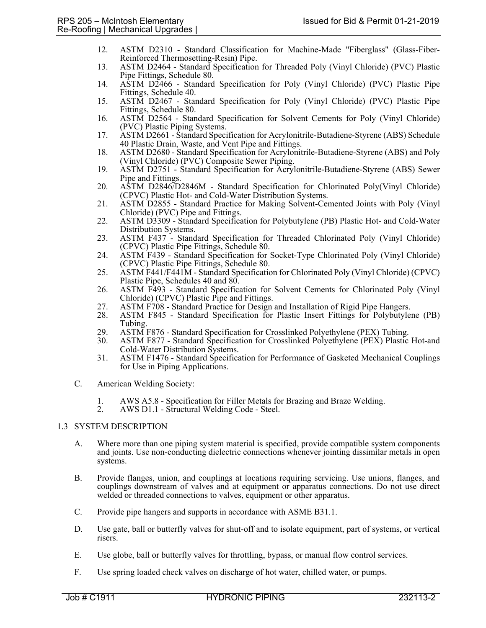- 12. ASTM D2310 Standard Classification for Machine-Made "Fiberglass" (Glass-Fiber-Reinforced Thermosetting-Resin) Pipe.
- 13. ASTM D2464 Standard Specification for Threaded Poly (Vinyl Chloride) (PVC) Plastic Pipe Fittings, Schedule 80.
- 14. ASTM D2466 Standard Specification for Poly (Vinyl Chloride) (PVC) Plastic Pipe Fittings, Schedule 40.
- 15. ASTM D2467 Standard Specification for Poly (Vinyl Chloride) (PVC) Plastic Pipe Fittings, Schedule 80.
- 16. ASTM D2564 Standard Specification for Solvent Cements for Poly (Vinyl Chloride) (PVC) Plastic Piping Systems.
- 17. ASTM D2661 Standard Specification for Acrylonitrile-Butadiene-Styrene (ABS) Schedule 40 Plastic Drain, Waste, and Vent Pipe and Fittings.
- 18. ASTM D2680 Standard Specification for Acrylonitrile-Butadiene-Styrene (ABS) and Poly (Vinyl Chloride) (PVC) Composite Sewer Piping.
- 19. ASTM D2751 Standard Specification for Acrylonitrile-Butadiene-Styrene (ABS) Sewer Pipe and Fittings.
- 20. ASTM D2846/D2846M Standard Specification for Chlorinated Poly(Vinyl Chloride) (CPVC) Plastic Hot- and Cold-Water Distribution Systems.
- 21. ASTM D2855 Standard Practice for Making Solvent-Cemented Joints with Poly (Vinyl Chloride) (PVC) Pipe and Fittings.
- 22. ASTM D3309 Standard Specification for Polybutylene (PB) Plastic Hot- and Cold-Water Distribution Systems.
- 23. ASTM F437 Standard Specification for Threaded Chlorinated Poly (Vinyl Chloride) (CPVC) Plastic Pipe Fittings, Schedule 80.
- 24. ASTM F439 Standard Specification for Socket-Type Chlorinated Poly (Vinyl Chloride) (CPVC) Plastic Pipe Fittings, Schedule 80.
- 25. ASTM F441/F441M Standard Specification for Chlorinated Poly (Vinyl Chloride) (CPVC) Plastic Pipe, Schedules 40 and 80.
- 26. ASTM F493 Standard Specification for Solvent Cements for Chlorinated Poly (Vinyl Chloride) (CPVC) Plastic Pipe and Fittings.
- 27. ASTM F708 Standard Practice for Design and Installation of Rigid Pipe Hangers.
- 28. ASTM F845 Standard Specification for Plastic Insert Fittings for Polybutylene (PB) Tubing.
- 29. ASTM F876 Standard Specification for Crosslinked Polyethylene (PEX) Tubing.
- 30. ASTM F877 Standard Specification for Crosslinked Polyethylene (PEX) Plastic Hot-and Cold-Water Distribution Systems.
- 31. ASTM F1476 Standard Specification for Performance of Gasketed Mechanical Couplings for Use in Piping Applications.
- C. American Welding Society:
	- 1. AWS A5.8 Specification for Filler Metals for Brazing and Braze Welding.<br>2. AWS D1.1 Structural Welding Code Steel.
	- AWS D1.1 Structural Welding Code Steel.

## 1.3 SYSTEM DESCRIPTION

- A. Where more than one piping system material is specified, provide compatible system components and joints. Use non-conducting dielectric connections whenever jointing dissimilar metals in open systems.
- B. Provide flanges, union, and couplings at locations requiring servicing. Use unions, flanges, and couplings downstream of valves and at equipment or apparatus connections. Do not use direct welded or threaded connections to valves, equipment or other apparatus.
- C. Provide pipe hangers and supports in accordance with ASME B31.1.
- D. Use gate, ball or butterfly valves for shut-off and to isolate equipment, part of systems, or vertical risers.
- E. Use globe, ball or butterfly valves for throttling, bypass, or manual flow control services.
- F. Use spring loaded check valves on discharge of hot water, chilled water, or pumps.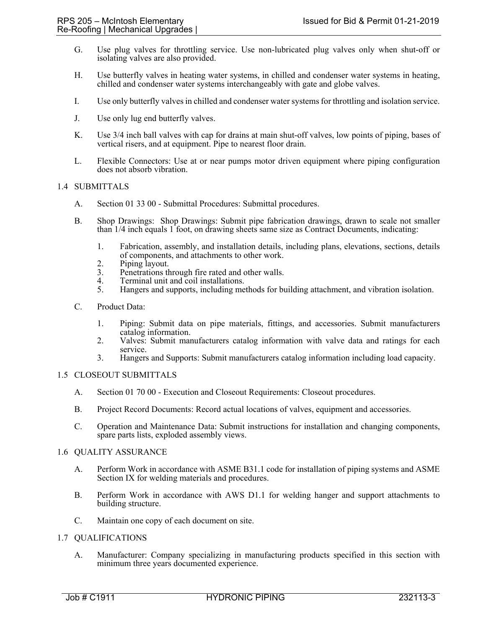- G. Use plug valves for throttling service. Use non-lubricated plug valves only when shut-off or isolating valves are also provided.
- H. Use butterfly valves in heating water systems, in chilled and condenser water systems in heating, chilled and condenser water systems interchangeably with gate and globe valves.
- I. Use only butterfly valves in chilled and condenser water systems for throttling and isolation service.
- J. Use only lug end butterfly valves.
- K. Use 3/4 inch ball valves with cap for drains at main shut-off valves, low points of piping, bases of vertical risers, and at equipment. Pipe to nearest floor drain.
- L. Flexible Connectors: Use at or near pumps motor driven equipment where piping configuration does not absorb vibration.

#### 1.4 SUBMITTALS

- A. Section 01 33 00 Submittal Procedures: Submittal procedures.
- B. Shop Drawings: Shop Drawings: Submit pipe fabrication drawings, drawn to scale not smaller than 1/4 inch equals 1 foot, on drawing sheets same size as Contract Documents, indicating:
	- 1. Fabrication, assembly, and installation details, including plans, elevations, sections, details of components, and attachments to other work.
	- 2. Piping layout.<br>3. Penetrations the
	- 3. Penetrations through fire rated and other walls.<br>4. Terminal unit and coil installations.
	- Terminal unit and coil installations.
	- 5. Hangers and supports, including methods for building attachment, and vibration isolation.
- C. Product Data:
	- 1. Piping: Submit data on pipe materials, fittings, and accessories. Submit manufacturers catalog information.
	- 2. Valves: Submit manufacturers catalog information with valve data and ratings for each service.
	- 3. Hangers and Supports: Submit manufacturers catalog information including load capacity.

#### 1.5 CLOSEOUT SUBMITTALS

- A. Section 01 70 00 Execution and Closeout Requirements: Closeout procedures.
- B. Project Record Documents: Record actual locations of valves, equipment and accessories.
- C. Operation and Maintenance Data: Submit instructions for installation and changing components, spare parts lists, exploded assembly views.

#### 1.6 QUALITY ASSURANCE

- A. Perform Work in accordance with ASME B31.1 code for installation of piping systems and ASME Section IX for welding materials and procedures.
- B. Perform Work in accordance with AWS D1.1 for welding hanger and support attachments to building structure.
- C. Maintain one copy of each document on site.

#### 1.7 QUALIFICATIONS

A. Manufacturer: Company specializing in manufacturing products specified in this section with minimum three years documented experience.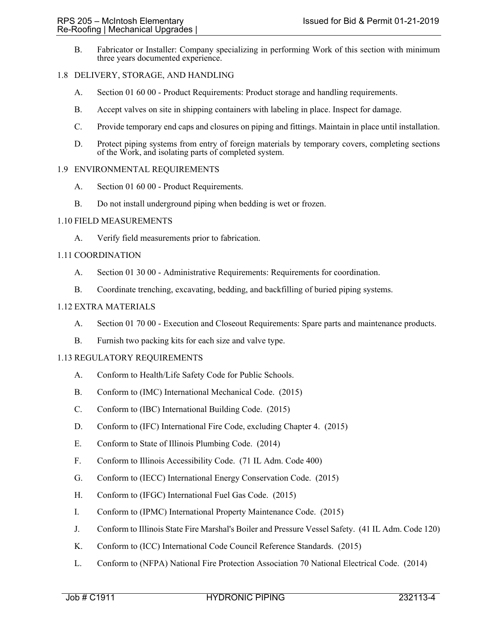B. Fabricator or Installer: Company specializing in performing Work of this section with minimum three years documented experience.

## 1.8 DELIVERY, STORAGE, AND HANDLING

- A. Section 01 60 00 Product Requirements: Product storage and handling requirements.
- B. Accept valves on site in shipping containers with labeling in place. Inspect for damage.
- C. Provide temporary end caps and closures on piping and fittings. Maintain in place until installation.
- D. Protect piping systems from entry of foreign materials by temporary covers, completing sections of the Work, and isolating parts of completed system.

## 1.9 ENVIRONMENTAL REQUIREMENTS

- A. Section 01 60 00 Product Requirements.
- B. Do not install underground piping when bedding is wet or frozen.

### 1.10 FIELD MEASUREMENTS

A. Verify field measurements prior to fabrication.

### 1.11 COORDINATION

- A. Section 01 30 00 Administrative Requirements: Requirements for coordination.
- B. Coordinate trenching, excavating, bedding, and backfilling of buried piping systems.

## 1.12 EXTRA MATERIALS

- A. Section 01 70 00 Execution and Closeout Requirements: Spare parts and maintenance products.
- B. Furnish two packing kits for each size and valve type.

### 1.13 REGULATORY REQUIREMENTS

- A. Conform to Health/Life Safety Code for Public Schools.
- B. Conform to (IMC) International Mechanical Code. (2015)
- C. Conform to (IBC) International Building Code. (2015)
- D. Conform to (IFC) International Fire Code, excluding Chapter 4. (2015)
- E. Conform to State of Illinois Plumbing Code. (2014)
- F. Conform to Illinois Accessibility Code. (71 IL Adm. Code 400)
- G. Conform to (IECC) International Energy Conservation Code. (2015)
- H. Conform to (IFGC) International Fuel Gas Code. (2015)
- I. Conform to (IPMC) International Property Maintenance Code. (2015)
- J. Conform to Illinois State Fire Marshal's Boiler and Pressure Vessel Safety. (41 IL Adm. Code 120)
- K. Conform to (ICC) International Code Council Reference Standards. (2015)
- L. Conform to (NFPA) National Fire Protection Association 70 National Electrical Code. (2014)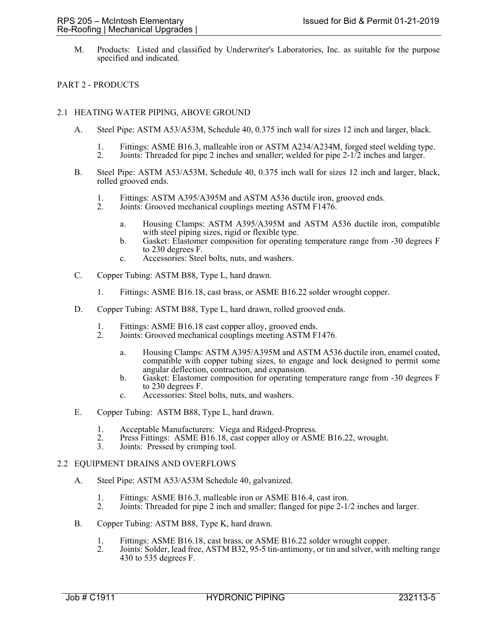M. Products: Listed and classified by Underwriter's Laboratories, Inc. as suitable for the purpose specified and indicated.

# PART 2 - PRODUCTS

## 2.1 HEATING WATER PIPING, ABOVE GROUND

- A. Steel Pipe: ASTM A53/A53M, Schedule 40, 0.375 inch wall for sizes 12 inch and larger, black.
	- 1. Fittings: ASME B16.3, malleable iron or ASTM A234/A234M, forged steel welding type.
	- 2. Joints: Threaded for pipe 2 inches and smaller; welded for pipe 2-1/2 inches and larger.
- B. Steel Pipe: ASTM A53/A53M, Schedule 40, 0.375 inch wall for sizes 12 inch and larger, black, rolled grooved ends.
	- 1. Fittings: ASTM A395/A395M and ASTM A536 ductile iron, grooved ends.
	- 2. Joints: Grooved mechanical couplings meeting ASTM F1476.
		- a. Housing Clamps: ASTM A395/A395M and ASTM A536 ductile iron, compatible with steel piping sizes, rigid or flexible type.
		- b. Gasket: Elastomer composition for operating temperature range from -30 degrees F to 230 degrees F.
		- c. Accessories: Steel bolts, nuts, and washers.
- C. Copper Tubing: ASTM B88, Type L, hard drawn.
	- 1. Fittings: ASME B16.18, cast brass, or ASME B16.22 solder wrought copper.
- D. Copper Tubing: ASTM B88, Type L, hard drawn, rolled grooved ends.
	- 1. Fittings: ASME B16.18 cast copper alloy, grooved ends.<br>2. Joints: Grooved mechanical couplings meeting ASTM F
		- Joints: Grooved mechanical couplings meeting ASTM F1476.
			- a. Housing Clamps: ASTM A395/A395M and ASTM A536 ductile iron, enamel coated, compatible with copper tubing sizes, to engage and lock designed to permit some angular deflection, contraction, and expansion.
			- b. Gasket: Elastomer composition for operating temperature range from -30 degrees F to 230 degrees F.
			- c. Accessories: Steel bolts, nuts, and washers.
- E. Copper Tubing: ASTM B88, Type L, hard drawn.
	- 1. Acceptable Manufacturers: Viega and Ridged-Propress.
	- Press Fittings: ASME B16.18, cast copper alloy or ASME B16.22, wrought.
	- 3. Joints: Pressed by crimping tool.

#### 2.2 EQUIPMENT DRAINS AND OVERFLOWS

- A. Steel Pipe: ASTM A53/A53M Schedule 40, galvanized.
	- 1. Fittings: ASME B16.3, malleable iron or ASME B16.4, cast iron.<br>2. Joints: Threaded for pipe 2 inch and smaller: flanged for pipe 2-1/
	- 2. Joints: Threaded for pipe 2 inch and smaller; flanged for pipe 2-1/2 inches and larger.
- B. Copper Tubing: ASTM B88, Type K, hard drawn.
	- 1. Fittings: ASME B16.18, cast brass, or ASME B16.22 solder wrought copper.<br>2. Joints: Solder, lead free, ASTM B32, 95-5 tin-antimony, or tin and silver, with
	- Joints: Solder, lead free, ASTM B32, 95-5 tin-antimony, or tin and silver, with melting range 430 to 535 degrees F.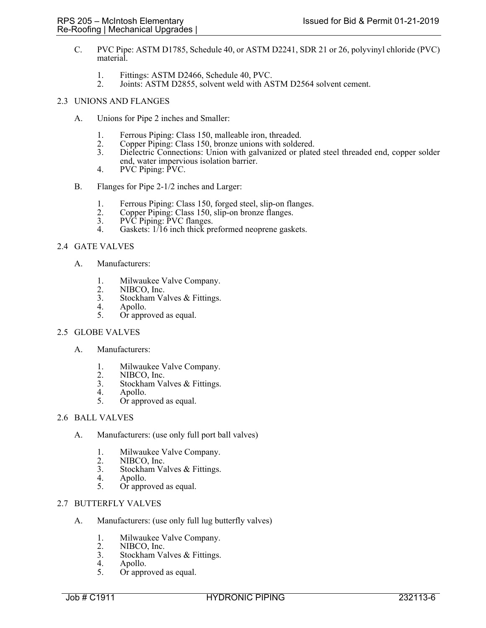- C. PVC Pipe: ASTM D1785, Schedule 40, or ASTM D2241, SDR 21 or 26, polyvinyl chloride (PVC) material.
	- 1. Fittings: ASTM D2466, Schedule 40, PVC.<br>2. Joints: ASTM D2855, solvent weld with AS
	- 2. Joints: ASTM D2855, solvent weld with ASTM D2564 solvent cement.

# 2.3 UNIONS AND FLANGES

- A. Unions for Pipe 2 inches and Smaller:
	- 1. Ferrous Piping: Class 150, malleable iron, threaded.
	- 2. Copper Piping: Class 150, bronze unions with soldered.<br>3. Dielectric Connections: Union with galvanized or plate
	- Dielectric Connections: Union with galvanized or plated steel threaded end, copper solder end, water impervious isolation barrier.
	- 4. PVC Piping: PVC.
- B. Flanges for Pipe 2-1/2 inches and Larger:
	- 1. Ferrous Piping: Class 150, forged steel, slip-on flanges.<br>2. Copper Piping: Class 150, slip-on bronze flanges.
	- 2. Copper Piping: Class 150, slip-on bronze flanges.<br>3. PVC Piping: PVC flanges.
	- 3. PVC Piping: PVC flanges.<br>4. Gaskets: 1/16 inch thick pr
	- Gaskets: 1/16 inch thick preformed neoprene gaskets.

# 2.4 GATE VALVES

- A. Manufacturers:
	- 1. Milwaukee Valve Company.
	- 2. NIBCO, Inc.<br>3. Stockham Va
	- 3. Stockham Valves & Fittings.<br>4. Apollo.
	- 4. Apollo.<br>5. Or appre
	- Or approved as equal.

#### 2.5 GLOBE VALVES

- A. Manufacturers:
	- 1. Milwaukee Valve Company.
	-
	- 2. NIBCO, Inc.<br>3. Stockham Va 3. Stockham Valves & Fittings.<br>4. Apollo.
	- 4. Apollo.<br>5. Or appro
	- Or approved as equal.

### 2.6 BALL VALVES

- A. Manufacturers: (use only full port ball valves)
	- 1. Milwaukee Valve Company.
	- 2. NIBCO, Inc.<br>3. Stockham Va
	- 3. Stockham Valves & Fittings.<br>4 Apollo
	- 4. Apollo.<br>5. Or appre
	- Or approved as equal.

## 2.7 BUTTERFLY VALVES

- A. Manufacturers: (use only full lug butterfly valves)
	- 1. Milwaukee Valve Company.
	- 2. NIBCO, Inc.<br>3. Stockham Va
	- 3. Stockham Valves & Fittings.<br>4. Apollo.
	- 4. Apollo.<br>5. Or appre
	- Or approved as equal.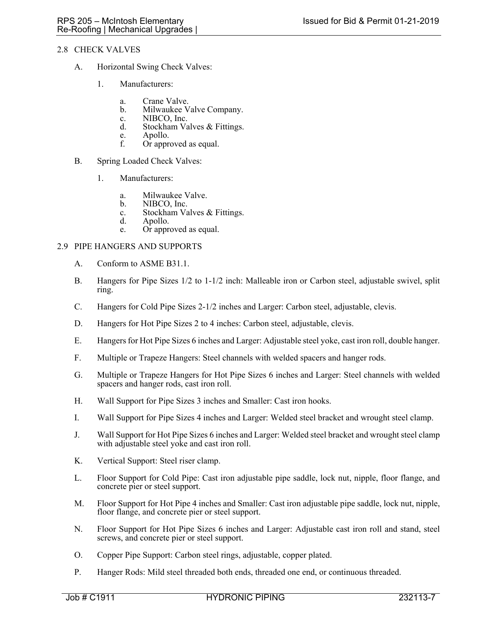# 2.8 CHECK VALVES

- A. Horizontal Swing Check Valves:
	- 1. Manufacturers:
		- a. Crane Valve.<br>b. Milwaukee V
		- Milwaukee Valve Company.
		- c. NIBCO, Inc.
		- d. Stockham Valves & Fittings.
		- e. Apollo.<br>f. Or appr
		- Or approved as equal.
- B. Spring Loaded Check Valves:
	- 1. Manufacturers:
		- a. Milwaukee Valve.<br>b. NIBCO, Inc.
		- NIBCO, Inc.
		- c. Stockham Valves & Fittings.
		- d. Apollo.
		- e. Or approved as equal.

### 2.9 PIPE HANGERS AND SUPPORTS

- A. Conform to ASME B31.1.
- B. Hangers for Pipe Sizes 1/2 to 1-1/2 inch: Malleable iron or Carbon steel, adjustable swivel, split ring.
- C. Hangers for Cold Pipe Sizes 2-1/2 inches and Larger: Carbon steel, adjustable, clevis.
- D. Hangers for Hot Pipe Sizes 2 to 4 inches: Carbon steel, adjustable, clevis.
- E. Hangers for Hot Pipe Sizes 6 inches and Larger: Adjustable steel yoke, cast iron roll, double hanger.
- F. Multiple or Trapeze Hangers: Steel channels with welded spacers and hanger rods.
- G. Multiple or Trapeze Hangers for Hot Pipe Sizes 6 inches and Larger: Steel channels with welded spacers and hanger rods, cast iron roll.
- H. Wall Support for Pipe Sizes 3 inches and Smaller: Cast iron hooks.
- I. Wall Support for Pipe Sizes 4 inches and Larger: Welded steel bracket and wrought steel clamp.
- J. Wall Support for Hot Pipe Sizes 6 inches and Larger: Welded steel bracket and wrought steel clamp with adjustable steel yoke and cast iron roll.
- K. Vertical Support: Steel riser clamp.
- L. Floor Support for Cold Pipe: Cast iron adjustable pipe saddle, lock nut, nipple, floor flange, and concrete pier or steel support.
- M. Floor Support for Hot Pipe 4 inches and Smaller: Cast iron adjustable pipe saddle, lock nut, nipple, floor flange, and concrete pier or steel support.
- N. Floor Support for Hot Pipe Sizes 6 inches and Larger: Adjustable cast iron roll and stand, steel screws, and concrete pier or steel support.
- O. Copper Pipe Support: Carbon steel rings, adjustable, copper plated.
- P. Hanger Rods: Mild steel threaded both ends, threaded one end, or continuous threaded.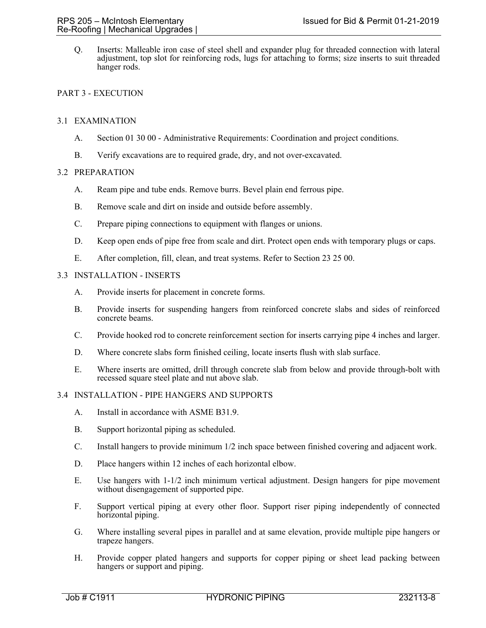Q. Inserts: Malleable iron case of steel shell and expander plug for threaded connection with lateral adjustment, top slot for reinforcing rods, lugs for attaching to forms; size inserts to suit threaded hanger rods.

## PART 3 - EXECUTION

### 3.1 EXAMINATION

- A. Section 01 30 00 Administrative Requirements: Coordination and project conditions.
- B. Verify excavations are to required grade, dry, and not over-excavated.

### 3.2 PREPARATION

- A. Ream pipe and tube ends. Remove burrs. Bevel plain end ferrous pipe.
- B. Remove scale and dirt on inside and outside before assembly.
- C. Prepare piping connections to equipment with flanges or unions.
- D. Keep open ends of pipe free from scale and dirt. Protect open ends with temporary plugs or caps.
- E. After completion, fill, clean, and treat systems. Refer to Section 23 25 00.

## 3.3 INSTALLATION - INSERTS

- A. Provide inserts for placement in concrete forms.
- B. Provide inserts for suspending hangers from reinforced concrete slabs and sides of reinforced concrete beams.
- C. Provide hooked rod to concrete reinforcement section for inserts carrying pipe 4 inches and larger.
- D. Where concrete slabs form finished ceiling, locate inserts flush with slab surface.
- E. Where inserts are omitted, drill through concrete slab from below and provide through-bolt with recessed square steel plate and nut above slab.

## 3.4 INSTALLATION - PIPE HANGERS AND SUPPORTS

- A. Install in accordance with ASME B31.9.
- B. Support horizontal piping as scheduled.
- C. Install hangers to provide minimum 1/2 inch space between finished covering and adjacent work.
- D. Place hangers within 12 inches of each horizontal elbow.
- E. Use hangers with 1-1/2 inch minimum vertical adjustment. Design hangers for pipe movement without disengagement of supported pipe.
- F. Support vertical piping at every other floor. Support riser piping independently of connected horizontal piping.
- G. Where installing several pipes in parallel and at same elevation, provide multiple pipe hangers or trapeze hangers.
- H. Provide copper plated hangers and supports for copper piping or sheet lead packing between hangers or support and piping.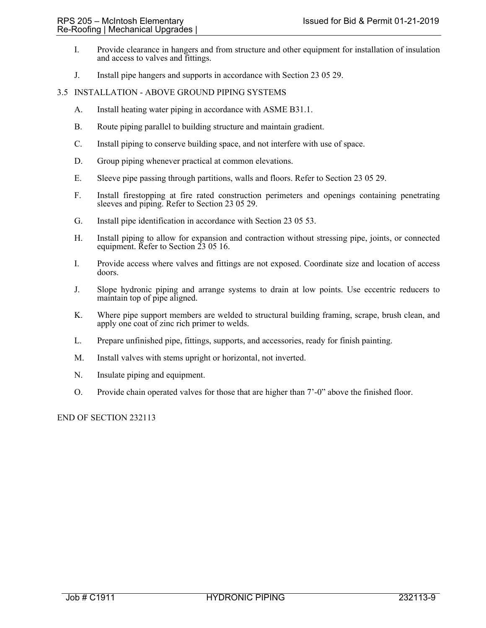- I. Provide clearance in hangers and from structure and other equipment for installation of insulation and access to valves and fittings.
- J. Install pipe hangers and supports in accordance with Section 23 05 29.

### 3.5 INSTALLATION - ABOVE GROUND PIPING SYSTEMS

- A. Install heating water piping in accordance with ASME B31.1.
- B. Route piping parallel to building structure and maintain gradient.
- C. Install piping to conserve building space, and not interfere with use of space.
- D. Group piping whenever practical at common elevations.
- E. Sleeve pipe passing through partitions, walls and floors. Refer to Section 23 05 29.
- F. Install firestopping at fire rated construction perimeters and openings containing penetrating sleeves and piping. Refer to Section 23 05 29.
- G. Install pipe identification in accordance with Section 23 05 53.
- H. Install piping to allow for expansion and contraction without stressing pipe, joints, or connected equipment. Refer to Section 23 05 16.
- I. Provide access where valves and fittings are not exposed. Coordinate size and location of access doors.
- J. Slope hydronic piping and arrange systems to drain at low points. Use eccentric reducers to maintain top of pipe aligned.
- K. Where pipe support members are welded to structural building framing, scrape, brush clean, and apply one coat of zinc rich primer to welds.
- L. Prepare unfinished pipe, fittings, supports, and accessories, ready for finish painting.
- M. Install valves with stems upright or horizontal, not inverted.
- N. Insulate piping and equipment.
- O. Provide chain operated valves for those that are higher than 7'-0" above the finished floor.

#### END OF SECTION 232113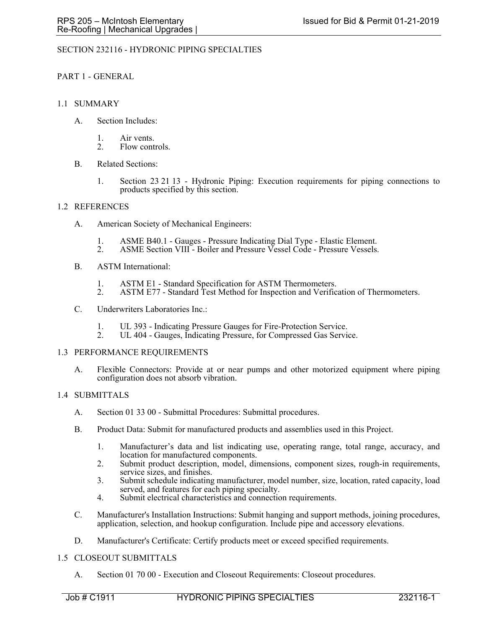## SECTION 232116 - HYDRONIC PIPING SPECIALTIES

## PART 1 - GENERAL

### 1.1 SUMMARY

- A. Section Includes:
	- 1. Air vents.
	- 2. Flow controls.
- B. Related Sections:
	- 1. Section 23 21 13 Hydronic Piping: Execution requirements for piping connections to products specified by this section.

#### 1.2 REFERENCES

- A. American Society of Mechanical Engineers:
	- 1. ASME B40.1 Gauges Pressure Indicating Dial Type Elastic Element.
	- 2. ASME Section VIII Boiler and Pressure Vessel Code Pressure Vessels.
- B. ASTM International:
	- 1. ASTM E1 Standard Specification for ASTM Thermometers.<br>2. ASTM E77 Standard Test Method for Inspection and Verific
	- ASTM E77 Standard Test Method for Inspection and Verification of Thermometers.
- C. Underwriters Laboratories Inc.:
	-
	- 1. UL 393 Indicating Pressure Gauges for Fire-Protection Service. 2. UL 404 Gauges, Indicating Pressure, for Compressed Gas Service.

#### 1.3 PERFORMANCE REQUIREMENTS

A. Flexible Connectors: Provide at or near pumps and other motorized equipment where piping configuration does not absorb vibration.

#### 1.4 SUBMITTALS

- A. Section 01 33 00 Submittal Procedures: Submittal procedures.
- B. Product Data: Submit for manufactured products and assemblies used in this Project.
	- 1. Manufacturer's data and list indicating use, operating range, total range, accuracy, and location for manufactured components.
	- 2. Submit product description, model, dimensions, component sizes, rough-in requirements, service sizes, and finishes.
	- 3. Submit schedule indicating manufacturer, model number, size, location, rated capacity, load served, and features for each piping specialty.
	- 4. Submit electrical characteristics and connection requirements.
- C. Manufacturer's Installation Instructions: Submit hanging and support methods, joining procedures, application, selection, and hookup configuration. Include pipe and accessory elevations.
- D. Manufacturer's Certificate: Certify products meet or exceed specified requirements.

## 1.5 CLOSEOUT SUBMITTALS

A. Section 01 70 00 - Execution and Closeout Requirements: Closeout procedures.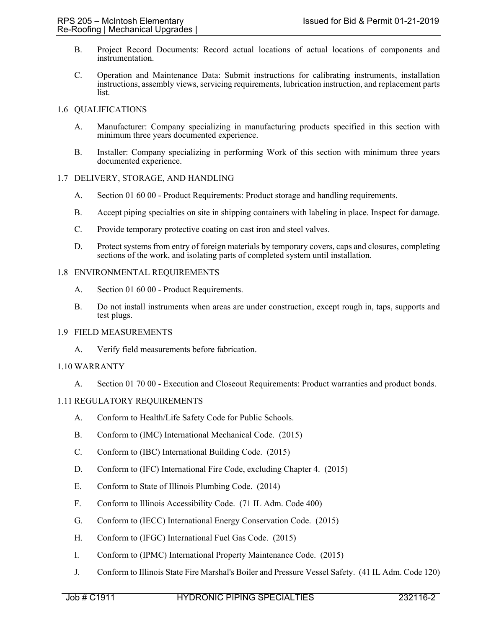- B. Project Record Documents: Record actual locations of actual locations of components and instrumentation.
- C. Operation and Maintenance Data: Submit instructions for calibrating instruments, installation instructions, assembly views, servicing requirements, lubrication instruction, and replacement parts list.

## 1.6 QUALIFICATIONS

- A. Manufacturer: Company specializing in manufacturing products specified in this section with minimum three years documented experience.
- B. Installer: Company specializing in performing Work of this section with minimum three years documented experience.

### 1.7 DELIVERY, STORAGE, AND HANDLING

- A. Section 01 60 00 Product Requirements: Product storage and handling requirements.
- B. Accept piping specialties on site in shipping containers with labeling in place. Inspect for damage.
- C. Provide temporary protective coating on cast iron and steel valves.
- D. Protect systems from entry of foreign materials by temporary covers, caps and closures, completing sections of the work, and isolating parts of completed system until installation.

### 1.8 ENVIRONMENTAL REQUIREMENTS

- A. Section 01 60 00 Product Requirements.
- B. Do not install instruments when areas are under construction, except rough in, taps, supports and test plugs.

#### 1.9 FIELD MEASUREMENTS

A. Verify field measurements before fabrication.

## 1.10 WARRANTY

A. Section 01 70 00 - Execution and Closeout Requirements: Product warranties and product bonds.

## 1.11 REGULATORY REQUIREMENTS

- A. Conform to Health/Life Safety Code for Public Schools.
- B. Conform to (IMC) International Mechanical Code. (2015)
- C. Conform to (IBC) International Building Code. (2015)
- D. Conform to (IFC) International Fire Code, excluding Chapter 4. (2015)
- E. Conform to State of Illinois Plumbing Code. (2014)
- F. Conform to Illinois Accessibility Code. (71 IL Adm. Code 400)
- G. Conform to (IECC) International Energy Conservation Code. (2015)
- H. Conform to (IFGC) International Fuel Gas Code. (2015)
- I. Conform to (IPMC) International Property Maintenance Code. (2015)
- J. Conform to Illinois State Fire Marshal's Boiler and Pressure Vessel Safety. (41 IL Adm. Code 120)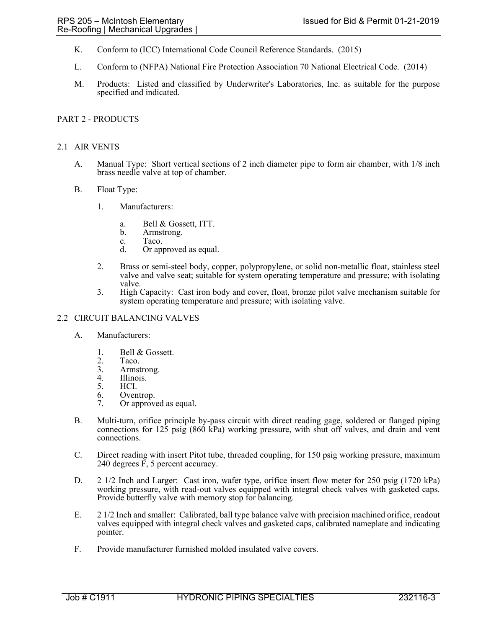- K. Conform to (ICC) International Code Council Reference Standards. (2015)
- L. Conform to (NFPA) National Fire Protection Association 70 National Electrical Code. (2014)
- M. Products: Listed and classified by Underwriter's Laboratories, Inc. as suitable for the purpose specified and indicated.

# PART 2 - PRODUCTS

## 2.1 AIR VENTS

- A. Manual Type: Short vertical sections of 2 inch diameter pipe to form air chamber, with 1/8 inch brass needle valve at top of chamber.
- B. Float Type:
	- 1. Manufacturers:
		- a. Bell & Gossett, ITT.
		- b. Armstrong.
		- c. Taco.
		- d. Or approved as equal.
	- 2. Brass or semi-steel body, copper, polypropylene, or solid non-metallic float, stainless steel valve and valve seat; suitable for system operating temperature and pressure; with isolating valve.
	- 3. High Capacity: Cast iron body and cover, float, bronze pilot valve mechanism suitable for system operating temperature and pressure; with isolating valve.

## 2.2 CIRCUIT BALANCING VALVES

- A. Manufacturers:
	- 1. Bell & Gossett.
	- 2. Taco.<br>3. Armst
	- 3. Armstrong.<br>4. Illinois.
	- 4. Illinois.<br>5. HCI.
	- 5. HCI.
	- 6. Oventrop.
	- 7. Or approved as equal.
- B. Multi-turn, orifice principle by-pass circuit with direct reading gage, soldered or flanged piping connections for 125 psig (860 kPa) working pressure, with shut off valves, and drain and vent connections.
- C. Direct reading with insert Pitot tube, threaded coupling, for 150 psig working pressure, maximum 240 degrees  $\overline{F}$ , 5 percent accuracy.
- D. 2 1/2 Inch and Larger: Cast iron, wafer type, orifice insert flow meter for 250 psig (1720 kPa) working pressure, with read-out valves equipped with integral check valves with gasketed caps. Provide butterfly valve with memory stop for balancing.
- E. 2 1/2 Inch and smaller: Calibrated, ball type balance valve with precision machined orifice, readout valves equipped with integral check valves and gasketed caps, calibrated nameplate and indicating pointer.
- F. Provide manufacturer furnished molded insulated valve covers.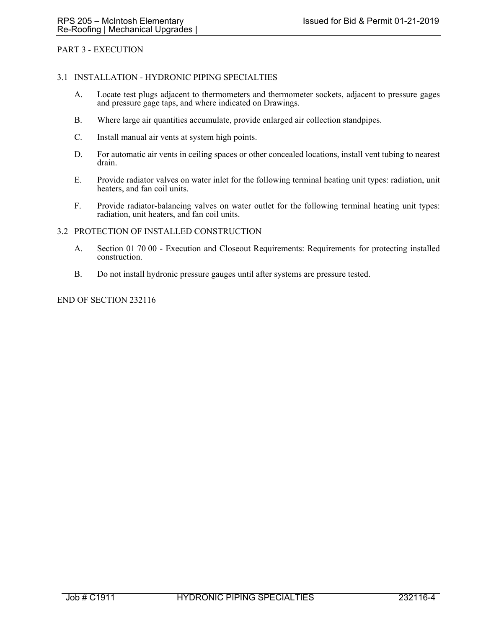## PART 3 - EXECUTION

#### 3.1 INSTALLATION - HYDRONIC PIPING SPECIALTIES

- A. Locate test plugs adjacent to thermometers and thermometer sockets, adjacent to pressure gages and pressure gage taps, and where indicated on Drawings.
- B. Where large air quantities accumulate, provide enlarged air collection standpipes.
- C. Install manual air vents at system high points.
- D. For automatic air vents in ceiling spaces or other concealed locations, install vent tubing to nearest drain.
- E. Provide radiator valves on water inlet for the following terminal heating unit types: radiation, unit heaters, and fan coil units.
- F. Provide radiator-balancing valves on water outlet for the following terminal heating unit types: radiation, unit heaters, and fan coil units.

### 3.2 PROTECTION OF INSTALLED CONSTRUCTION

- A. Section 01 70 00 Execution and Closeout Requirements: Requirements for protecting installed construction.
- B. Do not install hydronic pressure gauges until after systems are pressure tested.

#### END OF SECTION 232116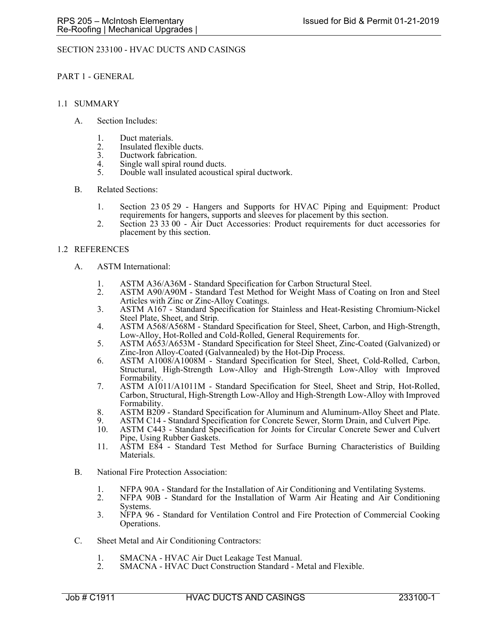## SECTION 233100 - HVAC DUCTS AND CASINGS

#### PART 1 - GENERAL

#### 1.1 SUMMARY

- A. Section Includes:
	- 1. Duct materials.
	- 2. Insulated flexible ducts.<br>3. Ductwork fabrication.
	- Ductwork fabrication.
	- 4. Single wall spiral round ducts.<br>5. Double wall insulated acoustic
	- 5. Double wall insulated acoustical spiral ductwork.
- B. Related Sections:
	- 1. Section 23 05 29 Hangers and Supports for HVAC Piping and Equipment: Product requirements for hangers, supports and sleeves for placement by this section.
	- 2. Section 23 33 00 Air Duct Accessories: Product requirements for duct accessories for placement by this section.

### 1.2 REFERENCES

- A. ASTM International:
	- 1. ASTM A36/A36M Standard Specification for Carbon Structural Steel.<br>2. ASTM A90/A90M Standard Test Method for Weight Mass of Coating
	- 2. ASTM A90/A90M Standard Test Method for Weight Mass of Coating on Iron and Steel Articles with Zinc or Zinc-Alloy Coatings.
	- 3. ASTM A167 Standard Specification for Stainless and Heat-Resisting Chromium-Nickel Steel Plate, Sheet, and Strip.
	- 4. ASTM A568/A568M Standard Specification for Steel, Sheet, Carbon, and High-Strength,
	- Low-Alloy, Hot-Rolled and Cold-Rolled, General Requirements for. 5. ASTM A653/A653M Standard Specification for Steel Sheet, Zinc-Coated (Galvanized) or Zinc-Iron Alloy-Coated (Galvannealed) by the Hot-Dip Process.
	- 6. ASTM A1008/A1008M Standard Specification for Steel, Sheet, Cold-Rolled, Carbon, Structural, High-Strength Low-Alloy and High-Strength Low-Alloy with Improved Formability.
	- 7. ASTM A1011/A1011M Standard Specification for Steel, Sheet and Strip, Hot-Rolled, Carbon, Structural, High-Strength Low-Alloy and High-Strength Low-Alloy with Improved Formability.
	- 8. ASTM B209 Standard Specification for Aluminum and Aluminum-Alloy Sheet and Plate.
	- 9. ASTM C14 Standard Specification for Concrete Sewer, Storm Drain, and Culvert Pipe.<br>10. ASTM C443 Standard Specification for Joints for Circular Concrete Sewer and Culve
	- 10. ASTM C443 Standard Specification for Joints for Circular Concrete Sewer and Culvert Pipe, Using Rubber Gaskets.
	- 11. ASTM E84 Standard Test Method for Surface Burning Characteristics of Building Materials.
- B. National Fire Protection Association:
	- 1. NFPA 90A Standard for the Installation of Air Conditioning and Ventilating Systems.
	- 2. NFPA 90B Standard for the Installation of Warm Air Heating and Air Conditioning Systems.
	- 3. NFPA 96 Standard for Ventilation Control and Fire Protection of Commercial Cooking Operations.
- C. Sheet Metal and Air Conditioning Contractors:
	- 1. SMACNA HVAC Air Duct Leakage Test Manual.
	- 2. SMACNA HVAC Duct Construction Standard Metal and Flexible.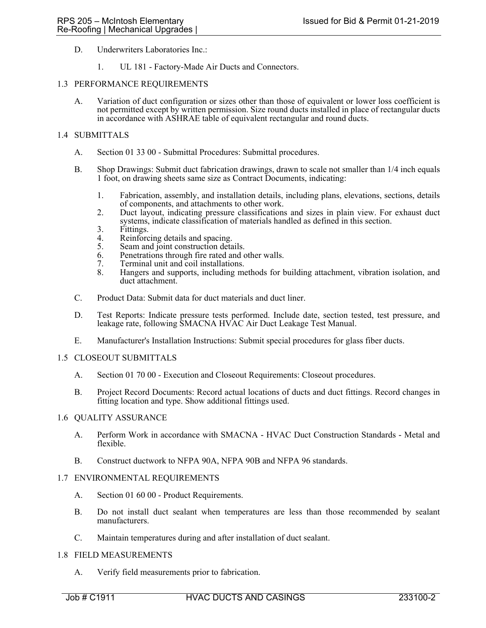- D. Underwriters Laboratories Inc.:
	- 1. UL 181 Factory-Made Air Ducts and Connectors.

#### 1.3 PERFORMANCE REQUIREMENTS

A. Variation of duct configuration or sizes other than those of equivalent or lower loss coefficient is not permitted except by written permission. Size round ducts installed in place of rectangular ducts in accordance with ASHRAE table of equivalent rectangular and round ducts.

## 1.4 SUBMITTALS

- A. Section 01 33 00 Submittal Procedures: Submittal procedures.
- B. Shop Drawings: Submit duct fabrication drawings, drawn to scale not smaller than 1/4 inch equals 1 foot, on drawing sheets same size as Contract Documents, indicating:
	- 1. Fabrication, assembly, and installation details, including plans, elevations, sections, details of components, and attachments to other work.
	- 2. Duct layout, indicating pressure classifications and sizes in plain view. For exhaust duct systems, indicate classification of materials handled as defined in this section.
	- 3. Fittings.<br>4. Reinforc
	- Reinforcing details and spacing.
	- 5. Seam and joint construction details.
	- 6. Penetrations through fire rated and other walls.
	- 7. Terminal unit and coil installations.
	- 8. Hangers and supports, including methods for building attachment, vibration isolation, and duct attachment.
- C. Product Data: Submit data for duct materials and duct liner.
- D. Test Reports: Indicate pressure tests performed. Include date, section tested, test pressure, and leakage rate, following SMACNA HVAC Air Duct Leakage Test Manual.
- E. Manufacturer's Installation Instructions: Submit special procedures for glass fiber ducts.

#### 1.5 CLOSEOUT SUBMITTALS

- A. Section 01 70 00 Execution and Closeout Requirements: Closeout procedures.
- B. Project Record Documents: Record actual locations of ducts and duct fittings. Record changes in fitting location and type. Show additional fittings used.

#### 1.6 QUALITY ASSURANCE

- A. Perform Work in accordance with SMACNA HVAC Duct Construction Standards Metal and flexible.
- B. Construct ductwork to NFPA 90A, NFPA 90B and NFPA 96 standards.

#### 1.7 ENVIRONMENTAL REQUIREMENTS

- A. Section 01 60 00 Product Requirements.
- B. Do not install duct sealant when temperatures are less than those recommended by sealant manufacturers.
- C. Maintain temperatures during and after installation of duct sealant.

#### 1.8 FIELD MEASUREMENTS

A. Verify field measurements prior to fabrication.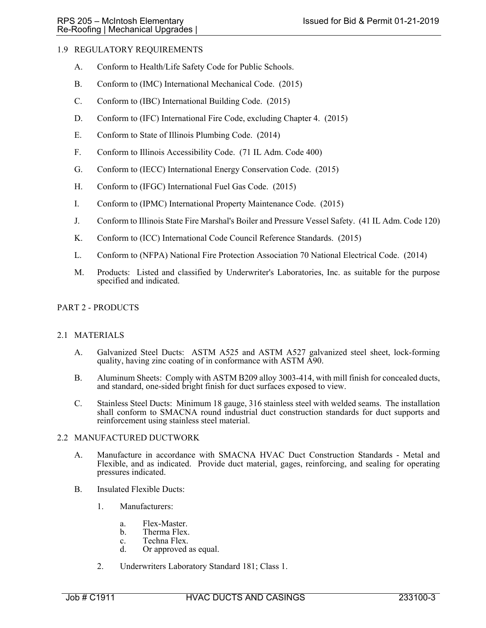# 1.9 REGULATORY REQUIREMENTS

- A. Conform to Health/Life Safety Code for Public Schools.
- B. Conform to (IMC) International Mechanical Code. (2015)
- C. Conform to (IBC) International Building Code. (2015)
- D. Conform to (IFC) International Fire Code, excluding Chapter 4. (2015)
- E. Conform to State of Illinois Plumbing Code. (2014)
- F. Conform to Illinois Accessibility Code. (71 IL Adm. Code 400)
- G. Conform to (IECC) International Energy Conservation Code. (2015)
- H. Conform to (IFGC) International Fuel Gas Code. (2015)
- I. Conform to (IPMC) International Property Maintenance Code. (2015)
- J. Conform to Illinois State Fire Marshal's Boiler and Pressure Vessel Safety. (41 IL Adm. Code 120)
- K. Conform to (ICC) International Code Council Reference Standards. (2015)
- L. Conform to (NFPA) National Fire Protection Association 70 National Electrical Code. (2014)
- M. Products: Listed and classified by Underwriter's Laboratories, Inc. as suitable for the purpose specified and indicated.

## PART 2 - PRODUCTS

#### 2.1 MATERIALS

- A. Galvanized Steel Ducts: ASTM A525 and ASTM A527 galvanized steel sheet, lock-forming quality, having zinc coating of in conformance with ASTM A90.
- B. Aluminum Sheets: Comply with ASTM B209 alloy 3003-414, with mill finish for concealed ducts, and standard, one-sided bright finish for duct surfaces exposed to view.
- C. Stainless Steel Ducts: Minimum 18 gauge, 316 stainless steel with welded seams. The installation shall conform to SMACNA round industrial duct construction standards for duct supports and reinforcement using stainless steel material.

#### 2.2 MANUFACTURED DUCTWORK

- A. Manufacture in accordance with SMACNA HVAC Duct Construction Standards Metal and Flexible, and as indicated. Provide duct material, gages, reinforcing, and sealing for operating pressures indicated.
- B. Insulated Flexible Ducts:
	- 1. Manufacturers:
		- a. Flex-Master.
		- b. Therma Flex.
		- c. Techna Flex.<br>d. Or approved.
		- Or approved as equal.
	- 2. Underwriters Laboratory Standard 181; Class 1.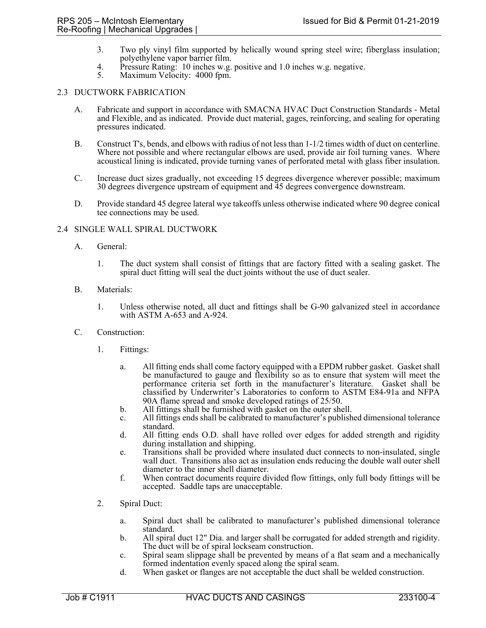- 3. Two ply vinyl film supported by helically wound spring steel wire; fiberglass insulation; polyethylene vapor barrier film.
- 4. Pressure Rating: 10 inches w.g. positive and 1.0 inches w.g. negative.
- 5. Maximum Velocity: 4000 fpm.

### 2.3 DUCTWORK FABRICATION

- A. Fabricate and support in accordance with SMACNA HVAC Duct Construction Standards Metal and Flexible, and as indicated. Provide duct material, gages, reinforcing, and sealing for operating pressures indicated.
- B. Construct T's, bends, and elbows with radius of not less than 1-1/2 times width of duct on centerline. Where not possible and where rectangular elbows are used, provide air foil turning vanes. Where acoustical lining is indicated, provide turning vanes of perforated metal with glass fiber insulation.
- C. Increase duct sizes gradually, not exceeding 15 degrees divergence wherever possible; maximum 30 degrees divergence upstream of equipment and 45 degrees convergence downstream.
- D. Provide standard 45 degree lateral wye takeoffs unless otherwise indicated where 90 degree conical tee connections may be used.

## 2.4 SINGLE WALL SPIRAL DUCTWORK

- A. General:
	- 1. The duct system shall consist of fittings that are factory fitted with a sealing gasket. The spiral duct fitting will seal the duct joints without the use of duct sealer.
- B. Materials:
	- 1. Unless otherwise noted, all duct and fittings shall be G-90 galvanized steel in accordance with ASTM A-653 and A-924.
- C. Construction:
	- 1. Fittings:
		- a. All fitting ends shall come factory equipped with a EPDM rubber gasket. Gasket shall be manufactured to gauge and flexibility so as to ensure that system will meet the performance criteria set forth in the manufacturer's literature. Gasket shall be classified by Underwriter's Laboratories to conform to ASTM E84-91a and NFPA
		- 90A flame spread and smoke developed ratings of 25/50.<br>All fittings shall be furnished with gasket on the outer shell.
		- b. All fittings shall be furnished with gasket on the outer shell. c. All fittings ends shall be calibrated to manufacturer's published dimensional tolerance standard.
		- d. All fitting ends O.D. shall have rolled over edges for added strength and rigidity during installation and shipping.
		- e. Transitions shall be provided where insulated duct connects to non-insulated, single wall duct. Transitions also act as insulation ends reducing the double wall outer shell diameter to the inner shell diameter.
		- f. When contract documents require divided flow fittings, only full body fittings will be accepted. Saddle taps are unacceptable.
	- 2. Spiral Duct:
		- a. Spiral duct shall be calibrated to manufacturer's published dimensional tolerance standard.
		- b. All spiral duct 12" Dia. and larger shall be corrugated for added strength and rigidity. The duct will be of spiral lockseam construction.
		- c. Spiral seam slippage shall be prevented by means of a flat seam and a mechanically formed indentation evenly spaced along the spiral seam.
		- d. When gasket or flanges are not acceptable the duct shall be welded construction.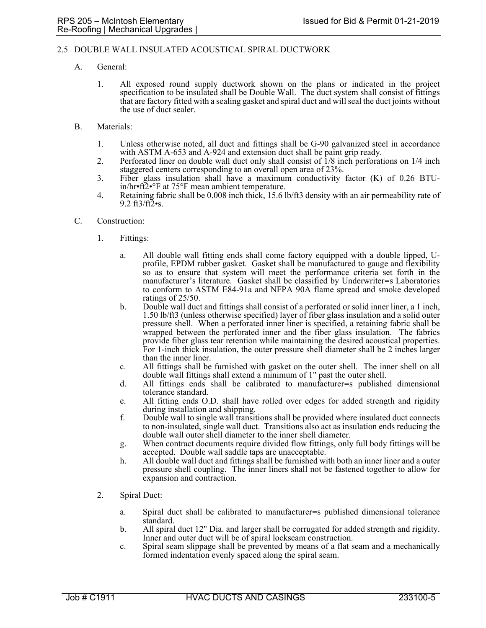## 2.5 DOUBLE WALL INSULATED ACOUSTICAL SPIRAL DUCTWORK

- A. General:
	- 1. All exposed round supply ductwork shown on the plans or indicated in the project specification to be insulated shall be Double Wall. The duct system shall consist of fittings that are factory fitted with a sealing gasket and spiral duct and will seal the duct joints without the use of duct sealer.
- B. Materials:
	- 1. Unless otherwise noted, all duct and fittings shall be G-90 galvanized steel in accordance with ASTM A-653 and A-924 and extension duct shall be paint grip ready.
	- 2. Perforated liner on double wall duct only shall consist of 1/8 inch perforations on 1/4 inch staggered centers corresponding to an overall open area of 23%.
	- 3. Fiber glass insulation shall have a maximum conductivity factor (K) of 0.26 BTUin/hr•ft2•°F at 75°F mean ambient temperature.
	- 4. Retaining fabric shall be 0.008 inch thick, 15.6 lb/ft3 density with an air permeability rate of 9.2  $ft3/ft2$ •s.
- C. Construction:
	- 1. Fittings:
		- a. All double wall fitting ends shall come factory equipped with a double lipped, Uprofile, EPDM rubber gasket. Gasket shall be manufactured to gauge and flexibility so as to ensure that system will meet the performance criteria set forth in the manufacturer's literature. Gasket shall be classified by Underwriter=s Laboratories to conform to ASTM E84-91a and NFPA 90A flame spread and smoke developed ratings of 25/50.
		- b. Double wall duct and fittings shall consist of a perforated or solid inner liner, a 1 inch, 1.50 lb/ft3 (unless otherwise specified) layer of fiber glass insulation and a solid outer pressure shell. When a perforated inner liner is specified, a retaining fabric shall be wrapped between the perforated inner and the fiber glass insulation. The fabrics provide fiber glass tear retention while maintaining the desired acoustical properties. For 1-inch thick insulation, the outer pressure shell diameter shall be 2 inches larger than the inner liner.
		- c. All fittings shall be furnished with gasket on the outer shell. The inner shell on all double wall fittings shall extend a minimum of 1" past the outer shell.
		- d. All fittings ends shall be calibrated to manufacturer=s published dimensional tolerance standard.
		- e. All fitting ends O.D. shall have rolled over edges for added strength and rigidity during installation and shipping.
		- f. Double wall to single wall transitions shall be provided where insulated duct connects to non-insulated, single wall duct. Transitions also act as insulation ends reducing the double wall outer shell diameter to the inner shell diameter.
		- g. When contract documents require divided flow fittings, only full body fittings will be accepted. Double wall saddle taps are unacceptable.
		- h. All double wall duct and fittings shall be furnished with both an inner liner and a outer pressure shell coupling. The inner liners shall not be fastened together to allow for expansion and contraction.
	- 2. Spiral Duct:
		- a. Spiral duct shall be calibrated to manufacturer=s published dimensional tolerance standard.
		- b. All spiral duct 12" Dia. and larger shall be corrugated for added strength and rigidity. Inner and outer duct will be of spiral lockseam construction.
		- c. Spiral seam slippage shall be prevented by means of a flat seam and a mechanically formed indentation evenly spaced along the spiral seam.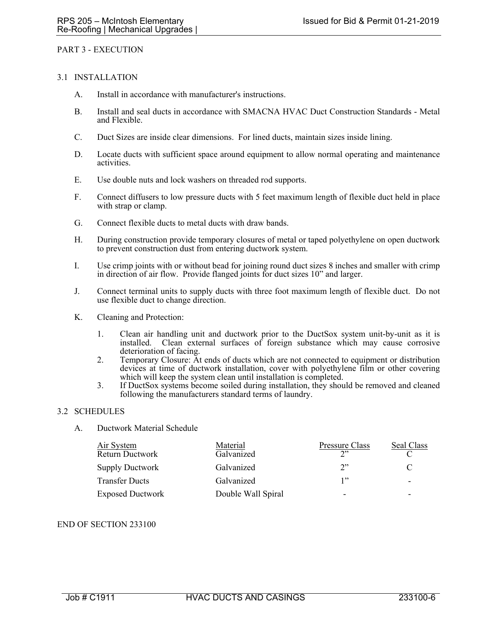#### PART 3 - EXECUTION

#### 3.1 INSTALLATION

- A. Install in accordance with manufacturer's instructions.
- B. Install and seal ducts in accordance with SMACNA HVAC Duct Construction Standards Metal and Flexible.
- C. Duct Sizes are inside clear dimensions. For lined ducts, maintain sizes inside lining.
- D. Locate ducts with sufficient space around equipment to allow normal operating and maintenance activities.
- E. Use double nuts and lock washers on threaded rod supports.
- F. Connect diffusers to low pressure ducts with 5 feet maximum length of flexible duct held in place with strap or clamp.
- G. Connect flexible ducts to metal ducts with draw bands.
- H. During construction provide temporary closures of metal or taped polyethylene on open ductwork to prevent construction dust from entering ductwork system.
- I. Use crimp joints with or without bead for joining round duct sizes 8 inches and smaller with crimp in direction of air flow. Provide flanged joints for duct sizes 10" and larger.
- J. Connect terminal units to supply ducts with three foot maximum length of flexible duct. Do not use flexible duct to change direction.
- K. Cleaning and Protection:
	- 1. Clean air handling unit and ductwork prior to the DuctSox system unit-by-unit as it is installed. Clean external surfaces of foreign substance which may cause corrosive deterioration of facing.
	- 2. Temporary Closure: At ends of ducts which are not connected to equipment or distribution devices at time of ductwork installation, cover with polyethylene film or other covering which will keep the system clean until installation is completed.
	- 3. If DuctSox systems become soiled during installation, they should be removed and cleaned following the manufacturers standard terms of laundry.

## 3.2 SCHEDULES

A. Ductwork Material Schedule

| <u>Air System</u><br><b>Return Ductwork</b> | Material<br>Galvanized | Pressure Class<br>$\gamma$ | Seal Class               |
|---------------------------------------------|------------------------|----------------------------|--------------------------|
| <b>Supply Ductwork</b>                      | Galvanized             | 2"                         |                          |
| <b>Transfer Ducts</b>                       | Galvanized             | 1"                         | $\overline{\phantom{0}}$ |
| <b>Exposed Ductwork</b>                     | Double Wall Spiral     |                            |                          |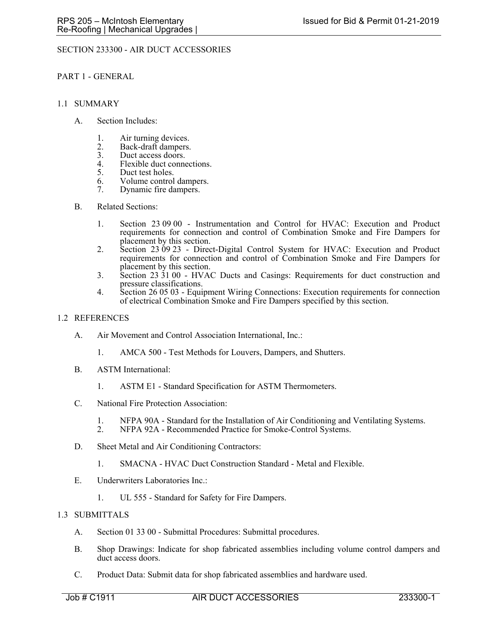# SECTION 233300 - AIR DUCT ACCESSORIES

### PART 1 - GENERAL

#### 1.1 SUMMARY

- A. Section Includes:
	- 1. Air turning devices.
	- 2. Back-draft dampers.<br>3. Duct access doors.
	- 3. Duct access doors.<br>4. Flexible duct conne
	- 4. Flexible duct connections.<br>5. Duct test holes.
	- Duct test holes.
	- 6. Volume control dampers.
	- 7. Dynamic fire dampers.

#### B. Related Sections:

- 1. Section 23 09 00 Instrumentation and Control for HVAC: Execution and Product requirements for connection and control of Combination Smoke and Fire Dampers for placement by this section.
- 2. Section 23 09 23 Direct-Digital Control System for HVAC: Execution and Product requirements for connection and control of Combination Smoke and Fire Dampers for placement by this section.
- 3. Section 23 31 00 HVAC Ducts and Casings: Requirements for duct construction and pressure classifications.
- 4. Section 26 05 03 Equipment Wiring Connections: Execution requirements for connection of electrical Combination Smoke and Fire Dampers specified by this section.

## 1.2 REFERENCES

- A. Air Movement and Control Association International, Inc.:
	- 1. AMCA 500 Test Methods for Louvers, Dampers, and Shutters.
- B. ASTM International:
	- 1. ASTM E1 Standard Specification for ASTM Thermometers.
- C. National Fire Protection Association:
	- 1. NFPA 90A Standard for the Installation of Air Conditioning and Ventilating Systems.<br>2. NFPA 92A Recommended Practice for Smoke-Control Systems.
	- NFPA 92A Recommended Practice for Smoke-Control Systems.
- D. Sheet Metal and Air Conditioning Contractors:
	- 1. SMACNA HVAC Duct Construction Standard Metal and Flexible.
- E. Underwriters Laboratories Inc.:
	- 1. UL 555 Standard for Safety for Fire Dampers.

## 1.3 SUBMITTALS

- A. Section 01 33 00 Submittal Procedures: Submittal procedures.
- B. Shop Drawings: Indicate for shop fabricated assemblies including volume control dampers and duct access doors.
- C. Product Data: Submit data for shop fabricated assemblies and hardware used.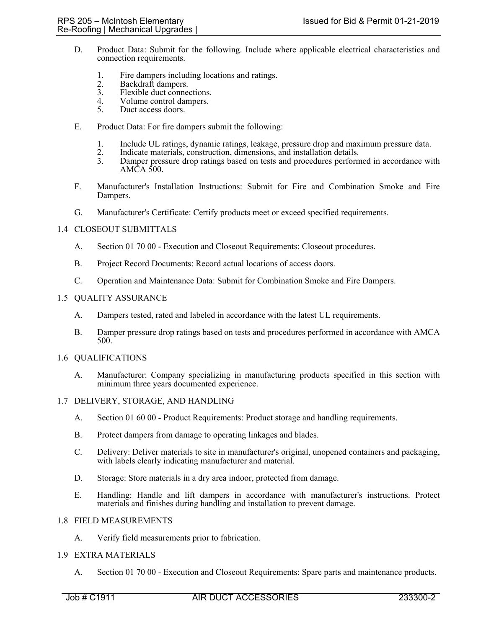- D. Product Data: Submit for the following. Include where applicable electrical characteristics and connection requirements.
	- 1. Fire dampers including locations and ratings.<br>2. Backdraft dampers.
	- 2. Backdraft dampers.<br>3. Flexible duct conne
	- 3. Flexible duct connections.<br>4. Volume control dampers.
	- 4. Volume control dampers.<br>5. Duct access doors.
	- Duct access doors.
- E. Product Data: For fire dampers submit the following:
	- 1. Include UL ratings, dynamic ratings, leakage, pressure drop and maximum pressure data.
	- 2. Indicate materials, construction, dimensions, and installation details.
	- 3. Damper pressure drop ratings based on tests and procedures performed in accordance with AMCA 500.
- F. Manufacturer's Installation Instructions: Submit for Fire and Combination Smoke and Fire Dampers.
- G. Manufacturer's Certificate: Certify products meet or exceed specified requirements.

## 1.4 CLOSEOUT SUBMITTALS

- A. Section 01 70 00 Execution and Closeout Requirements: Closeout procedures.
- B. Project Record Documents: Record actual locations of access doors.
- C. Operation and Maintenance Data: Submit for Combination Smoke and Fire Dampers.

#### 1.5 QUALITY ASSURANCE

- A. Dampers tested, rated and labeled in accordance with the latest UL requirements.
- B. Damper pressure drop ratings based on tests and procedures performed in accordance with AMCA 500.

#### 1.6 QUALIFICATIONS

A. Manufacturer: Company specializing in manufacturing products specified in this section with minimum three years documented experience.

## 1.7 DELIVERY, STORAGE, AND HANDLING

- A. Section 01 60 00 Product Requirements: Product storage and handling requirements.
- B. Protect dampers from damage to operating linkages and blades.
- C. Delivery: Deliver materials to site in manufacturer's original, unopened containers and packaging, with labels clearly indicating manufacturer and material.
- D. Storage: Store materials in a dry area indoor, protected from damage.
- E. Handling: Handle and lift dampers in accordance with manufacturer's instructions. Protect materials and finishes during handling and installation to prevent damage.

## 1.8 FIELD MEASUREMENTS

A. Verify field measurements prior to fabrication.

## 1.9 EXTRA MATERIALS

A. Section 01 70 00 - Execution and Closeout Requirements: Spare parts and maintenance products.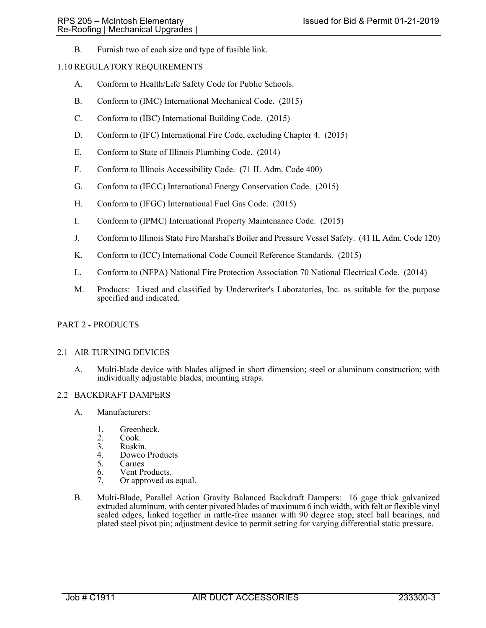B. Furnish two of each size and type of fusible link.

## 1.10 REGULATORY REQUIREMENTS

- A. Conform to Health/Life Safety Code for Public Schools.
- B. Conform to (IMC) International Mechanical Code. (2015)
- C. Conform to (IBC) International Building Code. (2015)
- D. Conform to (IFC) International Fire Code, excluding Chapter 4. (2015)
- E. Conform to State of Illinois Plumbing Code. (2014)
- F. Conform to Illinois Accessibility Code. (71 IL Adm. Code 400)
- G. Conform to (IECC) International Energy Conservation Code. (2015)
- H. Conform to (IFGC) International Fuel Gas Code. (2015)
- I. Conform to (IPMC) International Property Maintenance Code. (2015)
- J. Conform to Illinois State Fire Marshal's Boiler and Pressure Vessel Safety. (41 IL Adm. Code 120)
- K. Conform to (ICC) International Code Council Reference Standards. (2015)
- L. Conform to (NFPA) National Fire Protection Association 70 National Electrical Code. (2014)
- M. Products: Listed and classified by Underwriter's Laboratories, Inc. as suitable for the purpose specified and indicated.

## PART 2 - PRODUCTS

#### 2.1 AIR TURNING DEVICES

A. Multi-blade device with blades aligned in short dimension; steel or aluminum construction; with individually adjustable blades, mounting straps.

#### 2.2 BACKDRAFT DAMPERS

- A. Manufacturers:
	- 1. Greenheck.<br>2. Cook.
	- Cook.
	- 3. Ruskin.<br>4. Dowco
	- 4. Dowco Products<br>5. Carnes
	- **Carnes**
	- 6. Vent Products.<br>7. Or approved as
	- Or approved as equal.
- B. Multi-Blade, Parallel Action Gravity Balanced Backdraft Dampers: 16 gage thick galvanized extruded aluminum, with center pivoted blades of maximum 6 inch width, with felt or flexible vinyl sealed edges, linked together in rattle-free manner with 90 degree stop, steel ball bearings, and plated steel pivot pin; adjustment device to permit setting for varying differential static pressure.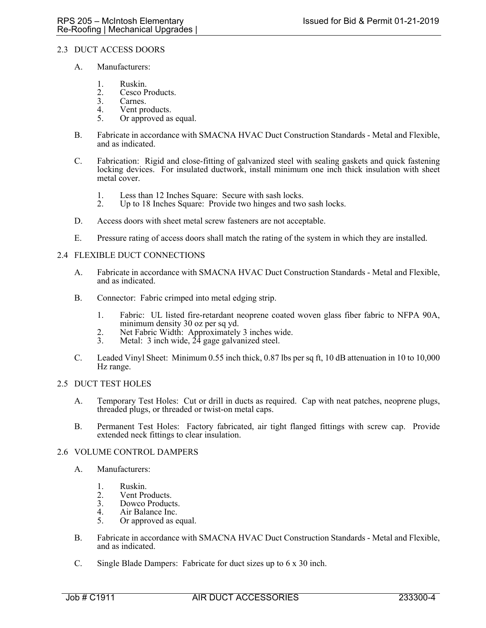## 2.3 DUCT ACCESS DOORS

- A. Manufacturers:
	- 1. Ruskin.<br>2. Cesco P
	- 2. Cesco Products.<br>3. Carnes.
	- 3. Carnes.<br>4. Vent pro
	- Vent products.
	- 5. Or approved as equal.
- B. Fabricate in accordance with SMACNA HVAC Duct Construction Standards Metal and Flexible, and as indicated.
- C. Fabrication: Rigid and close-fitting of galvanized steel with sealing gaskets and quick fastening locking devices. For insulated ductwork, install minimum one inch thick insulation with sheet metal cover.
	- 1. Less than 12 Inches Square: Secure with sash locks.
	- 2. Up to 18 Inches Square: Provide two hinges and two sash locks.
- D. Access doors with sheet metal screw fasteners are not acceptable.
- E. Pressure rating of access doors shall match the rating of the system in which they are installed.

## 2.4 FLEXIBLE DUCT CONNECTIONS

- A. Fabricate in accordance with SMACNA HVAC Duct Construction Standards Metal and Flexible, and as indicated.
- B. Connector: Fabric crimped into metal edging strip.
	- 1. Fabric: UL listed fire-retardant neoprene coated woven glass fiber fabric to NFPA 90A, minimum density 30 oz per sq yd.
	- 2. Net Fabric Width: Approximately 3 inches wide.
	- 3. Metal: 3 inch wide,  $24$  gage galvanized steel.
- C. Leaded Vinyl Sheet: Minimum 0.55 inch thick, 0.87 lbs per sq ft, 10 dB attenuation in 10 to 10,000 Hz range.

## 2.5 DUCT TEST HOLES

- A. Temporary Test Holes: Cut or drill in ducts as required. Cap with neat patches, neoprene plugs, threaded plugs, or threaded or twist-on metal caps.
- B. Permanent Test Holes: Factory fabricated, air tight flanged fittings with screw cap. Provide extended neck fittings to clear insulation.

#### 2.6 VOLUME CONTROL DAMPERS

- A. Manufacturers:
	- 1. Ruskin.
	- 2. Vent Products.
	- 3. Dowco Products.
	- 4. Air Balance Inc.<br>5. Or approved as e
	- Or approved as equal.
- B. Fabricate in accordance with SMACNA HVAC Duct Construction Standards Metal and Flexible, and as indicated.
- C. Single Blade Dampers: Fabricate for duct sizes up to 6 x 30 inch.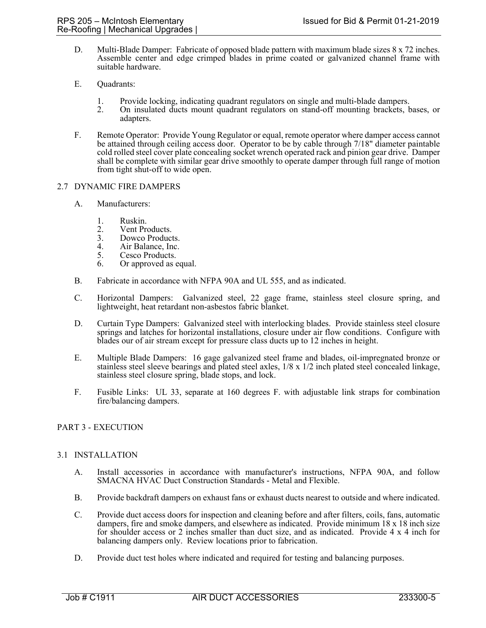- D. Multi-Blade Damper: Fabricate of opposed blade pattern with maximum blade sizes 8 x 72 inches. Assemble center and edge crimped blades in prime coated or galvanized channel frame with suitable hardware.
- E. Quadrants:
	- 1. Provide locking, indicating quadrant regulators on single and multi-blade dampers.
	- 2. On insulated ducts mount quadrant regulators on stand-off mounting brackets, bases, or adapters.
- F. Remote Operator: Provide Young Regulator or equal, remote operator where damper access cannot be attained through ceiling access door. Operator to be by cable through 7/18" diameter paintable cold rolled steel cover plate concealing socket wrench operated rack and pinion gear drive. Damper shall be complete with similar gear drive smoothly to operate damper through full range of motion from tight shut-off to wide open.

#### 2.7 DYNAMIC FIRE DAMPERS

- A. Manufacturers:
	-
	- 1. Ruskin.<br>2. Vent Pro
	- 2. Vent Products.<br>3. Dowco Product Dowco Products.
	- 4. Air Balance, Inc.<br>5. Cesco Products.
	- Cesco Products.
	- 6. Or approved as equal.
- B. Fabricate in accordance with NFPA 90A and UL 555, and as indicated.
- C. Horizontal Dampers: Galvanized steel, 22 gage frame, stainless steel closure spring, and lightweight, heat retardant non-asbestos fabric blanket.
- D. Curtain Type Dampers: Galvanized steel with interlocking blades. Provide stainless steel closure springs and latches for horizontal installations, closure under air flow conditions. Configure with blades our of air stream except for pressure class ducts up to 12 inches in height.
- E. Multiple Blade Dampers: 16 gage galvanized steel frame and blades, oil-impregnated bronze or stainless steel sleeve bearings and plated steel axles, 1/8 x 1/2 inch plated steel concealed linkage, stainless steel closure spring, blade stops, and lock.
- F. Fusible Links: UL 33, separate at 160 degrees F. with adjustable link straps for combination fire/balancing dampers.

## PART 3 - EXECUTION

#### 3.1 INSTALLATION

- A. Install accessories in accordance with manufacturer's instructions, NFPA 90A, and follow SMACNA HVAC Duct Construction Standards - Metal and Flexible.
- B. Provide backdraft dampers on exhaust fans or exhaust ducts nearest to outside and where indicated.
- C. Provide duct access doors for inspection and cleaning before and after filters, coils, fans, automatic dampers, fire and smoke dampers, and elsewhere as indicated. Provide minimum 18 x 18 inch size for shoulder access or 2 inches smaller than duct size, and as indicated. Provide 4 x 4 inch for balancing dampers only. Review locations prior to fabrication.
- D. Provide duct test holes where indicated and required for testing and balancing purposes.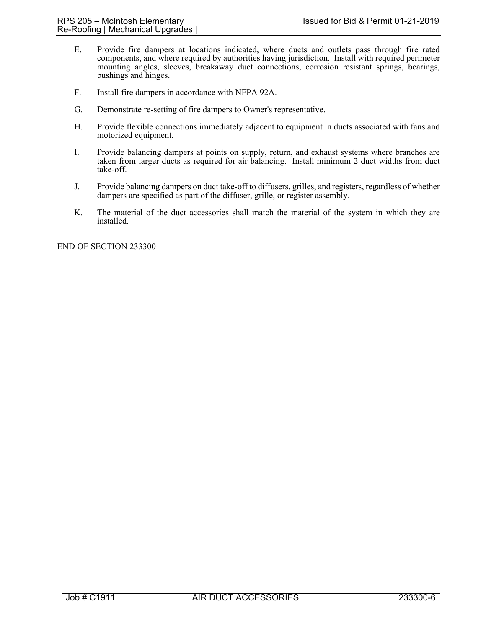- E. Provide fire dampers at locations indicated, where ducts and outlets pass through fire rated components, and where required by authorities having jurisdiction. Install with required perimeter mounting angles, sleeves, breakaway duct connections, corrosion resistant springs, bearings, bushings and hinges.
- F. Install fire dampers in accordance with NFPA 92A.
- G. Demonstrate re-setting of fire dampers to Owner's representative.
- H. Provide flexible connections immediately adjacent to equipment in ducts associated with fans and motorized equipment.
- I. Provide balancing dampers at points on supply, return, and exhaust systems where branches are taken from larger ducts as required for air balancing. Install minimum 2 duct widths from duct take-off.
- J. Provide balancing dampers on duct take-off to diffusers, grilles, and registers, regardless of whether dampers are specified as part of the diffuser, grille, or register assembly.
- K. The material of the duct accessories shall match the material of the system in which they are installed.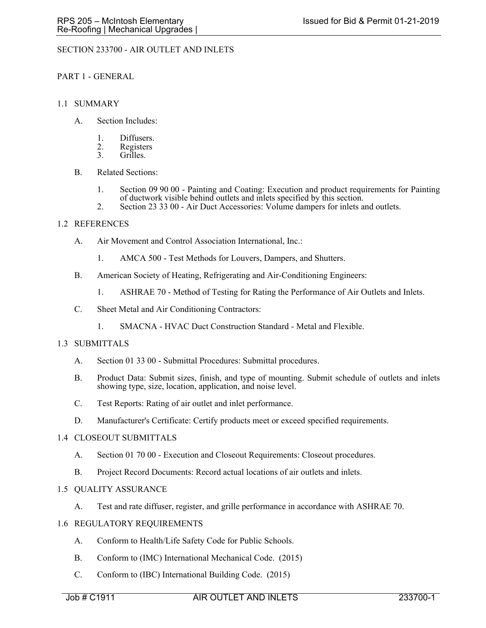# SECTION 233700 - AIR OUTLET AND INLETS

### PART 1 - GENERAL

### 1.1 SUMMARY

- A. Section Includes:
	- 1. Diffusers.
	- 2. Registers<br>3. Grilles.
	- Grilles.
- B. Related Sections:
	- 1. Section 09 90 00 Painting and Coating: Execution and product requirements for Painting of ductwork visible behind outlets and inlets specified by this section.
	- 2. Section 23 33 00 Air Duct Accessories: Volume dampers for inlets and outlets.

## 1.2 REFERENCES

- A. Air Movement and Control Association International, Inc.:
	- 1. AMCA 500 Test Methods for Louvers, Dampers, and Shutters.
- B. American Society of Heating, Refrigerating and Air-Conditioning Engineers:
	- 1. ASHRAE 70 Method of Testing for Rating the Performance of Air Outlets and Inlets.
- C. Sheet Metal and Air Conditioning Contractors:
	- 1. SMACNA HVAC Duct Construction Standard Metal and Flexible.

#### 1.3 SUBMITTALS

- A. Section 01 33 00 Submittal Procedures: Submittal procedures.
- B. Product Data: Submit sizes, finish, and type of mounting. Submit schedule of outlets and inlets showing type, size, location, application, and noise level.
- C. Test Reports: Rating of air outlet and inlet performance.
- D. Manufacturer's Certificate: Certify products meet or exceed specified requirements.

#### 1.4 CLOSEOUT SUBMITTALS

- A. Section 01 70 00 Execution and Closeout Requirements: Closeout procedures.
- B. Project Record Documents: Record actual locations of air outlets and inlets.

#### 1.5 QUALITY ASSURANCE

- A. Test and rate diffuser, register, and grille performance in accordance with ASHRAE 70.
- 1.6 REGULATORY REQUIREMENTS
	- A. Conform to Health/Life Safety Code for Public Schools.
	- B. Conform to (IMC) International Mechanical Code. (2015)
	- C. Conform to (IBC) International Building Code. (2015)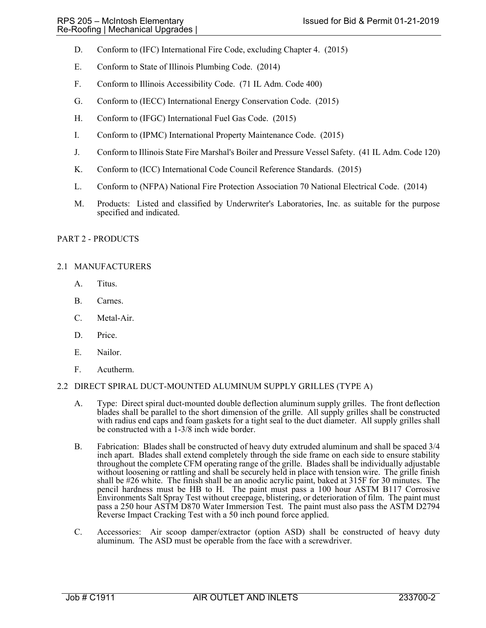- D. Conform to (IFC) International Fire Code, excluding Chapter 4. (2015)
- E. Conform to State of Illinois Plumbing Code. (2014)
- F. Conform to Illinois Accessibility Code. (71 IL Adm. Code 400)
- G. Conform to (IECC) International Energy Conservation Code. (2015)
- H. Conform to (IFGC) International Fuel Gas Code. (2015)
- I. Conform to (IPMC) International Property Maintenance Code. (2015)
- J. Conform to Illinois State Fire Marshal's Boiler and Pressure Vessel Safety. (41 IL Adm. Code 120)
- K. Conform to (ICC) International Code Council Reference Standards. (2015)
- L. Conform to (NFPA) National Fire Protection Association 70 National Electrical Code. (2014)
- M. Products: Listed and classified by Underwriter's Laboratories, Inc. as suitable for the purpose specified and indicated.

## PART 2 - PRODUCTS

## 2.1 MANUFACTURERS

- A. Titus.
- B. Carnes.
- C. Metal-Air.
- D. Price.
- E. Nailor.
- F. Acutherm.

## 2.2 DIRECT SPIRAL DUCT-MOUNTED ALUMINUM SUPPLY GRILLES (TYPE A)

- A. Type: Direct spiral duct-mounted double deflection aluminum supply grilles. The front deflection blades shall be parallel to the short dimension of the grille. All supply grilles shall be constructed with radius end caps and foam gaskets for a tight seal to the duct diameter. All supply grilles shall be constructed with a 1-3/8 inch wide border.
- B. Fabrication: Blades shall be constructed of heavy duty extruded aluminum and shall be spaced 3/4 inch apart. Blades shall extend completely through the side frame on each side to ensure stability throughout the complete CFM operating range of the grille. Blades shall be individually adjustable without loosening or rattling and shall be securely held in place with tension wire. The grille finish shall be #26 white. The finish shall be an anodic acrylic paint, baked at 315F for 30 minutes. The pencil hardness must be HB to H. The paint must pass a 100 hour ASTM B117 Corrosive Environments Salt Spray Test without creepage, blistering, or deterioration of film. The paint must pass a 250 hour ASTM D870 Water Immersion Test. The paint must also pass the ASTM D2794 Reverse Impact Cracking Test with a 50 inch pound force applied.
- C. Accessories: Air scoop damper/extractor (option ASD) shall be constructed of heavy duty aluminum. The ASD must be operable from the face with a screwdriver.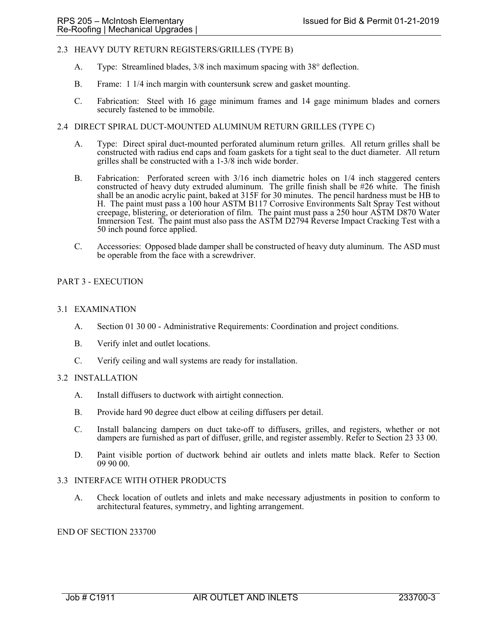## 2.3 HEAVY DUTY RETURN REGISTERS/GRILLES (TYPE B)

- A. Type: Streamlined blades, 3/8 inch maximum spacing with 38° deflection.
- B. Frame: 1 1/4 inch margin with countersunk screw and gasket mounting.
- C. Fabrication: Steel with 16 gage minimum frames and 14 gage minimum blades and corners securely fastened to be immobile.

# 2.4 DIRECT SPIRAL DUCT-MOUNTED ALUMINUM RETURN GRILLES (TYPE C)

- A. Type: Direct spiral duct-mounted perforated aluminum return grilles. All return grilles shall be constructed with radius end caps and foam gaskets for a tight seal to the duct diameter. All return grilles shall be constructed with a 1-3/8 inch wide border.
- B. Fabrication: Perforated screen with 3/16 inch diametric holes on 1/4 inch staggered centers constructed of heavy duty extruded aluminum. The grille finish shall be #26 white. The finish shall be an anodic acrylic paint, baked at 315F for 30 minutes. The pencil hardness must be HB to H. The paint must pass a 100 hour ASTM B117 Corrosive Environments Salt Spray Test without creepage, blistering, or deterioration of film. The paint must pass a 250 hour ASTM D870 Water Immersion Test. The paint must also pass the ASTM D2794 Reverse Impact Cracking Test with a 50 inch pound force applied.
- C. Accessories: Opposed blade damper shall be constructed of heavy duty aluminum. The ASD must be operable from the face with a screwdriver.

#### PART 3 - EXECUTION

#### 3.1 EXAMINATION

- A. Section 01 30 00 Administrative Requirements: Coordination and project conditions.
- B. Verify inlet and outlet locations.
- C. Verify ceiling and wall systems are ready for installation.

#### 3.2 INSTALLATION

- A. Install diffusers to ductwork with airtight connection.
- B. Provide hard 90 degree duct elbow at ceiling diffusers per detail.
- C. Install balancing dampers on duct take-off to diffusers, grilles, and registers, whether or not dampers are furnished as part of diffuser, grille, and register assembly. Refer to Section 23 33 00.
- D. Paint visible portion of ductwork behind air outlets and inlets matte black. Refer to Section 09 90 00.

## 3.3 INTERFACE WITH OTHER PRODUCTS

A. Check location of outlets and inlets and make necessary adjustments in position to conform to architectural features, symmetry, and lighting arrangement.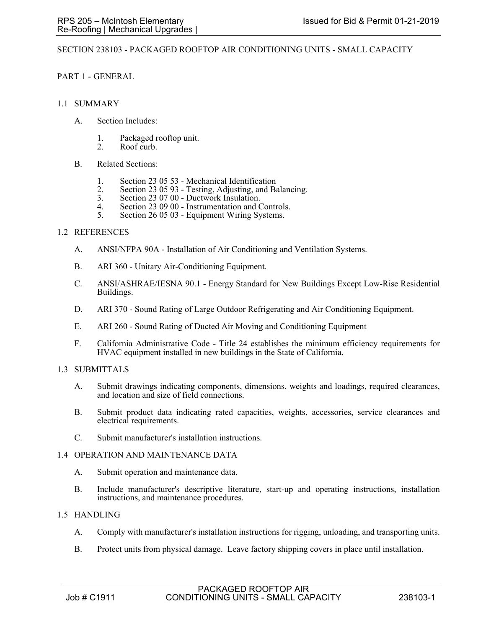## SECTION 238103 - PACKAGED ROOFTOP AIR CONDITIONING UNITS - SMALL CAPACITY

PART 1 - GENERAL

## 1.1 SUMMARY

- A. Section Includes:
	- 1. Packaged rooftop unit.
	- 2. Roof curb.
- B. Related Sections:
	- 1. Section 23 05 53 Mechanical Identification
	- 2. Section 23 05 93 Testing, Adjusting, and Balancing.<br>3. Section 23 07 00 Ductwork Insulation.
	- 3. Section 23 07 00 Ductwork Insulation.
	- 4. Section 23 09 00 Instrumentation and Controls.<br>5. Section 26 05 03 Equipment Wiring Systems.
	- Section 26 05 03 Equipment Wiring Systems.

## 1.2 REFERENCES

- A. ANSI/NFPA 90A Installation of Air Conditioning and Ventilation Systems.
- B. ARI 360 Unitary Air-Conditioning Equipment.
- C. ANSI/ASHRAE/IESNA 90.1 Energy Standard for New Buildings Except Low-Rise Residential Buildings.
- D. ARI 370 Sound Rating of Large Outdoor Refrigerating and Air Conditioning Equipment.
- E. ARI 260 Sound Rating of Ducted Air Moving and Conditioning Equipment
- F. California Administrative Code Title 24 establishes the minimum efficiency requirements for HVAC equipment installed in new buildings in the State of California.

#### 1.3 SUBMITTALS

- A. Submit drawings indicating components, dimensions, weights and loadings, required clearances, and location and size of field connections.
- B. Submit product data indicating rated capacities, weights, accessories, service clearances and electrical requirements.
- C. Submit manufacturer's installation instructions.

#### 1.4 OPERATION AND MAINTENANCE DATA

- A. Submit operation and maintenance data.
- B. Include manufacturer's descriptive literature, start-up and operating instructions, installation instructions, and maintenance procedures.

#### 1.5 HANDLING

- A. Comply with manufacturer's installation instructions for rigging, unloading, and transporting units.
- B. Protect units from physical damage. Leave factory shipping covers in place until installation.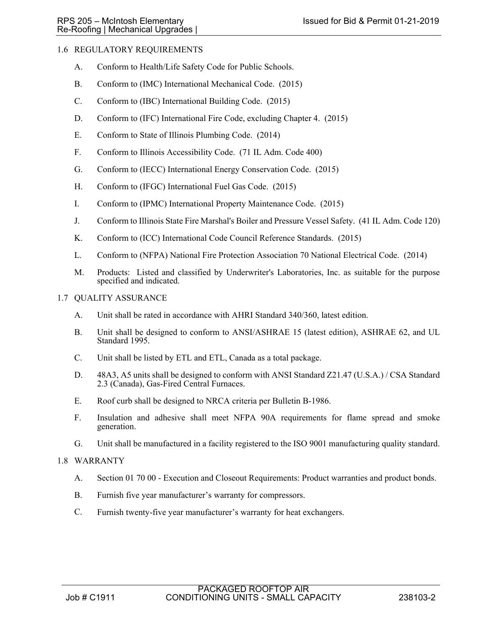# 1.6 REGULATORY REQUIREMENTS

- A. Conform to Health/Life Safety Code for Public Schools.
- B. Conform to (IMC) International Mechanical Code. (2015)
- C. Conform to (IBC) International Building Code. (2015)
- D. Conform to (IFC) International Fire Code, excluding Chapter 4. (2015)
- E. Conform to State of Illinois Plumbing Code. (2014)
- F. Conform to Illinois Accessibility Code. (71 IL Adm. Code 400)
- G. Conform to (IECC) International Energy Conservation Code. (2015)
- H. Conform to (IFGC) International Fuel Gas Code. (2015)
- I. Conform to (IPMC) International Property Maintenance Code. (2015)
- J. Conform to Illinois State Fire Marshal's Boiler and Pressure Vessel Safety. (41 IL Adm. Code 120)
- K. Conform to (ICC) International Code Council Reference Standards. (2015)
- L. Conform to (NFPA) National Fire Protection Association 70 National Electrical Code. (2014)
- M. Products: Listed and classified by Underwriter's Laboratories, Inc. as suitable for the purpose specified and indicated.
- 1.7 QUALITY ASSURANCE
	- A. Unit shall be rated in accordance with AHRI Standard 340/360, latest edition.
	- B. Unit shall be designed to conform to ANSI/ASHRAE 15 (latest edition), ASHRAE 62, and UL Standard 1995.
	- C. Unit shall be listed by ETL and ETL, Canada as a total package.
	- D. 48A3, A5 units shall be designed to conform with ANSI Standard Z21.47 (U.S.A.) / CSA Standard 2.3 (Canada), Gas-Fired Central Furnaces.
	- E. Roof curb shall be designed to NRCA criteria per Bulletin B-1986.
	- F. Insulation and adhesive shall meet NFPA 90A requirements for flame spread and smoke generation.
	- G. Unit shall be manufactured in a facility registered to the ISO 9001 manufacturing quality standard.

## 1.8 WARRANTY

- A. Section 01 70 00 Execution and Closeout Requirements: Product warranties and product bonds.
- B. Furnish five year manufacturer's warranty for compressors.
- C. Furnish twenty-five year manufacturer's warranty for heat exchangers.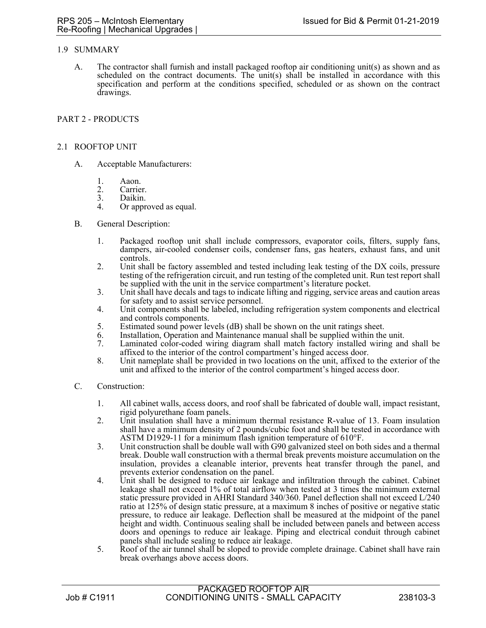## 1.9 SUMMARY

A. The contractor shall furnish and install packaged rooftop air conditioning unit(s) as shown and as scheduled on the contract documents. The unit(s) shall be installed in accordance with this specification and perform at the conditions specified, scheduled or as shown on the contract drawings.

## PART 2 - PRODUCTS

### 2.1 ROOFTOP UNIT

- A. Acceptable Manufacturers:
	- 1. Aaon.
	- 2. Carrier.<br>3. Daikin.
	- 3. Daikin.<br>4. Or appr
	- Or approved as equal.
- B. General Description:
	- 1. Packaged rooftop unit shall include compressors, evaporator coils, filters, supply fans, dampers, air-cooled condenser coils, condenser fans, gas heaters, exhaust fans, and unit controls.
	- 2. Unit shall be factory assembled and tested including leak testing of the DX coils, pressure testing of the refrigeration circuit, and run testing of the completed unit. Run test report shall be supplied with the unit in the service compartment's literature pocket.
	- 3. Unit shall have decals and tags to indicate lifting and rigging, service areas and caution areas for safety and to assist service personnel.
	- 4. Unit components shall be labeled, including refrigeration system components and electrical and controls components.
	- 5. Estimated sound power levels (dB) shall be shown on the unit ratings sheet.
	- 6. Installation, Operation and Maintenance manual shall be supplied within the unit.
	- Laminated color-coded wiring diagram shall match factory installed wiring and shall be affixed to the interior of the control compartment's hinged access door.
	- 8. Unit nameplate shall be provided in two locations on the unit, affixed to the exterior of the unit and affixed to the interior of the control compartment's hinged access door.
- C. Construction:
	- 1. All cabinet walls, access doors, and roof shall be fabricated of double wall, impact resistant, rigid polyurethane foam panels.
	- 2. Unit insulation shall have a minimum thermal resistance R-value of 13. Foam insulation shall have a minimum density of 2 pounds/cubic foot and shall be tested in accordance with ASTM D1929-11 for a minimum flash ignition temperature of  $610^{\circ}$ F.
	- 3. Unit construction shall be double wall with G90 galvanized steel on both sides and a thermal break. Double wall construction with a thermal break prevents moisture accumulation on the insulation, provides a cleanable interior, prevents heat transfer through the panel, and prevents exterior condensation on the panel.
	- 4. Unit shall be designed to reduce air leakage and infiltration through the cabinet. Cabinet leakage shall not exceed 1% of total airflow when tested at 3 times the minimum external static pressure provided in AHRI Standard 340/360. Panel deflection shall not exceed L/240 ratio at 125% of design static pressure, at a maximum 8 inches of positive or negative static pressure, to reduce air leakage. Deflection shall be measured at the midpoint of the panel height and width. Continuous sealing shall be included between panels and between access doors and openings to reduce air leakage. Piping and electrical conduit through cabinet panels shall include sealing to reduce air leakage.
	- 5. Roof of the air tunnel shall be sloped to provide complete drainage. Cabinet shall have rain break overhangs above access doors.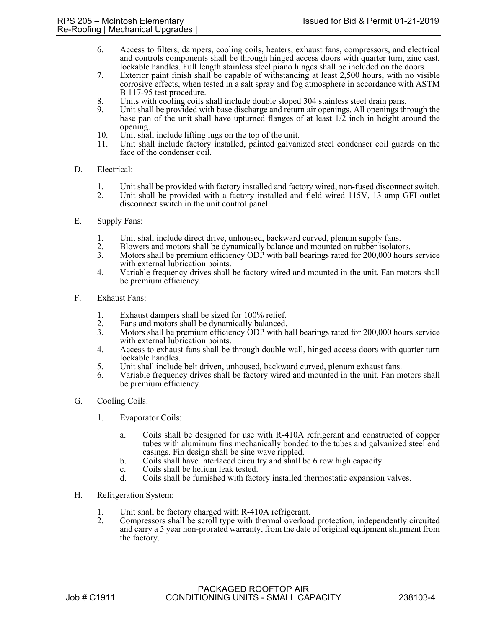- 6. Access to filters, dampers, cooling coils, heaters, exhaust fans, compressors, and electrical and controls components shall be through hinged access doors with quarter turn, zinc cast, lockable handles. Full length stainless steel piano hinges shall be included on the doors.
- 7. Exterior paint finish shall be capable of withstanding at least 2,500 hours, with no visible corrosive effects, when tested in a salt spray and fog atmosphere in accordance with ASTM B 117-95 test procedure.
- 8. Units with cooling coils shall include double sloped 304 stainless steel drain pans.
- Unit shall be provided with base discharge and return air openings. All openings through the base pan of the unit shall have upturned flanges of at least 1/2 inch in height around the opening.
- 10. Unit shall include lifting lugs on the top of the unit.
- 11. Unit shall include factory installed, painted galvanized steel condenser coil guards on the face of the condenser coil.

## D. Electrical:

- 1. Unit shall be provided with factory installed and factory wired, non-fused disconnect switch.
- 2. Unit shall be provided with a factory installed and field wired 115V, 13 amp GFI outlet disconnect switch in the unit control panel.
- E. Supply Fans:
	- 1. Unit shall include direct drive, unhoused, backward curved, plenum supply fans.
	- 2. Blowers and motors shall be dynamically balance and mounted on rubber isolators.<br>3. Motors shall be premium efficiency ODP with ball bearings rated for 200,000 hours
	- Motors shall be premium efficiency ODP with ball bearings rated for 200,000 hours service with external lubrication points.
	- 4. Variable frequency drives shall be factory wired and mounted in the unit. Fan motors shall be premium efficiency.
- F. Exhaust Fans:
	- 1. Exhaust dampers shall be sized for 100% relief.<br>2. Fans and motors shall be dynamically balanced.
	- Fans and motors shall be dynamically balanced.
	- 3. Motors shall be premium efficiency ODP with ball bearings rated for 200,000 hours service with external lubrication points.
	- 4. Access to exhaust fans shall be through double wall, hinged access doors with quarter turn lockable handles.
	- 5. Unit shall include belt driven, unhoused, backward curved, plenum exhaust fans.
	- 6. Variable frequency drives shall be factory wired and mounted in the unit. Fan motors shall be premium efficiency.
- G. Cooling Coils:
	- 1. Evaporator Coils:
		- a. Coils shall be designed for use with R-410A refrigerant and constructed of copper tubes with aluminum fins mechanically bonded to the tubes and galvanized steel end casings. Fin design shall be sine wave rippled.
		- b. Coils shall have interlaced circuitry and shall be 6 row high capacity.
		- c. Coils shall be helium leak tested.
		- d. Coils shall be furnished with factory installed thermostatic expansion valves.
- H. Refrigeration System:
	- 1. Unit shall be factory charged with R-410A refrigerant.
	- 2. Compressors shall be scroll type with thermal overload protection, independently circuited and carry a 5 year non-prorated warranty, from the date of original equipment shipment from the factory.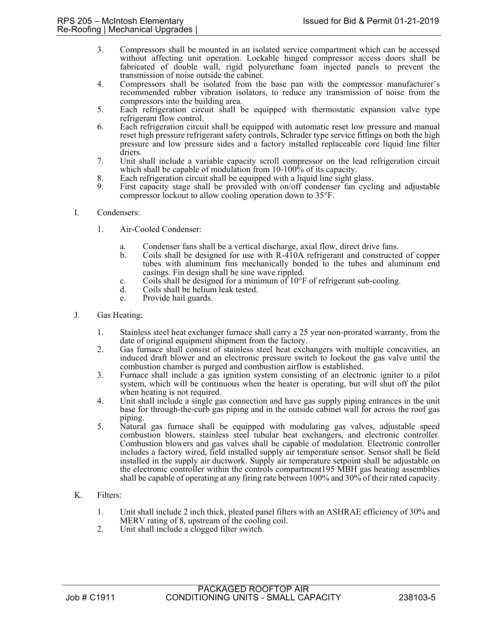- 3. Compressors shall be mounted in an isolated service compartment which can be accessed without affecting unit operation. Lockable hinged compressor access doors shall be fabricated of double wall, rigid polyurethane foam injected panels to prevent the transmission of noise outside the cabinet.
- 4. Compressors shall be isolated from the base pan with the compressor manufacturer's recommended rubber vibration isolators, to reduce any transmission of noise from the compressors into the building area.
- 5. Each refrigeration circuit shall be equipped with thermostatic expansion valve type refrigerant flow control.
- 6. Each refrigeration circuit shall be equipped with automatic reset low pressure and manual reset high pressure refrigerant safety controls, Schrader type service fittings on both the high pressure and low pressure sides and a factory installed replaceable core liquid line filter driers.
- 7. Unit shall include a variable capacity scroll compressor on the lead refrigeration circuit which shall be capable of modulation from 10-100% of its capacity.
- 8. Each refrigeration circuit shall be equipped with a liquid line sight glass.<br>9. First capacity stage shall be provided with on/off condenser fan cycli
- First capacity stage shall be provided with on/off condenser fan cycling and adjustable compressor lockout to allow cooling operation down to 35°F.
- I. Condensers:
	- 1. Air-Cooled Condenser:
		- a. Condenser fans shall be a vertical discharge, axial flow, direct drive fans.
		- b. Coils shall be designed for use with R-410A refrigerant and constructed of copper tubes with aluminum fins mechanically bonded to the tubes and aluminum end casings. Fin design shall be sine wave rippled.
		- c. Coils shall be designed for a minimum of 10°F of refrigerant sub-cooling.
		- d. Coils shall be helium leak tested.
		- e. Provide hail guards.
- J. Gas Heating:
	- 1. Stainless steel heat exchanger furnace shall carry a 25 year non-prorated warranty, from the date of original equipment shipment from the factory.
	- 2. Gas furnace shall consist of stainless steel heat exchangers with multiple concavities, an induced draft blower and an electronic pressure switch to lockout the gas valve until the combustion chamber is purged and combustion airflow is established.
	- 3. Furnace shall include a gas ignition system consisting of an electronic igniter to a pilot system, which will be continuous when the heater is operating, but will shut off the pilot when heating is not required.
	- 4. Unit shall include a single gas connection and have gas supply piping entrances in the unit base for through-the-curb gas piping and in the outside cabinet wall for across the roof gas piping.
	- 5. Natural gas furnace shall be equipped with modulating gas valves, adjustable speed combustion blowers, stainless steel tubular heat exchangers, and electronic controller. Combustion blowers and gas valves shall be capable of modulation. Electronic controller includes a factory wired, field installed supply air temperature sensor. Sensor shall be field installed in the supply air ductwork. Supply air temperature setpoint shall be adjustable on the electronic controller within the controls compartment195 MBH gas heating assemblies shall be capable of operating at any firing rate between 100% and 30% of their rated capacity.
- K. Filters:
	- 1. Unit shall include 2 inch thick, pleated panel filters with an ASHRAE efficiency of 30% and MERV rating of 8, upstream of the cooling coil.
	- 2. Unit shall include a clogged filter switch.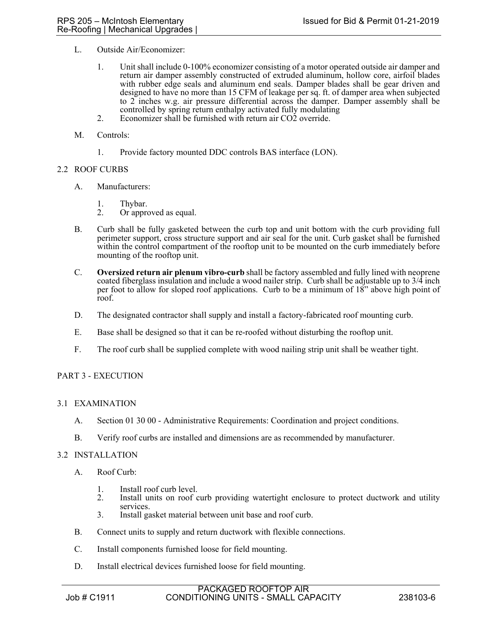- L. Outside Air/Economizer:
	- 1. Unit shall include 0-100% economizer consisting of a motor operated outside air damper and return air damper assembly constructed of extruded aluminum, hollow core, airfoil blades with rubber edge seals and aluminum end seals. Damper blades shall be gear driven and designed to have no more than 15 CFM of leakage per sq. ft. of damper area when subjected to 2 inches w.g. air pressure differential across the damper. Damper assembly shall be controlled by spring return enthalpy activated fully modulating
	- 2. Economizer shall be furnished with return air CO2 override.
- M. Controls:
	- 1. Provide factory mounted DDC controls BAS interface (LON).

## 2.2 ROOF CURBS

- A. Manufacturers:
	- 1. Thybar.<br>2. Or appro
	- Or approved as equal.
- B. Curb shall be fully gasketed between the curb top and unit bottom with the curb providing full perimeter support, cross structure support and air seal for the unit. Curb gasket shall be furnished within the control compartment of the rooftop unit to be mounted on the curb immediately before mounting of the rooftop unit.
- C. **Oversized return air plenum vibro-curb** shall be factory assembled and fully lined with neoprene coated fiberglass insulation and include a wood nailer strip. Curb shall be adjustable up to  $3/\overline{4}$  inch per foot to allow for sloped roof applications. Curb to be a minimum of 18" above high point of roof.
- D. The designated contractor shall supply and install a factory-fabricated roof mounting curb.
- E. Base shall be designed so that it can be re-roofed without disturbing the rooftop unit.
- F. The roof curb shall be supplied complete with wood nailing strip unit shall be weather tight.

## PART 3 - EXECUTION

## 3.1 EXAMINATION

- A. Section 01 30 00 Administrative Requirements: Coordination and project conditions.
- B. Verify roof curbs are installed and dimensions are as recommended by manufacturer.

# 3.2 INSTALLATION

- A. Roof Curb:
	- 1. Install roof curb level.<br>2. Install units on roof c
	- Install units on roof curb providing watertight enclosure to protect ductwork and utility services.
	- 3. Install gasket material between unit base and roof curb.
- B. Connect units to supply and return ductwork with flexible connections.
- C. Install components furnished loose for field mounting.
- D. Install electrical devices furnished loose for field mounting.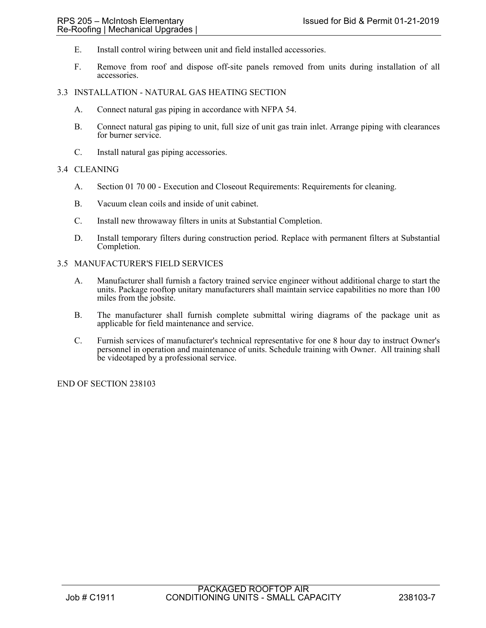- E. Install control wiring between unit and field installed accessories.
- F. Remove from roof and dispose off-site panels removed from units during installation of all accessories.

### 3.3 INSTALLATION - NATURAL GAS HEATING SECTION

- A. Connect natural gas piping in accordance with NFPA 54.
- B. Connect natural gas piping to unit, full size of unit gas train inlet. Arrange piping with clearances for burner service.
- C. Install natural gas piping accessories.

## 3.4 CLEANING

- A. Section 01 70 00 Execution and Closeout Requirements: Requirements for cleaning.
- B. Vacuum clean coils and inside of unit cabinet.
- C. Install new throwaway filters in units at Substantial Completion.
- D. Install temporary filters during construction period. Replace with permanent filters at Substantial Completion.
- 3.5 MANUFACTURER'S FIELD SERVICES
	- A. Manufacturer shall furnish a factory trained service engineer without additional charge to start the units. Package rooftop unitary manufacturers shall maintain service capabilities no more than 100 miles from the jobsite.
	- B. The manufacturer shall furnish complete submittal wiring diagrams of the package unit as applicable for field maintenance and service.
	- C. Furnish services of manufacturer's technical representative for one 8 hour day to instruct Owner's personnel in operation and maintenance of units. Schedule training with Owner. All training shall be videotaped by a professional service.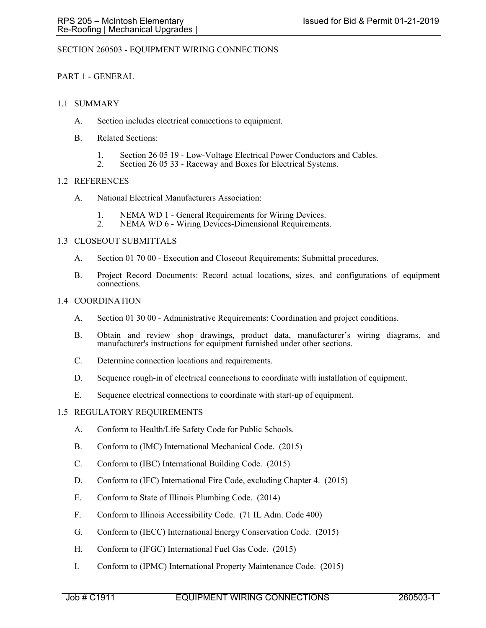## SECTION 260503 - EQUIPMENT WIRING CONNECTIONS

## PART 1 - GENERAL

## 1.1 SUMMARY

- A. Section includes electrical connections to equipment.
- B. Related Sections:
	- 1. Section 26 05 19 Low-Voltage Electrical Power Conductors and Cables.<br>2. Section 26 05 33 Raceway and Boxes for Electrical Systems
	- Section 26 05 33 Raceway and Boxes for Electrical Systems.

## 1.2 REFERENCES

- A. National Electrical Manufacturers Association:
	- 1. NEMA WD 1 General Requirements for Wiring Devices.
	- 2. NEMA WD 6 Wiring Devices-Dimensional Requirements.

## 1.3 CLOSEOUT SUBMITTALS

- A. Section 01 70 00 Execution and Closeout Requirements: Submittal procedures.
- B. Project Record Documents: Record actual locations, sizes, and configurations of equipment connections.

## 1.4 COORDINATION

- A. Section 01 30 00 Administrative Requirements: Coordination and project conditions.
- B. Obtain and review shop drawings, product data, manufacturer's wiring diagrams, and manufacturer's instructions for equipment furnished under other sections.
- C. Determine connection locations and requirements.
- D. Sequence rough-in of electrical connections to coordinate with installation of equipment.
- E. Sequence electrical connections to coordinate with start-up of equipment.

## 1.5 REGULATORY REQUIREMENTS

- A. Conform to Health/Life Safety Code for Public Schools.
- B. Conform to (IMC) International Mechanical Code. (2015)
- C. Conform to (IBC) International Building Code. (2015)
- D. Conform to (IFC) International Fire Code, excluding Chapter 4. (2015)
- E. Conform to State of Illinois Plumbing Code. (2014)
- F. Conform to Illinois Accessibility Code. (71 IL Adm. Code 400)
- G. Conform to (IECC) International Energy Conservation Code. (2015)
- H. Conform to (IFGC) International Fuel Gas Code. (2015)
- I. Conform to (IPMC) International Property Maintenance Code. (2015)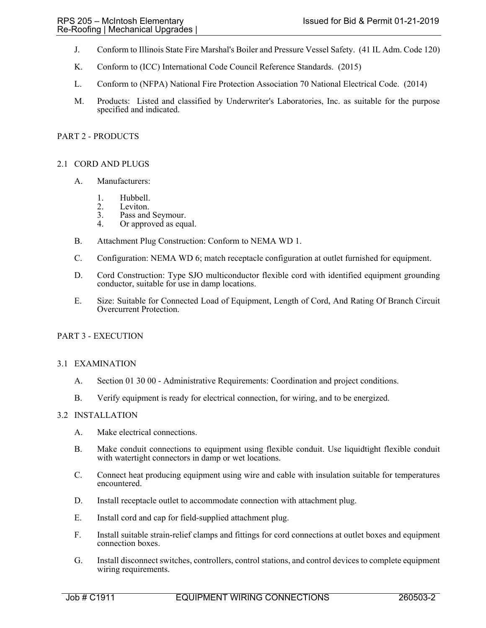- J. Conform to Illinois State Fire Marshal's Boiler and Pressure Vessel Safety. (41 IL Adm. Code 120)
- K. Conform to (ICC) International Code Council Reference Standards. (2015)
- L. Conform to (NFPA) National Fire Protection Association 70 National Electrical Code. (2014)
- M. Products: Listed and classified by Underwriter's Laboratories, Inc. as suitable for the purpose specified and indicated.

## PART 2 - PRODUCTS

## 2.1 CORD AND PLUGS

- A. Manufacturers:
	- 1. Hubbell.<br>2. Leviton.
	- Leviton.
	- 3. Pass and Seymour.
	- 4. Or approved as equal.
- B. Attachment Plug Construction: Conform to NEMA WD 1.
- C. Configuration: NEMA WD 6; match receptacle configuration at outlet furnished for equipment.
- D. Cord Construction: Type SJO multiconductor flexible cord with identified equipment grounding conductor, suitable for use in damp locations.
- E. Size: Suitable for Connected Load of Equipment, Length of Cord, And Rating Of Branch Circuit Overcurrent Protection.

## PART 3 - EXECUTION

#### 3.1 EXAMINATION

- A. Section 01 30 00 Administrative Requirements: Coordination and project conditions.
- B. Verify equipment is ready for electrical connection, for wiring, and to be energized.

## 3.2 INSTALLATION

- A. Make electrical connections.
- B. Make conduit connections to equipment using flexible conduit. Use liquidtight flexible conduit with watertight connectors in damp or wet locations.
- C. Connect heat producing equipment using wire and cable with insulation suitable for temperatures encountered.
- D. Install receptacle outlet to accommodate connection with attachment plug.
- E. Install cord and cap for field-supplied attachment plug.
- F. Install suitable strain-relief clamps and fittings for cord connections at outlet boxes and equipment connection boxes.
- G. Install disconnect switches, controllers, control stations, and control devices to complete equipment wiring requirements.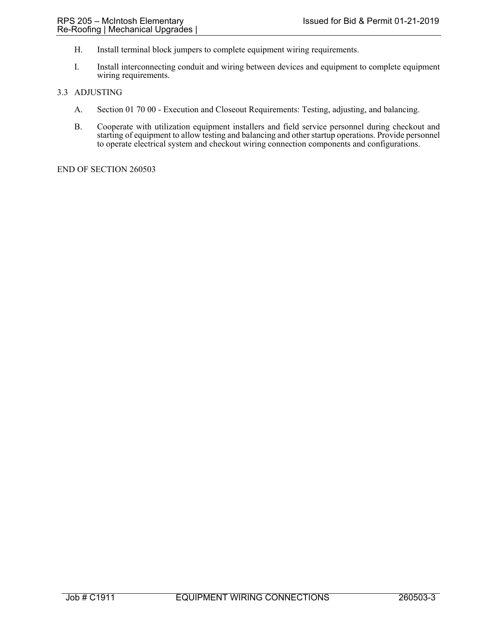- H. Install terminal block jumpers to complete equipment wiring requirements.
- I. Install interconnecting conduit and wiring between devices and equipment to complete equipment wiring requirements.

## 3.3 ADJUSTING

- A. Section 01 70 00 Execution and Closeout Requirements: Testing, adjusting, and balancing.
- B. Cooperate with utilization equipment installers and field service personnel during checkout and starting of equipment to allow testing and balancing and other startup operations. Provide personnel to operate electrical system and checkout wiring connection components and configurations.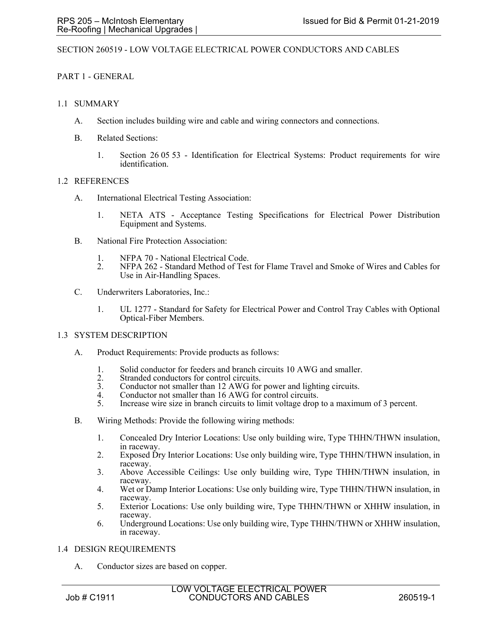## SECTION 260519 - LOW VOLTAGE ELECTRICAL POWER CONDUCTORS AND CABLES

# PART 1 - GENERAL

## 1.1 SUMMARY

- A. Section includes building wire and cable and wiring connectors and connections.
- B. Related Sections:
	- 1. Section 26 05 53 Identification for Electrical Systems: Product requirements for wire identification.

## 1.2 REFERENCES

- A. International Electrical Testing Association:
	- 1. NETA ATS Acceptance Testing Specifications for Electrical Power Distribution Equipment and Systems.
- B. National Fire Protection Association:
	- 1. NFPA 70 National Electrical Code.
	- 2. NFPA 262 Standard Method of Test for Flame Travel and Smoke of Wires and Cables for Use in Air-Handling Spaces.
- C. Underwriters Laboratories, Inc.:
	- 1. UL 1277 Standard for Safety for Electrical Power and Control Tray Cables with Optional Optical-Fiber Members.

## 1.3 SYSTEM DESCRIPTION

- A. Product Requirements: Provide products as follows:
	- 1. Solid conductor for feeders and branch circuits 10 AWG and smaller.
	- 2. Stranded conductors for control circuits.
	- 3. Conductor not smaller than 12 AWG for power and lighting circuits.
	- 4. Conductor not smaller than 16 AWG for control circuits.
	- 5. Increase wire size in branch circuits to limit voltage drop to a maximum of 3 percent.
- B. Wiring Methods: Provide the following wiring methods:
	- 1. Concealed Dry Interior Locations: Use only building wire, Type THHN/THWN insulation, in raceway.
	- 2. Exposed Dry Interior Locations: Use only building wire, Type THHN/THWN insulation, in raceway.
	- 3. Above Accessible Ceilings: Use only building wire, Type THHN/THWN insulation, in raceway.
	- 4. Wet or Damp Interior Locations: Use only building wire, Type THHN/THWN insulation, in raceway.
	- 5. Exterior Locations: Use only building wire, Type THHN/THWN or XHHW insulation, in raceway.
	- 6. Underground Locations: Use only building wire, Type THHN/THWN or XHHW insulation, in raceway.

#### 1.4 DESIGN REQUIREMENTS

A. Conductor sizes are based on copper.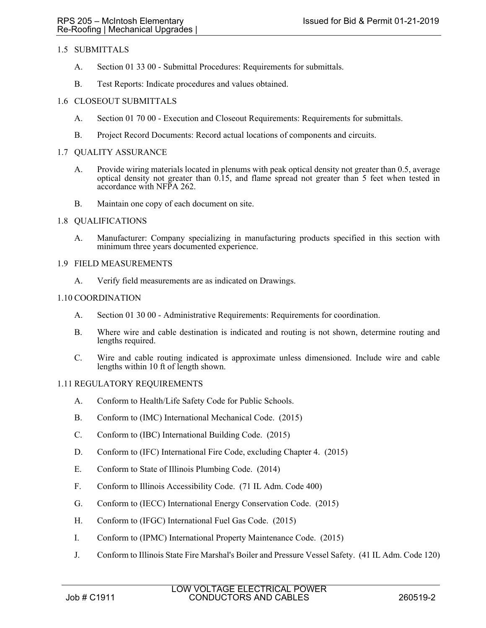# 1.5 SUBMITTALS

- A. Section 01 33 00 Submittal Procedures: Requirements for submittals.
- B. Test Reports: Indicate procedures and values obtained.

## 1.6 CLOSEOUT SUBMITTALS

- A. Section 01 70 00 Execution and Closeout Requirements: Requirements for submittals.
- B. Project Record Documents: Record actual locations of components and circuits.

## 1.7 QUALITY ASSURANCE

- A. Provide wiring materials located in plenums with peak optical density not greater than 0.5, average optical density not greater than 0.15, and flame spread not greater than 5 feet when tested in accordance with NFPA 262.
- B. Maintain one copy of each document on site.

## 1.8 QUALIFICATIONS

A. Manufacturer: Company specializing in manufacturing products specified in this section with minimum three years documented experience.

## 1.9 FIELD MEASUREMENTS

A. Verify field measurements are as indicated on Drawings.

## 1.10 COORDINATION

- A. Section 01 30 00 Administrative Requirements: Requirements for coordination.
- B. Where wire and cable destination is indicated and routing is not shown, determine routing and lengths required.
- C. Wire and cable routing indicated is approximate unless dimensioned. Include wire and cable lengths within 10 ft of length shown.

# 1.11 REGULATORY REQUIREMENTS

- A. Conform to Health/Life Safety Code for Public Schools.
- B. Conform to (IMC) International Mechanical Code. (2015)
- C. Conform to (IBC) International Building Code. (2015)
- D. Conform to (IFC) International Fire Code, excluding Chapter 4. (2015)
- E. Conform to State of Illinois Plumbing Code. (2014)
- F. Conform to Illinois Accessibility Code. (71 IL Adm. Code 400)
- G. Conform to (IECC) International Energy Conservation Code. (2015)
- H. Conform to (IFGC) International Fuel Gas Code. (2015)
- I. Conform to (IPMC) International Property Maintenance Code. (2015)
- J. Conform to Illinois State Fire Marshal's Boiler and Pressure Vessel Safety. (41 IL Adm. Code 120)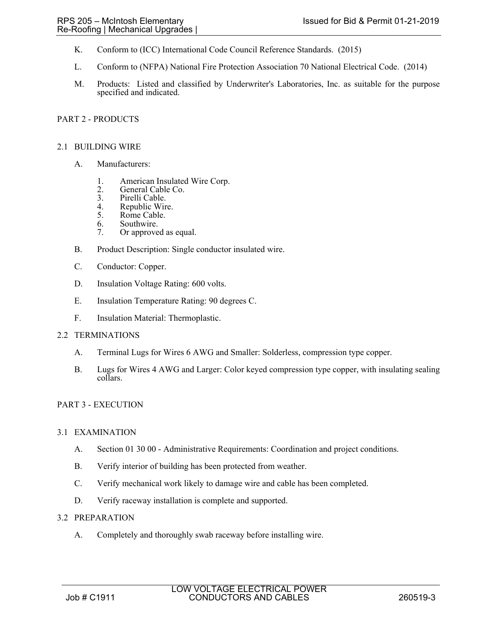- K. Conform to (ICC) International Code Council Reference Standards. (2015)
- L. Conform to (NFPA) National Fire Protection Association 70 National Electrical Code. (2014)
- M. Products: Listed and classified by Underwriter's Laboratories, Inc. as suitable for the purpose specified and indicated.

## PART 2 - PRODUCTS

#### 2.1 BUILDING WIRE

- A. Manufacturers:
	- 1. American Insulated Wire Corp.
	- 2. General Cable Co.<br>3. Pirelli Cable.
	- 3. Pirelli Cable.<br>4. Republic Wir
	- 4. Republic Wire.<br>5. Rome Cable.
	- Rome Cable.
	- 6. Southwire.
	- 7. Or approved as equal.
- B. Product Description: Single conductor insulated wire.
- C. Conductor: Copper.
- D. Insulation Voltage Rating: 600 volts.
- E. Insulation Temperature Rating: 90 degrees C.
- F. Insulation Material: Thermoplastic.

#### 2.2 TERMINATIONS

- A. Terminal Lugs for Wires 6 AWG and Smaller: Solderless, compression type copper.
- B. Lugs for Wires 4 AWG and Larger: Color keyed compression type copper, with insulating sealing collars.

#### PART 3 - EXECUTION

#### 3.1 EXAMINATION

- A. Section 01 30 00 Administrative Requirements: Coordination and project conditions.
- B. Verify interior of building has been protected from weather.
- C. Verify mechanical work likely to damage wire and cable has been completed.
- D. Verify raceway installation is complete and supported.

#### 3.2 PREPARATION

A. Completely and thoroughly swab raceway before installing wire.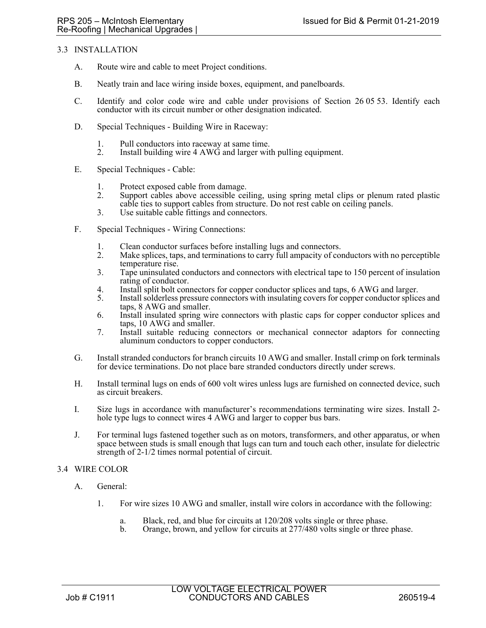## 3.3 INSTALLATION

- A. Route wire and cable to meet Project conditions.
- B. Neatly train and lace wiring inside boxes, equipment, and panelboards.
- C. Identify and color code wire and cable under provisions of Section 26 05 53. Identify each conductor with its circuit number or other designation indicated.
- D. Special Techniques Building Wire in Raceway:
	- 1. Pull conductors into raceway at same time.
	- 2. Install building wire 4 AWG and larger with pulling equipment.
- E. Special Techniques Cable:
	- 1. Protect exposed cable from damage.<br>2. Support cables above accessible cei
	- 2. Support cables above accessible ceiling, using spring metal clips or plenum rated plastic cable ties to support cables from structure. Do not rest cable on ceiling panels.
	- 3. Use suitable cable fittings and connectors.
- F. Special Techniques Wiring Connections:
	- 1. Clean conductor surfaces before installing lugs and connectors.
	- 2. Make splices, taps, and terminations to carry full ampacity of conductors with no perceptible temperature rise.
	- 3. Tape uninsulated conductors and connectors with electrical tape to 150 percent of insulation rating of conductor.
	- 4. Install split bolt connectors for copper conductor splices and taps, 6 AWG and larger.<br>5. Install solderless pressure connectors with insulating covers for copper conductor splice
	- 5. Install solderless pressure connectors with insulating covers for copper conductor splices and taps, 8 AWG and smaller.
	- 6. Install insulated spring wire connectors with plastic caps for copper conductor splices and taps, 10 AWG and smaller.
	- 7. Install suitable reducing connectors or mechanical connector adaptors for connecting aluminum conductors to copper conductors.
- G. Install stranded conductors for branch circuits 10 AWG and smaller. Install crimp on fork terminals for device terminations. Do not place bare stranded conductors directly under screws.
- H. Install terminal lugs on ends of 600 volt wires unless lugs are furnished on connected device, such as circuit breakers.
- I. Size lugs in accordance with manufacturer's recommendations terminating wire sizes. Install 2 hole type lugs to connect wires 4 AWG and larger to copper bus bars.
- J. For terminal lugs fastened together such as on motors, transformers, and other apparatus, or when space between studs is small enough that lugs can turn and touch each other, insulate for dielectric strength of 2-1/2 times normal potential of circuit.

## 3.4 WIRE COLOR

- A. General:
	- 1. For wire sizes 10 AWG and smaller, install wire colors in accordance with the following:
		- a. Black, red, and blue for circuits at 120/208 volts single or three phase.
		- b. Orange, brown, and yellow for circuits at 277/480 volts single or three phase.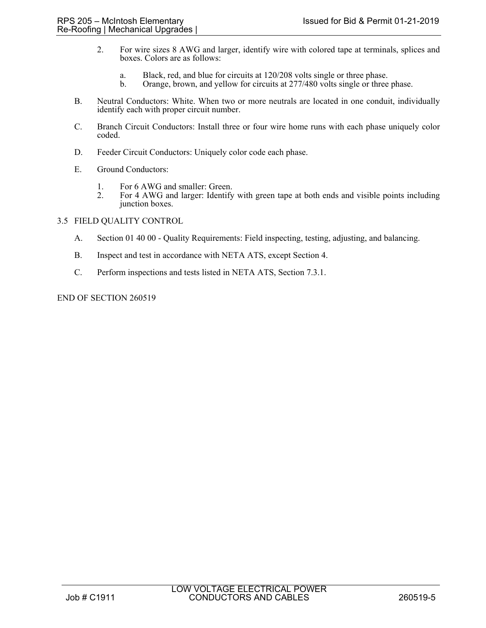- 2. For wire sizes 8 AWG and larger, identify wire with colored tape at terminals, splices and boxes. Colors are as follows:
	- a. Black, red, and blue for circuits at 120/208 volts single or three phase.
	- Orange, brown, and yellow for circuits at 277/480 volts single or three phase.
- B. Neutral Conductors: White. When two or more neutrals are located in one conduit, individually identify each with proper circuit number.
- C. Branch Circuit Conductors: Install three or four wire home runs with each phase uniquely color coded.
- D. Feeder Circuit Conductors: Uniquely color code each phase.
- E. Ground Conductors:
	- 1. For 6 AWG and smaller: Green.<br>2. For 4 AWG and larger: Identify
	- 2. For 4 AWG and larger: Identify with green tape at both ends and visible points including junction boxes.

## 3.5 FIELD QUALITY CONTROL

- A. Section 01 40 00 Quality Requirements: Field inspecting, testing, adjusting, and balancing.
- B. Inspect and test in accordance with NETA ATS, except Section 4.
- C. Perform inspections and tests listed in NETA ATS, Section 7.3.1.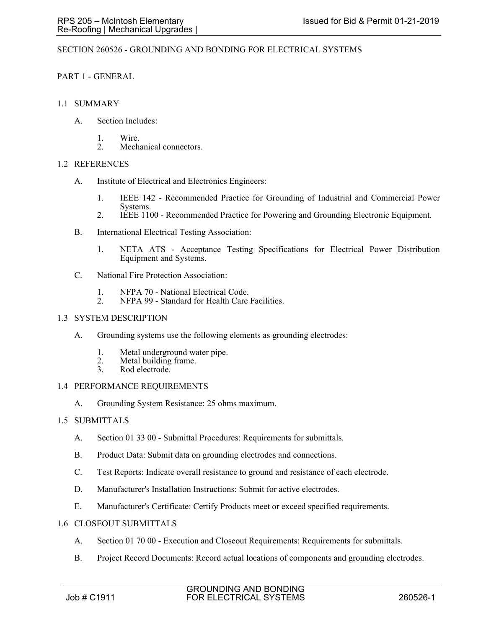## SECTION 260526 - GROUNDING AND BONDING FOR ELECTRICAL SYSTEMS

## PART 1 - GENERAL

## 1.1 SUMMARY

- A. Section Includes:
	- 1. Wire.
	- 2. Mechanical connectors.

## 1.2 REFERENCES

- A. Institute of Electrical and Electronics Engineers:
	- 1. IEEE 142 Recommended Practice for Grounding of Industrial and Commercial Power Systems.
	- 2. IEEE 1100 Recommended Practice for Powering and Grounding Electronic Equipment.
- B. International Electrical Testing Association:
	- 1. NETA ATS Acceptance Testing Specifications for Electrical Power Distribution Equipment and Systems.
- C. National Fire Protection Association:
	- 1. NFPA 70 National Electrical Code.<br>2. NFPA 99 Standard for Health Care
	- NFPA 99 Standard for Health Care Facilities.

### 1.3 SYSTEM DESCRIPTION

- A. Grounding systems use the following elements as grounding electrodes:
	- 1. Metal underground water pipe.
	- 2. Metal building frame.<br>3. Rod electrode.
	- Rod electrode.

## 1.4 PERFORMANCE REQUIREMENTS

A. Grounding System Resistance: 25 ohms maximum.

## 1.5 SUBMITTALS

- A. Section 01 33 00 Submittal Procedures: Requirements for submittals.
- B. Product Data: Submit data on grounding electrodes and connections.
- C. Test Reports: Indicate overall resistance to ground and resistance of each electrode.
- D. Manufacturer's Installation Instructions: Submit for active electrodes.
- E. Manufacturer's Certificate: Certify Products meet or exceed specified requirements.
- 1.6 CLOSEOUT SUBMITTALS
	- A. Section 01 70 00 Execution and Closeout Requirements: Requirements for submittals.
	- B. Project Record Documents: Record actual locations of components and grounding electrodes.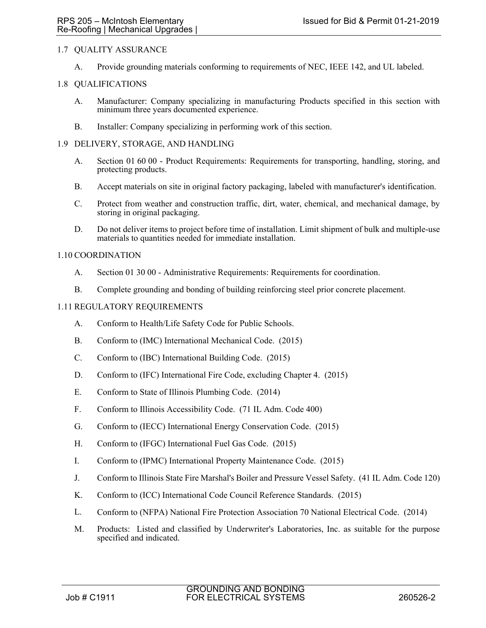## 1.7 QUALITY ASSURANCE

A. Provide grounding materials conforming to requirements of NEC, IEEE 142, and UL labeled.

## 1.8 QUALIFICATIONS

- A. Manufacturer: Company specializing in manufacturing Products specified in this section with minimum three years documented experience.
- B. Installer: Company specializing in performing work of this section.

### 1.9 DELIVERY, STORAGE, AND HANDLING

- A. Section 01 60 00 Product Requirements: Requirements for transporting, handling, storing, and protecting products.
- B. Accept materials on site in original factory packaging, labeled with manufacturer's identification.
- C. Protect from weather and construction traffic, dirt, water, chemical, and mechanical damage, by storing in original packaging.
- D. Do not deliver items to project before time of installation. Limit shipment of bulk and multiple-use materials to quantities needed for immediate installation.

## 1.10 COORDINATION

- A. Section 01 30 00 Administrative Requirements: Requirements for coordination.
- B. Complete grounding and bonding of building reinforcing steel prior concrete placement.

## 1.11 REGULATORY REQUIREMENTS

- A. Conform to Health/Life Safety Code for Public Schools.
- B. Conform to (IMC) International Mechanical Code. (2015)
- C. Conform to (IBC) International Building Code. (2015)
- D. Conform to (IFC) International Fire Code, excluding Chapter 4. (2015)
- E. Conform to State of Illinois Plumbing Code. (2014)
- F. Conform to Illinois Accessibility Code. (71 IL Adm. Code 400)
- G. Conform to (IECC) International Energy Conservation Code. (2015)
- H. Conform to (IFGC) International Fuel Gas Code. (2015)
- I. Conform to (IPMC) International Property Maintenance Code. (2015)
- J. Conform to Illinois State Fire Marshal's Boiler and Pressure Vessel Safety. (41 IL Adm. Code 120)
- K. Conform to (ICC) International Code Council Reference Standards. (2015)
- L. Conform to (NFPA) National Fire Protection Association 70 National Electrical Code. (2014)
- M. Products: Listed and classified by Underwriter's Laboratories, Inc. as suitable for the purpose specified and indicated.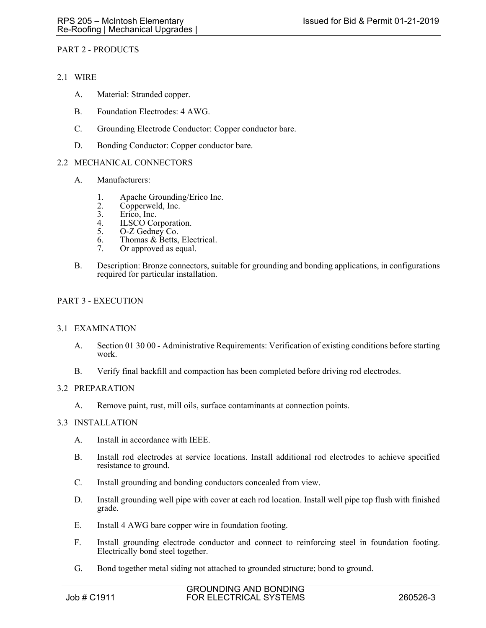## PART 2 - PRODUCTS

## 2.1 WIRE

- A. Material: Stranded copper.
- B. Foundation Electrodes: 4 AWG.
- C. Grounding Electrode Conductor: Copper conductor bare.
- D. Bonding Conductor: Copper conductor bare.

#### 2.2 MECHANICAL CONNECTORS

- A. Manufacturers:
	- 1. Apache Grounding/Erico Inc.<br>2. Copperweld, Inc.
	- 2. Copperweld, Inc.<br>3. Erico, Inc.
	- Erico, Inc.
	- 4. ILSCO Corporation.<br>5. O-Z Gedney Co.
	- O-Z Gedney Co.
	- 6. Thomas & Betts, Electrical.
	- 7. Or approved as equal.
- B. Description: Bronze connectors, suitable for grounding and bonding applications, in configurations required for particular installation.

## PART 3 - EXECUTION

#### 3.1 EXAMINATION

- A. Section 01 30 00 Administrative Requirements: Verification of existing conditions before starting work.
- B. Verify final backfill and compaction has been completed before driving rod electrodes.

## 3.2 PREPARATION

A. Remove paint, rust, mill oils, surface contaminants at connection points.

#### 3.3 INSTALLATION

- A. Install in accordance with IEEE.
- B. Install rod electrodes at service locations. Install additional rod electrodes to achieve specified resistance to ground.
- C. Install grounding and bonding conductors concealed from view.
- D. Install grounding well pipe with cover at each rod location. Install well pipe top flush with finished grade.
- E. Install 4 AWG bare copper wire in foundation footing.
- F. Install grounding electrode conductor and connect to reinforcing steel in foundation footing. Electrically bond steel together.
- G. Bond together metal siding not attached to grounded structure; bond to ground.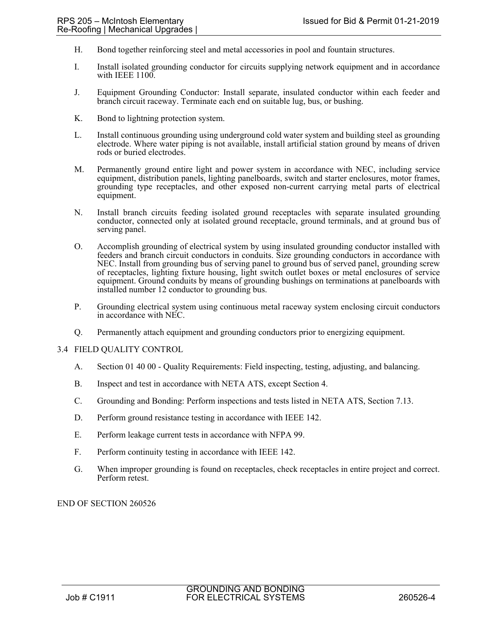- H. Bond together reinforcing steel and metal accessories in pool and fountain structures.
- I. Install isolated grounding conductor for circuits supplying network equipment and in accordance with IEEE 1100.
- J. Equipment Grounding Conductor: Install separate, insulated conductor within each feeder and branch circuit raceway. Terminate each end on suitable lug, bus, or bushing.
- K. Bond to lightning protection system.
- L. Install continuous grounding using underground cold water system and building steel as grounding electrode. Where water piping is not available, install artificial station ground by means of driven rods or buried electrodes.
- M. Permanently ground entire light and power system in accordance with NEC, including service equipment, distribution panels, lighting panelboards, switch and starter enclosures, motor frames, grounding type receptacles, and other exposed non-current carrying metal parts of electrical equipment.
- N. Install branch circuits feeding isolated ground receptacles with separate insulated grounding conductor, connected only at isolated ground receptacle, ground terminals, and at ground bus of serving panel.
- O. Accomplish grounding of electrical system by using insulated grounding conductor installed with feeders and branch circuit conductors in conduits. Size grounding conductors in accordance with NEC. Install from grounding bus of serving panel to ground bus of served panel, grounding screw of receptacles, lighting fixture housing, light switch outlet boxes or metal enclosures of service equipment. Ground conduits by means of grounding bushings on terminations at panelboards with installed number 12 conductor to grounding bus.
- P. Grounding electrical system using continuous metal raceway system enclosing circuit conductors in accordance with NEC.
- Q. Permanently attach equipment and grounding conductors prior to energizing equipment.

#### 3.4 FIELD QUALITY CONTROL

- A. Section 01 40 00 Quality Requirements: Field inspecting, testing, adjusting, and balancing.
- B. Inspect and test in accordance with NETA ATS, except Section 4.
- C. Grounding and Bonding: Perform inspections and tests listed in NETA ATS, Section 7.13.
- D. Perform ground resistance testing in accordance with IEEE 142.
- E. Perform leakage current tests in accordance with NFPA 99.
- F. Perform continuity testing in accordance with IEEE 142.
- G. When improper grounding is found on receptacles, check receptacles in entire project and correct. Perform retest.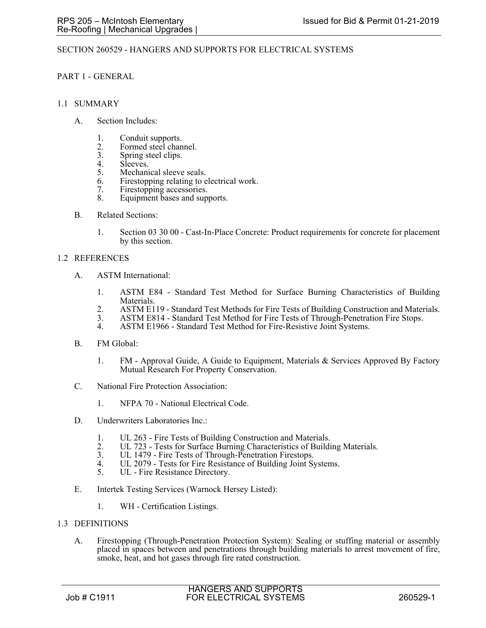## SECTION 260529 - HANGERS AND SUPPORTS FOR ELECTRICAL SYSTEMS

### PART 1 - GENERAL

#### 1.1 SUMMARY

- A. Section Includes:
	- 1. Conduit supports.
	- 2. Formed steel channel.<br>3. Spring steel clips.
	- 3. Spring steel clips.<br>4. Sleeves.
	- 4. Sleeves.<br>5. Mechani
	- Mechanical sleeve seals.
	- 6. Firestopping relating to electrical work.
	- 7. Firestopping accessories.
	- 8. Equipment bases and supports.
- B. Related Sections:
	- 1. Section 03 30 00 Cast-In-Place Concrete: Product requirements for concrete for placement by this section.

#### 1.2 REFERENCES

- A. ASTM International:
	- 1. ASTM E84 Standard Test Method for Surface Burning Characteristics of Building Materials.
	- 2. ASTM E119 Standard Test Methods for Fire Tests of Building Construction and Materials.
	- 3. ASTM E814 Standard Test Method for Fire Tests of Through-Penetration Fire Stops.<br>4. ASTM E1966 Standard Test Method for Fire-Resistive Joint Systems.
	- ASTM E1966 Standard Test Method for Fire-Resistive Joint Systems.
- B. FM Global:
	- 1. FM Approval Guide, A Guide to Equipment, Materials & Services Approved By Factory Mutual Research For Property Conservation.
- C. National Fire Protection Association:
	- 1. NFPA 70 National Electrical Code.
- D. Underwriters Laboratories Inc.:
	- 1. UL 263 Fire Tests of Building Construction and Materials.
	- 2. UL 723 Tests for Surface Burning Characteristics of Building Materials.<br>3. UL 1479 Fire Tests of Through-Penetration Firestops.
	- 3. UL 1479 Fire Tests of Through-Penetration Firestops.<br>4 UL 2079 Tests for Fire Resistance of Building Joint Sy
	- 4. UL 2079 Tests for Fire Resistance of Building Joint Systems.<br>5. UL Fire Resistance Directory.
	- UL Fire Resistance Directory.
- E. Intertek Testing Services (Warnock Hersey Listed):
	- 1. WH Certification Listings.
- 1.3 DEFINITIONS
	- A. Firestopping (Through-Penetration Protection System): Sealing or stuffing material or assembly placed in spaces between and penetrations through building materials to arrest movement of fire, smoke, heat, and hot gases through fire rated construction.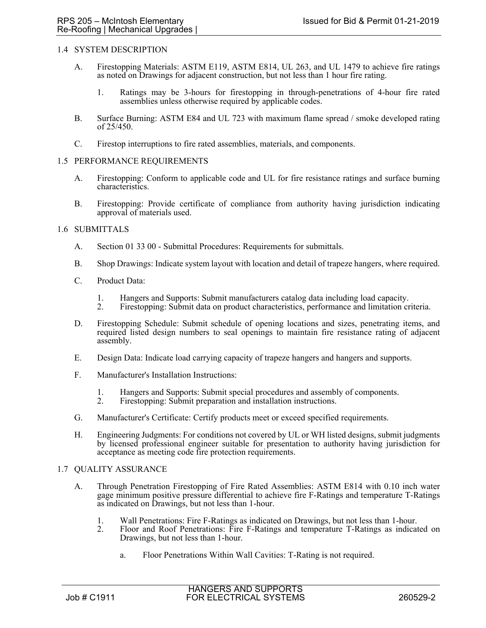## 1.4 SYSTEM DESCRIPTION

- A. Firestopping Materials: ASTM E119, ASTM E814, UL 263, and UL 1479 to achieve fire ratings as noted on Drawings for adjacent construction, but not less than 1 hour fire rating.
	- 1. Ratings may be 3-hours for firestopping in through-penetrations of 4-hour fire rated assemblies unless otherwise required by applicable codes.
- B. Surface Burning: ASTM E84 and UL 723 with maximum flame spread / smoke developed rating of 25/450.
- C. Firestop interruptions to fire rated assemblies, materials, and components.

#### 1.5 PERFORMANCE REQUIREMENTS

- A. Firestopping: Conform to applicable code and UL for fire resistance ratings and surface burning characteristics.
- B. Firestopping: Provide certificate of compliance from authority having jurisdiction indicating approval of materials used.

#### 1.6 SUBMITTALS

- A. Section 01 33 00 Submittal Procedures: Requirements for submittals.
- B. Shop Drawings: Indicate system layout with location and detail of trapeze hangers, where required.
- C. Product Data:
	- 1. Hangers and Supports: Submit manufacturers catalog data including load capacity.
	- 2. Firestopping: Submit data on product characteristics, performance and limitation criteria.
- D. Firestopping Schedule: Submit schedule of opening locations and sizes, penetrating items, and required listed design numbers to seal openings to maintain fire resistance rating of adjacent assembly.
- E. Design Data: Indicate load carrying capacity of trapeze hangers and hangers and supports.
- F. Manufacturer's Installation Instructions:
	- 1. Hangers and Supports: Submit special procedures and assembly of components.<br>2. Firestopping: Submit preparation and installation instructions.
	- Firestopping: Submit preparation and installation instructions.
- G. Manufacturer's Certificate: Certify products meet or exceed specified requirements.
- H. Engineering Judgments: For conditions not covered by UL or WH listed designs, submit judgments by licensed professional engineer suitable for presentation to authority having jurisdiction for acceptance as meeting code fire protection requirements.

#### 1.7 QUALITY ASSURANCE

- A. Through Penetration Firestopping of Fire Rated Assemblies: ASTM E814 with 0.10 inch water gage minimum positive pressure differential to achieve fire F-Ratings and temperature T-Ratings as indicated on Drawings, but not less than 1-hour.
	- 1. Wall Penetrations: Fire F-Ratings as indicated on Drawings, but not less than 1-hour.
	- 2. Floor and Roof Penetrations: Fire F-Ratings and temperature T-Ratings as indicated on Drawings, but not less than 1-hour.
		- a. Floor Penetrations Within Wall Cavities: T-Rating is not required.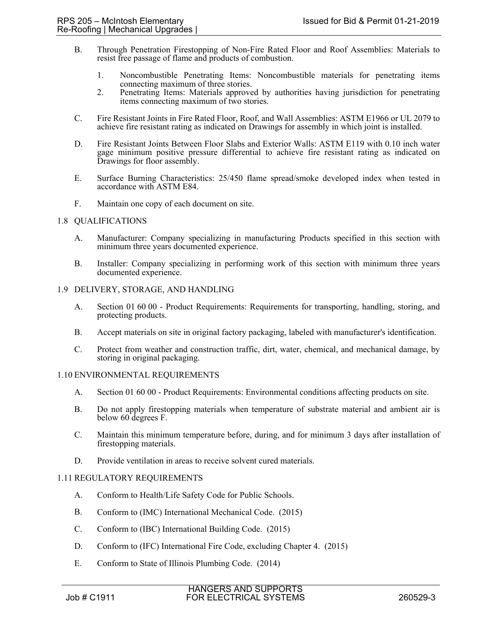- B. Through Penetration Firestopping of Non-Fire Rated Floor and Roof Assemblies: Materials to resist free passage of flame and products of combustion.
	- 1. Noncombustible Penetrating Items: Noncombustible materials for penetrating items connecting maximum of three stories.
	- 2. Penetrating Items: Materials approved by authorities having jurisdiction for penetrating items connecting maximum of two stories.
- C. Fire Resistant Joints in Fire Rated Floor, Roof, and Wall Assemblies: ASTM E1966 or UL 2079 to achieve fire resistant rating as indicated on Drawings for assembly in which joint is installed.
- D. Fire Resistant Joints Between Floor Slabs and Exterior Walls: ASTM E119 with 0.10 inch water gage minimum positive pressure differential to achieve fire resistant rating as indicated on Drawings for floor assembly.
- E. Surface Burning Characteristics: 25/450 flame spread/smoke developed index when tested in accordance with ASTM E84.
- F. Maintain one copy of each document on site.

## 1.8 QUALIFICATIONS

- A. Manufacturer: Company specializing in manufacturing Products specified in this section with minimum three years documented experience.
- B. Installer: Company specializing in performing work of this section with minimum three years documented experience.

## 1.9 DELIVERY, STORAGE, AND HANDLING

- A. Section 01 60 00 Product Requirements: Requirements for transporting, handling, storing, and protecting products.
- B. Accept materials on site in original factory packaging, labeled with manufacturer's identification.
- C. Protect from weather and construction traffic, dirt, water, chemical, and mechanical damage, by storing in original packaging.

## 1.10 ENVIRONMENTAL REQUIREMENTS

- A. Section 01 60 00 Product Requirements: Environmental conditions affecting products on site.
- B. Do not apply firestopping materials when temperature of substrate material and ambient air is below 60 degrees F.
- C. Maintain this minimum temperature before, during, and for minimum 3 days after installation of firestopping materials.
- D. Provide ventilation in areas to receive solvent cured materials.

## 1.11 REGULATORY REQUIREMENTS

- A. Conform to Health/Life Safety Code for Public Schools.
- B. Conform to (IMC) International Mechanical Code. (2015)
- C. Conform to (IBC) International Building Code. (2015)
- D. Conform to (IFC) International Fire Code, excluding Chapter 4. (2015)
- E. Conform to State of Illinois Plumbing Code. (2014)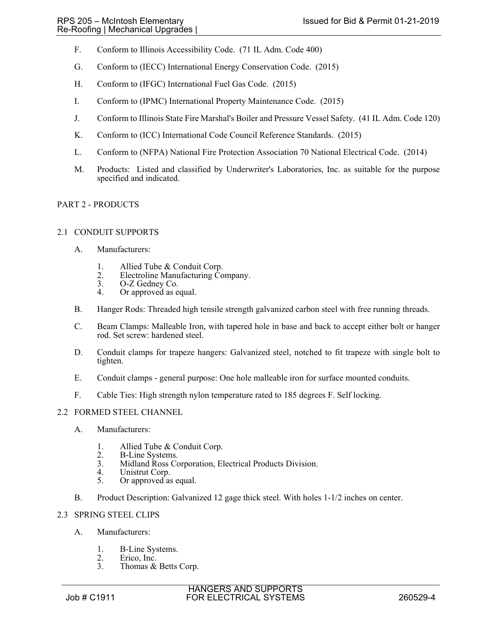- F. Conform to Illinois Accessibility Code. (71 IL Adm. Code 400)
- G. Conform to (IECC) International Energy Conservation Code. (2015)
- H. Conform to (IFGC) International Fuel Gas Code. (2015)
- I. Conform to (IPMC) International Property Maintenance Code. (2015)
- J. Conform to Illinois State Fire Marshal's Boiler and Pressure Vessel Safety. (41 IL Adm. Code 120)
- K. Conform to (ICC) International Code Council Reference Standards. (2015)
- L. Conform to (NFPA) National Fire Protection Association 70 National Electrical Code. (2014)
- M. Products: Listed and classified by Underwriter's Laboratories, Inc. as suitable for the purpose specified and indicated.

# PART 2 - PRODUCTS

## 2.1 CONDUIT SUPPORTS

- A. Manufacturers:
	- 1. Allied Tube & Conduit Corp.
	- 2. Electroline Manufacturing Company.<br>3. O-Z Gedney Co.
	- 3. O-Z Gedney Co.<br>4. Or approved as equal to the control of the control of the control of the control of the control of the control of the control of the control of the control of the control of the control of the control
	- Or approved as equal.
- B. Hanger Rods: Threaded high tensile strength galvanized carbon steel with free running threads.
- C. Beam Clamps: Malleable Iron, with tapered hole in base and back to accept either bolt or hanger rod. Set screw: hardened steel.
- D. Conduit clamps for trapeze hangers: Galvanized steel, notched to fit trapeze with single bolt to tighten.
- E. Conduit clamps general purpose: One hole malleable iron for surface mounted conduits.
- F. Cable Ties: High strength nylon temperature rated to 185 degrees F. Self locking.

## 2.2 FORMED STEEL CHANNEL

- A. Manufacturers:
	- 1. Allied Tube & Conduit Corp.<br>2. B-Line Systems.
	- 2. B-Line Systems.<br>3. Midland Ross Co.
	- 3. Midland Ross Corporation, Electrical Products Division.
	- 4. Unistrut Corp.<br>5. Or approved as
	- Or approved as equal.
- B. Product Description: Galvanized 12 gage thick steel. With holes 1-1/2 inches on center.

## 2.3 SPRING STEEL CLIPS

- A. Manufacturers:
	- 1. B-Line Systems.<br>2. Erico, Inc.
	- 2. Erico, Inc.<br>3. Thomas &
	- Thomas & Betts Corp.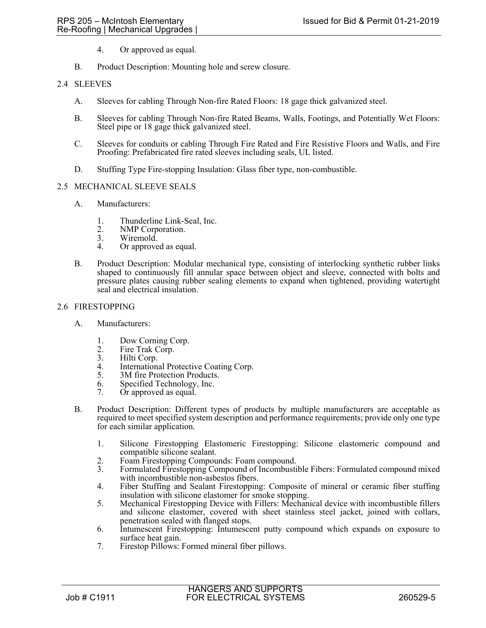- 4. Or approved as equal.
- B. Product Description: Mounting hole and screw closure.

## 2.4 SLEEVES

- A. Sleeves for cabling Through Non-fire Rated Floors: 18 gage thick galvanized steel.
- B. Sleeves for cabling Through Non-fire Rated Beams, Walls, Footings, and Potentially Wet Floors: Steel pipe or 18 gage thick galvanized steel.
- C. Sleeves for conduits or cabling Through Fire Rated and Fire Resistive Floors and Walls, and Fire Proofing: Prefabricated fire rated sleeves including seals, UL listed.
- D. Stuffing Type Fire-stopping Insulation: Glass fiber type, non-combustible.

#### 2.5 MECHANICAL SLEEVE SEALS

- A. Manufacturers:
	- 1. Thunderline Link-Seal, Inc.<br>2. NMP Corporation.
	- 2. NMP Corporation.<br>3. Wiremold.
	- Wiremold.
	- 4. Or approved as equal.
- B. Product Description: Modular mechanical type, consisting of interlocking synthetic rubber links shaped to continuously fill annular space between object and sleeve, connected with bolts and pressure plates causing rubber sealing elements to expand when tightened, providing watertight seal and electrical insulation.

### 2.6 FIRESTOPPING

- A. Manufacturers:
	- 1. Dow Corning Corp.
	- 2. Fire Trak Corp.<br>3. Hilti Corp.
	- 3. Hilti Corp.<br>4. Internation
	- International Protective Coating Corp.
	- 5. 3M fire Protection Products.
	- 6. Specified Technology, Inc.<br>7. Or approved as equal
	- $Or$  approved as equal.
- B. Product Description: Different types of products by multiple manufacturers are acceptable as required to meet specified system description and performance requirements; provide only one type for each similar application.
	- 1. Silicone Firestopping Elastomeric Firestopping: Silicone elastomeric compound and compatible silicone sealant.
	- 2. Foam Firestopping Compounds: Foam compound.<br>3. Formulated Firestopping Compound of Incombusti
	- 3. Formulated Firestopping Compound of Incombustible Fibers: Formulated compound mixed with incombustible non-asbestos fibers.
	- 4. Fiber Stuffing and Sealant Firestopping: Composite of mineral or ceramic fiber stuffing insulation with silicone elastomer for smoke stopping.
	- 5. Mechanical Firestopping Device with Fillers: Mechanical device with incombustible fillers and silicone elastomer, covered with sheet stainless steel jacket, joined with collars, penetration sealed with flanged stops.
	- 6. Intumescent Firestopping: Intumescent putty compound which expands on exposure to surface heat gain.
	- 7. Firestop Pillows: Formed mineral fiber pillows.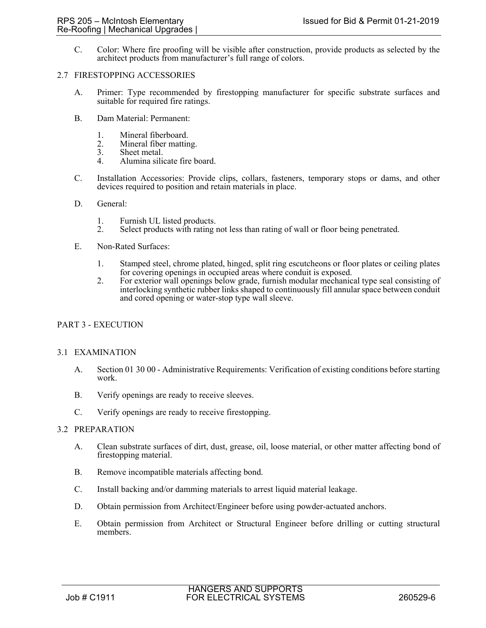C. Color: Where fire proofing will be visible after construction, provide products as selected by the architect products from manufacturer's full range of colors.

### 2.7 FIRESTOPPING ACCESSORIES

- A. Primer: Type recommended by firestopping manufacturer for specific substrate surfaces and suitable for required fire ratings.
- B. Dam Material: Permanent:
	-
	- 1. Mineral fiberboard.<br>2. Mineral fiber mattin 2. Mineral fiber matting.<br>3. Sheet metal.
	- Sheet metal.
	- 4. Alumina silicate fire board.
- C. Installation Accessories: Provide clips, collars, fasteners, temporary stops or dams, and other devices required to position and retain materials in place.
- D. General:
	-
	- 1. Furnish UL listed products.<br>2. Select products with rating 1 2. Select products with rating not less than rating of wall or floor being penetrated.
- E. Non-Rated Surfaces:
	- 1. Stamped steel, chrome plated, hinged, split ring escutcheons or floor plates or ceiling plates for covering openings in occupied areas where conduit is exposed.
	- 2. For exterior wall openings below grade, furnish modular mechanical type seal consisting of interlocking synthetic rubber links shaped to continuously fill annular space between conduit and cored opening or water-stop type wall sleeve.

# PART 3 - EXECUTION

### 3.1 EXAMINATION

- A. Section 01 30 00 Administrative Requirements: Verification of existing conditions before starting work.
- B. Verify openings are ready to receive sleeves.
- C. Verify openings are ready to receive firestopping.

# 3.2 PREPARATION

- A. Clean substrate surfaces of dirt, dust, grease, oil, loose material, or other matter affecting bond of firestopping material.
- B. Remove incompatible materials affecting bond.
- C. Install backing and/or damming materials to arrest liquid material leakage.
- D. Obtain permission from Architect/Engineer before using powder-actuated anchors.
- E. Obtain permission from Architect or Structural Engineer before drilling or cutting structural members.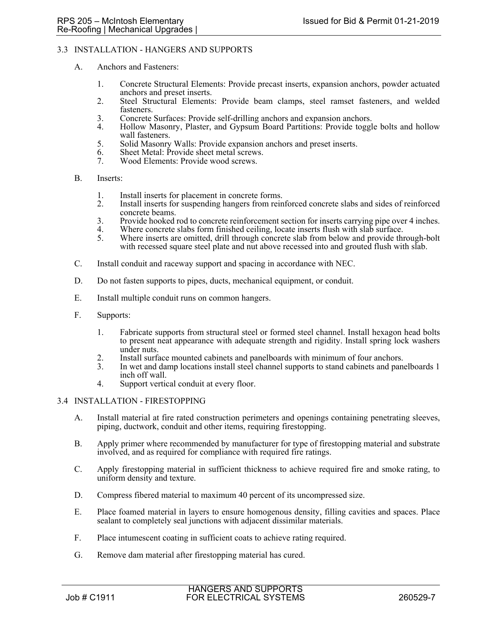## 3.3 INSTALLATION - HANGERS AND SUPPORTS

- A. Anchors and Fasteners:
	- 1. Concrete Structural Elements: Provide precast inserts, expansion anchors, powder actuated anchors and preset inserts.
	- 2. Steel Structural Elements: Provide beam clamps, steel ramset fasteners, and welded fasteners.
	- 3. Concrete Surfaces: Provide self-drilling anchors and expansion anchors.<br>4. Hollow Masonry, Plaster, and Gypsum Board Partitions: Provide toggl
	- Hollow Masonry, Plaster, and Gypsum Board Partitions: Provide toggle bolts and hollow wall fasteners.
	- 5. Solid Masonry Walls: Provide expansion anchors and preset inserts.
	- 6. Sheet Metal: Provide sheet metal screws.
	- 7. Wood Elements: Provide wood screws.
- B. Inserts:
	- 1. Install inserts for placement in concrete forms.
	- 2. Install inserts for suspending hangers from reinforced concrete slabs and sides of reinforced concrete beams.
	- 3. Provide hooked rod to concrete reinforcement section for inserts carrying pipe over 4 inches.
	- 4. Where concrete slabs form finished ceiling, locate inserts flush with slab surface.<br>5. Where inserts are omitted, drill through concrete slab from below and provide thr
	- 5. Where inserts are omitted, drill through concrete slab from below and provide through-bolt with recessed square steel plate and nut above recessed into and grouted flush with slab.
- C. Install conduit and raceway support and spacing in accordance with NEC.
- D. Do not fasten supports to pipes, ducts, mechanical equipment, or conduit.
- E. Install multiple conduit runs on common hangers.
- F. Supports:
	- 1. Fabricate supports from structural steel or formed steel channel. Install hexagon head bolts to present neat appearance with adequate strength and rigidity. Install spring lock washers under nuts.
	- 2. Install surface mounted cabinets and panelboards with minimum of four anchors.<br>3. In wet and damp locations install steel channel supports to stand cabinets and panel
	- 3. In wet and damp locations install steel channel supports to stand cabinets and panelboards 1 inch off wall.
	- 4. Support vertical conduit at every floor.

## 3.4 INSTALLATION - FIRESTOPPING

- A. Install material at fire rated construction perimeters and openings containing penetrating sleeves, piping, ductwork, conduit and other items, requiring firestopping.
- B. Apply primer where recommended by manufacturer for type of firestopping material and substrate involved, and as required for compliance with required fire ratings.
- C. Apply firestopping material in sufficient thickness to achieve required fire and smoke rating, to uniform density and texture.
- D. Compress fibered material to maximum 40 percent of its uncompressed size.
- E. Place foamed material in layers to ensure homogenous density, filling cavities and spaces. Place sealant to completely seal junctions with adjacent dissimilar materials.
- F. Place intumescent coating in sufficient coats to achieve rating required.
- G. Remove dam material after firestopping material has cured.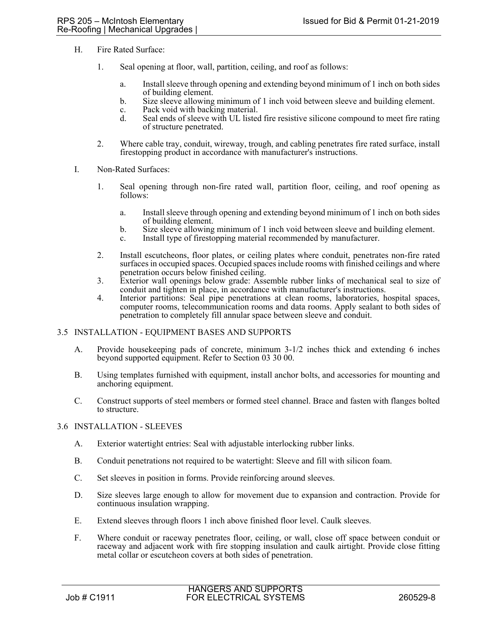- H. Fire Rated Surface:
	- 1. Seal opening at floor, wall, partition, ceiling, and roof as follows:
		- a. Install sleeve through opening and extending beyond minimum of 1 inch on both sides of building element.
		- b. Size sleeve allowing minimum of 1 inch void between sleeve and building element.
		- c. Pack void with backing material.
		- d. Seal ends of sleeve with UL listed fire resistive silicone compound to meet fire rating of structure penetrated.
	- 2. Where cable tray, conduit, wireway, trough, and cabling penetrates fire rated surface, install firestopping product in accordance with manufacturer's instructions.
- I. Non-Rated Surfaces:
	- 1. Seal opening through non-fire rated wall, partition floor, ceiling, and roof opening as follows:
		- a. Install sleeve through opening and extending beyond minimum of 1 inch on both sides of building element.
		- b. Size sleeve allowing minimum of 1 inch void between sleeve and building element.
		- c. Install type of firestopping material recommended by manufacturer.
	- 2. Install escutcheons, floor plates, or ceiling plates where conduit, penetrates non-fire rated surfaces in occupied spaces. Occupied spaces include rooms with finished ceilings and where penetration occurs below finished ceiling.
	- 3. Exterior wall openings below grade: Assemble rubber links of mechanical seal to size of conduit and tighten in place, in accordance with manufacturer's instructions.
	- 4. Interior partitions: Seal pipe penetrations at clean rooms, laboratories, hospital spaces, computer rooms, telecommunication rooms and data rooms. Apply sealant to both sides of penetration to completely fill annular space between sleeve and conduit.

### 3.5 INSTALLATION - EQUIPMENT BASES AND SUPPORTS

- A. Provide housekeeping pads of concrete, minimum 3-1/2 inches thick and extending 6 inches beyond supported equipment. Refer to Section 03 30 00.
- B. Using templates furnished with equipment, install anchor bolts, and accessories for mounting and anchoring equipment.
- C. Construct supports of steel members or formed steel channel. Brace and fasten with flanges bolted to structure.

### 3.6 INSTALLATION - SLEEVES

- A. Exterior watertight entries: Seal with adjustable interlocking rubber links.
- B. Conduit penetrations not required to be watertight: Sleeve and fill with silicon foam.
- C. Set sleeves in position in forms. Provide reinforcing around sleeves.
- D. Size sleeves large enough to allow for movement due to expansion and contraction. Provide for continuous insulation wrapping.
- E. Extend sleeves through floors 1 inch above finished floor level. Caulk sleeves.
- F. Where conduit or raceway penetrates floor, ceiling, or wall, close off space between conduit or raceway and adjacent work with fire stopping insulation and caulk airtight. Provide close fitting metal collar or escutcheon covers at both sides of penetration.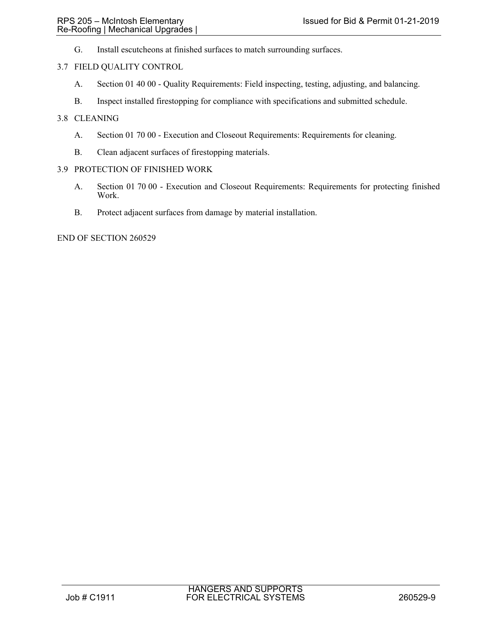G. Install escutcheons at finished surfaces to match surrounding surfaces.

## 3.7 FIELD QUALITY CONTROL

- A. Section 01 40 00 Quality Requirements: Field inspecting, testing, adjusting, and balancing.
- B. Inspect installed firestopping for compliance with specifications and submitted schedule.

## 3.8 CLEANING

- A. Section 01 70 00 Execution and Closeout Requirements: Requirements for cleaning.
- B. Clean adjacent surfaces of firestopping materials.

## 3.9 PROTECTION OF FINISHED WORK

- A. Section 01 70 00 Execution and Closeout Requirements: Requirements for protecting finished Work.
- B. Protect adjacent surfaces from damage by material installation.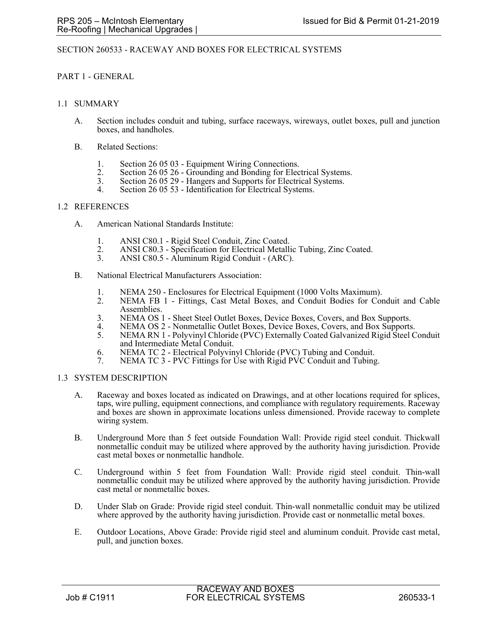## SECTION 260533 - RACEWAY AND BOXES FOR ELECTRICAL SYSTEMS

## PART 1 - GENERAL

### 1.1 SUMMARY

- A. Section includes conduit and tubing, surface raceways, wireways, outlet boxes, pull and junction boxes, and handholes.
- B. Related Sections:
	- 1. Section 26 05 03 Equipment Wiring Connections.<br>2. Section 26 05 26 Grounding and Bonding for Elec-
	- 2. Section 26 05 26 Grounding and Bonding for Electrical Systems. 3. Section 26 05 29 Hangers and Supports for Electrical Systems.
	-
	- 4. Section 26 05 53 Identification for Electrical Systems.

#### 1.2 REFERENCES

- A. American National Standards Institute:
	- 1. ANSI C80.1 Rigid Steel Conduit, Zinc Coated.
	- 2. ANSI C80.3 Specification for Electrical Metallic Tubing, Zinc Coated.<br>3. ANSI C80.5 Aluminum Rigid Conduit (ARC).
	- 3. ANSI C80.5 Aluminum Rigid Conduit (ARC).
- B. National Electrical Manufacturers Association:
	- 1. NEMA 250 Enclosures for Electrical Equipment (1000 Volts Maximum).
	- 2. NEMA FB 1 Fittings, Cast Metal Boxes, and Conduit Bodies for Conduit and Cable Assemblies.
	- 3. NEMA OS 1 Sheet Steel Outlet Boxes, Device Boxes, Covers, and Box Supports.
	- 4. NEMA OS 2 Nonmetallic Outlet Boxes, Device Boxes, Covers, and Box Supports.<br>5. NEMA RN 1 Polyvinyl Chloride (PVC) Externally Coated Galvanized Rigid Steel C
	- 5. NEMA RN 1 Polyvinyl Chloride (PVC) Externally Coated Galvanized Rigid Steel Conduit and Intermediate Metal Conduit.
	- 6. NEMA TC 2 Electrical Polyvinyl Chloride (PVC) Tubing and Conduit.
	- 7. NEMA TC 3 PVC Fittings for Use with Rigid PVC Conduit and Tubing.

### 1.3 SYSTEM DESCRIPTION

- A. Raceway and boxes located as indicated on Drawings, and at other locations required for splices, taps, wire pulling, equipment connections, and compliance with regulatory requirements. Raceway and boxes are shown in approximate locations unless dimensioned. Provide raceway to complete wiring system.
- B. Underground More than 5 feet outside Foundation Wall: Provide rigid steel conduit. Thickwall nonmetallic conduit may be utilized where approved by the authority having jurisdiction. Provide cast metal boxes or nonmetallic handhole.
- C. Underground within 5 feet from Foundation Wall: Provide rigid steel conduit. Thin-wall nonmetallic conduit may be utilized where approved by the authority having jurisdiction. Provide cast metal or nonmetallic boxes.
- D. Under Slab on Grade: Provide rigid steel conduit. Thin-wall nonmetallic conduit may be utilized where approved by the authority having jurisdiction. Provide cast or nonmetallic metal boxes.
- E. Outdoor Locations, Above Grade: Provide rigid steel and aluminum conduit. Provide cast metal, pull, and junction boxes.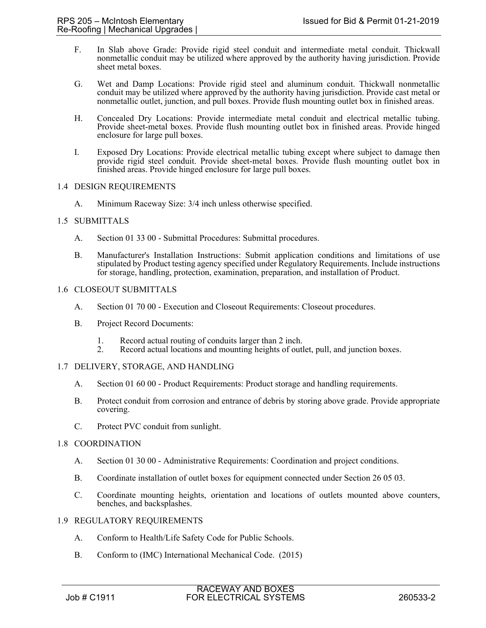- F. In Slab above Grade: Provide rigid steel conduit and intermediate metal conduit. Thickwall nonmetallic conduit may be utilized where approved by the authority having jurisdiction. Provide sheet metal boxes.
- G. Wet and Damp Locations: Provide rigid steel and aluminum conduit. Thickwall nonmetallic conduit may be utilized where approved by the authority having jurisdiction. Provide cast metal or nonmetallic outlet, junction, and pull boxes. Provide flush mounting outlet box in finished areas.
- H. Concealed Dry Locations: Provide intermediate metal conduit and electrical metallic tubing. Provide sheet-metal boxes. Provide flush mounting outlet box in finished areas. Provide hinged enclosure for large pull boxes.
- I. Exposed Dry Locations: Provide electrical metallic tubing except where subject to damage then provide rigid steel conduit. Provide sheet-metal boxes. Provide flush mounting outlet box in finished areas. Provide hinged enclosure for large pull boxes.

## 1.4 DESIGN REQUIREMENTS

A. Minimum Raceway Size: 3/4 inch unless otherwise specified.

# 1.5 SUBMITTALS

- A. Section 01 33 00 Submittal Procedures: Submittal procedures.
- B. Manufacturer's Installation Instructions: Submit application conditions and limitations of use stipulated by Product testing agency specified under Regulatory Requirements. Include instructions for storage, handling, protection, examination, preparation, and installation of Product.

# 1.6 CLOSEOUT SUBMITTALS

- A. Section 01 70 00 Execution and Closeout Requirements: Closeout procedures.
- B. Project Record Documents:
	- 1. Record actual routing of conduits larger than 2 inch.
	- 2. Record actual locations and mounting heights of outlet, pull, and junction boxes.

# 1.7 DELIVERY, STORAGE, AND HANDLING

- A. Section 01 60 00 Product Requirements: Product storage and handling requirements.
- B. Protect conduit from corrosion and entrance of debris by storing above grade. Provide appropriate covering.
- C. Protect PVC conduit from sunlight.

### 1.8 COORDINATION

- A. Section 01 30 00 Administrative Requirements: Coordination and project conditions.
- B. Coordinate installation of outlet boxes for equipment connected under Section 26 05 03.
- C. Coordinate mounting heights, orientation and locations of outlets mounted above counters, benches, and backsplashes.

### 1.9 REGULATORY REQUIREMENTS

- A. Conform to Health/Life Safety Code for Public Schools.
- B. Conform to (IMC) International Mechanical Code. (2015)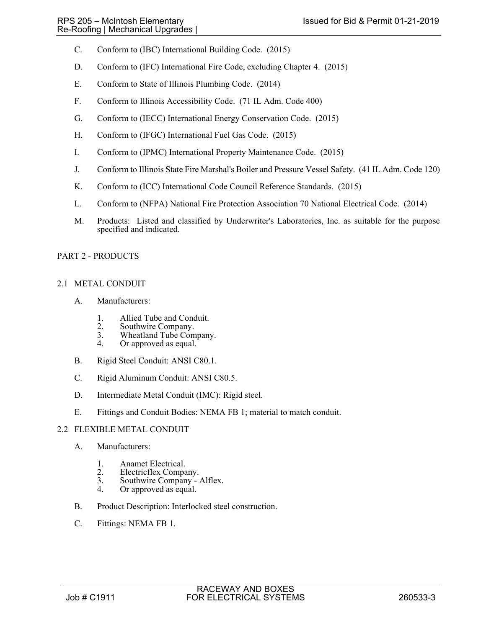- C. Conform to (IBC) International Building Code. (2015)
- D. Conform to (IFC) International Fire Code, excluding Chapter 4. (2015)
- E. Conform to State of Illinois Plumbing Code. (2014)
- F. Conform to Illinois Accessibility Code. (71 IL Adm. Code 400)
- G. Conform to (IECC) International Energy Conservation Code. (2015)
- H. Conform to (IFGC) International Fuel Gas Code. (2015)
- I. Conform to (IPMC) International Property Maintenance Code. (2015)
- J. Conform to Illinois State Fire Marshal's Boiler and Pressure Vessel Safety. (41 IL Adm. Code 120)
- K. Conform to (ICC) International Code Council Reference Standards. (2015)
- L. Conform to (NFPA) National Fire Protection Association 70 National Electrical Code. (2014)
- M. Products: Listed and classified by Underwriter's Laboratories, Inc. as suitable for the purpose specified and indicated.

# PART 2 - PRODUCTS

# 2.1 METAL CONDUIT

- A. Manufacturers:
	- 1. Allied Tube and Conduit.<br>2. Southwire Company.
	- 2. Southwire Company.<br>3. Wheatland Tube Com
	- 3. Wheatland Tube Company.<br>4. Or approved as equal.
	- Or approved as equal.
- B. Rigid Steel Conduit: ANSI C80.1.
- C. Rigid Aluminum Conduit: ANSI C80.5.
- D. Intermediate Metal Conduit (IMC): Rigid steel.
- E. Fittings and Conduit Bodies: NEMA FB 1; material to match conduit.

# 2.2 FLEXIBLE METAL CONDUIT

- A. Manufacturers:
	- 1. Anamet Electrical.<br>2. Electricflex Compa
	- 2. Electricflex Company.<br>3. Southwire Company -
	- Southwire Company Alflex.
	- 4. Or approved as equal.
- B. Product Description: Interlocked steel construction.
- C. Fittings: NEMA FB 1.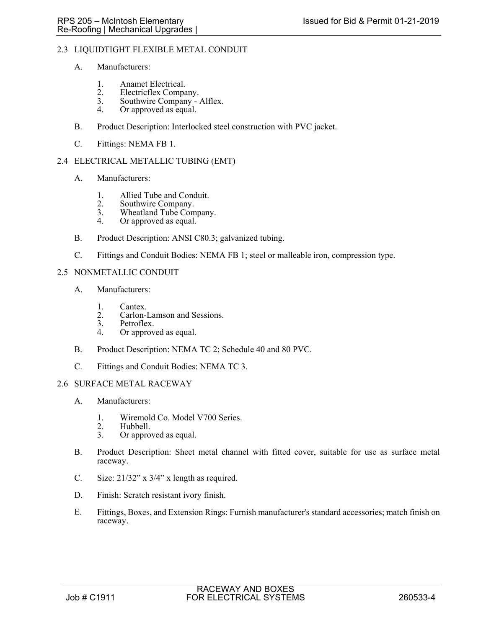## 2.3 LIQUIDTIGHT FLEXIBLE METAL CONDUIT

- A. Manufacturers:
	- 1. Anamet Electrical.<br>2. Electricflex Compa
	- 2. Electricflex Company.<br>3. Southwire Company -
	- 3. Southwire Company Alflex.<br>4. Or approved as equal.
	- Or approved as equal.
- B. Product Description: Interlocked steel construction with PVC jacket.
- C. Fittings: NEMA FB 1.

# 2.4 ELECTRICAL METALLIC TUBING (EMT)

- A. Manufacturers:
	- 1. Allied Tube and Conduit.
	- 2. Southwire Company.<br>3. Wheatland Tube Com
	- 3. Wheatland Tube Company.<br>4 Or approved as equal
	- Or approved as equal.
- B. Product Description: ANSI C80.3; galvanized tubing.
- C. Fittings and Conduit Bodies: NEMA FB 1; steel or malleable iron, compression type.
- 2.5 NONMETALLIC CONDUIT
	- A. Manufacturers:
		- 1. Cantex.<br>2. Carlon-
		- 2. Carlon-Lamson and Sessions.<br>3. Petroflex.
		- Petroflex.
		- 4. Or approved as equal.
	- B. Product Description: NEMA TC 2; Schedule 40 and 80 PVC.
	- C. Fittings and Conduit Bodies: NEMA TC 3.

## 2.6 SURFACE METAL RACEWAY

- A. Manufacturers:
	- 1. Wiremold Co. Model V700 Series.<br>2. Hubbell.
	- 2. Hubbell.<br>3. Or appro
	- Or approved as equal.
- B. Product Description: Sheet metal channel with fitted cover, suitable for use as surface metal raceway.
- C. Size:  $21/32$ " x  $3/4$ " x length as required.
- D. Finish: Scratch resistant ivory finish.
- E. Fittings, Boxes, and Extension Rings: Furnish manufacturer's standard accessories; match finish on raceway.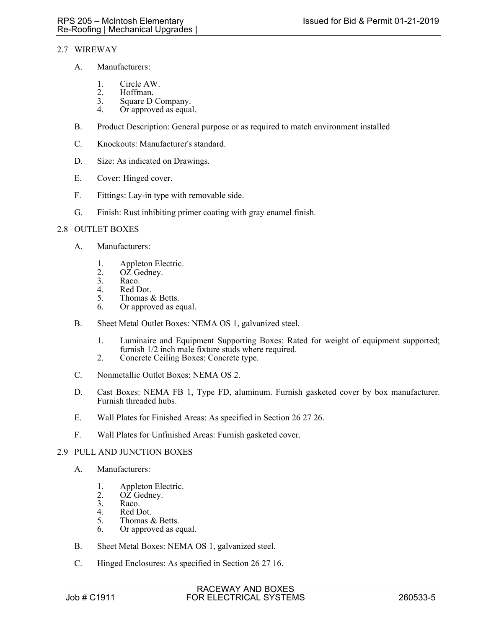# 2.7 WIREWAY

- A. Manufacturers:
	- 1. Circle AW.<br>2. Hoffman.
	- 2. Hoffman.<br>3. Square D
	- 3. Square D Company.<br>4. Or approved as equa
	- Or approved as equal.
- B. Product Description: General purpose or as required to match environment installed
- C. Knockouts: Manufacturer's standard.
- D. Size: As indicated on Drawings.
- E. Cover: Hinged cover.
- F. Fittings: Lay-in type with removable side.
- G. Finish: Rust inhibiting primer coating with gray enamel finish.

# 2.8 OUTLET BOXES

- A. Manufacturers:
	- 1. Appleton Electric.<br>2. OZ Gedney.
	- 2.  $O\overline{Z}$  Gedney.<br>3. Raco.
	- Raco.
	- 4. Red Dot.<br>5. Thomas d
	- 5. Thomas & Betts.<br>6. Or approved as equal to the Section of the Section of the Section of the Section of the Section of the Section of the Section of the Section of the Section of the Section of the Section of the Section
	- Or approved as equal.
- B. Sheet Metal Outlet Boxes: NEMA OS 1, galvanized steel.
	- 1. Luminaire and Equipment Supporting Boxes: Rated for weight of equipment supported; furnish 1/2 inch male fixture studs where required.
	- 2. Concrete Ceiling Boxes: Concrete type.
- C. Nonmetallic Outlet Boxes: NEMA OS 2.
- D. Cast Boxes: NEMA FB 1, Type FD, aluminum. Furnish gasketed cover by box manufacturer. Furnish threaded hubs.
- E. Wall Plates for Finished Areas: As specified in Section 26 27 26.
- F. Wall Plates for Unfinished Areas: Furnish gasketed cover.

# 2.9 PULL AND JUNCTION BOXES

- A. Manufacturers:
	- 1. Appleton Electric.<br>2. OZ Gednev.
	- $OZ$  Gedney.
	- 3. Raco.<br>4. Red D
	- 4. Red Dot.<br>5. Thomas  $\delta$
	- Thomas & Betts. 6. Or approved as equal.
- B. Sheet Metal Boxes: NEMA OS 1, galvanized steel.
- C. Hinged Enclosures: As specified in Section 26 27 16.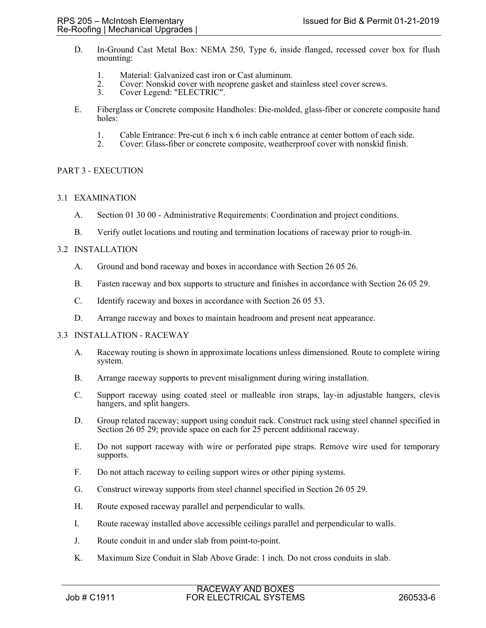- D. In-Ground Cast Metal Box: NEMA 250, Type 6, inside flanged, recessed cover box for flush mounting:
	- 1. Material: Galvanized cast iron or Cast aluminum.
	- 2. Cover: Nonskid cover with neoprene gasket and stainless steel cover screws.<br>3. Cover Legend: "ELECTRIC".
	- Cover Legend: "ELECTRIC".
- E. Fiberglass or Concrete composite Handholes: Die-molded, glass-fiber or concrete composite hand holes:
	- 1. Cable Entrance: Pre-cut 6 inch x 6 inch cable entrance at center bottom of each side.<br>2. Cover: Glass-fiber or concrete composite, weatherproof cover with nonskid finish.
	- 2. Cover: Glass-fiber or concrete composite, weatherproof cover with nonskid finish.

# PART 3 - EXECUTION

## 3.1 EXAMINATION

- A. Section 01 30 00 Administrative Requirements: Coordination and project conditions.
- B. Verify outlet locations and routing and termination locations of raceway prior to rough-in.

## 3.2 INSTALLATION

- A. Ground and bond raceway and boxes in accordance with Section 26 05 26.
- B. Fasten raceway and box supports to structure and finishes in accordance with Section 26 05 29.
- C. Identify raceway and boxes in accordance with Section 26 05 53.
- D. Arrange raceway and boxes to maintain headroom and present neat appearance.

### 3.3 INSTALLATION - RACEWAY

- A. Raceway routing is shown in approximate locations unless dimensioned. Route to complete wiring system.
- B. Arrange raceway supports to prevent misalignment during wiring installation.
- C. Support raceway using coated steel or malleable iron straps, lay-in adjustable hangers, clevis hangers, and split hangers.
- D. Group related raceway; support using conduit rack. Construct rack using steel channel specified in Section 26 05 29; provide space on each for 25 percent additional raceway.
- E. Do not support raceway with wire or perforated pipe straps. Remove wire used for temporary supports.
- F. Do not attach raceway to ceiling support wires or other piping systems.
- G. Construct wireway supports from steel channel specified in Section 26 05 29.
- H. Route exposed raceway parallel and perpendicular to walls.
- I. Route raceway installed above accessible ceilings parallel and perpendicular to walls.
- J. Route conduit in and under slab from point-to-point.
- K. Maximum Size Conduit in Slab Above Grade: 1 inch. Do not cross conduits in slab.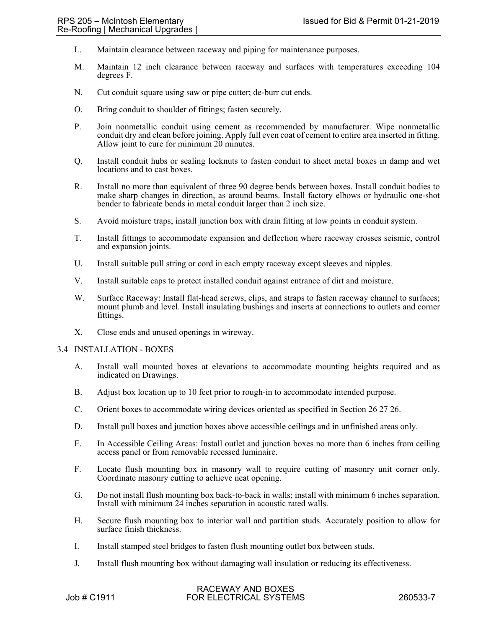- L. Maintain clearance between raceway and piping for maintenance purposes.
- M. Maintain 12 inch clearance between raceway and surfaces with temperatures exceeding 104 degrees F.
- N. Cut conduit square using saw or pipe cutter; de-burr cut ends.
- O. Bring conduit to shoulder of fittings; fasten securely.
- P. Join nonmetallic conduit using cement as recommended by manufacturer. Wipe nonmetallic conduit dry and clean before joining. Apply full even coat of cement to entire area inserted in fitting. Allow joint to cure for minimum 20 minutes.
- Q. Install conduit hubs or sealing locknuts to fasten conduit to sheet metal boxes in damp and wet locations and to cast boxes.
- R. Install no more than equivalent of three 90 degree bends between boxes. Install conduit bodies to make sharp changes in direction, as around beams. Install factory elbows or hydraulic one-shot bender to fabricate bends in metal conduit larger than 2 inch size.
- S. Avoid moisture traps; install junction box with drain fitting at low points in conduit system.
- T. Install fittings to accommodate expansion and deflection where raceway crosses seismic, control and expansion joints.
- U. Install suitable pull string or cord in each empty raceway except sleeves and nipples.
- V. Install suitable caps to protect installed conduit against entrance of dirt and moisture.
- W. Surface Raceway: Install flat-head screws, clips, and straps to fasten raceway channel to surfaces; mount plumb and level. Install insulating bushings and inserts at connections to outlets and corner fittings.
- X. Close ends and unused openings in wireway.

### 3.4 INSTALLATION - BOXES

- A. Install wall mounted boxes at elevations to accommodate mounting heights required and as indicated on Drawings.
- B. Adjust box location up to 10 feet prior to rough-in to accommodate intended purpose.
- C. Orient boxes to accommodate wiring devices oriented as specified in Section 26 27 26.
- D. Install pull boxes and junction boxes above accessible ceilings and in unfinished areas only.
- E. In Accessible Ceiling Areas: Install outlet and junction boxes no more than 6 inches from ceiling access panel or from removable recessed luminaire.
- F. Locate flush mounting box in masonry wall to require cutting of masonry unit corner only. Coordinate masonry cutting to achieve neat opening.
- G. Do not install flush mounting box back-to-back in walls; install with minimum 6 inches separation. Install with minimum 24 inches separation in acoustic rated walls.
- H. Secure flush mounting box to interior wall and partition studs. Accurately position to allow for surface finish thickness.
- I. Install stamped steel bridges to fasten flush mounting outlet box between studs.
- J. Install flush mounting box without damaging wall insulation or reducing its effectiveness.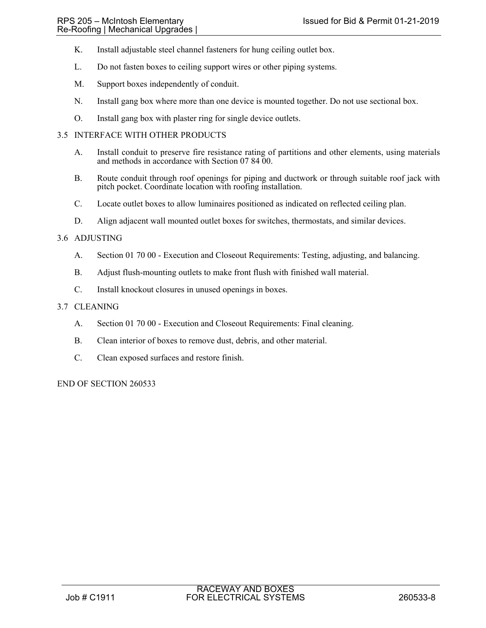- K. Install adjustable steel channel fasteners for hung ceiling outlet box.
- L. Do not fasten boxes to ceiling support wires or other piping systems.
- M. Support boxes independently of conduit.
- N. Install gang box where more than one device is mounted together. Do not use sectional box.
- O. Install gang box with plaster ring for single device outlets.

# 3.5 INTERFACE WITH OTHER PRODUCTS

- A. Install conduit to preserve fire resistance rating of partitions and other elements, using materials and methods in accordance with Section 07 84 00.
- B. Route conduit through roof openings for piping and ductwork or through suitable roof jack with pitch pocket. Coordinate location with roofing installation.
- C. Locate outlet boxes to allow luminaires positioned as indicated on reflected ceiling plan.
- D. Align adjacent wall mounted outlet boxes for switches, thermostats, and similar devices.

## 3.6 ADJUSTING

- A. Section 01 70 00 Execution and Closeout Requirements: Testing, adjusting, and balancing.
- B. Adjust flush-mounting outlets to make front flush with finished wall material.
- C. Install knockout closures in unused openings in boxes.

## 3.7 CLEANING

- A. Section 01 70 00 Execution and Closeout Requirements: Final cleaning.
- B. Clean interior of boxes to remove dust, debris, and other material.
- C. Clean exposed surfaces and restore finish.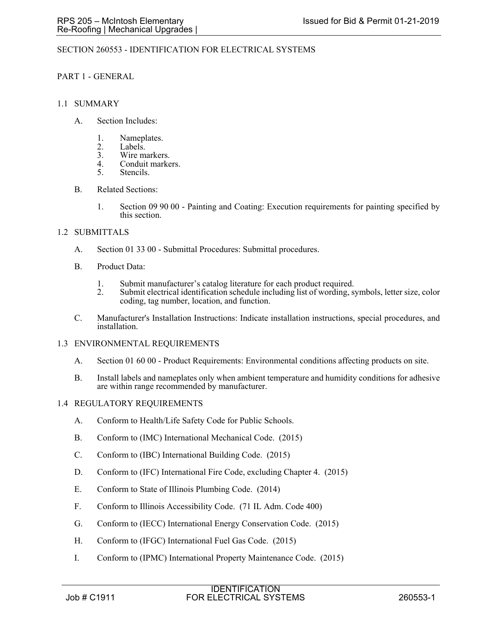## SECTION 260553 - IDENTIFICATION FOR ELECTRICAL SYSTEMS

## PART 1 - GENERAL

### 1.1 SUMMARY

- A. Section Includes:
	- 1. Nameplates.
	- 2. Labels.<br>3. Wire ma
	- 3. Wire markers.<br>4. Conduit marke
	- 4. Conduit markers.<br>5. Stencils.
	- Stencils.
- B. Related Sections:
	- 1. Section 09 90 00 Painting and Coating: Execution requirements for painting specified by this section.

## 1.2 SUBMITTALS

- A. Section 01 33 00 Submittal Procedures: Submittal procedures.
- B. Product Data:
	- 1. Submit manufacturer's catalog literature for each product required.<br>2. Submit electrical identification schedule including list of wording. s
	- Submit electrical identification schedule including list of wording, symbols, letter size, color coding, tag number, location, and function.
- C. Manufacturer's Installation Instructions: Indicate installation instructions, special procedures, and installation.

### 1.3 ENVIRONMENTAL REQUIREMENTS

- A. Section 01 60 00 Product Requirements: Environmental conditions affecting products on site.
- B. Install labels and nameplates only when ambient temperature and humidity conditions for adhesive are within range recommended by manufacturer.

### 1.4 REGULATORY REQUIREMENTS

- A. Conform to Health/Life Safety Code for Public Schools.
- B. Conform to (IMC) International Mechanical Code. (2015)
- C. Conform to (IBC) International Building Code. (2015)
- D. Conform to (IFC) International Fire Code, excluding Chapter 4. (2015)
- E. Conform to State of Illinois Plumbing Code. (2014)
- F. Conform to Illinois Accessibility Code. (71 IL Adm. Code 400)
- G. Conform to (IECC) International Energy Conservation Code. (2015)
- H. Conform to (IFGC) International Fuel Gas Code. (2015)
- I. Conform to (IPMC) International Property Maintenance Code. (2015)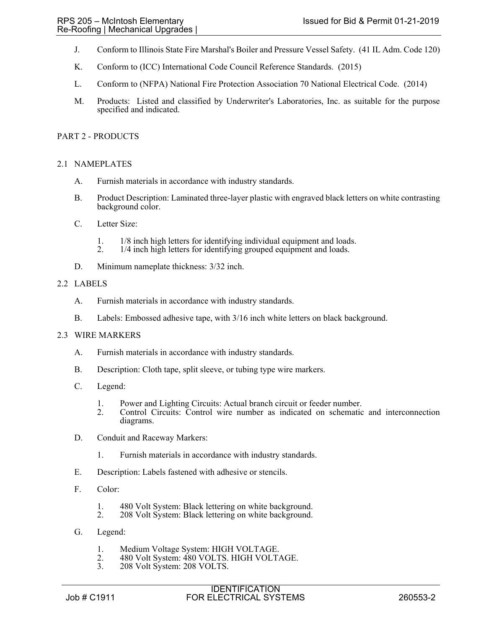- J. Conform to Illinois State Fire Marshal's Boiler and Pressure Vessel Safety. (41 IL Adm. Code 120)
- K. Conform to (ICC) International Code Council Reference Standards. (2015)
- L. Conform to (NFPA) National Fire Protection Association 70 National Electrical Code. (2014)
- M. Products: Listed and classified by Underwriter's Laboratories, Inc. as suitable for the purpose specified and indicated.

## PART 2 - PRODUCTS

## 2.1 NAMEPLATES

- A. Furnish materials in accordance with industry standards.
- B. Product Description: Laminated three-layer plastic with engraved black letters on white contrasting background color.
- C. Letter Size:
	- 1. 1/8 inch high letters for identifying individual equipment and loads.
	- 2. 1/4 inch high letters for identifying grouped equipment and loads.
- D. Minimum nameplate thickness: 3/32 inch.

### 2.2 LABELS

- A. Furnish materials in accordance with industry standards.
- B. Labels: Embossed adhesive tape, with 3/16 inch white letters on black background.

### 2.3 WIRE MARKERS

- A. Furnish materials in accordance with industry standards.
- B. Description: Cloth tape, split sleeve, or tubing type wire markers.
- C. Legend:
	- 1. Power and Lighting Circuits: Actual branch circuit or feeder number.
	- 2. Control Circuits: Control wire number as indicated on schematic and interconnection diagrams.
- D. Conduit and Raceway Markers:
	- 1. Furnish materials in accordance with industry standards.
- E. Description: Labels fastened with adhesive or stencils.
- F. Color:
	- 1. 480 Volt System: Black lettering on white background.<br>2. 208 Volt System: Black lettering on white background.
	- 208 Volt System: Black lettering on white background.
- G. Legend:
	- 1. Medium Voltage System: HIGH VOLTAGE.<br>2. 480 Volt System: 480 VOLTS. HIGH VOLT.
	- 2. 480 Volt System: 480 VOLTS. HIGH VOLTAGE.<br>3. 208 Volt System: 208 VOLTS.
	- 208 Volt System: 208 VOLTS.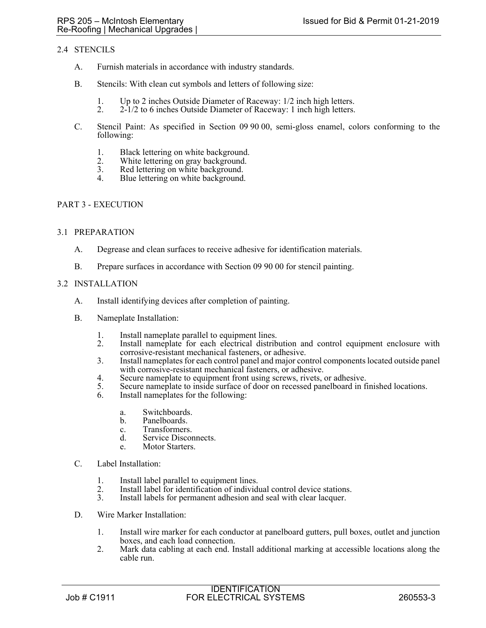# 2.4 STENCILS

- A. Furnish materials in accordance with industry standards.
- B. Stencils: With clean cut symbols and letters of following size:
	- 1. Up to 2 inches Outside Diameter of Raceway: 1/2 inch high letters.<br>2. 2-1/2 to 6 inches Outside Diameter of Raceway: 1 inch high letters.
	- 2. 2-1/2 to 6 inches Outside Diameter of Raceway: 1 inch high letters.
- C. Stencil Paint: As specified in Section 09 90 00, semi-gloss enamel, colors conforming to the following:
	- 1. Black lettering on white background.
	- 2. White lettering on gray background.<br>3. Red lettering on white background.
	- 3. Red lettering on white background.<br>4 Blue lettering on white background.
	- Blue lettering on white background.

# PART 3 - EXECUTION

## 3.1 PREPARATION

- A. Degrease and clean surfaces to receive adhesive for identification materials.
- B. Prepare surfaces in accordance with Section 09 90 00 for stencil painting.

## 3.2 INSTALLATION

- A. Install identifying devices after completion of painting.
- B. Nameplate Installation:
	- 1. Install nameplate parallel to equipment lines.<br>2. Install nameplate for each electrical distrib
	- Install nameplate for each electrical distribution and control equipment enclosure with corrosive-resistant mechanical fasteners, or adhesive.
	- 3. Install nameplates for each control panel and major control components located outside panel with corrosive-resistant mechanical fasteners, or adhesive.
	- 4. Secure nameplate to equipment front using screws, rivets, or adhesive.
	- 5. Secure nameplate to inside surface of door on recessed panelboard in finished locations.
	- 6. Install nameplates for the following:
		- a. Switchboards.
		- b. Panelboards.
		- c. Transformers.
		- d. Service Disconnects.
		- e. Motor Starters.
- C. Label Installation:
	- 1. Install label parallel to equipment lines.
	- 2. Install label for identification of individual control device stations.<br>3. Install labels for permanent adhesion and seal with clear lacquer.
	- Install labels for permanent adhesion and seal with clear lacquer.
- D. Wire Marker Installation:
	- 1. Install wire marker for each conductor at panelboard gutters, pull boxes, outlet and junction boxes, and each load connection.
	- 2. Mark data cabling at each end. Install additional marking at accessible locations along the cable run.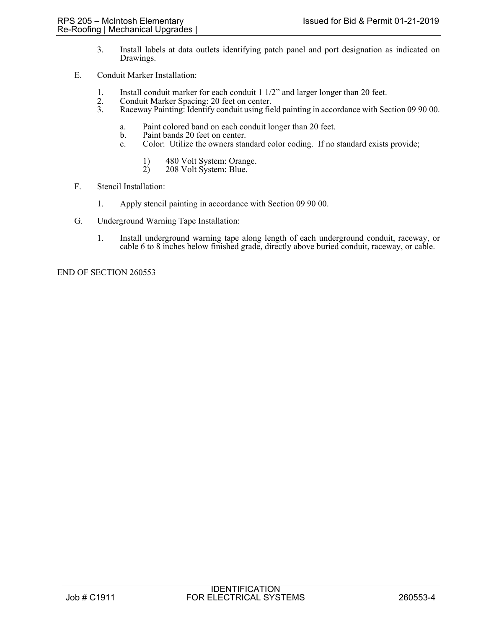- 3. Install labels at data outlets identifying patch panel and port designation as indicated on Drawings.
- E. Conduit Marker Installation:
	- 1. Install conduit marker for each conduit 1 1/2" and larger longer than 20 feet.<br>2. Conduit Marker Spacing: 20 feet on center.
	- 2. Conduit Marker Spacing: 20 feet on center.<br>3. Raceway Painting: Identify conduit using fie
	- 3. Raceway Painting: Identify conduit using field painting in accordance with Section 09 90 00.
		- a. Paint colored band on each conduit longer than 20 feet.
		- Paint bands 20 feet on center.
		- c. Color: Utilize the owners standard color coding. If no standard exists provide;
			- 1) 480 Volt System: Orange.<br>2) 208 Volt System: Blue.
			- 208 Volt System: Blue.
- F. Stencil Installation:
	- 1. Apply stencil painting in accordance with Section 09 90 00.
- G. Underground Warning Tape Installation:
	- 1. Install underground warning tape along length of each underground conduit, raceway, or cable 6 to 8 inches below finished grade, directly above buried conduit, raceway, or cable.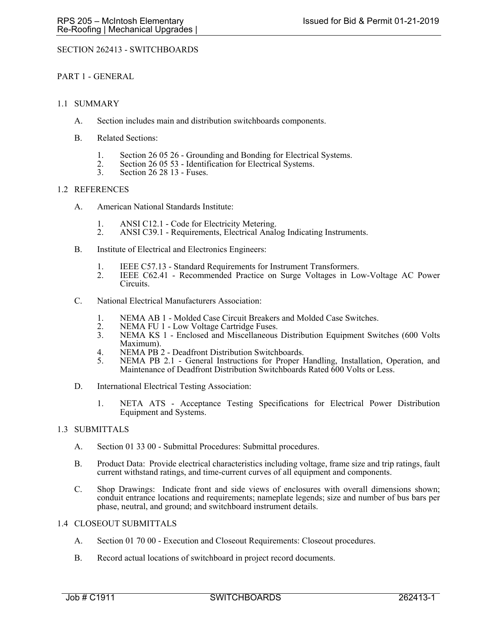## SECTION 262413 - SWITCHBOARDS

## PART 1 - GENERAL

## 1.1 SUMMARY

- A. Section includes main and distribution switchboards components.
- B. Related Sections:
	- 1. Section 26 05 26 Grounding and Bonding for Electrical Systems.<br>
	2. Section 26 05 53 Identification for Electrical Systems.<br>
	3. Section 26 28 13 Fuses.
	-
	- Section 26 28 13 Fuses.

## 1.2 REFERENCES

- A. American National Standards Institute:
	- 1. ANSI C12.1 Code for Electricity Metering.
	- 2. ANSI C39.1 Requirements, Electrical Analog Indicating Instruments.
- B. Institute of Electrical and Electronics Engineers:
	-
	- 1. IEEE C57.13 Standard Requirements for Instrument Transformers. 2. IEEE C62.41 Recommended Practice on Surge Voltages in Low-Voltage AC Power Circuits.
- C. National Electrical Manufacturers Association:
	- 1. NEMA AB 1 Molded Case Circuit Breakers and Molded Case Switches.<br>2. NEMA FU 1 Low Voltage Cartridge Fuses.
	- 2. NEMA FU 1 Low Voltage Cartridge Fuses.<br>3. NEMA KS 1 Enclosed and Miscellaneous
	- NEMA KS 1 Enclosed and Miscellaneous Distribution Equipment Switches (600 Volts Maximum).
	- 4. NEMA PB 2 Deadfront Distribution Switchboards.
	- 5. NEMA PB 2.1 General Instructions for Proper Handling, Installation, Operation, and Maintenance of Deadfront Distribution Switchboards Rated 600 Volts or Less.
- D. International Electrical Testing Association:
	- 1. NETA ATS Acceptance Testing Specifications for Electrical Power Distribution Equipment and Systems.

# 1.3 SUBMITTALS

- A. Section 01 33 00 Submittal Procedures: Submittal procedures.
- B. Product Data: Provide electrical characteristics including voltage, frame size and trip ratings, fault current withstand ratings, and time-current curves of all equipment and components.
- C. Shop Drawings: Indicate front and side views of enclosures with overall dimensions shown; conduit entrance locations and requirements; nameplate legends; size and number of bus bars per phase, neutral, and ground; and switchboard instrument details.

## 1.4 CLOSEOUT SUBMITTALS

- A. Section 01 70 00 Execution and Closeout Requirements: Closeout procedures.
- B. Record actual locations of switchboard in project record documents.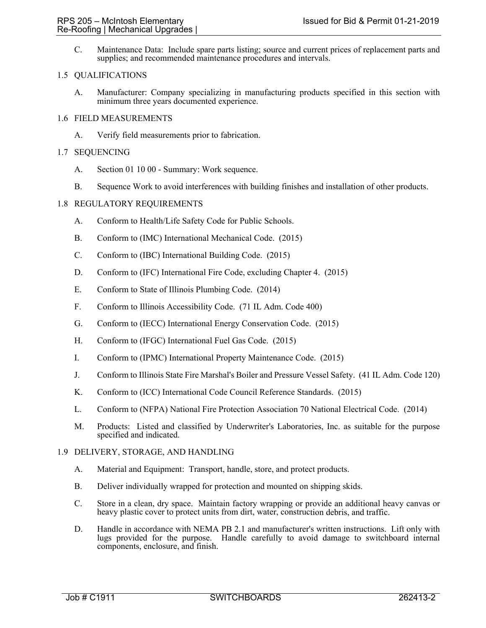C. Maintenance Data: Include spare parts listing; source and current prices of replacement parts and supplies; and recommended maintenance procedures and intervals.

## 1.5 QUALIFICATIONS

A. Manufacturer: Company specializing in manufacturing products specified in this section with minimum three years documented experience.

## 1.6 FIELD MEASUREMENTS

A. Verify field measurements prior to fabrication.

## 1.7 SEQUENCING

- A. Section 01 10 00 Summary: Work sequence.
- B. Sequence Work to avoid interferences with building finishes and installation of other products.

## 1.8 REGULATORY REQUIREMENTS

- A. Conform to Health/Life Safety Code for Public Schools.
- B. Conform to (IMC) International Mechanical Code. (2015)
- C. Conform to (IBC) International Building Code. (2015)
- D. Conform to (IFC) International Fire Code, excluding Chapter 4. (2015)
- E. Conform to State of Illinois Plumbing Code. (2014)
- F. Conform to Illinois Accessibility Code. (71 IL Adm. Code 400)
- G. Conform to (IECC) International Energy Conservation Code. (2015)
- H. Conform to (IFGC) International Fuel Gas Code. (2015)
- I. Conform to (IPMC) International Property Maintenance Code. (2015)
- J. Conform to Illinois State Fire Marshal's Boiler and Pressure Vessel Safety. (41 IL Adm. Code 120)
- K. Conform to (ICC) International Code Council Reference Standards. (2015)
- L. Conform to (NFPA) National Fire Protection Association 70 National Electrical Code. (2014)
- M. Products: Listed and classified by Underwriter's Laboratories, Inc. as suitable for the purpose specified and indicated.

### 1.9 DELIVERY, STORAGE, AND HANDLING

- A. Material and Equipment: Transport, handle, store, and protect products.
- B. Deliver individually wrapped for protection and mounted on shipping skids.
- C. Store in a clean, dry space. Maintain factory wrapping or provide an additional heavy canvas or heavy plastic cover to protect units from dirt, water, construction debris, and traffic.
- D. Handle in accordance with NEMA PB 2.1 and manufacturer's written instructions. Lift only with lugs provided for the purpose. Handle carefully to avoid damage to switchboard internal components, enclosure, and finish.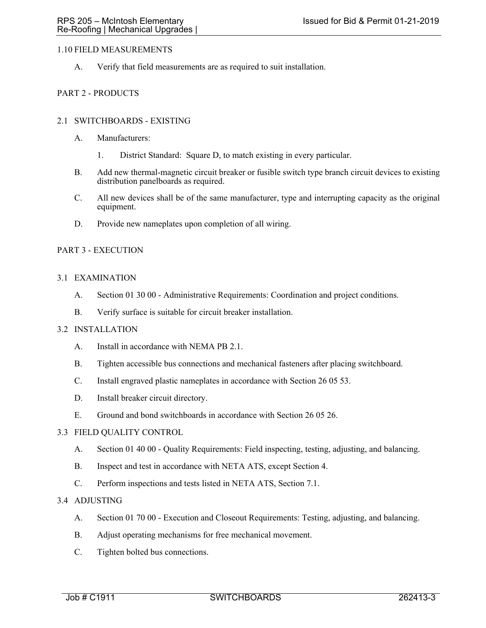# 1.10 FIELD MEASUREMENTS

A. Verify that field measurements are as required to suit installation.

# PART 2 - PRODUCTS

## 2.1 SWITCHBOARDS - EXISTING

- A. Manufacturers:
	- 1. District Standard: Square D, to match existing in every particular.
- B. Add new thermal-magnetic circuit breaker or fusible switch type branch circuit devices to existing distribution panelboards as required.
- C. All new devices shall be of the same manufacturer, type and interrupting capacity as the original equipment.
- D. Provide new nameplates upon completion of all wiring.

# PART 3 - EXECUTION

## 3.1 EXAMINATION

- A. Section 01 30 00 Administrative Requirements: Coordination and project conditions.
- B. Verify surface is suitable for circuit breaker installation.

## 3.2 INSTALLATION

- A. Install in accordance with NEMA PB 2.1.
- B. Tighten accessible bus connections and mechanical fasteners after placing switchboard.
- C. Install engraved plastic nameplates in accordance with Section 26 05 53.
- D. Install breaker circuit directory.
- E. Ground and bond switchboards in accordance with Section 26 05 26.

### 3.3 FIELD QUALITY CONTROL

- A. Section 01 40 00 Quality Requirements: Field inspecting, testing, adjusting, and balancing.
- B. Inspect and test in accordance with NETA ATS, except Section 4.
- C. Perform inspections and tests listed in NETA ATS, Section 7.1.

# 3.4 ADJUSTING

- A. Section 01 70 00 Execution and Closeout Requirements: Testing, adjusting, and balancing.
- B. Adjust operating mechanisms for free mechanical movement.
- C. Tighten bolted bus connections.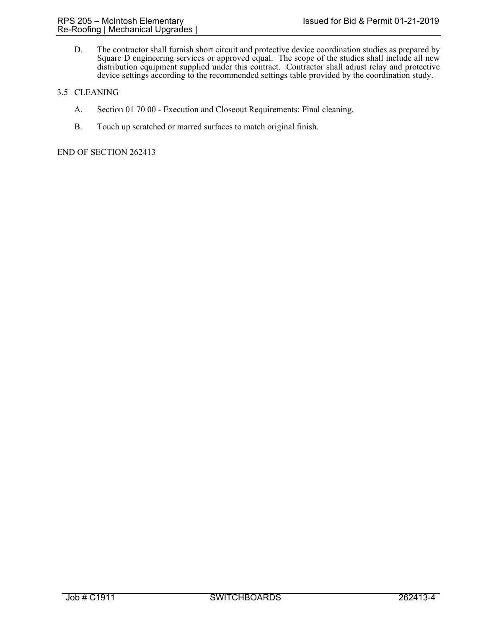D. The contractor shall furnish short circuit and protective device coordination studies as prepared by Square D engineering services or approved equal. The scope of the studies shall include all new distribution equipment supplied under this contract. Contractor shall adjust relay and protective device settings according to the recommended settings table provided by the coordination study.

# 3.5 CLEANING

- A. Section 01 70 00 Execution and Closeout Requirements: Final cleaning.
- B. Touch up scratched or marred surfaces to match original finish.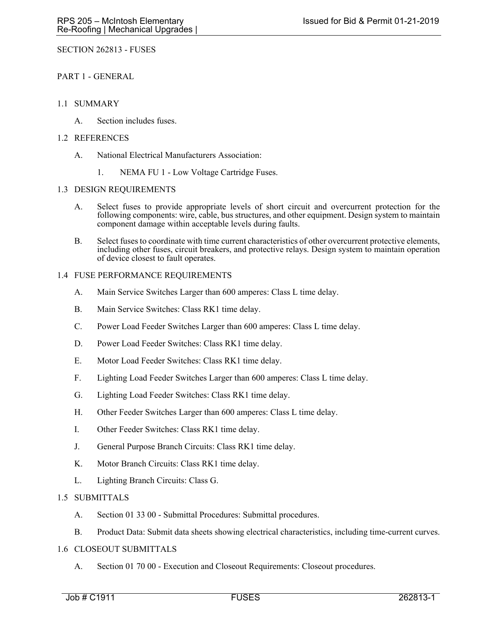SECTION 262813 - FUSES

PART 1 - GENERAL

## 1.1 SUMMARY

A. Section includes fuses.

## 1.2 REFERENCES

- A. National Electrical Manufacturers Association:
	- 1. NEMA FU 1 Low Voltage Cartridge Fuses.

## 1.3 DESIGN REQUIREMENTS

- A. Select fuses to provide appropriate levels of short circuit and overcurrent protection for the following components: wire, cable, bus structures, and other equipment. Design system to maintain component damage within acceptable levels during faults.
- B. Select fuses to coordinate with time current characteristics of other overcurrent protective elements, including other fuses, circuit breakers, and protective relays. Design system to maintain operation of device closest to fault operates.

## 1.4 FUSE PERFORMANCE REQUIREMENTS

- A. Main Service Switches Larger than 600 amperes: Class L time delay.
- B. Main Service Switches: Class RK1 time delay.
- C. Power Load Feeder Switches Larger than 600 amperes: Class L time delay.
- D. Power Load Feeder Switches: Class RK1 time delay.
- E. Motor Load Feeder Switches: Class RK1 time delay.
- F. Lighting Load Feeder Switches Larger than 600 amperes: Class L time delay.
- G. Lighting Load Feeder Switches: Class RK1 time delay.
- H. Other Feeder Switches Larger than 600 amperes: Class L time delay.
- I. Other Feeder Switches: Class RK1 time delay.
- J. General Purpose Branch Circuits: Class RK1 time delay.
- K. Motor Branch Circuits: Class RK1 time delay.
- L. Lighting Branch Circuits: Class G.

# 1.5 SUBMITTALS

- A. Section 01 33 00 Submittal Procedures: Submittal procedures.
- B. Product Data: Submit data sheets showing electrical characteristics, including time-current curves.

# 1.6 CLOSEOUT SUBMITTALS

A. Section 01 70 00 - Execution and Closeout Requirements: Closeout procedures.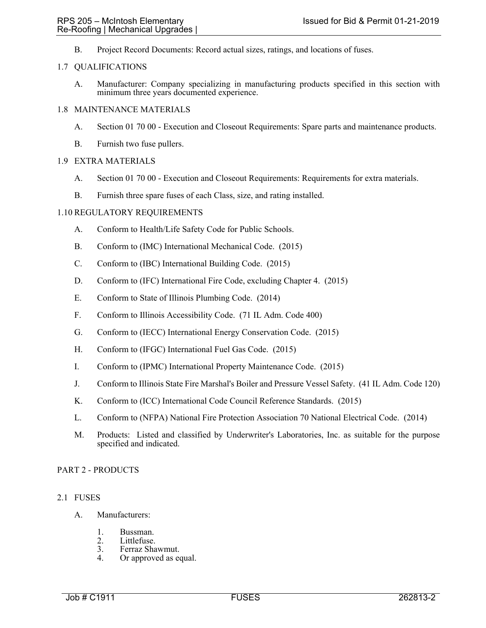B. Project Record Documents: Record actual sizes, ratings, and locations of fuses.

## 1.7 QUALIFICATIONS

A. Manufacturer: Company specializing in manufacturing products specified in this section with minimum three years documented experience.

## 1.8 MAINTENANCE MATERIALS

- A. Section 01 70 00 Execution and Closeout Requirements: Spare parts and maintenance products.
- B. Furnish two fuse pullers.

# 1.9 EXTRA MATERIALS

- A. Section 01 70 00 Execution and Closeout Requirements: Requirements for extra materials.
- B. Furnish three spare fuses of each Class, size, and rating installed.

## 1.10 REGULATORY REQUIREMENTS

- A. Conform to Health/Life Safety Code for Public Schools.
- B. Conform to (IMC) International Mechanical Code. (2015)
- C. Conform to (IBC) International Building Code. (2015)
- D. Conform to (IFC) International Fire Code, excluding Chapter 4. (2015)
- E. Conform to State of Illinois Plumbing Code. (2014)
- F. Conform to Illinois Accessibility Code. (71 IL Adm. Code 400)
- G. Conform to (IECC) International Energy Conservation Code. (2015)
- H. Conform to (IFGC) International Fuel Gas Code. (2015)
- I. Conform to (IPMC) International Property Maintenance Code. (2015)
- J. Conform to Illinois State Fire Marshal's Boiler and Pressure Vessel Safety. (41 IL Adm. Code 120)
- K. Conform to (ICC) International Code Council Reference Standards. (2015)
- L. Conform to (NFPA) National Fire Protection Association 70 National Electrical Code. (2014)
- M. Products: Listed and classified by Underwriter's Laboratories, Inc. as suitable for the purpose specified and indicated.

# PART 2 - PRODUCTS

### 2.1 FUSES

- A. Manufacturers:
	- 1. Bussman.<br>2. Littlefuse.
	- 2. Littlefuse.<br>3. Ferraz Sha
	- 3. Ferraz Shawmut.<br>4. Or approved as equal to the Section of the Section 1.
	- Or approved as equal.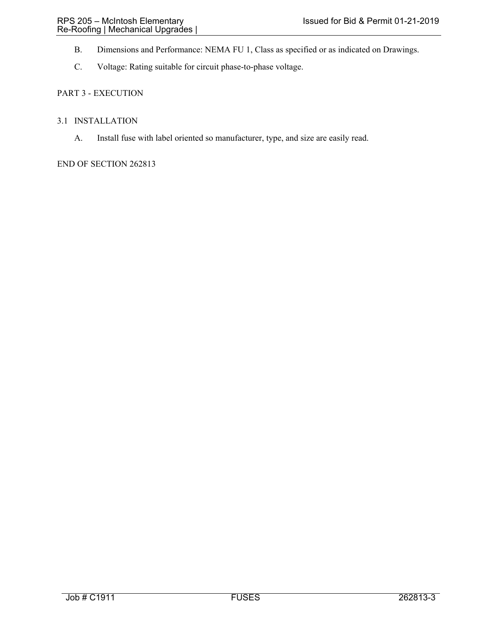- B. Dimensions and Performance: NEMA FU 1, Class as specified or as indicated on Drawings.
- C. Voltage: Rating suitable for circuit phase-to-phase voltage.

# PART 3 - EXECUTION

## 3.1 INSTALLATION

A. Install fuse with label oriented so manufacturer, type, and size are easily read.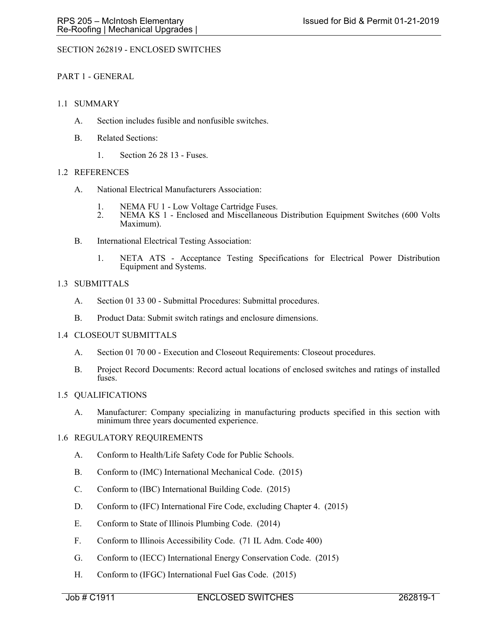# SECTION 262819 - ENCLOSED SWITCHES

# PART 1 - GENERAL

## 1.1 SUMMARY

- A. Section includes fusible and nonfusible switches.
- B. Related Sections:
	- 1. Section 26 28 13 Fuses.

## 1.2 REFERENCES

- A. National Electrical Manufacturers Association:
	- 1. NEMA FU 1 Low Voltage Cartridge Fuses.
	- 2. NEMA KS 1 Enclosed and Miscellaneous Distribution Equipment Switches (600 Volts Maximum).
- B. International Electrical Testing Association:
	- 1. NETA ATS Acceptance Testing Specifications for Electrical Power Distribution Equipment and Systems.

## 1.3 SUBMITTALS

- A. Section 01 33 00 Submittal Procedures: Submittal procedures.
- B. Product Data: Submit switch ratings and enclosure dimensions.

### 1.4 CLOSEOUT SUBMITTALS

- A. Section 01 70 00 Execution and Closeout Requirements: Closeout procedures.
- B. Project Record Documents: Record actual locations of enclosed switches and ratings of installed fuses.

### 1.5 QUALIFICATIONS

A. Manufacturer: Company specializing in manufacturing products specified in this section with minimum three years documented experience.

### 1.6 REGULATORY REQUIREMENTS

- A. Conform to Health/Life Safety Code for Public Schools.
- B. Conform to (IMC) International Mechanical Code. (2015)
- C. Conform to (IBC) International Building Code. (2015)
- D. Conform to (IFC) International Fire Code, excluding Chapter 4. (2015)
- E. Conform to State of Illinois Plumbing Code. (2014)
- F. Conform to Illinois Accessibility Code. (71 IL Adm. Code 400)
- G. Conform to (IECC) International Energy Conservation Code. (2015)
- H. Conform to (IFGC) International Fuel Gas Code. (2015)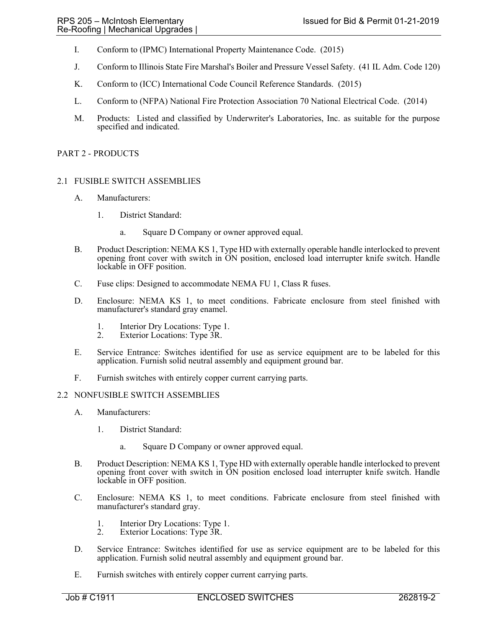- I. Conform to (IPMC) International Property Maintenance Code. (2015)
- J. Conform to Illinois State Fire Marshal's Boiler and Pressure Vessel Safety. (41 IL Adm. Code 120)
- K. Conform to (ICC) International Code Council Reference Standards. (2015)
- L. Conform to (NFPA) National Fire Protection Association 70 National Electrical Code. (2014)
- M. Products: Listed and classified by Underwriter's Laboratories, Inc. as suitable for the purpose specified and indicated.

### PART 2 - PRODUCTS

# 2.1 FUSIBLE SWITCH ASSEMBLIES

- A. Manufacturers:
	- 1. District Standard:
		- a. Square D Company or owner approved equal.
- B. Product Description: NEMA KS 1, Type HD with externally operable handle interlocked to prevent opening front cover with switch in ON position, enclosed load interrupter knife switch. Handle lockable in OFF position.
- C. Fuse clips: Designed to accommodate NEMA FU 1, Class R fuses.
- D. Enclosure: NEMA KS 1, to meet conditions. Fabricate enclosure from steel finished with manufacturer's standard gray enamel.
	- 1. Interior Dry Locations: Type 1.<br>2. Exterior Locations: Type 3R.
	- Exterior Locations: Type 3R.
- E. Service Entrance: Switches identified for use as service equipment are to be labeled for this application. Furnish solid neutral assembly and equipment ground bar.
- F. Furnish switches with entirely copper current carrying parts.

### 2.2 NONFUSIBLE SWITCH ASSEMBLIES

- A. Manufacturers:
	- 1. District Standard:
		- a. Square D Company or owner approved equal.
- B. Product Description: NEMA KS 1, Type HD with externally operable handle interlocked to prevent opening front cover with switch in ON position enclosed load interrupter knife switch. Handle lockable in OFF position.
- C. Enclosure: NEMA KS 1, to meet conditions. Fabricate enclosure from steel finished with manufacturer's standard gray.
	- 1. Interior Dry Locations: Type 1.
	- 2. Exterior Locations: Type 3R.
- D. Service Entrance: Switches identified for use as service equipment are to be labeled for this application. Furnish solid neutral assembly and equipment ground bar.
- E. Furnish switches with entirely copper current carrying parts.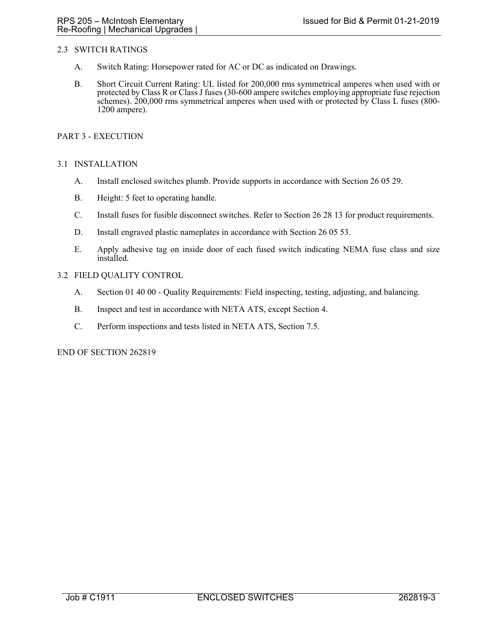# 2.3 SWITCH RATINGS

- A. Switch Rating: Horsepower rated for AC or DC as indicated on Drawings.
- B. Short Circuit Current Rating: UL listed for 200,000 rms symmetrical amperes when used with or protected by Class R or Class J fuses (30-600 ampere switches employing appropriate fuse rejection schemes). 200,000 rms symmetrical amperes when used with or protected by Class L fuses (800- 1200 ampere).

## PART 3 - EXECUTION

## 3.1 INSTALLATION

- A. Install enclosed switches plumb. Provide supports in accordance with Section 26 05 29.
- B. Height: 5 feet to operating handle.
- C. Install fuses for fusible disconnect switches. Refer to Section 26 28 13 for product requirements.
- D. Install engraved plastic nameplates in accordance with Section 26 05 53.
- E. Apply adhesive tag on inside door of each fused switch indicating NEMA fuse class and size installed.
- 3.2 FIELD QUALITY CONTROL
	- A. Section 01 40 00 Quality Requirements: Field inspecting, testing, adjusting, and balancing.
	- B. Inspect and test in accordance with NETA ATS, except Section 4.
	- C. Perform inspections and tests listed in NETA ATS, Section 7.5.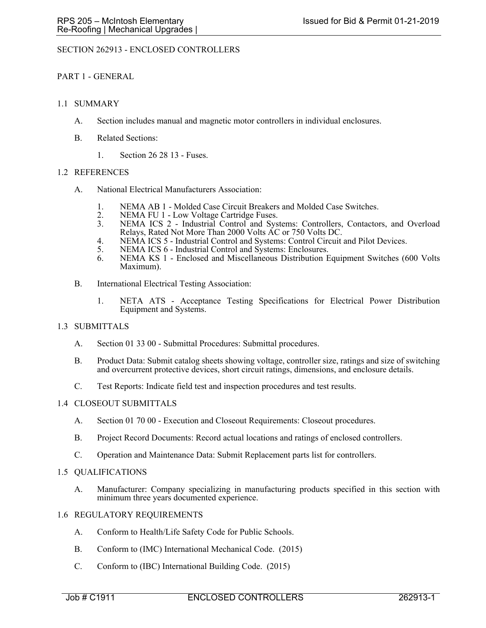# SECTION 262913 - ENCLOSED CONTROLLERS

## PART 1 - GENERAL

## 1.1 SUMMARY

- A. Section includes manual and magnetic motor controllers in individual enclosures.
- B. Related Sections:
	- 1. Section 26 28 13 Fuses.

## 1.2 REFERENCES

- A. National Electrical Manufacturers Association:
	- 1. NEMA AB 1 Molded Case Circuit Breakers and Molded Case Switches.
	- 2. NEMA FU 1 Low Voltage Cartridge Fuses.<br>3. NEMA ICS 2 Industrial Control and Svs
	- NEMA ICS 2 Industrial Control and Systems: Controllers, Contactors, and Overload Relays, Rated Not More Than 2000 Volts AC or 750 Volts DC.
	- 4. NEMA ICS 5 Industrial Control and Systems: Control Circuit and Pilot Devices.
	- 5. NEMA ICS 6 Industrial Control and Systems: Enclosures.
	- 6. NEMA KS 1 Enclosed and Miscellaneous Distribution Equipment Switches (600 Volts Maximum).
- B. International Electrical Testing Association:
	- 1. NETA ATS Acceptance Testing Specifications for Electrical Power Distribution Equipment and Systems.

# 1.3 SUBMITTALS

- A. Section 01 33 00 Submittal Procedures: Submittal procedures.
- B. Product Data: Submit catalog sheets showing voltage, controller size, ratings and size of switching and overcurrent protective devices, short circuit ratings, dimensions, and enclosure details.
- C. Test Reports: Indicate field test and inspection procedures and test results.

# 1.4 CLOSEOUT SUBMITTALS

- A. Section 01 70 00 Execution and Closeout Requirements: Closeout procedures.
- B. Project Record Documents: Record actual locations and ratings of enclosed controllers.
- C. Operation and Maintenance Data: Submit Replacement parts list for controllers.

### 1.5 QUALIFICATIONS

A. Manufacturer: Company specializing in manufacturing products specified in this section with minimum three years documented experience.

### 1.6 REGULATORY REQUIREMENTS

- A. Conform to Health/Life Safety Code for Public Schools.
- B. Conform to (IMC) International Mechanical Code. (2015)
- C. Conform to (IBC) International Building Code. (2015)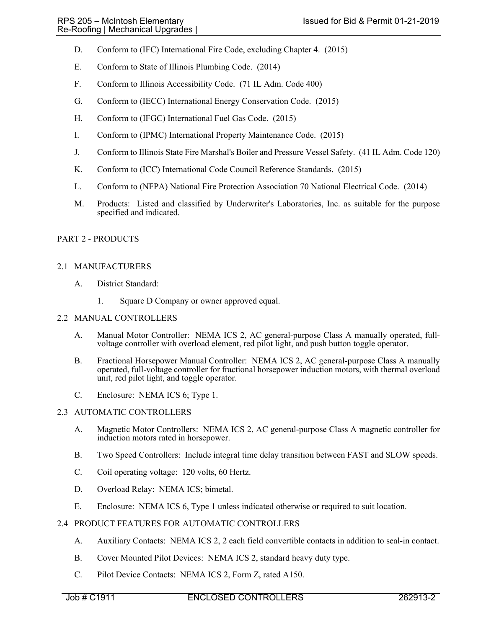- D. Conform to (IFC) International Fire Code, excluding Chapter 4. (2015)
- E. Conform to State of Illinois Plumbing Code. (2014)
- F. Conform to Illinois Accessibility Code. (71 IL Adm. Code 400)
- G. Conform to (IECC) International Energy Conservation Code. (2015)
- H. Conform to (IFGC) International Fuel Gas Code. (2015)
- I. Conform to (IPMC) International Property Maintenance Code. (2015)
- J. Conform to Illinois State Fire Marshal's Boiler and Pressure Vessel Safety. (41 IL Adm. Code 120)
- K. Conform to (ICC) International Code Council Reference Standards. (2015)
- L. Conform to (NFPA) National Fire Protection Association 70 National Electrical Code. (2014)
- M. Products: Listed and classified by Underwriter's Laboratories, Inc. as suitable for the purpose specified and indicated.

## PART 2 - PRODUCTS

## 2.1 MANUFACTURERS

- A. District Standard:
	- 1. Square D Company or owner approved equal.

## 2.2 MANUAL CONTROLLERS

- A. Manual Motor Controller: NEMA ICS 2, AC general-purpose Class A manually operated, fullvoltage controller with overload element, red pilot light, and push button toggle operator.
- B. Fractional Horsepower Manual Controller: NEMA ICS 2, AC general-purpose Class A manually operated, full-voltage controller for fractional horsepower induction motors, with thermal overload unit, red pilot light, and toggle operator.
- C. Enclosure: NEMA ICS 6; Type 1.

# 2.3 AUTOMATIC CONTROLLERS

- A. Magnetic Motor Controllers: NEMA ICS 2, AC general-purpose Class A magnetic controller for induction motors rated in horsepower.
- B. Two Speed Controllers: Include integral time delay transition between FAST and SLOW speeds.
- C. Coil operating voltage: 120 volts, 60 Hertz.
- D. Overload Relay: NEMA ICS; bimetal.
- E. Enclosure: NEMA ICS 6, Type 1 unless indicated otherwise or required to suit location.

# 2.4 PRODUCT FEATURES FOR AUTOMATIC CONTROLLERS

- A. Auxiliary Contacts: NEMA ICS 2, 2 each field convertible contacts in addition to seal-in contact.
- B. Cover Mounted Pilot Devices: NEMA ICS 2, standard heavy duty type.
- C. Pilot Device Contacts: NEMA ICS 2, Form Z, rated A150.